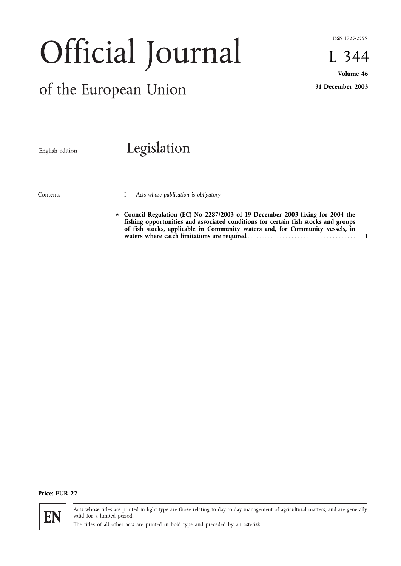ISSN 1725-2555

L 344

# Official Journal

# of the European Union

**Volume 46 31 December 2003**

English edition

# Legislation

Contents

I *Acts whose publication is obligatory*

*fi* **Council Regulation (EC) No 2287/2003 of 19 December 2003 fixing for 2004 the fishing opportunities and associated conditions for certain fish stocks and groups of fish stocks, applicable in Community waters and, for Community vessels, in waters where catch limitations are required** ..................................... 1

# **Price: EUR 22**



Acts whose titles are printed in light type are those relating to day-to-day management of agricultural matters, and are generally valid for a limited period.

The titles of all other acts are printed in bold type and preceded by an asterisk.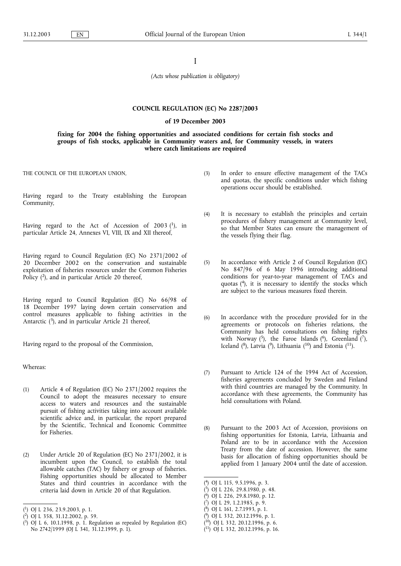# I

*(Acts whose publication is obligatory)*

#### **COUNCIL REGULATION (EC) No 2287/2003**

# **of 19 December 2003**

**fixing for 2004 the fishing opportunities and associated conditions for certain fish stocks and groups of fish stocks, applicable in Community waters and, for Community vessels, in waters where catch limitations are required**

THE COUNCIL OF THE EUROPEAN UNION,

Having regard to the Treaty establishing the European Community,

Having regard to the Act of Accession of 2003  $(1)$ , in particular Article 24, Annexes VI, VIII, IX and XII thereof,

Having regard to Council Regulation (EC) No 2371/2002 of 20 December 2002 on the conservation and sustainable exploitation of fisheries resources under the Common Fisheries Policy (2), and in particular Article 20 thereof,

Having regard to Council Regulation (EC) No 66/98 of 18 December 1997 laying down certain conservation and control measures applicable to fishing activities in the Antarctic  $(3)$ , and in particular Article 21 thereof,

Having regard to the proposal of the Commission,

Whereas:

- (1) Article 4 of Regulation (EC) No 2371/2002 requires the Council to adopt the measures necessary to ensure access to waters and resources and the sustainable pursuit of fishing activities taking into account available scientific advice and, in particular, the report prepared by the Scientific, Technical and Economic Committee for Fisheries.
- (2) Under Article 20 of Regulation (EC) No 2371/2002, it is incumbent upon the Council, to establish the total allowable catches (TAC) by fishery or group of fisheries. Fishing opportunities should be allocated to Member States and third countries in accordance with the criteria laid down in Article 20 of that Regulation.
- (3) In order to ensure effective management of the TACs and quotas, the specific conditions under which fishing operations occur should be established.
- (4) It is necessary to establish the principles and certain procedures of fishery management at Community level, so that Member States can ensure the management of the vessels flying their flag.
- (5) In accordance with Article 2 of Council Regulation (EC) No 847/96 of 6 May 1996 introducing additional conditions for year-to-year management of TACs and quotas  $(4)$ , it is necessary to identify the stocks which are subject to the various measures fixed therein.
- (6) In accordance with the procedure provided for in the agreements or protocols on fisheries relations, the Community has held consultations on fishing rights with Norway  $(5)$ , the Faroe Islands  $(6)$ , Greenland  $(7)$ , Iceland ( $^{8}$ ), Latvia ( $^{9}$ ), Lithuania ( $^{10}$ ) and Estonia ( $^{11}$ ).
- (7) Pursuant to Article 124 of the 1994 Act of Accession, fisheries agreements concluded by Sweden and Finland with third countries are managed by the Community. In accordance with these agreements, the Community has held consultations with Poland.
- (8) Pursuant to the 2003 Act of Accession, provisions on fishing opportunities for Estonia, Latvia, Lithuania and Poland are to be in accordance with the Accession Treaty from the date of accession. However, the same basis for allocation of fishing opportunities should be applied from 1 January 2004 until the date of accession.

- ( 6) OJ L 226, 29.8.1980, p. 12.
- ( 7) OJ L 29, 1.2.1985, p. 9.
- ( 8) OJ L 161, 2.7.1993, p. 1.
- ( 9) OJ L 332, 20.12.1996, p. 1.
- ( 10) OJ L 332, 20.12.1996, p. 6.
- $($ <sup>11</sup>) OJ L 332, 20.12.1996, p. 16.

<sup>(</sup> 1) OJ L 236, 23.9.2003, p. 1.

<sup>(</sup> 2) OJ L 358, 31.12.2002, p. 59.

<sup>(</sup> 3) OJ L 6, 10.1.1998, p. 1. Regulation as repealed by Regulation (EC) No 2742/1999 (OJ L 341, 31.12.1999, p. 1).

<sup>(</sup> 4) OJ L 115, 9.5.1996, p. 3.

<sup>(</sup> 5) OJ L 226, 29.8.1980, p. 48.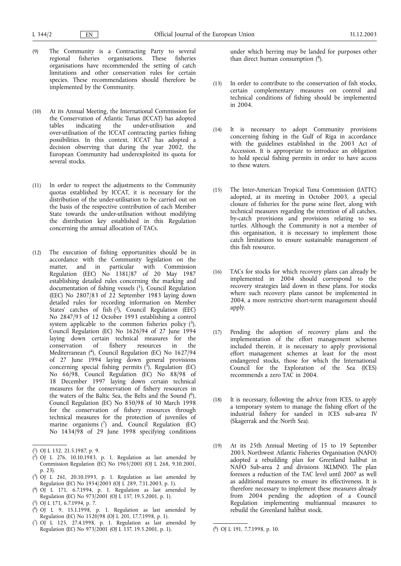- (9) The Community is a Contracting Party to several regional fisheries organisations. These fisheries organisations have recommended the setting of catch limitations and other conservation rules for certain species. These recommendations should therefore be implemented by the Community.
- (10) At its Annual Meeting, the International Commission for the Conservation of Atlantic Tunas (ICCAT) has adopted tables indicating the under-utilisation and over-utilisation of the ICCAT contracting parties fishing possibilities. In this context, ICCAT has adopted a decision observing that during the year 2002, the European Community had underexploited its quota for several stocks.
- (11) In order to respect the adjustments to the Community quotas established by ICCAT, it is necessary for the distribution of the under-utilisation to be carried out on the basis of the respective contribution of each Member State towards the under-utilisation without modifying the distribution key established in this Regulation concerning the annual allocation of TACs.
- (12) The execution of fishing opportunities should be in accordance with the Community legislation on the matter, and in particular with Commission Regulation (EEC) No 1381/87 of 20 May 1987 establishing detailed rules concerning the marking and documentation of fishing vessels  $(1)$ , Council Regulation (EEC) No 2807/83 of 22 September 1983 laying down detailed rules for recording information on Member States' catches of fish  $(2)$ , Council Regulation (EEC) No 2847/93 of 12 October 1993 establishing a control system applicable to the common fisheries policy  $(3)$ , Council Regulation (EC) No 1626/94 of 27 June 1994 laying down certain technical measures for the conservation of fishery resources in the Mediterranean (4), Council Regulation (EC) No 1627/94 of 27 June 1994 laying down general provisions concerning special fishing permits  $(\bar{5})$ , Regulation (EC) No 66/98, Council Regulation (EC) No 88/98 of 18 December 1997 laying down certain technical measures for the conservation of fishery resources in the waters of the Baltic Sea, the Belts and the Sound  $(6)$ , Council Regulation (EC) No 850/98 of 30 March 1998 for the conservation of fishery resources through technical measures for the protection of juveniles of marine organisms  $(7)$  and, Council Regulation (EC) No 1434/98 of 29 June 1998 specifying conditions

- ( 2) OJ L 276, 10.10.1983, p. 1. Regulation as last amended by Commission Regulation (EC) No 1965/2001 (OJ L 268, 9.10.2001, p. 23).
- ( 3) OJ L 261, 20.10.1993, p. 1. Regulation as last amended by Regulation (EC) No 1954/2003 (OJ L 289, 7.11.2003, p. 1).
- ( 4) OJ L 171, 6.7.1994, p. 1. Regulation as last amended by Regulation (EC) No 973/2001 (OJ L 137, 19.5.2001, p. 1).
- ( 5) OJ L 171, 6.7.1994, p. 7.
- $(^{6}$ ) OJ L 9, 15.1.1998, p. 1. Regulation as last amended by Regulation (EC) No 1520/98 (OJ L 201, 17.7.1998, p. 1).
- ( 7) OJ L 125, 27.4.1998, p. 1. Regulation as last amended by Regulation (EC) No 973/2001 (OJ L 137, 19.5.2001, p. 1).

under which herring may be landed for purposes other than direct human consumption  $(^{8})$ .

- (13) In order to contribute to the conservation of fish stocks, certain complementary measures on control and technical conditions of fishing should be implemented in 2004.
- (14) It is necessary to adopt Community provisions concerning fishing in the Gulf of Riga in accordance with the guidelines established in the 2003 Act of Accession. It is appropriate to introduce an obligation to hold special fishing permits in order to have access to these waters.
- (15) The Inter-American Tropical Tuna Commission (IATTC) adopted, at its meeting in October 2003, a special closure of fisheries for the purse seine fleet, along with technical measures regarding the retention of all catches, by-catch provisions and provisions relating to sea turtles. Although the Community is not a member of this organisation, it is necessary to implement those catch limitations to ensure sustainable management of this fish resource.
- (16) TACs for stocks for which recovery plans can already be implemented in 2004 should correspond to the recovery strategies laid down in these plans. For stocks where such recovery plans cannot be implemented in 2004, a more restrictive short-term management should apply.
- (17) Pending the adoption of recovery plans and the implementation of the effort management schemes included therein, it is necessary to apply provisional effort management schemes at least for the most endangered stocks, those for which the International Council for the Exploration of the Sea (ICES) recommends a zero TAC in 2004.
- (18) It is necessary, following the advice from ICES, to apply a temporary system to manage the fishing effort of the industrial fishery for sandeel in ICES sub-area IV (Skagerrak and the North Sea).
- (19) At its 25th Annual Meeting of 15 to 19 September 2003, Northwest Atlantic Fisheries Organisation (NAFO) adopted a rebuilding plan for Greenland halibut in NAFO Sub-area 2 and divisions 3KLMNO. The plan foresees a reduction of the TAC level until 2007 as well as additional measures to ensure its effectiveness. It is therefore necessary to implement these measures already from 2004 pending the adoption of a Council Regulation implementing multiannual measures to rebuild the Greenland halibut stock.

<sup>(</sup> 1) OJ L 132, 21.5.1987, p. 9.

<sup>8)</sup> OJ L 191, 7.7.1998, p. 10.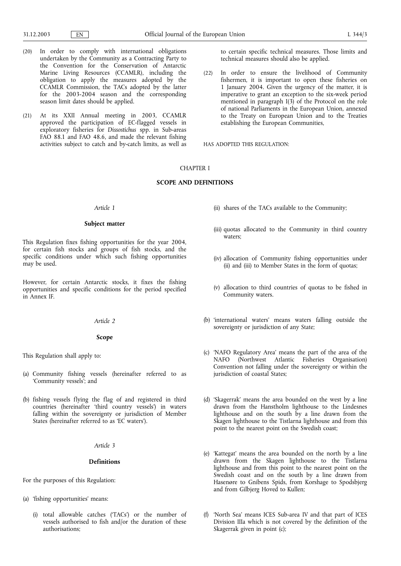- (20) In order to comply with international obligations undertaken by the Community as a Contracting Party to the Convention for the Conservation of Antarctic Marine Living Resources (CCAMLR), including the obligation to apply the measures adopted by the CCAMLR Commission, the TACs adopted by the latter for the 2003-2004 season and the corresponding season limit dates should be applied.
- (21) At its XXII Annual meeting in 2003, CCAMLR approved the participation of EC-flagged vessels in exploratory fisheries for *Dissostichus* spp. in Sub-areas FAO 88.1 and FAO 48.6, and made the relevant fishing activities subject to catch and by-catch limits, as well as

to certain specific technical measures. Those limits and technical measures should also be applied.

(22) In order to ensure the livelihood of Community fishermen, it is important to open these fisheries on 1 January 2004. Given the urgency of the matter, it is imperative to grant an exception to the six-week period mentioned in paragraph I(3) of the Protocol on the role of national Parliaments in the European Union, annexed to the Treaty on European Union and to the Treaties establishing the European Communities,

HAS ADOPTED THIS REGULATION:

# CHAPTER I

#### **SCOPE AND DEFINITIONS**

# *Article 1*

#### **Subject matter**

This Regulation fixes fishing opportunities for the year 2004, for certain fish stocks and groups of fish stocks, and the specific conditions under which such fishing opportunities may be used.

However, for certain Antarctic stocks, it fixes the fishing opportunities and specific conditions for the period specified in Annex IF.

#### *Article 2*

#### **Scope**

This Regulation shall apply to:

- (a) Community fishing vessels (hereinafter referred to as 'Community vessels'; and
- (b) fishing vessels flying the flag of and registered in third countries (hereinafter 'third country vessels') in waters falling within the sovereignty or jurisdiction of Member States (hereinafter referred to as 'EC waters').

# *Article 3*

#### **Definitions**

For the purposes of this Regulation:

- (a) 'fishing opportunities' means:
	- (i) total allowable catches ('TACs') or the number of vessels authorised to fish and/or the duration of these authorisations;
- (ii) shares of the TACs available to the Community;
- (iii) quotas allocated to the Community in third country waters;
- (iv) allocation of Community fishing opportunities under (ii) and (iii) to Member States in the form of quotas;
- (v) allocation to third countries of quotas to be fished in Community waters.
- (b) 'international waters' means waters falling outside the sovereignty or jurisdiction of any State;
- (c) 'NAFO Regulatory Area' means the part of the area of the NAFO (Northwest Atlantic Fisheries Organisation) Convention not falling under the sovereignty or within the jurisdiction of coastal States;
- (d) 'Skagerrak' means the area bounded on the west by a line drawn from the Hanstholm lighthouse to the Lindesnes lighthouse and on the south by a line drawn from the Skagen lighthouse to the Tistlarna lighthouse and from this point to the nearest point on the Swedish coast;
- (e) 'Kattegat' means the area bounded on the north by a line drawn from the Skagen lighthouse to the Tistlarna lighthouse and from this point to the nearest point on the Swedish coast and on the south by a line drawn from Hasenøre to Gnibens Spids, from Korshage to Spodsbjerg and from Gilbjerg Hoved to Kullen;
- (f) 'North Sea' means ICES Sub-area IV and that part of ICES Division IIIa which is not covered by the definition of the Skagerrak given in point (c);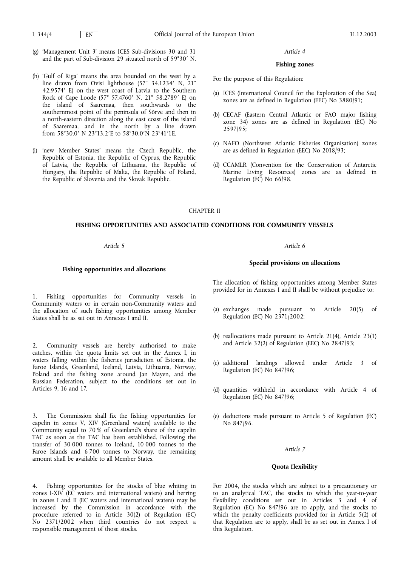- (g) 'Management Unit 3' means ICES Sub-divisions 30 and 31 and the part of Sub-division 29 situated north of 59°30' N.
- (h) 'Gulf of Riga' means the area bounded on the west by a line drawn from Ovisi lighthouse (57° 34.1234' N, 21° 42.9574' E) on the west coast of Latvia to the Southern<br>Rock of Cape Loode (57° 57.4760' N 21° 58.2789' E) on Rock of Cape Loode (57° 57.4760′ N, 21° 58.2789′ E) on<br>the \_island \_of \_Saaremaa \_\_then \_southwards \_to \_the the island of Saaremaa, then southwards to the southernmost point of the peninsula of Sõrve and then in a north-eastern direction along the east coast of the island of Saaremaa, and in the north by a line drawn from 58°30.0' N 23°13.2'E to 58°30.0'N 23°41'1E.
- 'new Member States' means the Czech Republic, the Republic of Estonia, the Republic of Cyprus, the Republic of Latvia, the Republic of Lithuania, the Republic of Hungary, the Republic of Malta, the Republic of Poland, the Republic of Slovenia and the Slovak Republic.

#### **Fishing zones**

For the purpose of this Regulation:

- (a) ICES (International Council for the Exploration of the Sea) zones are as defined in Regulation (EEC) No 3880/91;
- (b) CECAF (Eastern Central Atlantic or FAO major fishing zone 34) zones are as defined in Regulation (EC) No 2597/95;
- (c) NAFO (Northwest Atlantic Fisheries Organisation) zones are as defined in Regulation (EEC) No 2018/93;
- (d) CCAMLR (Convention for the Conservation of Antarctic Marine Living Resources) zones are as defined in Regulation (EC) No 66/98.

CHAPTER II

# **FISHING OPPORTUNITIES AND ASSOCIATED CONDITIONS FOR COMMUNITY VESSELS**

# *Article 5*

#### **Fishing opportunities and allocations**

1. Fishing opportunities for Community vessels in Community waters or in certain non-Community waters and the allocation of such fishing opportunities among Member States shall be as set out in Annexes I and II.

2. Community vessels are hereby authorised to make catches, within the quota limits set out in the Annex I, in waters falling within the fisheries jurisdiction of Estonia, the Faroe Islands, Greenland, Iceland, Latvia, Lithuania, Norway, Poland and the fishing zone around Jan Mayen, and the Russian Federation, subject to the conditions set out in Articles 9, 16 and 17.

3. The Commission shall fix the fishing opportunities for capelin in zones V, XIV (Greenland waters) available to the Community equal to 70 % of Greenland's share of the capelin TAC as soon as the TAC has been established. Following the transfer of 30 000 tonnes to Iceland, 10 000 tonnes to the Faroe Islands and 6 700 tonnes to Norway, the remaining amount shall be available to all Member States.

4. Fishing opportunities for the stocks of blue whiting in zones I-XIV (EC waters and international waters) and herring in zones I and II (EC waters and international waters) may be increased by the Commission in accordance with the procedure referred to in Article 30(2) of Regulation (EC) No 2371/2002 when third countries do not respect a responsible management of those stocks.

#### *Article 6*

#### **Special provisions on allocations**

The allocation of fishing opportunities among Member States provided for in Annexes I and II shall be without prejudice to:

- (a) exchanges made pursuant to Article 20(5) of Regulation (EC) No 2371/2002;
- (b) reallocations made pursuant to Article 21(4), Article 23(1) and Article 32(2) of Regulation (EEC) No 2847/93;
- (c) additional landings allowed under Article 3 of Regulation (EC) No 847/96;
- (d) quantities withheld in accordance with Article 4 of Regulation (EC) No 847/96;
- (e) deductions made pursuant to Article 5 of Regulation (EC) No 847/96.

#### *Article 7*

# **Quota flexibility**

For 2004, the stocks which are subject to a precautionary or to an analytical TAC, the stocks to which the year-to-year flexibility conditions set out in Articles 3 and 4 of Regulation (EC) No 847/96 are to apply, and the stocks to which the penalty coefficients provided for in Article 5(2) of that Regulation are to apply, shall be as set out in Annex I of this Regulation.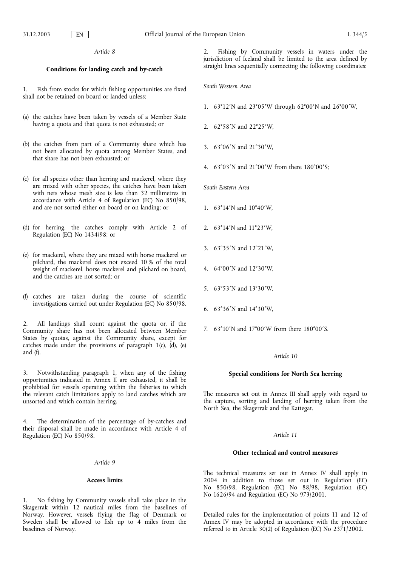# **Conditions for landing catch and by-catch**

Fish from stocks for which fishing opportunities are fixed shall not be retained on board or landed unless:

- (a) the catches have been taken by vessels of a Member State having a quota and that quota is not exhausted; or
- (b) the catches from part of a Community share which has not been allocated by quota among Member States, and that share has not been exhausted; or
- (c) for all species other than herring and mackerel, where they are mixed with other species, the catches have been taken with nets whose mesh size is less than 32 millimetres in accordance with Article 4 of Regulation (EC) No 850/98, and are not sorted either on board or on landing; or
- (d) for herring, the catches comply with Article 2 of Regulation (EC) No 1434/98; or
- (e) for mackerel, where they are mixed with horse mackerel or pilchard, the mackerel does not exceed 10 % of the total weight of mackerel, horse mackerel and pilchard on board, and the catches are not sorted; or
- (f) catches are taken during the course of scientific investigations carried out under Regulation (EC) No 850/98.

2. All landings shall count against the quota or, if the Community share has not been allocated between Member States by quotas, against the Community share, except for catches made under the provisions of paragraph  $1(c)$ ,  $(d)$ ,  $(e)$ and (f).

Notwithstanding paragraph 1, when any of the fishing opportunities indicated in Annex II are exhausted, it shall be prohibited for vessels operating within the fisheries to which the relevant catch limitations apply to land catches which are unsorted and which contain herring.

The determination of the percentage of by-catches and their disposal shall be made in accordance with Article 4 of Regulation (EC) No 850/98.

#### *Article 9*

#### **Access limits**

1. No fishing by Community vessels shall take place in the Skagerrak within 12 nautical miles from the baselines of Norway. However, vessels flying the flag of Denmark or Sweden shall be allowed to fish up to 4 miles from the baselines of Norway.

Fishing by Community vessels in waters under the jurisdiction of Iceland shall be limited to the area defined by straight lines sequentially connecting the following coordinates:

*South Western Area*

- 1. 63°12′N and 23°05′W through 62°00′N and 26°00′W,
- 2. 62°58'N and 22°25'W,
- 3. 63°06'N and 21°30'W,
- 4. 63°03′N and 21°00′W from there 180°00′S;

# *South Eastern Area*

- 1.  $63^{\circ}14'$ N and  $10^{\circ}40'$ W,
- 2. 63°14'N and 11°23'W,
- 3. 63°35'N and 12°21'W,
- 4. 64°00'N and 12°30'W,
- 5. 63°53'N and 13°30'W,
- 6.  $63^{\circ}36'$ N and  $14^{\circ}30'$ W,
- 7. 63°10′N and 17°00′W from there 180°00′S.

#### *Article 10*

#### **Special conditions for North Sea herring**

The measures set out in Annex III shall apply with regard to the capture, sorting and landing of herring taken from the North Sea, the Skagerrak and the Kattegat.

#### *Article 11*

#### **Other technical and control measures**

The technical measures set out in Annex IV shall apply in 2004 in addition to those set out in Regulation (EC) No 850/98, Regulation (EC) No 88/98, Regulation (EC) No 1626/94 and Regulation (EC) No 973/2001.

Detailed rules for the implementation of points 11 and 12 of Annex IV may be adopted in accordance with the procedure referred to in Article 30(2) of Regulation (EC) No 2371/2002.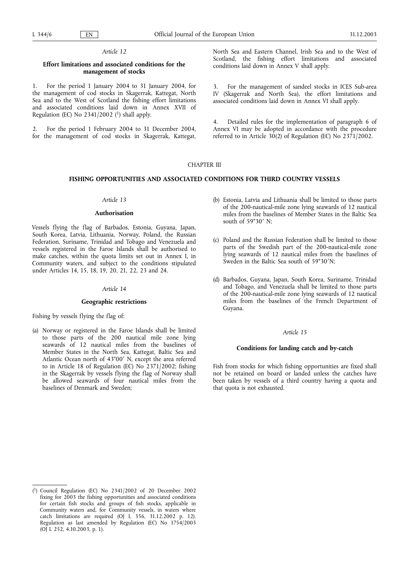# **Effort limitations and associated conditions for the management of stocks**

1. For the period 1 January 2004 to 31 January 2004, for the management of cod stocks in Skagerrak, Kattegat, North Sea and to the West of Scotland the fishing effort limitations and associated conditions laid down in Annex XVII of Regulation (EC) No  $2341/2002$  (<sup>1</sup>) shall apply.

2. For the period 1 February 2004 to 31 December 2004, for the management of cod stocks in Skagerrak, Kattegat,

North Sea and Eastern Channel, Irish Sea and to the West of Scotland, the fishing effort limitations and associated conditions laid down in Annex V shall apply.

3. For the management of sandeel stocks in ICES Sub-area IV (Skagerrak and North Sea), the effort limitations and associated conditions laid down in Annex VI shall apply.

4. Detailed rules for the implementation of paragraph 6 of Annex VI may be adopted in accordance with the procedure referred to in Article 30(2) of Regulation (EC) No 2371/2002.

# CHAPTER III

#### **FISHING OPPORTUNITIES AND ASSOCIATED CONDITIONS FOR THIRD COUNTRY VESSELS**

#### *Article 13*

#### **Authorisation**

Vessels flying the flag of Barbados, Estonia, Guyana, Japan, South Korea, Latvia, Lithuania, Norway, Poland, the Russian Federation, Suriname, Trinidad and Tobago and Venezuela and vessels registered in the Faroe Islands shall be authorised to make catches, within the quota limits set out in Annex I, in Community waters, and subject to the conditions stipulated under Articles 14, 15, 18, 19, 20, 21, 22, 23 and 24.

#### *Article 14*

#### **Geographic restrictions**

Fishing by vessels flying the flag of:

(a) Norway or registered in the Faroe Islands shall be limited to those parts of the 200 nautical mile zone lying seawards of 12 nautical miles from the baselines of Member States in the North Sea, Kattegat, Baltic Sea and Atlantic Ocean north of 43°00' N, except the area referred to in Article 18 of Regulation (EC) No 2371/2002; fishing in the Skagerrak by vessels flying the flag of Norway shall be allowed seawards of four nautical miles from the baselines of Denmark and Sweden;

- (b) Estonia, Latvia and Lithuania shall be limited to those parts of the 200-nautical-mile zone lying seawards of 12 nautical miles from the baselines of Member States in the Baltic Sea south of 59°30' N;
- (c) Poland and the Russian Federation shall be limited to those parts of the Swedish part of the 200-nautical-mile zone lying seawards of 12 nautical miles from the baselines of Sweden in the Baltic Sea south of 59°30'N;
- (d) Barbados, Guyana, Japan, South Korea, Suriname, Trinidad and Tobago, and Venezuela shall be limited to those parts of the 200-nautical-mile zone lying seawards of 12 nautical miles from the baselines of the French Department of Guyana.

#### *Article 15*

# **Conditions for landing catch and by-catch**

Fish from stocks for which fishing opportunities are fixed shall not be retained on board or landed unless the catches have been taken by vessels of a third country having a quota and that quota is not exhausted.

<sup>(</sup> 1) Council Regulation (EC) No 2341/2002 of 20 December 2002 fixing for 2003 the fishing opportunities and associated conditions for certain fish stocks and groups of fish stocks, applicable in Community waters and, for Community vessels, in waters where catch limitations are required (OJ L 356, 31.12.2002 p. 12). Regulation as last amended by Regulation (EC) No 1754/2003 (OJ L 252, 4.10.2003, p. 1).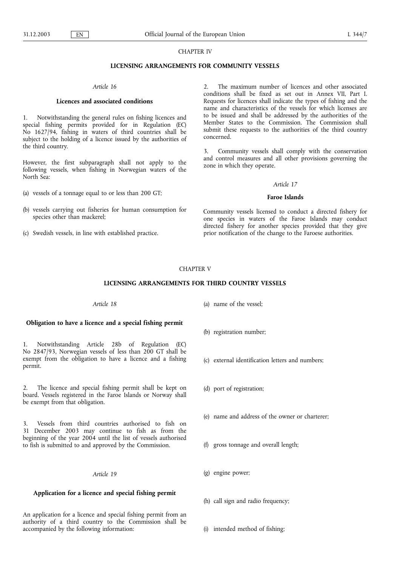# CHAPTER IV

#### **LICENSING ARRANGEMENTS FOR COMMUNITY VESSELS**

#### *Article 16*

# **Licences and associated conditions**

1. Notwithstanding the general rules on fishing licences and special fishing permits provided for in Regulation (EC) No 1627/94, fishing in waters of third countries shall be subject to the holding of a licence issued by the authorities of the third country.

However, the first subparagraph shall not apply to the following vessels, when fishing in Norwegian waters of the North Sea:

- (a) vessels of a tonnage equal to or less than 200 GT;
- (b) vessels carrying out fisheries for human consumption for species other than mackerel;
- (c) Swedish vessels, in line with established practice.

2. The maximum number of licences and other associated conditions shall be fixed as set out in Annex VII, Part I. Requests for licences shall indicate the types of fishing and the name and characteristics of the vessels for which licenses are to be issued and shall be addressed by the authorities of the Member States to the Commission. The Commission shall submit these requests to the authorities of the third country concerned.

3. Community vessels shall comply with the conservation and control measures and all other provisions governing the zone in which they operate.

#### *Article 17*

#### **Faroe Islands**

Community vessels licensed to conduct a directed fishery for one species in waters of the Faroe Islands may conduct directed fishery for another species provided that they give prior notification of the change to the Faroese authorities.

# CHAPTER V

# **LICENSING ARRANGEMENTS FOR THIRD COUNTRY VESSELS**

#### *Article 18*

#### **Obligation to have a licence and a special fishing permit**

1. Notwithstanding Article 28b of Regulation (EC) No 2847/93, Norwegian vessels of less than 200 GT shall be exempt from the obligation to have a licence and a fishing permit.

2. The licence and special fishing permit shall be kept on board. Vessels registered in the Faroe Islands or Norway shall be exempt from that obligation.

3. Vessels from third countries authorised to fish on 31 December 2003 may continue to fish as from the beginning of the year 2004 until the list of vessels authorised to fish is submitted to and approved by the Commission.

# *Article 19*

# **Application for a licence and special fishing permit**

An application for a licence and special fishing permit from an authority of a third country to the Commission shall be accompanied by the following information:

(a) name of the vessel;

- (b) registration number;
- (c) external identification letters and numbers;
- (d) port of registration;
- (e) name and address of the owner or charterer;
- (f) gross tonnage and overall length;
- (g) engine power;
- (h) call sign and radio frequency;
- (i) intended method of fishing;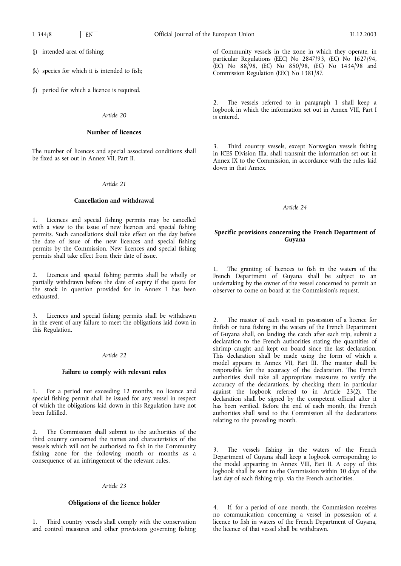(j) intended area of fishing;

- (k) species for which it is intended to fish;
- (l) period for which a licence is required.

# *Article 20*

# **Number of licences**

The number of licences and special associated conditions shall be fixed as set out in Annex VII, Part II.

# *Article 21*

#### **Cancellation and withdrawal**

1. Licences and special fishing permits may be cancelled with a view to the issue of new licences and special fishing permits. Such cancellations shall take effect on the day before the date of issue of the new licences and special fishing permits by the Commission. New licences and special fishing permits shall take effect from their date of issue.

Licences and special fishing permits shall be wholly or partially withdrawn before the date of expiry if the quota for the stock in question provided for in Annex I has been exhausted.

3. Licences and special fishing permits shall be withdrawn in the event of any failure to meet the obligations laid down in this Regulation.

# *Article 22*

#### **Failure to comply with relevant rules**

For a period not exceeding 12 months, no licence and special fishing permit shall be issued for any vessel in respect of which the obligations laid down in this Regulation have not been fulfilled.

2. The Commission shall submit to the authorities of the third country concerned the names and characteristics of the vessels which will not be authorised to fish in the Community fishing zone for the following month or months as a consequence of an infringement of the relevant rules.

# *Article 23*

# **Obligations of the licence holder**

1. Third country vessels shall comply with the conservation and control measures and other provisions governing fishing

of Community vessels in the zone in which they operate, in particular Regulations (EEC) No 2847/93, (EC) No 1627/94, (EC) No 88/98, (EC) No 850/98, (EC) No 1434/98 and Commission Regulation (EEC) No 1381/87.

The vessels referred to in paragraph 1 shall keep a logbook in which the information set out in Annex VIII, Part I is entered.

Third country vessels, except Norwegian vessels fishing in ICES Division IIIa, shall transmit the information set out in Annex IX to the Commission, in accordance with the rules laid down in that Annex.

#### *Article 24*

# **Specific provisions concerning the French Department of Guyana**

1. The granting of licences to fish in the waters of the French Department of Guyana shall be subject to an undertaking by the owner of the vessel concerned to permit an observer to come on board at the Commission's request.

The master of each vessel in possession of a licence for finfish or tuna fishing in the waters of the French Department of Guyana shall, on landing the catch after each trip, submit a declaration to the French authorities stating the quantities of shrimp caught and kept on board since the last declaration. This declaration shall be made using the form of which a model appears in Annex VII, Part III. The master shall be responsible for the accuracy of the declaration. The French authorities shall take all appropriate measures to verify the accuracy of the declarations, by checking them in particular against the logbook referred to in Article 23(2). The declaration shall be signed by the competent official after it has been verified. Before the end of each month, the French authorities shall send to the Commission all the declarations relating to the preceding month.

3. The vessels fishing in the waters of the French Department of Guyana shall keep a logbook corresponding to the model appearing in Annex VIII, Part II. A copy of this logbook shall be sent to the Commission within 30 days of the last day of each fishing trip, via the French authorities.

4. If, for a period of one month, the Commission receives no communication concerning a vessel in possession of a licence to fish in waters of the French Department of Guyana, the licence of that vessel shall be withdrawn.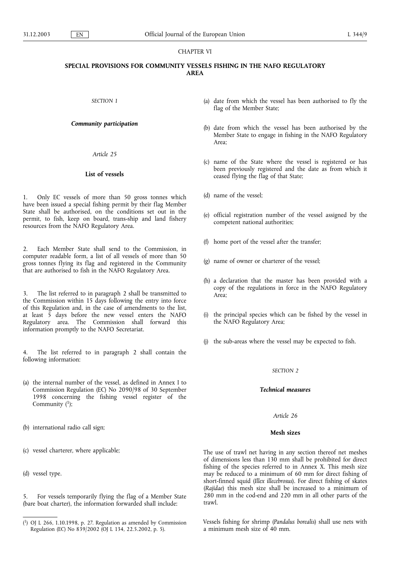# CHAPTER VI

# **SPECIAL PROVISIONS FOR COMMUNITY VESSELS FISHING IN THE NAFO REGULATORY AREA**

*SECTION 1*

# *Community participation*

*Article 25*

# **List of vessels**

1. Only EC vessels of more than 50 gross tonnes which have been issued a special fishing permit by their flag Member State shall be authorised, on the conditions set out in the permit, to fish, keep on board, trans-ship and land fishery resources from the NAFO Regulatory Area.

2. Each Member State shall send to the Commission, in computer readable form, a list of all vessels of more than 50 gross tonnes flying its flag and registered in the Community that are authorised to fish in the NAFO Regulatory Area.

The list referred to in paragraph 2 shall be transmitted to the Commission within 15 days following the entry into force of this Regulation and, in the case of amendments to the list, at least 5 days before the new vessel enters the NAFO Regulatory area. The Commission shall forward this information promptly to the NAFO Secretariat.

The list referred to in paragraph 2 shall contain the following information:

- (a) the internal number of the vessel, as defined in Annex I to Commission Regulation (EC) No 2090/98 of 30 September 1998 concerning the fishing vessel register of the Community  $(1)$ ;
- (b) international radio call sign;
- (c) vessel charterer, where applicable;
- (d) vessel type.

5. For vessels temporarily flying the flag of a Member State (bare boat charter), the information forwarded shall include:

- (a) date from which the vessel has been authorised to fly the flag of the Member State;
- (b) date from which the vessel has been authorised by the Member State to engage in fishing in the NAFO Regulatory Area;
- (c) name of the State where the vessel is registered or has been previously registered and the date as from which it ceased flying the flag of that State;
- (d) name of the vessel;
- (e) official registration number of the vessel assigned by the competent national authorities;
- (f) home port of the vessel after the transfer;
- (g) name of owner or charterer of the vessel;
- (h) a declaration that the master has been provided with a copy of the regulations in force in the NAFO Regulatory Area;
- (i) the principal species which can be fished by the vessel in the NAFO Regulatory Area;
- (j) the sub-areas where the vessel may be expected to fish.

#### *SECTION 2*

# *Technical measures*

# *Article 26*

# **Mesh sizes**

The use of trawl net having in any section thereof net meshes of dimensions less than 130 mm shall be prohibited for direct fishing of the species referred to in Annex X. This mesh size may be reduced to a minimum of 60 mm for direct fishing of short-finned squid (*Illex illecebrosus*). For direct fishing of skates (*Rajidae*) this mesh size shall be increased to a minimum of 280 mm in the cod-end and 220 mm in all other parts of the trawl.

Vessels fishing for shrimp (*Pandalus borealis*) shall use nets with a minimum mesh size of 40 mm.

 $(^{1})$  OJ L 266, 1.10.1998, p. 27. Regulation as amended by Commission Regulation (EC) No 839/2002 (OJ L 134, 22.5.2002, p. 5).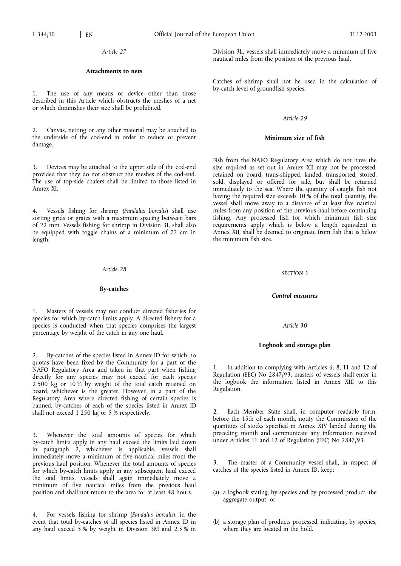#### **Attachments to nets**

The use of any means or device other than those described in this Article which obstructs the meshes of a net or which diminishes their size shall be prohibited.

2. Canvas, netting or any other material may be attached to the underside of the cod-end in order to reduce or prevent damage.

3. Devices may be attached to the upper side of the cod-end provided that they do not obstruct the meshes of the cod-end. The use of top-side chafers shall be limited to those listed in Annex XI.

4. Vessels fishing for shrimp (*Pandalus borealis*) shall use sorting grids or grates with a maximum spacing between bars of 22 mm. Vessels fishing for shrimp in Division 3L shall also be equipped with toggle chains of a minimum of 72 cm in length.

#### *Article 28*

#### **By-catches**

1. Masters of vessels may not conduct directed fisheries for species for which by-catch limits apply. A directed fishery for a species is conducted when that species comprises the largest percentage by weight of the catch in any one haul.

2. By-catches of the species listed in Annex ID for which no quotas have been fixed by the Community for a part of the NAFO Regulatory Area and taken in that part when fishing directly for any species may not exceed for each species 2 500 kg or 10 % by weight of the total catch retained on board, whichever is the greater. However, in a part of the Regulatory Area where directed fishing of certain species is banned, by-catches of each of the species listed in Annex ID shall not exceed 1 250 kg or 5 % respectively.

3. Whenever the total amounts of species for which by-catch limits apply in any haul exceed the limits laid down in paragraph 2, whichever is applicable, vessels shall immediately move a minimum of five nautical miles from the previous haul position. Whenever the total amounts of species for which by-catch limits apply in any subsequent haul exceed the said limits, vessels shall again immediately move a minimum of five nautical miles from the previous haul position and shall not return to the area for at least 48 hours.

4. For vessels fishing for shrimp (*Pandalus borealis*), in the event that total by-catches of all species listed in Annex ID in any haul exceed 5 % by weight in Division 3M and 2,5 % in Division 3L, vessels shall immediately move a minimum of five nautical miles from the position of the previous haul.

Catches of shrimp shall not be used in the calculation of by-catch level of groundfish species.

#### *Article 29*

#### **Minimum size of fish**

Fish from the NAFO Regulatory Area which do not have the size required as set out in Annex XII may not be processed, retained on board, trans-shipped, landed, transported, stored, sold, displayed or offered for sale, but shall be returned immediately to the sea. Where the quantity of caught fish not having the required size exceeds 10 % of the total quantity, the vessel shall move away to a distance of at least five nautical miles from any position of the previous haul before continuing fishing. Any processed fish for which minimum fish size requirements apply which is below a length equivalent in Annex XII, shall be deemed to originate from fish that is below the minimum fish size.

#### *SECTION 3*

#### *Control measures*

#### *Article 30*

#### **Logbook and storage plan**

1. In addition to complying with Articles 6, 8, 11 and 12 of Regulation (EEC) No 2847/93, masters of vessels shall enter in the logbook the information listed in Annex XIII to this Regulation.

2. Each Member State shall, in computer readable form, before the 15th of each month, notify the Commission of the quantities of stocks specified in Annex XIV landed during the preceding month and communicate any information received under Articles 11 and 12 of Regulation (EEC) No 2847/93.

3. The master of a Community vessel shall, in respect of catches of the species listed in Annex ID, keep:

- (a) a logbook stating, by species and by processed product, the aggregate output; or
- (b) a storage plan of products processed, indicating, by species, where they are located in the hold.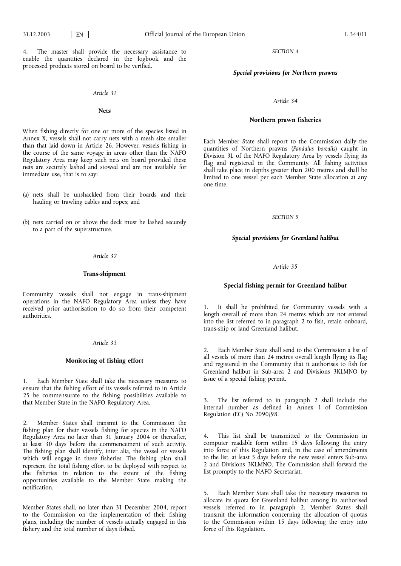4. The master shall provide the necessary assistance to enable the quantities declared in the logbook and the processed products stored on board to be verified.

#### *Article 31*

# **Nets**

When fishing directly for one or more of the species listed in Annex X, vessels shall not carry nets with a mesh size smaller than that laid down in Article 26. However, vessels fishing in the course of the same voyage in areas other than the NAFO Regulatory Area may keep such nets on board provided these nets are securely lashed and stowed and are not available for immediate use, that is to say:

- (a) nets shall be unshackled from their boards and their hauling or trawling cables and ropes; and
- (b) nets carried on or above the deck must be lashed securely to a part of the superstructure.

#### *Article 32*

#### **Trans-shipment**

Community vessels shall not engage in trans-shipment operations in the NAFO Regulatory Area unless they have received prior authorisation to do so from their competent authorities.

#### *Article 33*

#### **Monitoring of fishing effort**

1. Each Member State shall take the necessary measures to ensure that the fishing effort of its vessels referred to in Article 25 be commensurate to the fishing possibilities available to that Member State in the NAFO Regulatory Area.

2. Member States shall transmit to the Commission the fishing plan for their vessels fishing for species in the NAFO Regulatory Area no later than 31 January 2004 or thereafter, at least 30 days before the commencement of such activity. The fishing plan shall identify, inter alia, the vessel or vessels which will engage in these fisheries. The fishing plan shall represent the total fishing effort to be deployed with respect to the fisheries in relation to the extent of the fishing opportunities available to the Member State making the notification.

Member States shall, no later than 31 December 2004, report to the Commission on the implementation of their fishing plans, including the number of vessels actually engaged in this fishery and the total number of days fished.

*SECTION 4*

*Special provisions for Northern prawns*

#### *Article 34*

#### **Northern prawn fisheries**

Each Member State shall report to the Commission daily the quantities of Northern prawns (*Pandalus borealis*) caught in Division 3L of the NAFO Regulatory Area by vessels flying its flag and registered in the Community. All fishing activities shall take place in depths greater than 200 metres and shall be limited to one vessel per each Member State allocation at any one time.

#### *SECTION 5*

# *Special provisions for Greenland halibut*

#### *Article 35*

#### **Special fishing permit for Greenland halibut**

1. It shall be prohibited for Community vessels with a length overall of more than 24 metres which are not entered into the list referred to in paragraph 2 to fish, retain onboard, trans-ship or land Greenland halibut.

2. Each Member State shall send to the Commission a list of all vessels of more than 24 metres overall length flying its flag and registered in the Community that it authorises to fish for Greenland halibut in Sub-area 2 and Divisions 3KLMNO by issue of a special fishing permit.

3. The list referred to in paragraph 2 shall include the internal number as defined in Annex I of Commission Regulation (EC) No 2090/98.

4. This list shall be transmitted to the Commission in computer readable form within 15 days following the entry into force of this Regulation and, in the case of amendments to the list, at least 5 days before the new vessel enters Sub-area 2 and Divisions 3KLMNO. The Commission shall forward the list promptly to the NAFO Secretariat.

Each Member State shall take the necessary measures to allocate its quota for Greenland halibut among its authorised vessels referred to in paragraph 2. Member States shall transmit the information concerning the allocation of quotas to the Commission within 15 days following the entry into force of this Regulation.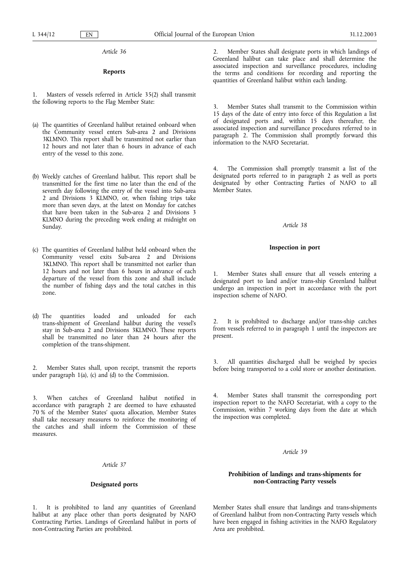# **Reports**

1. Masters of vessels referred in Article 35(2) shall transmit the following reports to the Flag Member State:

- (a) The quantities of Greenland halibut retained onboard when the Community vessel enters Sub-area 2 and Divisions 3KLMNO. This report shall be transmitted not earlier than 12 hours and not later than 6 hours in advance of each entry of the vessel to this zone.
- (b) Weekly catches of Greenland halibut. This report shall be transmitted for the first time no later than the end of the seventh day following the entry of the vessel into Sub-area 2 and Divisions 3 KLMNO, or, when fishing trips take more than seven days, at the latest on Monday for catches that have been taken in the Sub-area 2 and Divisions 3 KLMNO during the preceding week ending at midnight on Sunday.
- (c) The quantities of Greenland halibut held onboard when the Community vessel exits Sub-area 2 and Divisions 3KLMNO. This report shall be transmitted not earlier than 12 hours and not later than 6 hours in advance of each departure of the vessel from this zone and shall include the number of fishing days and the total catches in this zone.
- (d) The quantities loaded and unloaded for each trans-shipment of Greenland halibut during the vessel's stay in Sub-area 2 and Divisions 3KLMNO. These reports shall be transmitted no later than 24 hours after the completion of the trans-shipment.

2. Member States shall, upon receipt, transmit the reports under paragraph 1(a), (c) and (d) to the Commission.

3. When catches of Greenland halibut notified in accordance with paragraph 2 are deemed to have exhausted 70 % of the Member States' quota allocation, Member States shall take necessary measures to reinforce the monitoring of the catches and shall inform the Commission of these measures.

#### *Article 37*

#### **Designated ports**

1. It is prohibited to land any quantities of Greenland halibut at any place other than ports designated by NAFO Contracting Parties. Landings of Greenland halibut in ports of non-Contracting Parties are prohibited.

Member States shall designate ports in which landings of Greenland halibut can take place and shall determine the associated inspection and surveillance procedures, including the terms and conditions for recording and reporting the quantities of Greenland halibut within each landing.

3. Member States shall transmit to the Commission within 15 days of the date of entry into force of this Regulation a list of designated ports and, within 15 days thereafter, the associated inspection and surveillance procedures referred to in paragraph 2. The Commission shall promptly forward this information to the NAFO Secretariat.

The Commission shall promptly transmit a list of the designated ports referred to in paragraph 2 as well as ports designated by other Contracting Parties of NAFO to all Member States.

# *Article 38*

#### **Inspection in port**

Member States shall ensure that all vessels entering a designated port to land and/or trans-ship Greenland halibut undergo an inspection in port in accordance with the port inspection scheme of NAFO.

2. It is prohibited to discharge and/or trans-ship catches from vessels referred to in paragraph 1 until the inspectors are present.

All quantities discharged shall be weighed by species before being transported to a cold store or another destination.

Member States shall transmit the corresponding port inspection report to the NAFO Secretariat, with a copy to the Commission, within 7 working days from the date at which the inspection was completed.

#### *Article 39*

# **Prohibition of landings and trans-shipments for non-Contracting Party vessels**

Member States shall ensure that landings and trans-shipments of Greenland halibut from non-Contracting Party vessels which have been engaged in fishing activities in the NAFO Regulatory Area are prohibited.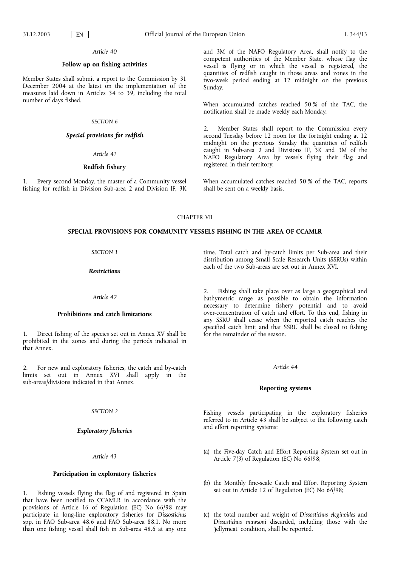# **Follow up on fishing activities**

Member States shall submit a report to the Commission by 31 December 2004 at the latest on the implementation of the measures laid down in Articles 34 to 39, including the total number of days fished.

# *SECTION 6*

#### *Special provisions for redfish*

*Article 41*

#### **Redfish fishery**

1. Every second Monday, the master of a Community vessel fishing for redfish in Division Sub-area 2 and Division IF, 3K and 3M of the NAFO Regulatory Area, shall notify to the competent authorities of the Member State, whose flag the vessel is flying or in which the vessel is registered, the quantities of redfish caught in those areas and zones in the two-week period ending at 12 midnight on the previous Sunday.

When accumulated catches reached 50 % of the TAC, the notification shall be made weekly each Monday.

2. Member States shall report to the Commission every second Tuesday before 12 noon for the fortnight ending at 12 midnight on the previous Sunday the quantities of redfish caught in Sub-area 2 and Divisions IF, 3K and 3M of the NAFO Regulatory Area by vessels flying their flag and registered in their territory.

When accumulated catches reached 50 % of the TAC, reports shall be sent on a weekly basis.

# CHAPTER VII

#### **SPECIAL PROVISIONS FOR COMMUNITY VESSELS FISHING IN THE AREA OF CCAMLR**

#### *SECTION 1*

*Restrictions*

# *Article 42*

#### **Prohibitions and catch limitations**

1. Direct fishing of the species set out in Annex XV shall be prohibited in the zones and during the periods indicated in that Annex.

2. For new and exploratory fisheries, the catch and by-catch limits set out in Annex XVI shall apply in the sub-areas/divisions indicated in that Annex.

#### *SECTION 2*

# *Exploratory fisheries*

#### *Article 43*

# **Participation in exploratory fisheries**

Fishing vessels flying the flag of and registered in Spain that have been notified to CCAMLR in accordance with the provisions of Article 16 of Regulation (EC) No 66/98 may participate in long-line exploratory fisheries for *Dissostichus* spp. in FAO Sub-area 48.6 and FAO Sub-area 88.1. No more than one fishing vessel shall fish in Sub-area 48.6 at any one time. Total catch and by-catch limits per Sub-area and their distribution among Small Scale Research Units (SSRUs) within each of the two Sub-areas are set out in Annex XVI.

2. Fishing shall take place over as large a geographical and bathymetric range as possible to obtain the information necessary to determine fishery potential and to avoid over-concentration of catch and effort. To this end, fishing in any SSRU shall cease when the reported catch reaches the specified catch limit and that SSRU shall be closed to fishing for the remainder of the season.

#### *Article 44*

#### **Reporting systems**

Fishing vessels participating in the exploratory fisheries referred to in Article 43 shall be subject to the following catch and effort reporting systems:

- (a) the Five-day Catch and Effort Reporting System set out in Article 7(3) of Regulation (EC) No  $66/98$ ;
- (b) the Monthly fine-scale Catch and Effort Reporting System set out in Article 12 of Regulation (EC) No 66/98;
- (c) the total number and weight of *Dissostichus eleginoides* and *Dissostichus mawsoni* discarded, including those with the 'jellymeat' condition, shall be reported.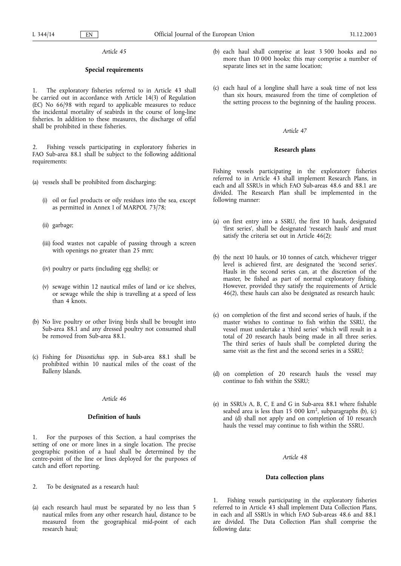# **Special requirements**

1. The exploratory fisheries referred to in Article 43 shall be carried out in accordance with Article 14(3) of Regulation (EC) No 66/98 with regard to applicable measures to reduce the incidental mortality of seabirds in the course of long-line fisheries. In addition to these measures, the discharge of offal shall be prohibited in these fisheries.

Fishing vessels participating in exploratory fisheries in FAO Sub-area 88.1 shall be subject to the following additional requirements:

- (a) vessels shall be prohibited from discharging:
	- (i) oil or fuel products or oily residues into the sea, except as permitted in Annex I of MARPOL 73/78;
	- (ii) garbage;
	- (iii) food wastes not capable of passing through a screen with openings no greater than 25 mm;
	- (iv) poultry or parts (including egg shells); or
	- (v) sewage within 12 nautical miles of land or ice shelves, or sewage while the ship is travelling at a speed of less than 4 knots.
- (b) No live poultry or other living birds shall be brought into Sub-area 88.1 and any dressed poultry not consumed shall be removed from Sub-area 88.1.
- (c) Fishing for *Dissostichus* spp. in Sub-area 88.1 shall be prohibited within 10 nautical miles of the coast of the Balleny Islands.

#### *Article 46*

# **Definition of hauls**

1. For the purposes of this Section, a haul comprises the setting of one or more lines in a single location. The precise geographic position of a haul shall be determined by the centre-point of the line or lines deployed for the purposes of catch and effort reporting.

- 2. To be designated as a research haul:
- (a) each research haul must be separated by no less than 5 nautical miles from any other research haul, distance to be measured from the geographical mid-point of each research haul;
- (b) each haul shall comprise at least 3 500 hooks and no more than 10 000 hooks; this may comprise a number of separate lines set in the same location;
- (c) each haul of a longline shall have a soak time of not less than six hours, measured from the time of completion of the setting process to the beginning of the hauling process.

#### *Article 47*

#### **Research plans**

Fishing vessels participating in the exploratory fisheries referred to in Article 43 shall implement Research Plans, in each and all SSRUs in which FAO Sub-areas 48.6 and 88.1 are divided. The Research Plan shall be implemented in the following manner:

- (a) on first entry into a SSRU, the first 10 hauls, designated 'first series', shall be designated 'research hauls' and must satisfy the criteria set out in Article 46(2);
- (b) the next 10 hauls, or 10 tonnes of catch, whichever trigger level is achieved first, are designated the 'second series'. Hauls in the second series can, at the discretion of the master, be fished as part of normal exploratory fishing. However, provided they satisfy the requirements of Article 46(2), these hauls can also be designated as research hauls;
- (c) on completion of the first and second series of hauls, if the master wishes to continue to fish within the SSRU, the vessel must undertake a 'third series' which will result in a total of 20 research hauls being made in all three series. The third series of hauls shall be completed during the same visit as the first and the second series in a SSRU;
- (d) on completion of 20 research hauls the vessel may continue to fish within the SSRU;
- (e) in SSRUs A, B, C, E and G in Sub-area 88.1 where fishable seabed area is less than  $15\ 000\ km^2$ , subparagraphs (b), (c) and (d) shall not apply and on completion of 10 research hauls the vessel may continue to fish within the SSRU.

# *Article 48*

#### **Data collection plans**

1. Fishing vessels participating in the exploratory fisheries referred to in Article 43 shall implement Data Collection Plans, in each and all SSRUs in which FAO Sub-areas 48.6 and 88.1 are divided. The Data Collection Plan shall comprise the following data: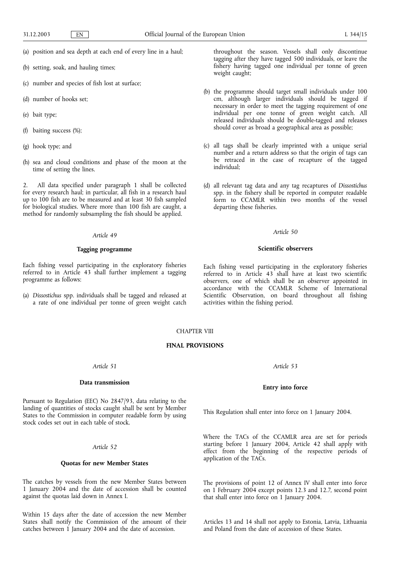- (a) position and sea depth at each end of every line in a haul;
- (b) setting, soak, and hauling times;
- (c) number and species of fish lost at surface;
- (d) number of hooks set;
- (e) bait type;
- (f) baiting success (%);
- (g) hook type; and
- (h) sea and cloud conditions and phase of the moon at the time of setting the lines.

2. All data specified under paragraph 1 shall be collected for every research haul; in particular, all fish in a research haul up to 100 fish are to be measured and at least 30 fish sampled for biological studies. Where more than 100 fish are caught, a method for randomly subsampling the fish should be applied.

#### *Article 49*

#### **Tagging programme**

Each fishing vessel participating in the exploratory fisheries referred to in Article 43 shall further implement a tagging programme as follows:

(a) *Dissostichus* spp. individuals shall be tagged and released at a rate of one individual per tonne of green weight catch throughout the season. Vessels shall only discontinue tagging after they have tagged 500 individuals, or leave the fishery having tagged one individual per tonne of green weight caught;

- (b) the programme should target small individuals under 100 cm, although larger individuals should be tagged if necessary in order to meet the tagging requirement of one individual per one tonne of green weight catch. All released individuals should be double-tagged and releases should cover as broad a geographical area as possible;
- (c) all tags shall be clearly imprinted with a unique serial number and a return address so that the origin of tags can be retraced in the case of recapture of the tagged individual;
- (d) all relevant tag data and any tag recaptures of *Dissostichus* spp. in the fishery shall be reported in computer readable form to CCAMLR within two months of the vessel departing these fisheries.

# *Article 50*

#### **Scientific observers**

Each fishing vessel participating in the exploratory fisheries referred to in Article 43 shall have at least two scientific observers, one of which shall be an observer appointed in accordance with the CCAMLR Scheme of International Scientific Observation, on board throughout all fishing activities within the fishing period.

# CHAPTER VIII

#### **FINAL PROVISIONS**

*Article 51*

#### **Data transmission**

Pursuant to Regulation (EEC) No 2847/93, data relating to the landing of quantities of stocks caught shall be sent by Member States to the Commission in computer readable form by using stock codes set out in each table of stock.

# *Article 52*

#### **Quotas for new Member States**

The catches by vessels from the new Member States between 1 January 2004 and the date of accession shall be counted against the quotas laid down in Annex I.

Within 15 days after the date of accession the new Member States shall notify the Commission of the amount of their catches between 1 January 2004 and the date of accession.

*Article 53*

# **Entry into force**

This Regulation shall enter into force on 1 January 2004.

Where the TACs of the CCAMLR area are set for periods starting before 1 January 2004, Article 42 shall apply with effect from the beginning of the respective periods of application of the TACs.

The provisions of point 12 of Annex IV shall enter into force on 1 February 2004 except points 12.3 and 12.7, second point that shall enter into force on 1 January 2004.

Articles 13 and 14 shall not apply to Estonia, Latvia, Lithuania and Poland from the date of accession of these States.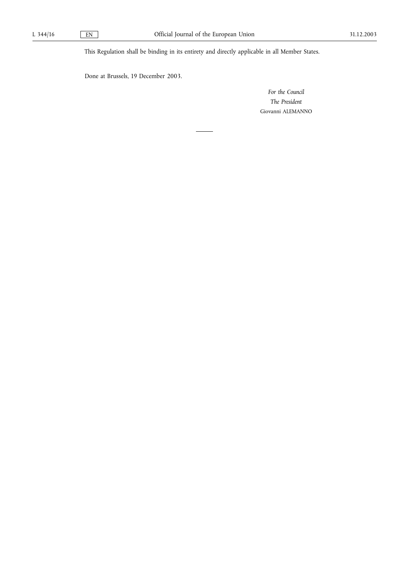This Regulation shall be binding in its entirety and directly applicable in all Member States.

Done at Brussels, 19 December 2003.

*For the Council The President* Giovanni ALEMANNO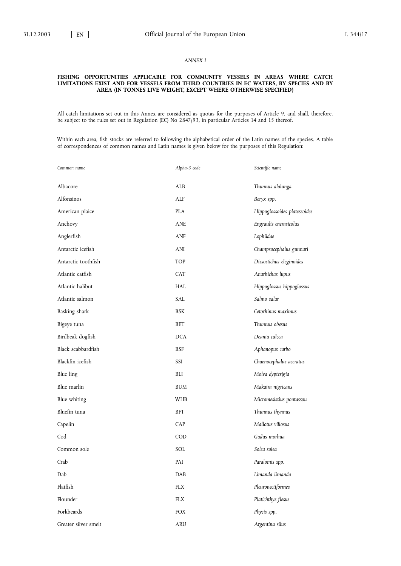# *ANNEX I*

#### **FISHING OPPORTUNITIES APPLICABLE FOR COMMUNITY VESSELS IN AREAS WHERE CATCH LIMITATIONS EXIST AND FOR VESSELS FROM THIRD COUNTRIES IN EC WATERS, BY SPECIES AND BY AREA (IN TONNES LIVE WEIGHT, EXCEPT WHERE OTHERWISE SPECIFIED)**

All catch limitations set out in this Annex are considered as quotas for the purposes of Article 9, and shall, therefore, be subject to the rules set out in Regulation (EC) No 2847/93, in particular Articles 14 and 15 thereof.

Within each area, fish stocks are referred to following the alphabetical order of the Latin names of the species. A table of correspondences of common names and Latin names is given below for the purposes of this Regulation:

| Common name          | Alpha-3 code            | Scientific name              |
|----------------------|-------------------------|------------------------------|
| Albacore             | ALB                     | Thunnus alalunga             |
| Alfonsinos           | ALF                     | Beryx spp.                   |
| American plaice      | <b>PLA</b>              | Hippoglossoides platessoides |
| Anchovy              | <b>ANE</b>              | Engraulis encrasicolus       |
| Anglerfish           | ANF                     | Lophiidae                    |
| Antarctic icefish    | ANI                     | Champsocephalus gunnari      |
| Antarctic toothfish  | <b>TOP</b>              | Dissostichus eleginoides     |
| Atlantic catfish     | <b>CAT</b>              | Anarhichas lupus             |
| Atlantic halibut     | <b>HAL</b>              | Hippoglossus hippoglossus    |
| Atlantic salmon      | SAL                     | Salmo salar                  |
| Basking shark        | <b>BSK</b>              | Cetorhinus maximus           |
| Bigeye tuna          | <b>BET</b>              | Thunnus obesus               |
| Birdbeak dogfish     | <b>DCA</b>              | Deania calcea                |
| Black scabbardfish   | <b>BSF</b>              | Aphanopus carbo              |
| Blackfin icefish     | SSI                     | Chaenocephalus aceratus      |
| <b>Blue</b> ling     | BLI                     | Molva dypterigia             |
| Blue marlin          | <b>BUM</b>              | Makaira nigricans            |
| Blue whiting         | <b>WHB</b>              | Micromesistius poutassou     |
| Bluefin tuna         | BFT                     | Thunnus thynnus              |
| Capelin              | CAP                     | Mallotus villosus            |
| Cod                  | COD                     | Gadus morhua                 |
| Common sole          | SOL                     | Solea solea                  |
| Crab                 | PAI                     | Paralomis spp.               |
| Dab                  | DAB                     | Limanda limanda              |
| Flatfish             | ${\rm F}{\rm L}{\rm X}$ | Pleuronectiformes            |
| Flounder             | FLX                     | Platichthys flesus           |
| Forkbeards           | FOX                     | Phycis spp.                  |
| Greater silver smelt | <b>ARU</b>              | Argentina silus              |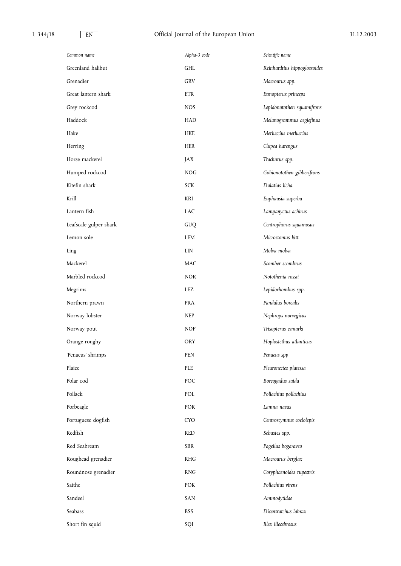| Common name            | Alpha-3 code | Scientific name              |
|------------------------|--------------|------------------------------|
| Greenland halibut      | GHL          | Reinhardtius hippoglossoides |
| Grenadier              | <b>GRV</b>   | Macrourus spp.               |
| Great lantern shark    | <b>ETR</b>   | Etmopterus princeps          |
| Grey rockcod           | <b>NOS</b>   | Lepidonotothen squamifrons   |
| Haddock                | <b>HAD</b>   | Melanogrammus aeglefinus     |
| Hake                   | HKE          | Merluccius merluccius        |
| Herring                | <b>HER</b>   | Clupea harengus              |
| Horse mackerel         | JAX          | Trachurus spp.               |
| Humped rockcod         | <b>NOG</b>   | Gobionotothen gibberifrons   |
| Kitefin shark          | <b>SCK</b>   | Dalatias licha               |
| Krill                  | KRI          | Euphausia superba            |
| Lantern fish           | <b>LAC</b>   | Lampanyctus achirus          |
| Leafscale gulper shark | GUQ          | Centrophorus squamosus       |
| Lemon sole             | LEM          | Microstomus kitt             |
| Ling                   | LIN          | Molva molva                  |
| Mackerel               | <b>MAC</b>   | Scomber scombrus             |
| Marbled rockcod        | <b>NOR</b>   | Notothenia rossii            |
| Megrims                | LEZ          | Lepidorhombus spp.           |
| Northern prawn         | <b>PRA</b>   | Pandalus borealis            |
| Norway lobster         | <b>NEP</b>   | Nephrops norvegicus          |
| Norway pout            | <b>NOP</b>   | Trisopterus esmarki          |
| Orange roughy          | <b>ORY</b>   | Hoplostethus atlanticus      |
| 'Penaeus' shrimps      | PEN          | Penaeus spp                  |
| Plaice                 | PLE          | Pleuronectes platessa        |
| Polar cod              | POC          | Boreogadus saida             |
| Pollack                | POL          | Pollachius pollachius        |
| Porbeagle              | POR          | Lamna nasus                  |
| Portuguese dogfish     | <b>CYO</b>   | Centroscymnus coelolepis     |
| Redfish                | <b>RED</b>   | Sebastes spp.                |
| Red Seabream           | SBR          | Pagellus bogaraveo           |
| Roughead grenadier     | <b>RHG</b>   | Macrourus berglax            |
| Roundnose grenadier    | <b>RNG</b>   | Coryphaenoides rupestris     |
| Saithe                 | POK          | Pollachius virens            |
| Sandeel                | SAN          | Ammodytidae                  |
| Seabass                | <b>BSS</b>   | Dicentrarchus labrax         |
| Short fin squid        | SQI          | Illex illecebrosus           |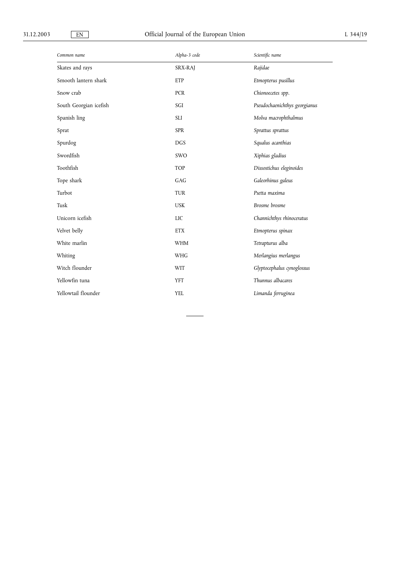| Common name            | Alpha-3 code | Scientific name               |
|------------------------|--------------|-------------------------------|
| Skates and rays        | SRX-RAJ      | Rajidae                       |
| Smooth lantern shark   | ETP          | Etmopterus pusillus           |
| Snow crab              | <b>PCR</b>   | Chionoecetes spp.             |
| South Georgian icefish | SGI          | Pseudochaenichthys georgianus |
| Spanish ling           | <b>SLI</b>   | Molva macrophthalmus          |
| Sprat                  | <b>SPR</b>   | Sprattus sprattus             |
| Spurdog                | <b>DGS</b>   | Squalus acanthias             |
| Swordfish              | SWO          | Xiphias gladius               |
| Toothfish              | TOP          | Dissostichus eleginoides      |
| Tope shark             | GAG          | Galeorhinus galeus            |
| Turbot                 | <b>TUR</b>   | Psetta maxima                 |
| Tusk                   | <b>USK</b>   | Brosme brosme                 |
| Unicorn icefish        | LIC          | Channichthys rhinoceratus     |
| Velvet belly           | <b>ETX</b>   | Etmopterus spinax             |
| White marlin           | <b>WHM</b>   | Tetrapturus alba              |
| Whiting                | <b>WHG</b>   | Merlangius merlangus          |
| Witch flounder         | WIT          | Glyptocephalus cynoglossus    |
| Yellowfin tuna         | <b>YFT</b>   | Thunnus albacares             |
| Yellowtail flounder    | <b>YEL</b>   | Limanda ferruginea            |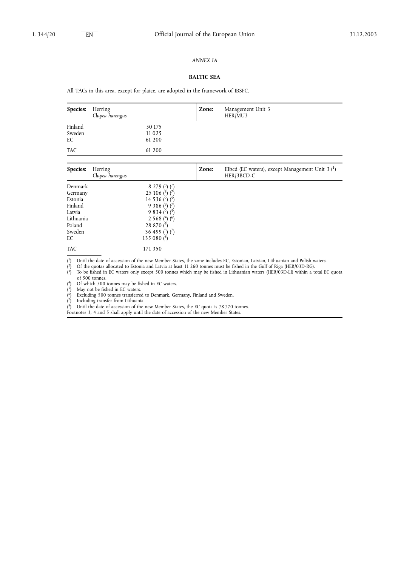#### *ANNEX IA*

# **BALTIC SEA**

All TACs in this area, except for plaice, are adopted in the framework of IBSFC.

| <b>Species:</b>         | Herring<br>Clupea harengus |                             | Zone: | Management Unit 3<br>HER/MU3                      |
|-------------------------|----------------------------|-----------------------------|-------|---------------------------------------------------|
| Finland<br>Sweden<br>EС |                            | 50 175<br>11 0 25<br>61 200 |       |                                                   |
| TAC                     |                            | 61 200                      |       |                                                   |
| Species:                | Herring                    |                             | Zone: | IIIbcd (EC waters), except Management Unit $3{1}$ |

| Species:  | Herring<br>Clupea harengus               | <i>L</i> one: | IIIbcd (EC waters), except Management Unit $\beta$ ( $\gamma$ )<br>HER/3BCD-C |
|-----------|------------------------------------------|---------------|-------------------------------------------------------------------------------|
| Denmark   | 8 279 $(3)(7)$                           |               |                                                                               |
| Germany   | 25 106 $(^{3})$ $(^{7})$                 |               |                                                                               |
| Estonia   | 14 5 3 6 $(2)$ $(5)$                     |               |                                                                               |
| Finland   | 9 3 8 6 $(3)$ $(7)$                      |               |                                                                               |
| Latvia    | $9834$ ( <sup>2</sup> ) ( <sup>5</sup> ) |               |                                                                               |
| Lithuania | 2 5 6 8 $(4)$ $(6)$                      |               |                                                                               |
| Poland    | 28 870 $(5)$                             |               |                                                                               |
| Sweden    | 36 499 $(^{3})$ $(^{7})$                 |               |                                                                               |
| EC        | 135 080 $(8)$                            |               |                                                                               |
| TAC       | 171 350                                  |               |                                                                               |

( <sup>1</sup>) Until the date of accession of the new Member States, the zone includes EC, Estonian, Latvian, Lithuanian and Polish waters.

( 2) Of the quotas allocated to Estonia and Latvia at least 11 260 tonnes must be fished in the Gulf of Riga (HER/03D-RG).

( 3) To be fished in EC waters only except 500 tonnes which may be fished in Lithuanian waters (HER/03D-LI) within a total EC quota of 500 tonnes. 4) Of which 500 tonnes may be fished in EC waters.

(

( 5) May not be fished in EC waters.

( 6) Excluding 500 tonnes transferred to Denmark, Germany, Finland and Sweden.

( 7) Including transfer from Lithuania.

( 8) Until the date of accession of the new Member States, the EC quota is 78 770 tonnes.

Footnotes 3, 4 and 5 shall apply until the date of accession of the new Member States.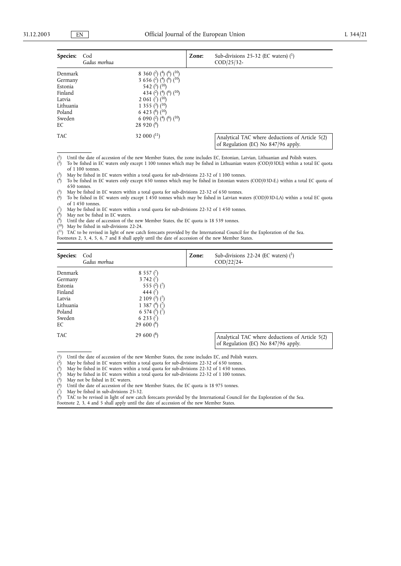| <b>Species:</b>                                                                           | Cod<br>Gadus morhua                                                                                                                                                                                                                                                                                                              | Zone: | Sub-divisions 25-32 (EC waters) $(1)$<br>$\text{COD}/\text{25}/\text{32}$ -            |
|-------------------------------------------------------------------------------------------|----------------------------------------------------------------------------------------------------------------------------------------------------------------------------------------------------------------------------------------------------------------------------------------------------------------------------------|-------|----------------------------------------------------------------------------------------|
| Denmark<br>Germany<br>Estonia<br>Finland<br>Latvia<br>Lithuania<br>Poland<br>Sweden<br>EС | 8 360 $(2)$ (4) (6) $(10)$<br>3 6 5 6 $\binom{2}{1}$ $\binom{4}{1}$ $\binom{6}{1}$ $\binom{10}{1}$<br>542 $(5)$ $(10)$<br>434 ( <sup>2</sup> ) ( <sup>4</sup> ) ( <sup>6</sup> ) ( <sup>10</sup> )<br>2 0 61 $\binom{7}{10}$<br>1 3 5 5 $(3)$ $(10)$<br>6 4 2 3 $(8)$ $(10)$<br>6 0 9 0 $(2)$ $(4)$ $(6)$ $(10)$<br>28 920 $(9)$ |       |                                                                                        |
| <b>TAC</b>                                                                                | 32 000 $(^{11})$                                                                                                                                                                                                                                                                                                                 |       | Analytical TAC where deductions of Article 5(2)<br>of Regulation (EC) No 847/96 apply. |

( 1) Until the date of accession of the new Member States, the zone includes EC, Estonian, Latvian, Lithuanian and Polish waters.

 $(2)$ 2) To be fished in EC waters only except 1 100 tonnes which may be fished in Lithuanian waters (COD/03DLI) within a total EC quota

of 1 100 tonnes.

( May be fished in EC waters within a total quota for sub-divisions 22-32 of 1 100 tonnes.

 $(4)$ 4) To be fished in EC waters only except 650 tonnes which may be fished in Estonian waters (COD/03D-E.) within a total EC quota of 650 tonnes.

( 5) May be fished in EC waters within a total quota for sub-divisions 22-32 of 650 tonnes.

 $(6)$ To be fished in EC waters only except 1 450 tonnes which may be fished in Latvian waters (COD/03D-LA) within a total EC quota of 1 450 tonnes.

( May be fished in EC waters within a total quota for sub-divisions 22-32 of 1 450 tonnes.

 $(^8)$ May not be fished in EC waters.

 $(9)$ Until the date of accession of the new Member States, the EC quota is 18 539 tonnes.

( May be fished in sub-divisions 22-24.

<sup>(11</sup>) TAC to be revised in light of new catch forecasts provided by the International Council for the Exploration of the Sea.

Footnotes 2, 3, 4, 5, 6, 7 and 8 shall apply until the date of accession of the new Member States.

| Species:                                                                  | Cod<br>Gadus morhua                                                                                                                         | Zone: | Sub-divisions 22-24 (EC waters) $(1)$<br>$\text{COD}/22/24$ - |
|---------------------------------------------------------------------------|---------------------------------------------------------------------------------------------------------------------------------------------|-------|---------------------------------------------------------------|
| Denmark<br>Germany<br>Estonia<br>Finland<br>Latvia<br>Lithuania<br>Poland | 8 5 5 7 $(7)$<br>3 742 $(7)$<br>555 $(2)$ $(7)$<br>444 $(7)$<br>2 109 $(^{3})$ $(^{7})$<br>1 3 8 7 (4) $(\frac{7}{2})$<br>6 574 $(5)$ $(7)$ |       |                                                               |
| Sweden<br>EC<br><b>TAC</b>                                                | 6 233 $(7)$<br>29 600 $(6)$<br>29 600 $(8)$                                                                                                 |       | Analytical TAC where deductions of Article 5(2)               |

 $(1)$ 1) Until the date of accession of the new Member States, the zone includes EC, and Polish waters.

 $(2)$ 2) May be fished in EC waters within a total quota for sub-divisions 22-32 of 650 tonnes.

 $\binom{3}{ }$ May be fished in EC waters within a total quota for sub-divisions 22-32 of 1 450 tonnes.

( 4) May be fished in EC waters within a total quota for sub-divisions 22-32 of 1 100 tonnes.

( May not be fished in EC waters.

 $\binom{6}{ }$ Until the date of accession of the new Member States, the EC quota is 18 975 tonnes.

 $(7)$ May be fished in sub-divisions 25-32.

 $(8)$ TAC to be revised in light of new catch forecasts provided by the International Council for the Exploration of the Sea.

Footnote 2, 3, 4 and 5 shall apply until the date of accession of the new Member States.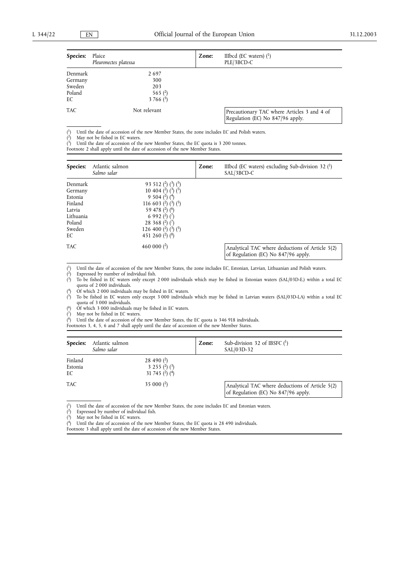| <b>Species:</b> | Plaice<br>Pleuronectes platessa | Zone: | IIIbcd (EC waters) $(^1)$<br>PLE/3BCD-C                                         |
|-----------------|---------------------------------|-------|---------------------------------------------------------------------------------|
| Denmark         | 2697                            |       |                                                                                 |
| Germany         | 300                             |       |                                                                                 |
| Sweden          | 203                             |       |                                                                                 |
| Poland          | 565 $(2)$                       |       |                                                                                 |
| EС              | 3 766 $(3)$                     |       |                                                                                 |
| TAC             | Not relevant                    |       | Precautionary TAC where Articles 3 and 4 of<br>Regulation (EC) No 847/96 apply. |

 $(1)$ 1) Until the date of accession of the new Member States, the zone includes EC and Polish waters.

 $(2)$ May not be fished in EC waters.

 $\ddot{\left(3\right)}$ Until the date of accession of the new Member States, the EC quota is 3 200 tonnes.

Footnote 2 shall apply until the date of accession of the new Member States.

| Species:   | Atlantic salmon<br>Salmo salar | Zone: | IIIbcd (EC waters) excluding Sub-division 32 $(1)$<br>SAL/3BCD-C                       |
|------------|--------------------------------|-------|----------------------------------------------------------------------------------------|
| Denmark    | 93 512 $(2)$ $(3)$ $(5)$       |       |                                                                                        |
| Germany    | 10 404 $(2)$ $(3)$ $(5)$       |       |                                                                                        |
| Estonia    | 9 5 0 4 $(2)$ $(4)$            |       |                                                                                        |
| Finland    | 116 603 $(2)$ $(3)$ $(5)$      |       |                                                                                        |
| Latvia     | 59 478 $(2)$ $(6)$             |       |                                                                                        |
| Lithuania  | 6 9 9 2 $(2)$ $(7)$            |       |                                                                                        |
| Poland     | 28 368 $(^{2})$ $(^{7})$       |       |                                                                                        |
| Sweden     | 126 400 $(2)$ $(3)$ $(5)$      |       |                                                                                        |
| EC         | 451 260 $(2)$ $(8)$            |       |                                                                                        |
| <b>TAC</b> | 460 000 $(^2)$                 |       | Analytical TAC where deductions of Article 5(2)<br>of Regulation (EC) No 847/96 apply. |

 $(1)$ 1) Until the date of accession of the new Member States, the zone includes EC, Estonian, Latvian, Lithuanian and Polish waters.

 $(2)$ Expressed by number of individual fish.

 $\chi^3$ 3) To be fished in EC waters only except 2 000 individuals which may be fished in Estonian waters (SAL/03D-E.) within a total EC quota of 2 000 individuals.

 $(4)$ 4) Of which 2 000 individuals may be fished in EC waters.

 $\overrightarrow{5}$ 5) To be fished in EC waters only except 3 000 individuals which may be fished in Latvian waters (SAL/03D-LA) within a total EC quota of 3 000 individuals. 6) Of which 3 000 individuals may be fished in EC waters.

(

 $(7)$ May not be fished in EC waters.

 $\binom{8}{ }$ Until the date of accession of the new Member States, the EC quota is 346 918 individuals.

Footnotes 3, 4, 5, 6 and 7 shall apply until the date of accession of the new Member States.

| Species:                 | Atlantic salmon<br>Salmo salar |                                                           | Zone: | Sub-division 32 of IBSFC $(1)$<br>SAL/03D-32                                           |
|--------------------------|--------------------------------|-----------------------------------------------------------|-------|----------------------------------------------------------------------------------------|
| Finland<br>Estonia<br>EC |                                | 28 490 $(2)$<br>3 2 5 5 $(2)$ $(3)$<br>31 745 $(2)$ $(4)$ |       |                                                                                        |
| <b>TAC</b>               |                                | 35 000 $(2)$                                              |       | Analytical TAC where deductions of Article 5(2)<br>of Regulation (EC) No 847/96 apply. |

 $(1)$ 1) Until the date of accession of the new Member States, the zone includes EC and Estonian waters.

 $\ddot{\left(3\right)}$ May not be fished in EC waters.

( Until the date of accession of the new Member States, the EC quota is 28 490 individuals.

Footnote 3 shall apply until the date of accession of the new Member States.

 $\check{r}$ Expressed by number of individual fish.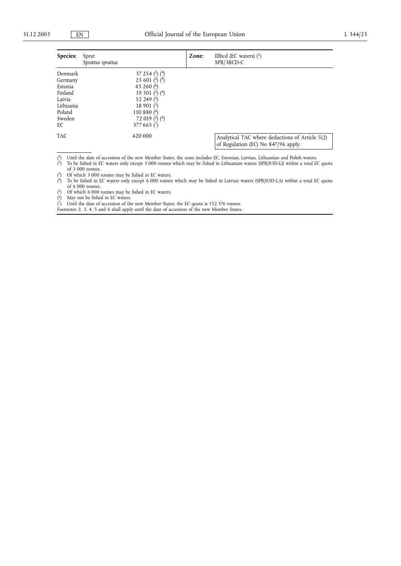| Species:   | Sprat<br>Sprattus sprattus | Zone: | IIIbcd (EC waters) $(1)$<br>SPR/3BCD-C                                                 |
|------------|----------------------------|-------|----------------------------------------------------------------------------------------|
| Denmark    | 37 254 $(2)$ $(4)$         |       |                                                                                        |
| Germany    | 23 601 $(2)$ $(4)$         |       |                                                                                        |
| Estonia    | 43 260 $(6)$               |       |                                                                                        |
| Finland    | 19 501 $(2)$ $(4)$         |       |                                                                                        |
| Latvia     | 52 249 $(5)$               |       |                                                                                        |
| Lithuania  | 18 901 $(3)$               |       |                                                                                        |
| Poland     | 110 880 $(6)$              |       |                                                                                        |
| Sweden     | 72 019 $(2)$ $(4)$         |       |                                                                                        |
| EC         | 377 665 $(7)$              |       |                                                                                        |
| <b>TAC</b> | 420 000                    |       | Analytical TAC where deductions of Article 5(2)<br>of Regulation (EC) No 847/96 apply. |

 $\binom{1}{ }$ 1) Until the date of accession of the new Member States, the zone includes EC, Estonian, Latvian, Lithuanian and Polish waters.

 $\left( \frac{2}{3} \right)$ 2) To be fished in EC waters only except 3 000 tonnes which may be fished in Lithuanian waters (SPR/03D-LI) within a total EC quota of 3 000 tonnes.

 $(3)$ 3) Of which 3 000 tonnes may be fished in EC waters.

 $(4)$ 4) To be fished in EC waters only except 6 000 tonnes which may be fished in Latvian waters (SPR/03D-LA) within a total EC quota of 6 000 tonnes.

 $(5)$ Of which 6 000 tonnes may be fished in EC waters.<br>May not be fished in EC waters.

( 6) May not be fished in EC waters.

( 7) Until the date of accession of the new Member States, the EC quota is 152 376 tonnes.

Footnotes 2, 3, 4, 5 and 6 shall apply until the date of accession of the new Member States.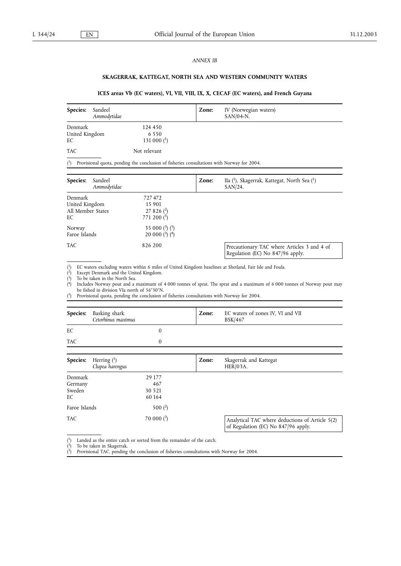#### *ANNEX IB*

# **SKAGERRAK, KATTEGAT, NORTH SEA AND WESTERN COMMUNITY WATERS**

# **ICES areas Vb (EC waters), VI, VII, VIII, IX, X, CECAF (EC waters), and French Guyana**

| <b>Species:</b>                 | Sandeel<br>Ammodytidae |                                     | Zone: | IV (Norwegian waters)<br>$SAN/04-N$ . |
|---------------------------------|------------------------|-------------------------------------|-------|---------------------------------------|
| Denmark<br>United Kingdom<br>EС |                        | 124 450<br>6 5 5 0<br>131 000 $(1)$ |       |                                       |
| TAC                             |                        | Not relevant                        |       |                                       |

 $(1)$ 1) Provisional quota, pending the conclusion of fisheries consultations with Norway for 2004.

| Species:<br>Sandeel<br>Ammodytidae                   |                                                               | Zone: | IIa ( <sup>1</sup> ), Skagerrak, Kattegat, North Sea ( <sup>1</sup> )<br>$SAN/24$ . |
|------------------------------------------------------|---------------------------------------------------------------|-------|-------------------------------------------------------------------------------------|
| Denmark<br>United Kingdom<br>All Member States<br>EC | 727472<br>15 901<br>$27826$ ( <sup>2</sup> )<br>771 200 $(5)$ |       |                                                                                     |
| Norway<br>Faroe Islands                              | 35 000 $(^{3})$ $(^{5})$<br>20 000 $(^{3})$ $(^{4})$          |       |                                                                                     |
| TAC.                                                 | 826 200                                                       |       | Precautionary TAC where Articles 3 and 4 of<br>Regulation (EC) No 847/96 apply.     |

 $\binom{1}{ }$ 1) EC waters excluding waters within 6 miles of United Kingdom baselines at Shetland, Fair Isle and Foula.

( Except Denmark and the United Kingdom.

( To be taken in the North Sea.

 $(4)$ 4) Includes Norway pout and a maximum of 4 000 tonnes of sprat. The sprat and a maximum of 6 000 tonnes of Norway pout may be fished in division VIa north of 56°30'N.

 $(5)$ 5) Provisional quota, pending the conclusion of fisheries consultations with Norway for 2004.

|            | <b>Species:</b> Basking shark<br>Cetorhinus maximus | Zone: | EC waters of zones IV, VI and VII<br><b>BSK/467</b> |
|------------|-----------------------------------------------------|-------|-----------------------------------------------------|
| EC         |                                                     |       |                                                     |
| <b>TAC</b> |                                                     |       |                                                     |
|            |                                                     |       |                                                     |

| Species:                           | Herring $(1)$<br>Clupea harengus   | Zone: | Skagerrak and Kattegat<br>HER/03A.                                                     |
|------------------------------------|------------------------------------|-------|----------------------------------------------------------------------------------------|
| Denmark<br>Germany<br>Sweden<br>EC | 29 177<br>467<br>30 5 21<br>60 164 |       |                                                                                        |
| Faroe Islands                      | 500 $(2)$                          |       |                                                                                        |
| <b>TAC</b>                         | 70 000 $(^3)$                      |       | Analytical TAC where deductions of Article 5(2)<br>of Regulation (EC) No 847/96 apply. |

 $(1)$ <sup>1</sup>) Landed as the entire catch or sorted from the remainder of the catch.

 $(2)$ 2) To be taken in Skagerrak.

 $(^3)$ 3) Provisional TAC, pending the conclusion of fisheries consultations with Norway for 2004.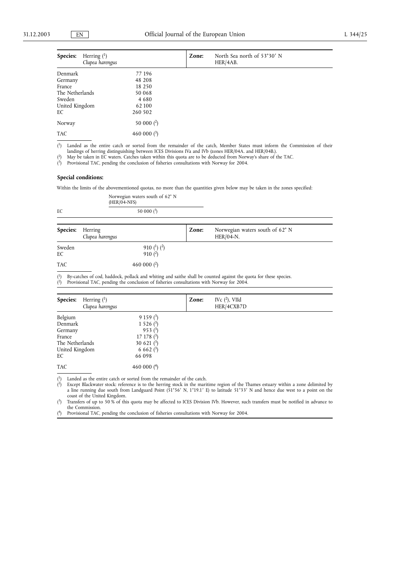| Herring $(1)$<br><b>Species:</b><br>Clupea harengus |                  | Zone: | North Sea north of 53°30' N<br>HER/4AB. |
|-----------------------------------------------------|------------------|-------|-----------------------------------------|
| Denmark                                             | 77 196           |       |                                         |
| Germany                                             | 48 208           |       |                                         |
| France                                              | 18 250           |       |                                         |
| The Netherlands                                     | 50 068           |       |                                         |
| Sweden                                              | 4680             |       |                                         |
| United Kingdom                                      | 62 100           |       |                                         |
| EC                                                  | 260 502          |       |                                         |
| Norway                                              | 50 000 $(2)$     |       |                                         |
| <b>TAC</b>                                          | 460 000 $(^{3})$ |       |                                         |

( 1) Landed as the entire catch or sorted from the remainder of the catch, Member States must inform the Commission of their landings of herring distinguishing between ICES Divisions IVa and IVb (zones HER/04A. and HER/04B.). 2) May be taken in EC waters. Catches taken within this quota are to be deducted from Norway's share of the TAC.

(

 $^{(3)}$ <sup>3</sup>) Provisional TAC, pending the conclusion of fisheries consultations with Norway for 2004.

#### **Special conditions:**

Within the limits of the abovementioned quotas, no more than the quantities given below may be taken in the zones specified:

|    | Norwegian waters south of 62° N<br>$(HER/04-NFS)$ |  |  |
|----|---------------------------------------------------|--|--|
| EC | 50 000 $(^3)$                                     |  |  |

| <b>Species:</b> Herring | Clupea harengus                | Zone: | Norwegian waters south of 62° N<br>$HER/04-N.$ |
|-------------------------|--------------------------------|-------|------------------------------------------------|
| Sweden<br>EC            | 910 $(^1)$ $(^2)$<br>$910(^2)$ |       |                                                |
| <b>TAC</b>              | 460 000 $(2)$                  |       |                                                |

 $(1)$ By-catches of cod, haddock, pollack and whiting and saithe shall be counted against the quota for these species.  $\ddot{(^2)}$ 2) Provisional TAC, pending the conclusion of fisheries consultations with Norway for 2004.

| Species:        | Herring $(1)$<br>Clupea harengus |                              | Zone: | IVc $(^2)$ , VIId<br>HER/4CXB7D |
|-----------------|----------------------------------|------------------------------|-------|---------------------------------|
| Belgium         |                                  | $9159(^{3})$                 |       |                                 |
| Denmark         |                                  | 1 5 2 6 $(3)$                |       |                                 |
| Germany         |                                  | $953(^{3})$                  |       |                                 |
| France          |                                  | $17\;178\;$ ( <sup>3</sup> ) |       |                                 |
| The Netherlands |                                  | 30 621 $(3)$                 |       |                                 |
| United Kingdom  |                                  | 6 6 6 2 $(^{3})$             |       |                                 |
| EC              |                                  | 66 098                       |       |                                 |
| <b>TAC</b>      |                                  | 460 000 $(4)$                |       |                                 |

( Landed as the entire catch or sorted from the remainder of the catch.

 $(2)$ 2) Except Blackwater stock: reference is to the herring stock in the maritime region of the Thames estuary within a zone delimited by a line running due south from Landguard Point (51°56' N, 1°19.1' E) to latitude 51°33' N and hence due west to a point on the coast of the United Kingdom.

 $(3)$ 3) Transfers of up to 50 % of this quota may be affected to ICES Division IVb. However, such transfers must be notified in advance to the Commission.

 $(4)$ 4) Provisional TAC, pending the conclusion of fisheries consultations with Norway for 2004.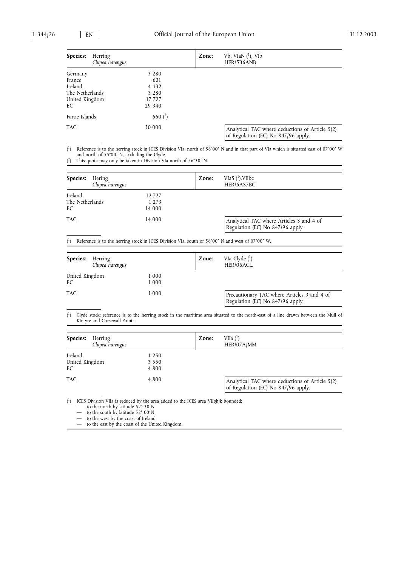| Species:        | Herring<br>Clupea harengus | Zone: | $Vb$ , VIaN $(^1)$ , VIb<br>HER/5B6ANB                                                 |
|-----------------|----------------------------|-------|----------------------------------------------------------------------------------------|
| Germany         | 3 2 8 0                    |       |                                                                                        |
| France          | 621                        |       |                                                                                        |
| Ireland         | 4 4 3 2                    |       |                                                                                        |
| The Netherlands | 3 2 8 0                    |       |                                                                                        |
| United Kingdom  | 17 727                     |       |                                                                                        |
| EС              | 29 340                     |       |                                                                                        |
| Faroe Islands   | 660 $(2)$                  |       |                                                                                        |
| <b>TAC</b>      | 30 000                     |       | Analytical TAC where deductions of Article 5(2)<br>of Regulation (EC) No 847/96 apply. |

 $(1)$ 1) Reference is to the herring stock in ICES Division VIa, north of 56°00¡ N and in that part of VIa which is situated east of 07°00¡ <sup>W</sup> and north of 55°00′ N, excluding the Clyde.<br><sup>2</sup>) This quota may only be taken in Division VIa north of 56°30′ N.

 $(2)$ 

| Species:                         | Hering<br>Clupea harengus |                            | Zone: | VIaS $(^1)$ , VIIbc<br>HER/6AS7BC                                            |
|----------------------------------|---------------------------|----------------------------|-------|------------------------------------------------------------------------------|
| Ireland<br>The Netherlands<br>EС |                           | 12727<br>1 2 7 3<br>14 000 |       |                                                                              |
| <b>TAC</b>                       |                           | 14 000                     |       | Analytical TAC where Articles 3 and 4 of<br>Regulation (EC) No 847/96 apply. |

 $(1)$ Reference is to the herring stock in ICES Division VIa, south of 56°00' N and west of 07°00' W.

| Species:             | Herring<br>Clupea harengus |                | Zone: | VIa Clyde $(1)$<br>HER/06ACL.                                                   |
|----------------------|----------------------------|----------------|-------|---------------------------------------------------------------------------------|
| United Kingdom<br>EC |                            | 1 000<br>1 000 |       |                                                                                 |
| <b>TAC</b>           |                            | 1 000          |       | Precautionary TAC where Articles 3 and 4 of<br>Regulation (EC) No 847/96 apply. |

 $(1)$ 1) Clyde stock: reference is to the herring stock in the maritime area situated to the north-east of a line drawn between the Mull of Kintyre and Corsewall Point.

| <b>Species:</b>                 | Herring<br>Clupea harengus |                               | Zone: | VIIa $($ <sup>1</sup> )<br>HER/07A/MM                                                  |
|---------------------------------|----------------------------|-------------------------------|-------|----------------------------------------------------------------------------------------|
| Ireland<br>United Kingdom<br>EC |                            | 1 2 5 0<br>3 5 5 0<br>4 8 0 0 |       |                                                                                        |
| <b>TAC</b>                      |                            | 4 8 0 0                       |       | Analytical TAC where deductions of Article 5(2)<br>of Regulation (EC) No 847/96 apply. |

 $(1)$ <sup>1</sup>) ICES Division VIIa is reduced by the area added to the ICES area VIIghjk bounded:

— to the north by latitude 52° 30′N<br>— to the south by latitude 52° 00′N

— to the south by latitude  $52^{\circ}$  00'N<br>— to the west by the coast of Ireland

— to the north by latitude 52° 30′N<br>
— to the south by latitude 52° 00′N<br>
— to the west by the coast of Ireland<br>
— to the east by the coast of the Unit

— to the east by the coast of the United Kingdom.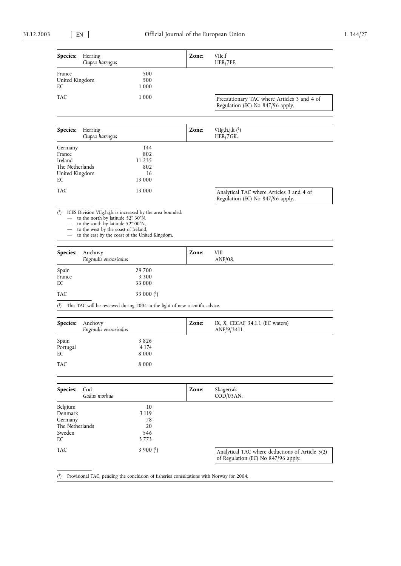| Species:                                                                | Herring<br>Clupea harengus                                                                                                                                                                                                          |                                                                              | Zone: | VIIe,f<br>HER/ZEF.                                                                     |
|-------------------------------------------------------------------------|-------------------------------------------------------------------------------------------------------------------------------------------------------------------------------------------------------------------------------------|------------------------------------------------------------------------------|-------|----------------------------------------------------------------------------------------|
| France<br>United Kingdom<br>EС                                          |                                                                                                                                                                                                                                     | 500<br>500<br>1 0 0 0                                                        |       |                                                                                        |
| TAC                                                                     |                                                                                                                                                                                                                                     | 1 0 0 0                                                                      |       | Precautionary TAC where Articles 3 and 4 of<br>Regulation (EC) No 847/96 apply.        |
| Species:                                                                | Herring<br>Clupea harengus                                                                                                                                                                                                          |                                                                              | Zone: | VIIg, h, j, k $(^1)$<br>HER/7GK.                                                       |
| Germany<br>France<br>Ireland<br>The Netherlands<br>United Kingdom<br>EС |                                                                                                                                                                                                                                     | 144<br>802<br>11 2 3 5<br>802<br>16<br>13 000                                |       |                                                                                        |
| TAC                                                                     |                                                                                                                                                                                                                                     | 13 000                                                                       |       | Analytical TAC where Articles 3 and 4 of<br>Regulation (EC) No 847/96 apply.           |
| $\binom{1}{ }$                                                          | ICES Division VIIg, h,j, k is increased by the area bounded:<br>to the north by latitude 52° 30'N,<br>to the south by latitude 52° 00'N,<br>to the west by the coast of Ireland,<br>to the east by the coast of the United Kingdom. |                                                                              |       |                                                                                        |
| Species:                                                                | Anchovy<br>Engraulis encrasicolus                                                                                                                                                                                                   |                                                                              | Zone: | VШ<br>$ANE/08$ .                                                                       |
| Spain<br>France<br>EC                                                   |                                                                                                                                                                                                                                     | 29 700<br>3 3 0 0<br>33 000                                                  |       |                                                                                        |
| TAC                                                                     |                                                                                                                                                                                                                                     | 33 000 $($ <sup>1</sup> $)$                                                  |       |                                                                                        |
| $\binom{1}{1}$                                                          |                                                                                                                                                                                                                                     | This TAC will be reviewed during 2004 in the light of new scientific advice. |       |                                                                                        |
| Species:                                                                | Anchovy<br>Engraulis encrasicolus                                                                                                                                                                                                   |                                                                              | Zone: | IX, X, CECAF $34.1.1$ (EC waters)<br>ANE/9/3411                                        |
| Spain<br>Portugal<br>EC                                                 |                                                                                                                                                                                                                                     | 3826<br>4 1 7 4<br>8 0 0 0                                                   |       |                                                                                        |
| <b>TAC</b>                                                              |                                                                                                                                                                                                                                     | 8 0 0 0                                                                      |       |                                                                                        |
| Species:                                                                | Cod<br>Gadus morhua                                                                                                                                                                                                                 |                                                                              | Zone: | Skagerrak<br>$\text{COD}/\text{03AN}.$                                                 |
| Belgium<br>Denmark<br>Germany<br>The Netherlands<br>Sweden<br>EС        |                                                                                                                                                                                                                                     | 10<br>3 1 1 9<br>78<br>20<br>546<br>3773                                     |       |                                                                                        |
| TAC                                                                     |                                                                                                                                                                                                                                     | 3 900 $($ <sup>1</sup> $)$                                                   |       | Analytical TAC where deductions of Article 5(2)<br>of Regulation (EC) No 847/96 apply. |

 $(^1)$ 1) Provisional TAC, pending the conclusion of fisheries consultations with Norway for 2004.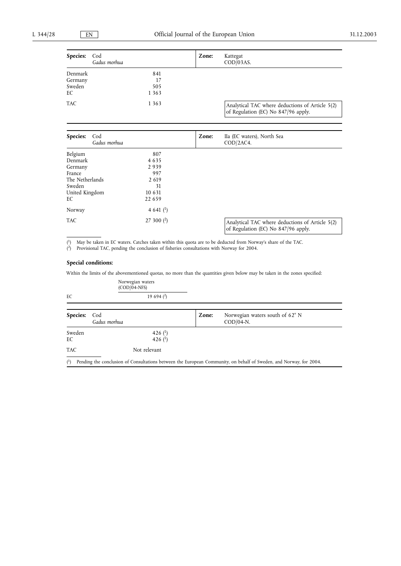| Species:        | Cod<br>Gadus morhua |         | Zone: | Kattegat<br>COD/03AS.                                                                  |
|-----------------|---------------------|---------|-------|----------------------------------------------------------------------------------------|
| Denmark         |                     | 841     |       |                                                                                        |
| Germany         |                     | 17      |       |                                                                                        |
| Sweden          |                     | 505     |       |                                                                                        |
| EС              |                     | 1 3 6 3 |       |                                                                                        |
| TAC             |                     | 1 3 6 3 |       | Analytical TAC where deductions of Article 5(2)<br>of Regulation (EC) No 847/96 apply. |
|                 |                     |         |       |                                                                                        |
| <b>Species:</b> | Cod<br>Gadus morhua |         | Zone: | IIa (EC waters), North Sea<br>COD/2AC4.                                                |
| Belgium         |                     | 807     |       |                                                                                        |
| Denmark         |                     | 4635    |       |                                                                                        |
| Germany         |                     | 2939    |       |                                                                                        |
| France          |                     | 997     |       |                                                                                        |
| The Netherlands |                     | 2 6 1 9 |       |                                                                                        |

TAC 27 300  $(2)$  Analytical TAC where deductions of Article 5(2) of Regulation (EC) No 847/96 apply.

( 1) May be taken in EC waters. Catches taken within this quota are to be deducted from Norway's share of the TAC.

( 2) Provisional TAC, pending the conclusion of fisheries consultations with Norway for 2004.

EC 22 659

# **Special conditions:**

United Kingdom<br>EC

Sweden 31<br>United Kingdom 31<br>10 631

Norway  $4641$   $\binom{1}{1}$ 

Within the limits of the abovementioned quotas, no more than the quantities given below may be taken in the zones specified:

|              | Norwegian waters<br>$(COD/04-NFS)$                 |       |                                                                                                                    |
|--------------|----------------------------------------------------|-------|--------------------------------------------------------------------------------------------------------------------|
| EC           | 19 694 $(2)$                                       |       |                                                                                                                    |
| Species:     | Cod<br>Gadus morhua                                | Zone: | Norwegian waters south of 62°N<br>$\text{COD}/\text{04-N}.$                                                        |
| Sweden<br>EC | 426 $($ <sup>1</sup> $)$<br>426 $($ <sup>1</sup> ) |       |                                                                                                                    |
| <b>TAC</b>   | Not relevant                                       |       |                                                                                                                    |
| $^{(1)}$     |                                                    |       | Pending the conclusion of Consultations between the European Community, on behalf of Sweden, and Norway, for 2004. |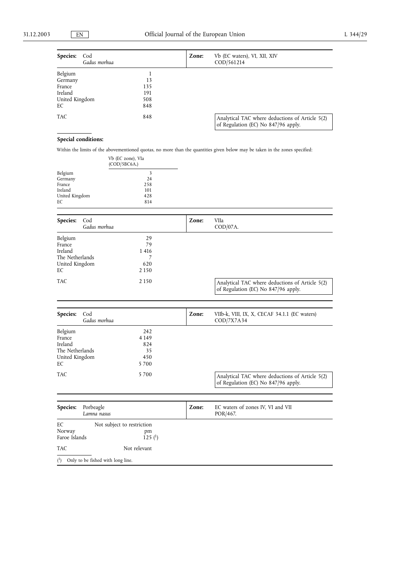| Species:<br>Cod<br>Gadus morhua |     | Zone: | Vb (EC waters), VI, XII, XIV<br>COD/561214                                             |
|---------------------------------|-----|-------|----------------------------------------------------------------------------------------|
| Belgium                         |     |       |                                                                                        |
| Germany                         | 13  |       |                                                                                        |
| France                          | 135 |       |                                                                                        |
| Ireland                         | 191 |       |                                                                                        |
| United Kingdom                  | 508 |       |                                                                                        |
| EС                              | 848 |       |                                                                                        |
| TAC                             | 848 |       | Analytical TAC where deductions of Article 5(2)<br>of Regulation (EC) No 847/96 apply. |

# **Special conditions:**

Within the limits of the abovementioned quotas, no more than the quantities given below may be taken in the zones specified:

|                                                                                |                                                  | Vb (EC zone), Vla<br>(COD/5BC6A.)                      |       |                                                                                        |
|--------------------------------------------------------------------------------|--------------------------------------------------|--------------------------------------------------------|-------|----------------------------------------------------------------------------------------|
| Belgium<br>Germany<br>France<br>Ireland<br>United Kingdom<br>EС                |                                                  | 3<br>24<br>258<br>101<br>428<br>814                    |       |                                                                                        |
| Species:                                                                       | Cod<br>Gadus morhua                              |                                                        | Zone: | VIIa<br>$\text{COD}/\text{07A}.$                                                       |
| Belgium<br>France<br>Ireland<br>The Netherlands<br>United Kingdom<br>EC<br>TAC |                                                  | 29<br>79<br>1416<br>7<br>620<br>2 1 5 0                |       |                                                                                        |
|                                                                                |                                                  | 2 1 5 0                                                |       | Analytical TAC where deductions of Article 5(2)<br>of Regulation (EC) No 847/96 apply. |
| Species:                                                                       | Cod<br>Gadus morhua                              |                                                        | Zone: | VIIb-k, VIII, IX, X, CECAF 34.1.1 (EC waters)<br>COD/7X7A34                            |
| Belgium<br>France<br>Ireland<br>The Netherlands<br>United Kingdom<br>EC        |                                                  | 242<br>4 1 4 9<br>824<br>35<br>450<br>5700             |       |                                                                                        |
| TAC                                                                            |                                                  | 5700                                                   |       | Analytical TAC where deductions of Article 5(2)<br>of Regulation (EC) No 847/96 apply. |
|                                                                                |                                                  |                                                        |       |                                                                                        |
| Species:                                                                       | Porbeagle<br>Lamna nasus                         |                                                        | Zone: | EC waters of zones IV, VI and VII<br>POR/467.                                          |
| EС<br>Norway<br>Faroe Islands                                                  |                                                  | Not subject to restriction<br>pm<br>125 <sup>(1)</sup> |       |                                                                                        |
| TAC                                                                            |                                                  | Not relevant                                           |       |                                                                                        |
|                                                                                | $\binom{1}{1}$ Only to be fished with long line. |                                                        |       |                                                                                        |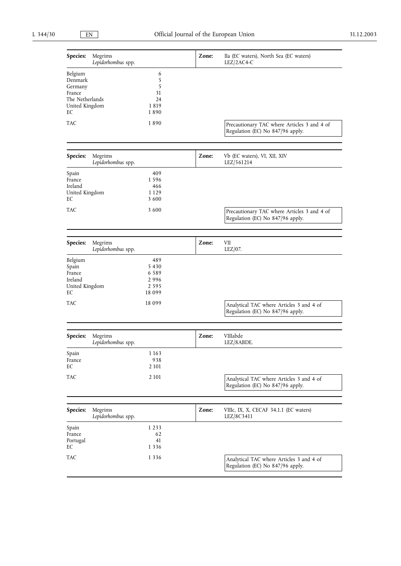| Species:                                                                           | Megrims<br>Lepidorhombus spp. |                                                       | Zone: | IIa (EC waters), North Sea (EC waters)<br>LEZ/2AC4-C                            |
|------------------------------------------------------------------------------------|-------------------------------|-------------------------------------------------------|-------|---------------------------------------------------------------------------------|
| Belgium<br>Denmark<br>Germany<br>France<br>The Netherlands<br>United Kingdom<br>EС |                               | 6<br>5<br>5<br>31<br>24<br>1819<br>1890               |       |                                                                                 |
| TAC                                                                                |                               | 1890                                                  |       | Precautionary TAC where Articles 3 and 4 of<br>Regulation (EC) No 847/96 apply. |
| Species:                                                                           | Megrims<br>Lepidorhombus spp. |                                                       | Zone: | Vb (EC waters), VI, XII, XIV<br>LEZ/561214                                      |
| Spain<br>France<br>Ireland<br>United Kingdom<br>EС                                 |                               | 409<br>1596<br>466<br>1 1 2 9<br>3 600                |       |                                                                                 |
| TAC                                                                                |                               | 3 600                                                 |       | Precautionary TAC where Articles 3 and 4 of<br>Regulation (EC) No 847/96 apply. |
| Species:                                                                           | Megrims<br>Lepidorhombus spp. |                                                       | Zone: | VII<br>$LEZ/07$ .                                                               |
| Belgium<br>Spain<br>France<br>Ireland<br>United Kingdom<br>EС                      |                               | 489<br>5430<br>6 5 8 9<br>2996<br>2 5 9 5<br>18 0 9 9 |       |                                                                                 |
| TAC                                                                                |                               | 18 0 9 9                                              |       | Analytical TAC where Articles 3 and 4 of<br>Regulation (EC) No 847/96 apply.    |
| Species:                                                                           | Megrims<br>Lepidorhombus spp. |                                                       | Zone: | VIIIabde<br>LEZ/8ABDE.                                                          |
| Spain<br>France<br>EС                                                              |                               | 1 1 6 3<br>938<br>2 10 1                              |       |                                                                                 |
| TAC                                                                                |                               | 2 1 0 1                                               |       | Analytical TAC where Articles 3 and 4 of<br>Regulation (EC) No 847/96 apply.    |
| Species:                                                                           | Megrims<br>Lepidorhombus spp. |                                                       | Zone: | VIIIc, IX, X, CECAF 34.1.1 (EC waters)<br>LEZ/8C3411                            |
| Spain<br>France<br>Portugal<br>EC                                                  |                               | 1 2 3 3<br>62<br>41<br>1 3 3 6                        |       |                                                                                 |
| TAC                                                                                |                               | 1 3 3 6                                               |       | Analytical TAC where Articles 3 and 4 of<br>Regulation (EC) No 847/96 apply.    |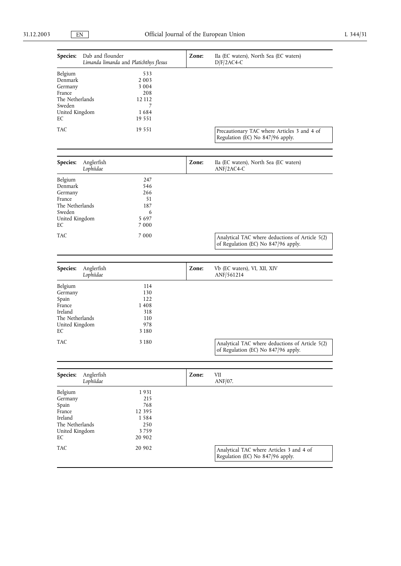| Species:                                                                                            | Dab and flounder<br>Limanda limanda and Platichthys flesus                | Zone: | IIa (EC waters), North Sea (EC waters)<br>$D/F/2AC4-C$                                 |
|-----------------------------------------------------------------------------------------------------|---------------------------------------------------------------------------|-------|----------------------------------------------------------------------------------------|
| Belgium<br>Denmark<br>Germany<br>France<br>The Netherlands<br>Sweden<br>United Kingdom<br>EС        | 533<br>2 0 0 3<br>3 0 0 4<br>208<br>12 112<br>7<br>1684<br>19 5 5 1       |       |                                                                                        |
| TAC                                                                                                 | 19 5 5 1                                                                  |       | Precautionary TAC where Articles 3 and 4 of<br>Regulation (EC) No 847/96 apply.        |
| Species:                                                                                            | Anglerfish<br>Lophiidae                                                   | Zone: | IIa (EC waters), North Sea (EC waters)<br>$ANF/2AC4-C$                                 |
| Belgium<br>Denmark<br>Germany<br>France<br>The Netherlands<br>Sweden<br>United Kingdom<br>EС<br>TAC | 247<br>546<br>266<br>51<br>187<br>6<br>5 6 9 7<br>7 0 0 0<br>7 0 0 0      |       | Analytical TAC where deductions of Article 5(2)                                        |
|                                                                                                     |                                                                           |       | of Regulation (EC) No 847/96 apply.                                                    |
| Species:                                                                                            | Anglerfish<br>Lophiidae                                                   | Zone: | Vb (EC waters), VI, XII, XIV<br>ANF/561214                                             |
| Belgium<br>Germany<br>Spain<br>France<br>Ireland<br>The Netherlands<br>United Kingdom<br>EС<br>TAC  | 114<br>130<br>122<br>1408<br>318<br>110<br>978<br>3 1 8 0<br>3 1 8 0      |       |                                                                                        |
|                                                                                                     |                                                                           |       | Analytical TAC where deductions of Article 5(2)<br>of Regulation (EC) No 847/96 apply. |
| Species:                                                                                            | Anglerfish<br>Lophiidae                                                   | Zone: | VII<br>ANF/07.                                                                         |
| Belgium<br>Germany<br>Spain<br>France<br>Ireland<br>The Netherlands<br>United Kingdom<br>EС<br>TAC  | 1931<br>215<br>768<br>12 3 9 5<br>1584<br>250<br>3759<br>20 902<br>20 902 |       | Analytical TAC where Articles 3 and 4 of<br>Regulation (EC) No 847/96 apply.           |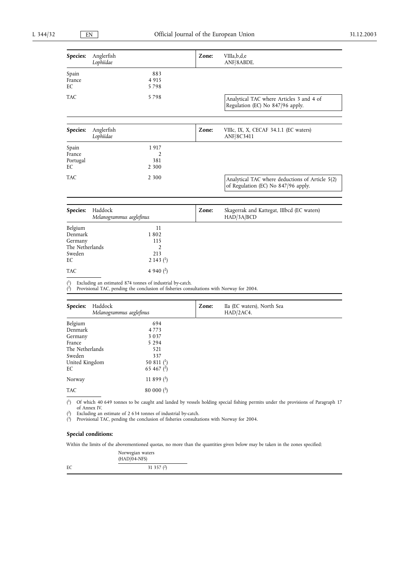| Species:                                                                       | Anglerfish<br>Lophiidae                                   |                                                                                         | Zone: | VIIIa,b,d,e<br>ANF/8ABDE.                                                              |
|--------------------------------------------------------------------------------|-----------------------------------------------------------|-----------------------------------------------------------------------------------------|-------|----------------------------------------------------------------------------------------|
| Spain<br>France<br>EC                                                          |                                                           | 883<br>4 9 1 5<br>5798                                                                  |       |                                                                                        |
| <b>TAC</b>                                                                     |                                                           | 5798                                                                                    |       | Analytical TAC where Articles 3 and 4 of<br>Regulation (EC) No 847/96 apply.           |
| Species:                                                                       | Anglerfish<br>Lophiidae                                   |                                                                                         | Zone: | VIIIc, IX, X, CECAF 34.1.1 (EC waters)<br>ANF/8C3411                                   |
| Spain<br>France<br>Portugal<br>EC                                              |                                                           | 1917<br>2<br>381<br>2 3 0 0                                                             |       |                                                                                        |
| <b>TAC</b>                                                                     |                                                           | 2 3 0 0                                                                                 |       | Analytical TAC where deductions of Article 5(2)<br>of Regulation (EC) No 847/96 apply. |
| Species:                                                                       | Haddock<br>Melanogrammus aeglefinus                       |                                                                                         | Zone: | Skagerrak and Kattegat, IIIbcd (EC waters)<br>HAD/3A/BCD                               |
| Belgium<br>Denmark<br>Germany<br>The Netherlands<br>Sweden<br>EC<br><b>TAC</b> |                                                           | 11<br>1802<br>115<br>$\overline{2}$<br>213<br>2 143 $($ <sup>1</sup> $)$<br>4 940 $(2)$ |       |                                                                                        |
| $^{(1)}$                                                                       | Excluding an estimated 874 tonnes of industrial by-catch. |                                                                                         |       |                                                                                        |

2) Provisional TAC, pending the conclusion of fisheries consultations with Norway for 2004.

| Haddock<br>Species:<br>Melanogrammus aeglefinus |              | Zone: | IIa (EC waters), North Sea<br>HAD/2AC4. |  |
|-------------------------------------------------|--------------|-------|-----------------------------------------|--|
| Belgium                                         | 694          |       |                                         |  |
| Denmark                                         | 4773         |       |                                         |  |
| Germany                                         | 3 0 3 7      |       |                                         |  |
| France                                          | 5 2 9 4      |       |                                         |  |
| The Netherlands                                 | 521          |       |                                         |  |
| Sweden                                          | 337          |       |                                         |  |
| United Kingdom                                  | 50 811 $(1)$ |       |                                         |  |
| EC                                              | 65 467 $(2)$ |       |                                         |  |
| Norway                                          | 11 899 $(3)$ |       |                                         |  |
| <b>TAC</b>                                      | $80000(^3)$  |       |                                         |  |

( 1) Of which 40 649 tonnes to be caught and landed by vessels holding special fishing permits under the provisions of Paragraph 17 of Annex IV.

( 2) Excluding an estimate of 2 634 tonnes of industrial by-catch.

( 3) Provisional TAC, pending the conclusion of fisheries consultations with Norway for 2004.

# **Special conditions:**

(

Within the limits of the abovementioned quotas, no more than the quantities given below may be taken in the zones specified:

|    | Norwegian waters<br>$(HAD/04-NFS)$ |  |
|----|------------------------------------|--|
| EC | 31 357 $(2)$                       |  |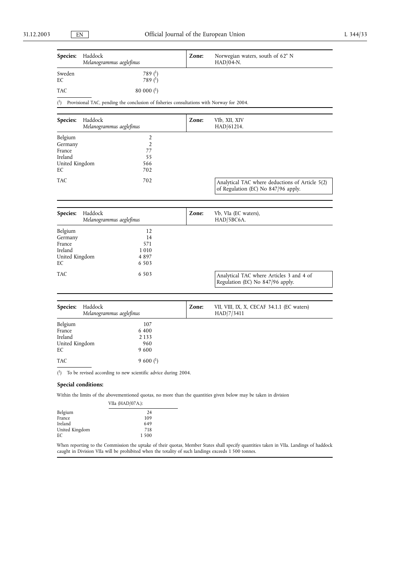| Species:                                                        | Haddock<br>Melanogrammus aeglefinus                                                                              | Zone: | Norwegian waters, south of 62°N<br>$HAD/04-N$ .                                        |
|-----------------------------------------------------------------|------------------------------------------------------------------------------------------------------------------|-------|----------------------------------------------------------------------------------------|
| Sweden<br>EС                                                    | 789 (1)<br>789 $($ <sup>1</sup> $)$                                                                              |       |                                                                                        |
| TAC                                                             | $80000$ ( <sup>1</sup> )                                                                                         |       |                                                                                        |
| $\binom{1}{1}$                                                  | Provisional TAC, pending the conclusion of fisheries consultations with Norway for 2004.                         |       |                                                                                        |
| Species:                                                        | Haddock<br>Melanogrammus aeglefinus                                                                              | Zone: | VIb, XII, XIV<br>HAD/61214.                                                            |
| Belgium<br>Germany<br>France<br>Ireland<br>United Kingdom<br>EС | 2<br>2<br>77<br>55<br>566<br>702                                                                                 |       |                                                                                        |
| TAC                                                             | 702                                                                                                              |       | Analytical TAC where deductions of Article 5(2)<br>of Regulation (EC) No 847/96 apply. |
| Species:                                                        | Haddock<br>Melanogrammus aeglefinus                                                                              | Zone: | Vb, VIa (EC waters),<br>HAD/5BC6A.                                                     |
| Belgium<br>Germany<br>France<br>Ireland<br>United Kingdom<br>EС | 12<br>14<br>571<br>1 0 1 0<br>4 897<br>6 5 0 3                                                                   |       |                                                                                        |
| TAC                                                             | 6 5 0 3                                                                                                          |       | Analytical TAC where Articles 3 and 4 of<br>Regulation (EC) No 847/96 apply.           |
| Species:                                                        | Haddock<br>Melanogrammus aeglefinus                                                                              | Zone: | VII, VIII, IX, X, CECAF 34.1.1 (EC waters)<br>HAD/7/3411                               |
| Belgium<br>France<br>Ireland<br>United Kingdom<br>EС            | 107<br>6 400<br>2 1 3 3<br>960<br>9600                                                                           |       |                                                                                        |
| TAC                                                             | 9 600 $($ <sup>1</sup> $)$                                                                                       |       |                                                                                        |
|                                                                 | $\binom{1}{1}$ To be revised according to new scientific advice during 2004.                                     |       |                                                                                        |
|                                                                 | Special conditions:                                                                                              |       |                                                                                        |
|                                                                 | Within the limits of the abovementioned quotas, no more than the quantities given below may be taken in division |       |                                                                                        |

|                | VIIa (HAD/07A.): |
|----------------|------------------|
| Belgium        | 24               |
| France         | 109              |
| Ireland        | 649              |
| United Kingdom | 718              |
| ЕC             | 1500             |

When reporting to the Commission the uptake of their quotas, Member States shall specify quantities taken in VIIa. Landings of haddock caught in Division VIIa will be prohibited when the totality of such landings exceeds 1 500 tonnes.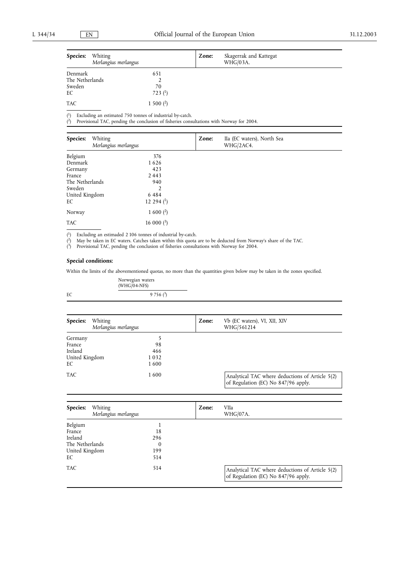(

| <b>Species:</b>                      | Whiting<br>Merlangius merlangus |                          | Zone: | Skagerrak and Kattegat<br>WHG/03A. |
|--------------------------------------|---------------------------------|--------------------------|-------|------------------------------------|
| Denmark<br>The Netherlands<br>Sweden |                                 | 651<br>70                |       |                                    |
| EС<br>TAC                            |                                 | 723 $(1)$<br>1 500 $(2)$ |       |                                    |

( <sup>1</sup>) Excluding an estimated 750 tonnes of industrial by-catch.

2) Provisional TAC, pending the conclusion of fisheries consultations with Norway for 2004.

| Species:<br>Whiting<br>Merlangius merlangus |                         | Zone: | IIa (EC waters), North Sea<br>WHG/2AC4. |  |
|---------------------------------------------|-------------------------|-------|-----------------------------------------|--|
| Belgium                                     | 376                     |       |                                         |  |
| Denmark                                     | 1626                    |       |                                         |  |
| Germany                                     | 423                     |       |                                         |  |
| France                                      | 2443                    |       |                                         |  |
| The Netherlands                             | 940                     |       |                                         |  |
| Sweden                                      | 2                       |       |                                         |  |
| United Kingdom                              | 6484                    |       |                                         |  |
| EC                                          | 12 294 $(1)$            |       |                                         |  |
| Norway                                      | $1600$ ( <sup>2</sup> ) |       |                                         |  |
| <b>TAC</b>                                  | 16 000 $(3)$            |       |                                         |  |

( <sup>1</sup>) Excluding an estimaded 2 106 tonnes of industrial by-catch.

( 2) May be taken in EC waters. Catches taken within this quota are to be deducted from Norway's share of the TAC.

( 3) Provisional TAC, pending the conclusion of fisheries consultations with Norway for 2004.

# **Special conditions:**

Within the limits of the abovementioned quotas, no more than the quantities given below may be taken in the zones specified.

|    | Norwegian waters<br>$(WHG/O4-NFS)$ |
|----|------------------------------------|
| EC | $9756(^{3})$                       |
|    |                                    |

| Species:<br>Whiting<br>Merlangius merlangus |      | Zone: | Vb (EC waters), VI, XII, XIV<br>WHG/561214                                             |  |
|---------------------------------------------|------|-------|----------------------------------------------------------------------------------------|--|
| Germany                                     |      |       |                                                                                        |  |
| France                                      | 98   |       |                                                                                        |  |
| Ireland                                     | 466  |       |                                                                                        |  |
| United Kingdom                              | 1032 |       |                                                                                        |  |
| EC                                          | 1600 |       |                                                                                        |  |
| <b>TAC</b>                                  | 1600 |       | Analytical TAC where deductions of Article 5(2)<br>of Regulation (EC) No 847/96 apply. |  |

| Species:<br>Whiting<br>Merlangius merlangus |     | Zone: | VIIa<br><b>WHG/07A.</b>                                                                |  |
|---------------------------------------------|-----|-------|----------------------------------------------------------------------------------------|--|
| Belgium                                     |     |       |                                                                                        |  |
| France                                      | 18  |       |                                                                                        |  |
| Ireland                                     | 296 |       |                                                                                        |  |
| The Netherlands                             | 0   |       |                                                                                        |  |
| United Kingdom                              | 199 |       |                                                                                        |  |
| EC                                          | 514 |       |                                                                                        |  |
| <b>TAC</b>                                  | 514 |       | Analytical TAC where deductions of Article 5(2)<br>of Regulation (EC) No 847/96 apply. |  |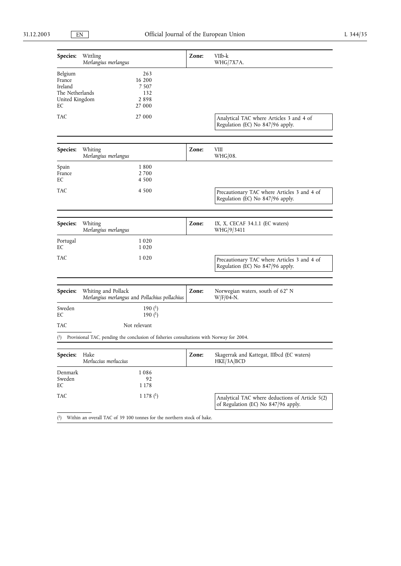| <b>Species:</b>                                                         | Wittling<br>Merlangius merlangus                                                                        | Zone: | VIIb-k<br>WHG/7X7A.                                                                    |
|-------------------------------------------------------------------------|---------------------------------------------------------------------------------------------------------|-------|----------------------------------------------------------------------------------------|
| Belgium<br>France<br>Ireland<br>The Netherlands<br>United Kingdom<br>EС | 263<br>16 200<br>7 507<br>132<br>2898<br>27 000                                                         |       |                                                                                        |
| TAC                                                                     | 27 000                                                                                                  |       | Analytical TAC where Articles 3 and 4 of<br>Regulation (EC) No 847/96 apply.           |
| <b>Species:</b>                                                         | Whiting<br>Merlangius merlangus                                                                         | Zone: | VIII<br>WHG/08.                                                                        |
| Spain<br>France<br>EС                                                   | 1800<br>2700<br>4 500                                                                                   |       |                                                                                        |
| TAC                                                                     | 4 5 0 0                                                                                                 |       | Precautionary TAC where Articles 3 and 4 of<br>Regulation (EC) No 847/96 apply.        |
| <b>Species:</b>                                                         | Whiting<br>Merlangius merlangus                                                                         | Zone: | IX, X, CECAF $34.1.1$ (EC waters)<br>WHG/9/3411                                        |
| Portugal<br>EС                                                          | 1020<br>1020                                                                                            |       |                                                                                        |
| TAC                                                                     | 1020                                                                                                    |       | Precautionary TAC where Articles 3 and 4 of<br>Regulation (EC) No 847/96 apply.        |
| Species:                                                                | Whiting and Pollack<br>Merlangius merlangus and Pollachius pollachius                                   | Zone: | Norwegian waters, south of 62° N<br>$W/F/04-N.$                                        |
| Sweden<br>EС                                                            | 190 $($ $)$<br>190 $(^{1})$                                                                             |       |                                                                                        |
| TAC                                                                     | Not relevant                                                                                            |       |                                                                                        |
|                                                                         | $\binom{1}{1}$ Provisional TAC, pending the conclusion of fisheries consultations with Norway for 2004. |       |                                                                                        |
| Species:                                                                | Hake<br>Merluccius merluccius                                                                           | Zone: | Skagerrak and Kattegat, IIIbcd (EC waters)<br>HKE/3A/BCD                               |
| Denmark<br>Sweden<br>EС                                                 | 1086<br>92<br>1 1 7 8                                                                                   |       |                                                                                        |
| TAC                                                                     | 1178 <sup>(1)</sup>                                                                                     |       | Analytical TAC where deductions of Article 5(2)<br>of Regulation (EC) No 847/96 apply. |

( 1) Within an overall TAC of 39 100 tonnes for the northern stock of hake.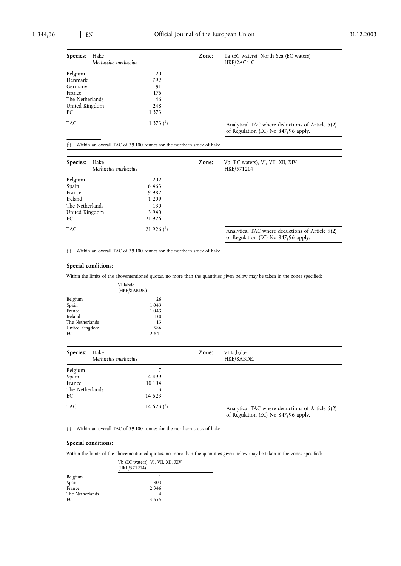| Species:<br>Hake | Merluccius merluccius | Zone: | IIa (EC waters), North Sea (EC waters)<br>HKE/2AC4-C                                   |
|------------------|-----------------------|-------|----------------------------------------------------------------------------------------|
| Belgium          | 20                    |       |                                                                                        |
| Denmark          | 792                   |       |                                                                                        |
| Germany          | 91                    |       |                                                                                        |
| France           | 176                   |       |                                                                                        |
| The Netherlands  | 46                    |       |                                                                                        |
| United Kingdom   | 248                   |       |                                                                                        |
| EС               | 1 3 7 3               |       |                                                                                        |
| <b>TAC</b>       | 1 373 $(1)$           |       | Analytical TAC where deductions of Article 5(2)<br>of Regulation (EC) No 847/96 apply. |

 $(1)$ Within an overall TAC of 39 100 tonnes for the northern stock of hake.

| Species:        | Hake<br>Merluccius merluccius |                          | Zone: | Vb (EC waters), VI, VII, XII, XIV<br>HKE/571214                                        |
|-----------------|-------------------------------|--------------------------|-------|----------------------------------------------------------------------------------------|
| Belgium         |                               | 202                      |       |                                                                                        |
| Spain           |                               | 6463                     |       |                                                                                        |
| France          |                               | 9982                     |       |                                                                                        |
| Ireland         |                               | 1 2 0 9                  |       |                                                                                        |
| The Netherlands |                               | 130                      |       |                                                                                        |
| United Kingdom  |                               | 3 9 4 0                  |       |                                                                                        |
| EC              |                               | 21926                    |       |                                                                                        |
| <b>TAC</b>      |                               | $21926$ ( <sup>1</sup> ) |       | Analytical TAC where deductions of Article 5(2)<br>of Regulation (EC) No 847/96 apply. |

( 1) Within an overall TAC of 39 100 tonnes for the northern stock of hake.

## **Special conditions:**

Within the limits of the abovementioned quotas, no more than the quantities given below may be taken in the zones specified:

|                 | VIIIabde<br>(HKE/8ABDE.) |  |  |
|-----------------|--------------------------|--|--|
| Belgium         | 26                       |  |  |
| Spain           | 1043                     |  |  |
| France          | 1043                     |  |  |
| Ireland         | 130                      |  |  |
| The Netherlands | 13                       |  |  |
| United Kingdom  | 586                      |  |  |
| EС              | 2 8 4 1                  |  |  |
|                 |                          |  |  |

| Hake<br>Species:<br>Merluccius merluccius |  | Zone:          | VIIIa,b,d,e<br>HKE/8ABDE. |                                                                                        |
|-------------------------------------------|--|----------------|---------------------------|----------------------------------------------------------------------------------------|
| Belgium                                   |  |                |                           |                                                                                        |
| Spain                                     |  | 4 4 9 9        |                           |                                                                                        |
| France                                    |  | 10 10 4        |                           |                                                                                        |
| The Netherlands                           |  | 13             |                           |                                                                                        |
| EC                                        |  | 14 6 2 3       |                           |                                                                                        |
| <b>TAC</b>                                |  | 14 6 2 3 $(1)$ |                           | Analytical TAC where deductions of Article 5(2)<br>of Regulation (EC) No 847/96 apply. |

( 1) Within an overall TAC of 39 100 tonnes for the northern stock of hake.

## **Special conditions:**

Within the limits of the abovementioned quotas, no more than the quantities given below may be taken in the zones specified:

|                 | Vb (EC waters), VI, VII, XII, XIV<br>(HKE/571214) |  |  |  |
|-----------------|---------------------------------------------------|--|--|--|
| Belgium         |                                                   |  |  |  |
| Spain           | 1 3 0 3                                           |  |  |  |
| France          | 2 3 4 6                                           |  |  |  |
| The Netherlands |                                                   |  |  |  |
| ЕC              | 3655                                              |  |  |  |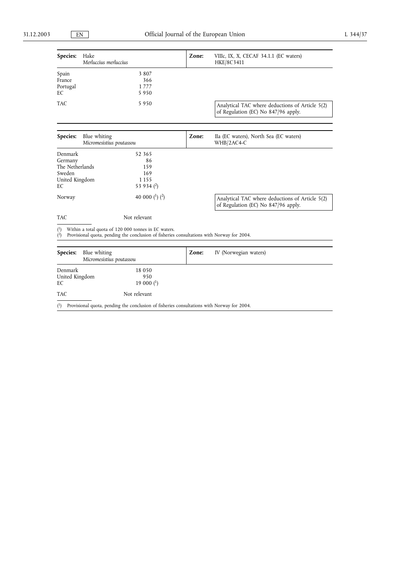| Species:<br>Hake<br>Merluccius merluccius                                                                                                                             | Zone: | VIIIc, IX, X, CECAF 34.1.1 (EC waters)<br>HKE/8C3411                                   |
|-----------------------------------------------------------------------------------------------------------------------------------------------------------------------|-------|----------------------------------------------------------------------------------------|
| Spain<br>3 8 0 7<br>France<br>366<br>Portugal<br>1777<br>EC<br>5950                                                                                                   |       |                                                                                        |
| TAC<br>5950                                                                                                                                                           |       | Analytical TAC where deductions of Article 5(2)<br>of Regulation (EC) No 847/96 apply. |
| Species:<br>Blue whiting<br>Micromesistius poutassou                                                                                                                  | Zone: | IIa (EC waters), North Sea (EC waters)<br>WHB/2AC4-C                                   |
| Denmark<br>52 365<br>Germany<br>86<br>The Netherlands<br>159<br>Sweden<br>169<br>1 1 5 5<br>United Kingdom<br>53 934 $(2)$<br>EC                                      |       |                                                                                        |
| 40 000 $(1)$ $(2)$<br>Norway                                                                                                                                          |       | Analytical TAC where deductions of Article 5(2)<br>of Regulation (EC) No 847/96 apply. |
| <b>TAC</b><br>Not relevant                                                                                                                                            |       |                                                                                        |
| Within a total quota of 120 000 tonnes in EC waters.<br>$^{(1)}$<br>Provisional quota, pending the conclusion of fisheries consultations with Norway for 2004.<br>(2) |       |                                                                                        |
| Species:<br>Blue whiting<br>Micromesistius poutassou                                                                                                                  | Zone: | IV (Norwegian waters)                                                                  |
| 18 0 5 0<br>Denmark<br>United Kingdom<br>950<br>19 000 $(1)$<br>EC                                                                                                    |       |                                                                                        |
| TAC<br>Not relevant                                                                                                                                                   |       |                                                                                        |

( 1) Provisional quota, pending the conclusion of fisheries consultations with Norway for 2004.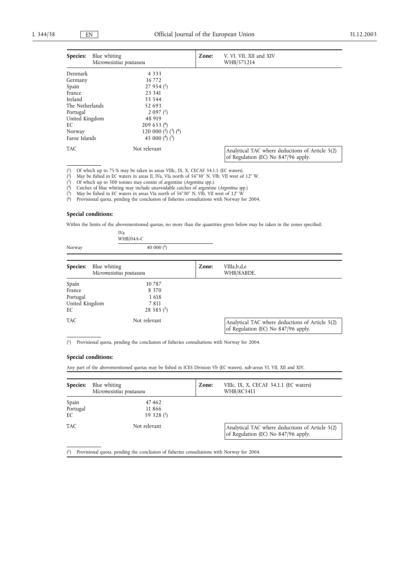| <b>Species:</b> | Blue whiting<br>Micromesistius poutassou | Zone: | V, VI, VII, XII and XIV<br>WHB/571214                                                  |
|-----------------|------------------------------------------|-------|----------------------------------------------------------------------------------------|
| Denmark         | 4 3 3 3                                  |       |                                                                                        |
| Germany         | 16 7 7 2                                 |       |                                                                                        |
| Spain           | $27954$ <sup>(1</sup> )                  |       |                                                                                        |
| France          | 23 341                                   |       |                                                                                        |
| Ireland         | 33 544                                   |       |                                                                                        |
| The Netherlands | 52 693                                   |       |                                                                                        |
| Portugal        | $2097{1}$                                |       |                                                                                        |
| United Kingdom  | 48 919                                   |       |                                                                                        |
| EС              | 209653 <sup>(6)</sup>                    |       |                                                                                        |
| Norway          | 120 000 $(^2)$ $(^3)$ $(^6)$             |       |                                                                                        |
| Faroe Islands   | 45 000 $(^4)(^5)$                        |       |                                                                                        |
| TAC             | Not relevant                             |       | Analytical TAC where deductions of Article 5(2)<br>of Regulation (EC) No 847/96 apply. |

(  $1)$  Of which up to 75 % may be taken in areas VIIIc, IX, X, CECAF 34.1.1 (EC waters).

( <sup>2</sup>) May be fished in EC waters in areas II, IVa, VIa north of 56°30′ N, VIb, VII west of 12° W.<br><sup>3</sup>) Of which up to 500 tonnes may consist of argentine (*Argentina spp*.).

(

IVa

( 4) Catches of blue whiting may include unavoidable catches of argentine (*Argentina spp.*)

( <sup>5</sup>) May be fished in EC waters in areas VIa north of 56°30′ N, VIb, VII west of  $12^{\circ}$  W.<br><sup>6</sup>) Provisional quota pending the conclusion of fisheries consultations with Norway fo

 $(6)$ 6) Provisional quota, pending the conclusion of fisheries consultations with Norway for 2004.

#### **Special conditions:**

Within the limits of the abovementioned quotas, no more than the quantities given below may be taken in the zones specified:

|                 | $WHB/04A-C$                              |       |                                                                                        |
|-----------------|------------------------------------------|-------|----------------------------------------------------------------------------------------|
| Norway          | 40 000 $(^6)$                            |       |                                                                                        |
| Species:        | Blue whiting<br>Micromesistius poutassou | Zone: | VIIIa,b,d,e<br>WHB/8ABDE.                                                              |
|                 | 10787                                    |       |                                                                                        |
| Spain<br>France | 8 3 7 0                                  |       |                                                                                        |
| Portugal        | 1618                                     |       |                                                                                        |
| United Kingdom  | 7811                                     |       |                                                                                        |
| EС              | 28 585 $(1)$                             |       |                                                                                        |
| TAC             | Not relevant                             |       | Analytical TAC where deductions of Article 5(2)<br>of Regulation (EC) No 847/96 apply. |
|                 |                                          |       |                                                                                        |

( 1) Provisional quota, pending the conclusion of fisheries consultations with Norway for 2004.

### **Special conditions:**

Any part of the abovementioned quotas may be fished in ICES Division Vb (EC waters), sub-areas VI, VII, XII and XIV.

| Species:                | Blue whiting<br>Micromesistius poutassou | Zone: | VIIIc, IX, X, CECAF 34.1.1 (EC waters)<br>WHB/8C3411                                   |
|-------------------------|------------------------------------------|-------|----------------------------------------------------------------------------------------|
| Spain<br>Portugal<br>EC | 47462<br>11866<br>59 328 $(1)$           |       |                                                                                        |
| <b>TAC</b>              | Not relevant                             |       | Analytical TAC where deductions of Article 5(2)<br>of Regulation (EC) No 847/96 apply. |

 $(1)$ 1) Provisional quota, pending the conclusion of fisheries consultations with Norway for 2004.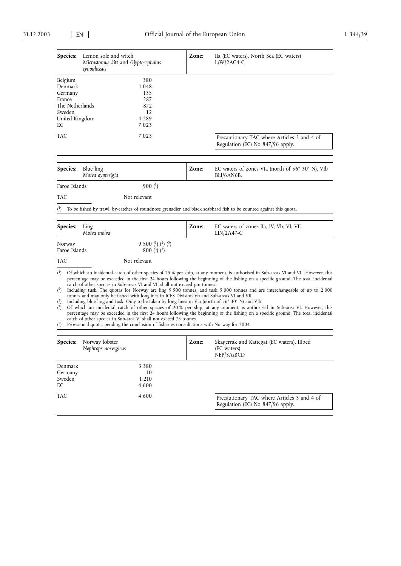| Species:                | Lemon sole and witch<br>cynoglossus | Microstomus kitt and Glyptocephalus                                                       | Zone: | IIa (EC waters), North Sea (EC waters)<br>$L/W/2AC4-C$                                                             |
|-------------------------|-------------------------------------|-------------------------------------------------------------------------------------------|-------|--------------------------------------------------------------------------------------------------------------------|
| Belgium                 |                                     | 380                                                                                       |       |                                                                                                                    |
| Denmark                 |                                     | 1048                                                                                      |       |                                                                                                                    |
| Germany                 |                                     | 135                                                                                       |       |                                                                                                                    |
| France                  |                                     | 287                                                                                       |       |                                                                                                                    |
| The Netherlands         |                                     | 872                                                                                       |       |                                                                                                                    |
| Sweden                  |                                     | 12                                                                                        |       |                                                                                                                    |
| United Kingdom          |                                     | 4 2 8 9                                                                                   |       |                                                                                                                    |
| EC                      |                                     | 7023                                                                                      |       |                                                                                                                    |
| <b>TAC</b>              |                                     | 7023                                                                                      |       | Precautionary TAC where Articles 3 and 4 of<br>Regulation (EC) No 847/96 apply.                                    |
|                         |                                     |                                                                                           |       |                                                                                                                    |
| <b>Species:</b>         | Blue ling<br>Molva dypterigia       |                                                                                           | Zone: | EC waters of zones VIa (north of 56° 30' N), VIb<br>BLI/6AN6B.                                                     |
| Faroe Islands           |                                     | $900(^1)$                                                                                 |       |                                                                                                                    |
| <b>TAC</b>              |                                     | Not relevant                                                                              |       |                                                                                                                    |
| (1)                     |                                     |                                                                                           |       | To be fished by trawl, by-catches of roundnose grenadier and black scabbard fish to be counted against this quota. |
| <b>Species:</b>         | Ling<br>Molva molva                 |                                                                                           | Zone: | EC waters of zones IIa, IV, Vb, VI, VII<br>$LIN/2A47-C$                                                            |
| Norway<br>Faroe Islands |                                     | 9 500 ( <sup>1</sup> ) ( <sup>2</sup> ) ( <sup>5</sup> )<br>$800\binom{3}{2}\binom{4}{7}$ |       |                                                                                                                    |
| <b>TAC</b>              |                                     | Not relevant                                                                              |       |                                                                                                                    |

( 1) Of which an incidental catch of other species of 25 % per ship, at any moment, is authorised in Sub-areas VI and VII. However, this percentage may be exceeded in the first 24 hours following the beginning of the fishing on a specific ground. The total incidental

catch of other species in Sub-areas VI and VII shall not exceed pm tonnes. 2) Including tusk. The quotas for Norway are ling 9 500 tonnes, and tusk 5 000 tonnes and are interchangeable of up to 2 000  $(2)$ tonnes and may only be fished with longlines in ICES Division Vb and Sub-areas VI and VII.

(

<sup>3</sup>) Including blue ling and tusk. Only to be taken by long lines in VIa (north of 56° 30' N) and VIb.<br><sup>4</sup>) Of which an incidental catch of other species of 20 % per ship, at any moment, is authorised in Sub-area VI. Howev ( percentage may be exceeded in the first 24 hours following the beginning of the fishing on a specific ground. The total incidental catch of other species in Sub-area VI shall not exceed 75 tonnes.

 $(5)$ 5) Provisional quota, pending the conclusion of fisheries consultations with Norway for 2004.

| Species:                           | Norway lobster<br>Nephrops norvegicus |                                   | Zone: | Skagerrak and Kattegat (EC waters), IIIbcd<br>(EC waters)<br>NEP/3A/BCD         |
|------------------------------------|---------------------------------------|-----------------------------------|-------|---------------------------------------------------------------------------------|
| Denmark<br>Germany<br>Sweden<br>EC |                                       | 3 3 8 0<br>10<br>1 2 1 0<br>4 600 |       |                                                                                 |
| <b>TAC</b>                         |                                       | 4 600                             |       | Precautionary TAC where Articles 3 and 4 of<br>Regulation (EC) No 847/96 apply. |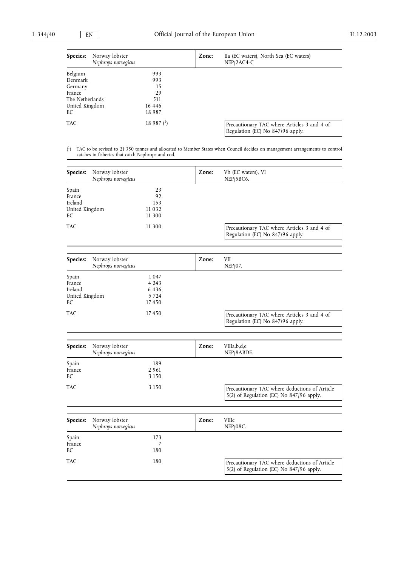| Norway lobster<br>Species:<br>Nephrops norvegicus |              | Zone: | IIa (EC waters), North Sea (EC waters)<br>$NEP/2AC4-C$                          |
|---------------------------------------------------|--------------|-------|---------------------------------------------------------------------------------|
| Belgium                                           | 993          |       |                                                                                 |
| Denmark                                           | 993          |       |                                                                                 |
| Germany                                           | 15           |       |                                                                                 |
| France                                            | 29           |       |                                                                                 |
| The Netherlands                                   | 511          |       |                                                                                 |
| United Kingdom                                    | 16 4 4 6     |       |                                                                                 |
| EC                                                | 18 9 8 7     |       |                                                                                 |
| <b>TAC</b>                                        | 18 987 $(1)$ |       | Precautionary TAC where Articles 3 and 4 of<br>Regulation (EC) No 847/96 apply. |

 $(1)$ 1) TAC to be revised to 21 350 tonnes and allocated to Member States when Council decides on management arrangements to control catches in fisheries that catch Nephrops and cod.

| <b>Species:</b>                                    | Norway lobster<br>Nephrops norvegicus |                                             | Zone: | Vb (EC waters), VI<br>NEP/5BC6.                                                 |
|----------------------------------------------------|---------------------------------------|---------------------------------------------|-------|---------------------------------------------------------------------------------|
| Spain<br>France<br>Ireland<br>United Kingdom<br>EС |                                       | 23<br>92<br>153<br>11032<br>11 300          |       |                                                                                 |
| <b>TAC</b>                                         |                                       | 11 300                                      |       | Precautionary TAC where Articles 3 and 4 of<br>Regulation (EC) No 847/96 apply. |
| Species:                                           | Norway lobster                        |                                             | Zone: | <b>VII</b>                                                                      |
|                                                    | Nephrops norvegicus                   |                                             |       | $NEP/07$ .                                                                      |
| Spain<br>France<br>Ireland<br>United Kingdom<br>EС |                                       | 1047<br>4 2 4 3<br>6436<br>5 7 2 4<br>17450 |       |                                                                                 |
| <b>TAC</b>                                         |                                       | 17450                                       |       | Precautionary TAC where Articles 3 and 4 of<br>Regulation (EC) No 847/96 apply. |
|                                                    |                                       |                                             |       |                                                                                 |
| <b>Species:</b>                                    | Norway lobster<br>Nephrops norvegicus |                                             | Zone: | VIIIa, b, d, e<br>NEP/8ABDE.                                                    |
| Spain<br>France<br>EC                              |                                       | 189<br>2961<br>3 1 5 0                      |       |                                                                                 |

TAC 3 150 3 150 Precautionary TAC where deductions of Article 5(2) of Regulation (EC) No 847/96 apply.

| Species:              | Norway lobster<br>Nephrops norvegicus |            | Zone: | <b>VIIIc</b><br>$NEP/08C$ .                                                               |
|-----------------------|---------------------------------------|------------|-------|-------------------------------------------------------------------------------------------|
| Spain<br>France<br>EC |                                       | 173<br>180 |       |                                                                                           |
| <b>TAC</b>            |                                       | 180        |       | Precautionary TAC where deductions of Article<br>5(2) of Regulation (EC) No 847/96 apply. |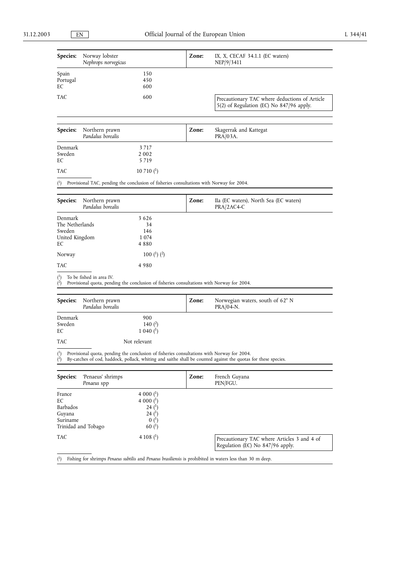| Species:                                                     | Norway lobster<br>Nephrops norvegicus                                                                                  |                                                                                                                                                  | Zone: | IX, X, CECAF 34.1.1 (EC waters)<br>NEP/9/3411                                                                  |
|--------------------------------------------------------------|------------------------------------------------------------------------------------------------------------------------|--------------------------------------------------------------------------------------------------------------------------------------------------|-------|----------------------------------------------------------------------------------------------------------------|
| Spain<br>Portugal<br>EС                                      |                                                                                                                        | 150<br>450<br>600                                                                                                                                |       |                                                                                                                |
| TAC                                                          |                                                                                                                        | 600                                                                                                                                              |       | Precautionary TAC where deductions of Article<br>5(2) of Regulation (EC) No 847/96 apply.                      |
|                                                              |                                                                                                                        |                                                                                                                                                  |       |                                                                                                                |
| Species:                                                     | Northern prawn<br>Pandalus borealis                                                                                    |                                                                                                                                                  | Zone: | Skagerrak and Kattegat<br>PRA/03A.                                                                             |
| Denmark<br>Sweden<br>EС                                      |                                                                                                                        | 3 7 1 7<br>2 0 0 2<br>5719                                                                                                                       |       |                                                                                                                |
| TAC                                                          |                                                                                                                        | 10 710 $($ <sup>1</sup> $)$                                                                                                                      |       |                                                                                                                |
| $^{\rm (1)}$                                                 | Provisional TAC, pending the conclusion of fisheries consultations with Norway for 2004.                               |                                                                                                                                                  |       |                                                                                                                |
| <b>Species:</b>                                              | Northern prawn<br>Pandalus borealis                                                                                    |                                                                                                                                                  | Zone: | IIa (EC waters), North Sea (EC waters)<br>PRA/2AC4-C                                                           |
| Denmark<br>The Netherlands<br>Sweden<br>United Kingdom<br>EС |                                                                                                                        | 3626<br>34<br>146<br>1 0 7 4<br>4880                                                                                                             |       |                                                                                                                |
| Norway                                                       |                                                                                                                        | 100 $(^1)$ $(^2)$                                                                                                                                |       |                                                                                                                |
| TAC                                                          |                                                                                                                        | 4980                                                                                                                                             |       |                                                                                                                |
| $\binom{1}{1}$<br>(2)                                        | To be fished in area IV.<br>Provisional quota, pending the conclusion of fisheries consultations with Norway for 2004. |                                                                                                                                                  |       |                                                                                                                |
|                                                              |                                                                                                                        |                                                                                                                                                  |       |                                                                                                                |
| Species:                                                     | Northern prawn<br>Pandalus borealis                                                                                    |                                                                                                                                                  | Zone: | Norwegian waters, south of 62°N<br>$PRA/04-N$ .                                                                |
| Denmark<br>Sweden<br>EС                                      |                                                                                                                        | 900<br>140 $(2)$<br>$1040$ ( <sup>1</sup> )                                                                                                      |       |                                                                                                                |
| TAC                                                          |                                                                                                                        | Not relevant                                                                                                                                     |       |                                                                                                                |
| $\binom{2}{ }$                                               | $\binom{1}{1}$ Provisional quota, pending the conclusion of fisheries consultations with Norway for 2004.              |                                                                                                                                                  |       | By-catches of cod, haddock, pollack, whiting and saithe shall be counted against the quotas for these species. |
| Species:                                                     | 'Penaeus' shrimps<br>Penaeus spp                                                                                       |                                                                                                                                                  | Zone: | French Guyana<br>PEN/FGU.                                                                                      |
| France<br>EС<br>Barbados<br>Guyana<br>Suriname               | Trinidad and Tobago                                                                                                    | 4 000 $($ <sup>1</sup> $)$<br>4 000 $($ <sup>1</sup> $)$<br>24 $($ <sup>1</sup> $)$<br>24 $($ <sup>1</sup> $)$<br>$0(^{1})$<br>60 <sup>(1)</sup> |       |                                                                                                                |
| TAC                                                          |                                                                                                                        | 4 108 $($ <sup>1</sup> $)$                                                                                                                       |       | Precautionary TAC where Articles 3 and 4 of<br>Regulation (EC) No 847/96 apply.                                |
| (1)                                                          |                                                                                                                        |                                                                                                                                                  |       | Fishing for shrimps Penaeus subtilis and Penaeus brasiliensis is prohibited in waters less than 30 m deep.     |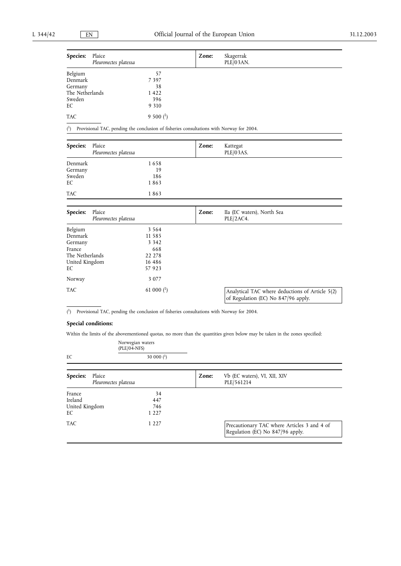| Species:        | Plaice<br>Pleuronectes platessa | Zone: | Skagerrak<br>PLE/03AN. |  |
|-----------------|---------------------------------|-------|------------------------|--|
|                 |                                 |       |                        |  |
| Belgium         | 57                              |       |                        |  |
| Denmark         | 7397                            |       |                        |  |
| Germany         | 38                              |       |                        |  |
| The Netherlands | 1422                            |       |                        |  |
| Sweden          | 396                             |       |                        |  |
| EC              | 9 3 1 0                         |       |                        |  |
| <b>TAC</b>      | $9500{1}$                       |       |                        |  |

 $\binom{1}{2}$ 1) Provisional TAC, pending the conclusion of fisheries consultations with Norway for 2004.

| Species:          | Plaice<br>Pleuronectes platessa |                             | Zone: | Kattegat<br>PLE/03AS.                                                                  |
|-------------------|---------------------------------|-----------------------------|-------|----------------------------------------------------------------------------------------|
| Denmark           |                                 | 1658<br>19                  |       |                                                                                        |
| Germany<br>Sweden |                                 | 186                         |       |                                                                                        |
| EC                |                                 | 1863                        |       |                                                                                        |
| <b>TAC</b>        |                                 | 1863                        |       |                                                                                        |
| Species:          | Plaice                          |                             | Zone: | IIa (EC waters), North Sea                                                             |
|                   | Pleuronectes platessa           |                             |       | PLE/2AC4.                                                                              |
| Belgium           |                                 | 3 5 6 4                     |       |                                                                                        |
| Denmark           |                                 | 11 5 8 5                    |       |                                                                                        |
| Germany           |                                 | 3 3 4 2                     |       |                                                                                        |
| France            |                                 | 668                         |       |                                                                                        |
| The Netherlands   |                                 | 22 278                      |       |                                                                                        |
| United Kingdom    |                                 | 16 4 8 6                    |       |                                                                                        |
| EC                |                                 | 57 9 23                     |       |                                                                                        |
| Norway            |                                 | 3 0 7 7                     |       |                                                                                        |
| <b>TAC</b>        |                                 | 61 000 $($ <sup>1</sup> $)$ |       | Analytical TAC where deductions of Article 5(2)<br>of Regulation (EC) No 847/96 apply. |

( 1) Provisional TAC, pending the conclusion of fisheries consultations with Norway for 2004.

# **Special conditions:**

Within the limits of the abovementioned quotas, no more than the quantities given below may be taken in the zones specified:

|                           | Norwegian waters<br>$(PLE/04-NFS)$ |       |                                                                                 |
|---------------------------|------------------------------------|-------|---------------------------------------------------------------------------------|
| EC                        | 30 000 $(^1)$                      |       |                                                                                 |
|                           |                                    |       |                                                                                 |
| <b>Species:</b><br>Plaice | Pleuronectes platessa              | Zone: | Vb (EC waters), VI, XII, XIV<br>PLE/561214                                      |
| France                    | 34                                 |       |                                                                                 |
| Ireland                   | 447                                |       |                                                                                 |
| United Kingdom            | 746                                |       |                                                                                 |
| EС                        | 1 2 2 7                            |       |                                                                                 |
| TAC                       | 1 2 2 7                            |       | Precautionary TAC where Articles 3 and 4 of<br>Regulation (EC) No 847/96 apply. |
|                           |                                    |       |                                                                                 |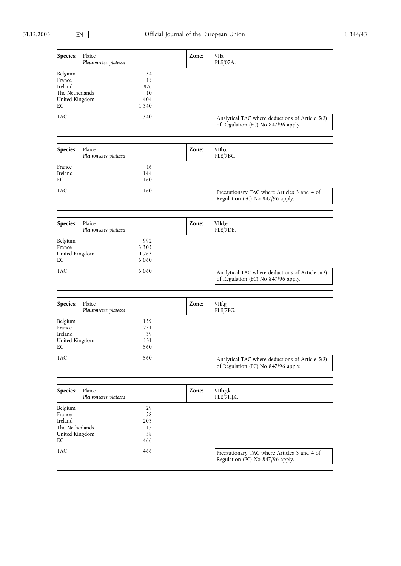| Species:                                                                | Plaice<br>Pleuronectes platessa |                                         | Zone: | VIIa<br>PLE/07A.                                                                       |
|-------------------------------------------------------------------------|---------------------------------|-----------------------------------------|-------|----------------------------------------------------------------------------------------|
| Belgium<br>France<br>Ireland<br>The Netherlands<br>United Kingdom<br>EС |                                 | 34<br>15<br>876<br>10<br>404<br>1 3 4 0 |       |                                                                                        |
| TAC                                                                     |                                 | 1 3 4 0                                 |       | Analytical TAC where deductions of Article 5(2)<br>of Regulation (EC) No 847/96 apply. |
|                                                                         |                                 |                                         |       |                                                                                        |
| Species:                                                                | Plaice<br>Pleuronectes platessa |                                         | Zone: | VIIb,c<br>PLE/7BC.                                                                     |
| France<br>Ireland<br>EС                                                 |                                 | 16<br>144<br>160                        |       |                                                                                        |
| TAC                                                                     |                                 | 160                                     |       | Precautionary TAC where Articles 3 and 4 of<br>Regulation (EC) No 847/96 apply.        |
|                                                                         |                                 |                                         |       |                                                                                        |
| Species:                                                                | Plaice<br>Pleuronectes platessa |                                         | Zone: | VIId,e<br>PLE/7DE.                                                                     |
| Belgium<br>France<br>United Kingdom<br>EС                               |                                 | 992<br>3 3 0 5<br>1763<br>6 0 6 0       |       |                                                                                        |
| TAC                                                                     |                                 | 6 0 6 0                                 |       | Analytical TAC where deductions of Article 5(2)<br>of Regulation (EC) No 847/96 apply. |
|                                                                         |                                 |                                         |       |                                                                                        |
| Species:                                                                | Plaice<br>Pleuronectes platessa |                                         | Zone: | VIIf,g<br>PLE/7FG.                                                                     |
| Belgium<br>France<br>Ireland<br>United Kingdom<br>EС                    |                                 | 139<br>251<br>39<br>131<br>560          |       |                                                                                        |
| <b>TAC</b>                                                              |                                 | 560                                     |       | Analytical TAC where deductions of Article 5(2)<br>of Regulation (EC) No 847/96 apply. |
|                                                                         |                                 |                                         |       |                                                                                        |
| Species:                                                                | Plaice<br>Pleuronectes platessa |                                         | Zone: | VIIh,j,k<br>PLE/7HJK.                                                                  |
| Belgium<br>France<br>Ireland<br>The Netherlands<br>United Kingdom<br>EC |                                 | 29<br>58<br>203<br>117<br>58<br>466     |       |                                                                                        |
| TAC                                                                     |                                 | 466                                     |       | Precautionary TAC where Articles 3 and 4 of<br>Regulation (EC) No 847/96 apply.        |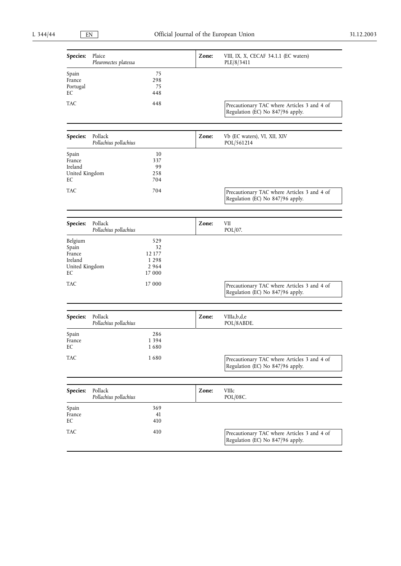| Species:                                                      | Plaice<br>Pleuronectes platessa  |                                                  | Zone: | VIII, IX, X, CECAF 34.1.1 (EC waters)<br>PLE/8/3411                             |
|---------------------------------------------------------------|----------------------------------|--------------------------------------------------|-------|---------------------------------------------------------------------------------|
| Spain<br>France<br>Portugal<br>EС                             |                                  | 75<br>298<br>75<br>448                           |       |                                                                                 |
| TAC                                                           |                                  | 448                                              |       | Precautionary TAC where Articles 3 and 4 of<br>Regulation (EC) No 847/96 apply. |
| Species:                                                      | Pollack<br>Pollachius pollachius |                                                  | Zone: | Vb (EC waters), VI, XII, XIV<br>POL/561214                                      |
| Spain<br>France<br>Ireland<br>United Kingdom<br>EС            |                                  | 10<br>337<br>99<br>258<br>704                    |       |                                                                                 |
| TAC                                                           |                                  | 704                                              |       | Precautionary TAC where Articles 3 and 4 of<br>Regulation (EC) No 847/96 apply. |
| Species:                                                      | Pollack<br>Pollachius pollachius |                                                  | Zone: | VII<br>POL/07.                                                                  |
| Belgium<br>Spain<br>France<br>Ireland<br>United Kingdom<br>EC |                                  | 529<br>32<br>12 177<br>1 2 9 8<br>2964<br>17 000 |       |                                                                                 |
| TAC                                                           |                                  | 17 000                                           |       | Precautionary TAC where Articles 3 and 4 of<br>Regulation (EC) No 847/96 apply. |
| Species:                                                      | Pollack<br>Pollachius pollachius |                                                  | Zone: | VIIIa,b,d,e<br>POL/8ABDE.                                                       |
| Spain<br>France<br>$\mathop{\text{EC}}$                       |                                  | 286<br>1 3 9 4<br>1680                           |       |                                                                                 |
| <b>TAC</b>                                                    |                                  | 1680                                             |       | Precautionary TAC where Articles 3 and 4 of<br>Regulation (EC) No 847/96 apply. |
| Species:                                                      | Pollack<br>Pollachius pollachius |                                                  | Zone: | VIIIc<br>POL/08C.                                                               |
| Spain<br>France<br>EС                                         |                                  | 369<br>41<br>410                                 |       |                                                                                 |
| <b>TAC</b>                                                    |                                  | 410                                              |       | Precautionary TAC where Articles 3 and 4 of<br>Regulation (EC) No 847/96 apply. |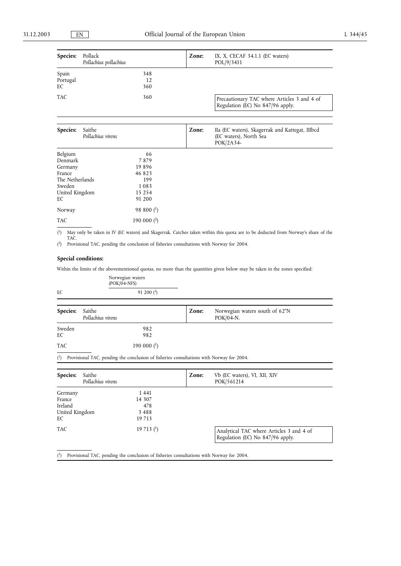| Species:                | Pollack<br>Pollachius pollachius |                  | Zone: | IX, X, CECAF 34.1.1 (EC waters)<br>POL/9/3411                                          |
|-------------------------|----------------------------------|------------------|-------|----------------------------------------------------------------------------------------|
| Spain<br>Portugal<br>EC |                                  | 348<br>12<br>360 |       |                                                                                        |
| <b>TAC</b>              |                                  | 360              |       | Precautionary TAC where Articles 3 and 4 of<br>Regulation (EC) No 847/96 apply.        |
|                         |                                  |                  |       |                                                                                        |
| Species:                | Saithe<br>Pollachius virens      |                  | Zone: | IIa (EC waters), Skagerrak and Kattegat, IIIbcd<br>(EC waters), North Sea<br>POK/2A34- |
| Belgium                 |                                  | 66               |       |                                                                                        |
| Denmark                 |                                  | 7879             |       |                                                                                        |
| Germany                 |                                  | 19896            |       |                                                                                        |
| France                  |                                  | 46 823           |       |                                                                                        |
| The Netherlands         |                                  | 199              |       |                                                                                        |
| Sweden                  |                                  | 1083             |       |                                                                                        |
| United Kingdom          |                                  | 15 2 5 4         |       |                                                                                        |
| EC                      |                                  | 91 200           |       |                                                                                        |
| Norway                  |                                  | 98 800 $(1)$     |       |                                                                                        |
| <b>TAC</b>              |                                  | 190 000 $(2)$    |       |                                                                                        |

( 1) May only be taken in IV (EC waters) and Skagerrak. Catches taken within this quota are to be deducted from Norway's share of the TAC.

( 2) Provisional TAC, pending the conclusion of fisheries consultations with Norway for 2004.

## **Special conditions:**

Within the limits of the abovementioned quotas, no more than the quantities given below may be taken in the zones specified:

|              | Norwegian waters<br>$(POK/04-NFS)$                                                                                                                                                                                                                                                                        |                                                         |
|--------------|-----------------------------------------------------------------------------------------------------------------------------------------------------------------------------------------------------------------------------------------------------------------------------------------------------------|---------------------------------------------------------|
| EC           | 91 200 $(2)$                                                                                                                                                                                                                                                                                              |                                                         |
| Species:     | Saithe<br>Pollachius virens                                                                                                                                                                                                                                                                               | Norwegian waters south of 62°N<br>Zone:<br>$POK/04-N$ . |
| Sweden<br>EC | 982<br>982                                                                                                                                                                                                                                                                                                |                                                         |
| TAC          | 190 000 $(1)$                                                                                                                                                                                                                                                                                             |                                                         |
|              | $\frac{1}{2}$ , $\frac{1}{2}$ , $\frac{1}{2}$ , $\frac{1}{2}$ , $\frac{1}{2}$ , $\frac{1}{2}$ , $\frac{1}{2}$ , $\frac{1}{2}$ , $\frac{1}{2}$ , $\frac{1}{2}$ , $\frac{1}{2}$ , $\frac{1}{2}$ , $\frac{1}{2}$ , $\frac{1}{2}$ , $\frac{1}{2}$ , $\frac{1}{2}$ , $\frac{1}{2}$ , $\frac{1}{2}$ , $\frac{1$ |                                                         |

( 1) Provisional TAC, pending the conclusion of fisheries consultations with Norway for 2004.

| Saithe<br>Species:<br>Pollachius virens              |                                             | Zone: | Vb (EC waters), VI, XII, XIV<br>POK/561214                                   |
|------------------------------------------------------|---------------------------------------------|-------|------------------------------------------------------------------------------|
| Germany<br>France<br>Ireland<br>United Kingdom<br>EC | 1441<br>14 307<br>478<br>3 4 8 8<br>19 7 13 |       |                                                                              |
| <b>TAC</b>                                           | 19713 <sup>(1)</sup>                        |       | Analytical TAC where Articles 3 and 4 of<br>Regulation (EC) No 847/96 apply. |

( 1) Provisional TAC, pending the conclusion of fisheries consultations with Norway for 2004.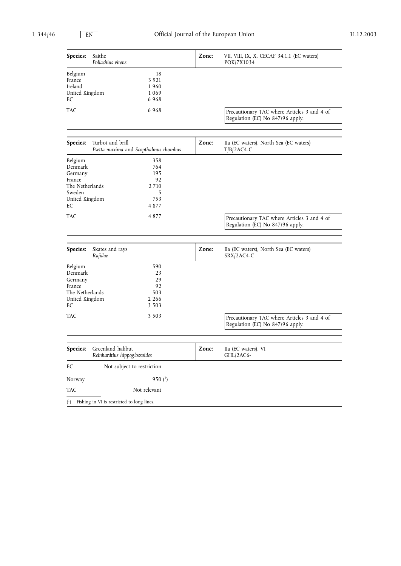| Species:                                                                                     | Saithe<br>Pollachius virens                               | Zone: | VII, VIII, IX, X, CECAF 34.1.1 (EC waters)<br>POK/7X1034                        |
|----------------------------------------------------------------------------------------------|-----------------------------------------------------------|-------|---------------------------------------------------------------------------------|
| Belgium<br>France<br>Ireland<br>United Kingdom<br>EС                                         | 18<br>3 9 2 1<br>1960<br>1069<br>6968                     |       |                                                                                 |
| TAC                                                                                          | 6968                                                      |       | Precautionary TAC where Articles 3 and 4 of<br>Regulation (EC) No 847/96 apply. |
| Species:                                                                                     | Turbot and brill<br>Psetta maxima and Scopthalmus rhombus | Zone: | IIa (EC waters), North Sea (EC waters)<br>$T/B/2AC4-C$                          |
| Belgium<br>Denmark<br>Germany<br>France<br>The Netherlands<br>Sweden<br>United Kingdom<br>EС | 358<br>764<br>195<br>92<br>2 7 1 0<br>5<br>753<br>4877    |       |                                                                                 |
| TAC                                                                                          | 4877                                                      |       | Precautionary TAC where Articles 3 and 4 of<br>Regulation (EC) No 847/96 apply. |
| Species:                                                                                     | Skates and rays<br>Rajidae                                | Zone: | IIa (EC waters), North Sea (EC waters)<br>SRX/2AC4-C                            |
| Belgium<br>Denmark<br>Germany<br>France<br>The Netherlands<br>United Kingdom<br>EC           | 590<br>23<br>29<br>92<br>503<br>2 2 6 6<br>3 5 0 3        |       |                                                                                 |
| TAC                                                                                          | 3 5 0 3                                                   |       | Precautionary TAC where Articles 3 and 4 of<br>Regulation (EC) No 847/96 apply. |
| Species:                                                                                     | Greenland halibut<br>Reinhardtius hippoglossoides         | Zone: | IIa (EC waters), VI<br>$GHL/2AC6-$                                              |
| EC                                                                                           | Not subject to restriction                                |       |                                                                                 |
| Norway                                                                                       | 950 $(1)$                                                 |       |                                                                                 |
| TAC                                                                                          | Not relevant                                              |       |                                                                                 |
| $^{\rm (1)}$                                                                                 | Fishing in VI is restricted to long lines.                |       |                                                                                 |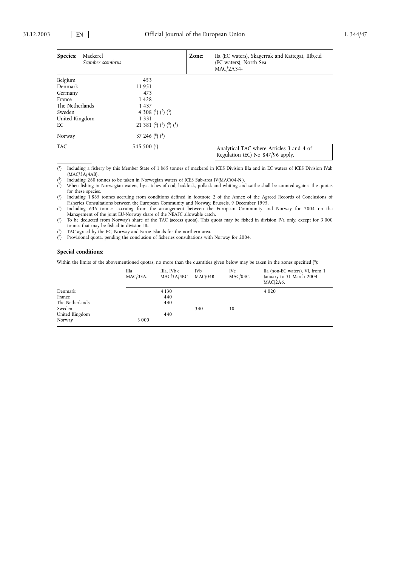| Species:<br>Mackerel<br>Scomber scombrus |                                                          | Zone: | IIa (EC waters), Skagerrak and Kattegat, IIIb,c,d<br>(EC waters), North Sea<br>$MAC/2A34-$ |
|------------------------------------------|----------------------------------------------------------|-------|--------------------------------------------------------------------------------------------|
| Belgium                                  | 453                                                      |       |                                                                                            |
| Denmark                                  | 11951                                                    |       |                                                                                            |
| Germany                                  | 473                                                      |       |                                                                                            |
| France                                   | 1428                                                     |       |                                                                                            |
| The Netherlands                          | 1437                                                     |       |                                                                                            |
| Sweden                                   | 4 308 ( <sup>1</sup> ) ( <sup>2</sup> ) ( <sup>3</sup> ) |       |                                                                                            |
| United Kingdom                           | 1 3 3 1                                                  |       |                                                                                            |
| EC                                       | 21 381 $(2)$ $(4)$ $(5)$ $(8)$                           |       |                                                                                            |
| Norway                                   | 37 246 $(6)$ $(8)$                                       |       |                                                                                            |
| TAC                                      | 545 500 $(7)$                                            |       | Analytical TAC where Articles 3 and 4 of<br>Regulation (EC) No 847/96 apply.               |

 $(^1)$ 1) Including a fishery by this Member State of 1 865 tonnes of mackerel in ICES Division IIIa and in EC waters of ICES Division IVab (MAC/3A/4AB). 2) Including 260 tonnes to be taken in Norwegian waters of ICES Sub-area IV(MAC/04-N.).

 $(2)$ 

 $(^{3})$ 3) When fishing in Norwegian waters, by-catches of cod, haddock, pollack and whiting and saithe shall be counted against the quotas for these species.

 $(4)$ 4) Including 1 865 tonnes accruing from conditions defined in footnote 2 of the Annex of the Agreed Records of Conclusions of Fisheries Consultations between the European Community and Norway, Brussels, 9 December 1995.

 $(5)$ 5) Including 636 tonnes accruing from the arrangement between the European Community and Norway for 2004 on the Management of the joint EU-Norway share of the NEAFC allowable catch.

 $<sup>6</sup>$ </sup> 6) To be deducted from Norway's share of the TAC (access quota). This quota may be fished in division IVa only, except for 3 000 tonnes that may be fished in division IIIa.

 $(7)$ TAC agreed by the EC, Norway and Faroe Islands for the northern area.

 $(8)$ 8) Provisional quota, pending the conclusion of fisheries consultations with Norway for 2004.

#### **Special conditions:**

Within the limits of the abovementioned quotas, no more than the quantities given below may be taken in the zones specified (8):

|                 | IIIa<br>$MAC/03A$ . | IIIa, IVb,c<br>MAC/3A/4BC | IVb<br>$MAC/04B$ . | IV <sub>c</sub><br>$MAC/04C$ . | IIa (non-EC waters), VI, from 1<br>January to 31 March 2004<br>$MAC/2A6$ . |
|-----------------|---------------------|---------------------------|--------------------|--------------------------------|----------------------------------------------------------------------------|
| Denmark         |                     | 4 1 3 0                   |                    |                                | 4 0 2 0                                                                    |
| France          |                     | 440                       |                    |                                |                                                                            |
| The Netherlands |                     | 440                       |                    |                                |                                                                            |
| Sweden          |                     |                           | 340                | 10                             |                                                                            |
| United Kingdom  |                     | 440                       |                    |                                |                                                                            |
| Norway          | 3 0 0 0             |                           |                    |                                |                                                                            |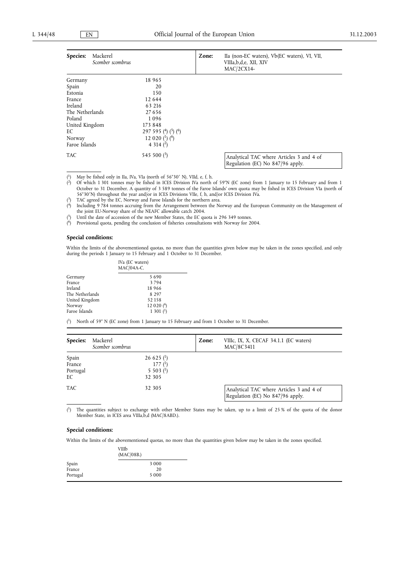| Species:<br>Mackerel<br>Scomber scombrus |                           | Zone: | IIa (non-EC waters), Vb(EC waters), VI, VII,<br>VIIIa, b, d, e, XII, XIV<br>$MAC/2CX14-$ |
|------------------------------------------|---------------------------|-------|------------------------------------------------------------------------------------------|
| Germany                                  | 18 9 65                   |       |                                                                                          |
| Spain                                    | 20                        |       |                                                                                          |
| Estonia                                  | 150                       |       |                                                                                          |
| France                                   | 12 644                    |       |                                                                                          |
| Ireland                                  | 63 216                    |       |                                                                                          |
| The Netherlands                          | 27656                     |       |                                                                                          |
| Poland                                   | 1096                      |       |                                                                                          |
| United Kingdom                           | 173 848                   |       |                                                                                          |
| EC                                       | 297 595 $(4)$ $(5)$ $(6)$ |       |                                                                                          |
| Norway                                   | 12 0 20 $(^1)$ $(^6)$     |       |                                                                                          |
| Faroe Islands                            | 4 3 1 4 $(2)$             |       |                                                                                          |
| <b>TAC</b>                               | 545 500 $(3)$             |       | Analytical TAC where Articles 3 and 4 of<br>Regulation (EC) No 847/96 apply.             |

 $^{(1)}$ May be fished only in IIa, IVa, VIa (north of 56°30' N), VIId, e, f, h.

 $(3)$ TAC agreed by the EC, Norway and Faroe Islands for the northern area.

 $(4)$ 4) Including 9 784 tonnes accruing from the Arrangement between the Norway and the European Community on the Management of the joint EU-Norway share of the NEAFC allowable catch 2004.

 $(5)$ 5) Until the date of accession of the new Member States, the EC quota is 296 349 tonnes.

 $^{(6)}$ 6) Provisional quota, pending the conclusion of fisheries consultations with Norway for 2004.

#### **Special conditions:**

Within the limits of the abovementioned quotas, no more than the quantities given below may be taken in the zones specified, and only during the periods 1 January to 15 February and 1 October to 31 December.

|                 | IVa (EC waters)<br>$MAC/04A-C$ . |
|-----------------|----------------------------------|
| Germany         | 5690                             |
| France          | 3794                             |
| Ireland         | 18 9 6 6                         |
| The Netherlands | 8 2 9 7                          |
| United Kingdom  | 52158                            |
| Norway          | 12 020 $(6)$                     |
| Faroe Islands   | $1\,301\,$ <sup>(1</sup> )       |

 $(1)$ North of 59° N (EC zone) from 1 January to 15 February and from 1 October to 31 December.

| Species:                          | Mackerel<br>Scomber scombrus |                                                                             | Zone: | VIIIc, IX, X, CECAF 34.1.1 (EC waters)<br>MAC/8C3411                         |
|-----------------------------------|------------------------------|-----------------------------------------------------------------------------|-------|------------------------------------------------------------------------------|
| Spain<br>France<br>Portugal<br>EC |                              | $26625$ <sup>(1</sup> )<br>177 <sup>(1)</sup><br>$5\,503\,(^{1})$<br>32 305 |       |                                                                              |
| <b>TAC</b>                        |                              | 32 305                                                                      |       | Analytical TAC where Articles 3 and 4 of<br>Regulation (EC) No 847/96 apply. |

 $(1)$ The quantities subject to exchange with other Member States may be taken, up to a limit of 25 % of the quota of the donor Member State, in ICES area VIIIa,b,d (MAC/8ABD.).

## **Special conditions:**

Within the limits of the abovementioned quotas, no more than the quantities given below may be taken in the zones specified.

|          | VIIIb<br>(MAC/08B.) |  |  |
|----------|---------------------|--|--|
| Spain    | 3 0 0 0             |  |  |
| France   | 20                  |  |  |
| Portugal | 5 0 0 0             |  |  |

 $\overline{(^{2})}$ 2) Of which 1 301 tonnes may be fished in ICES Division IVa north of 59°N (EC zone) from 1 January to 15 February and from 1 October to 31 December. A quantity of 3 589 tonnes of the Faroe Islands' own quota may be fished in ICES Division VIa (north of 56°30'N) throughout the year and/or in ICES Divisions VIIe, f, h, and/or ICES Division IVa.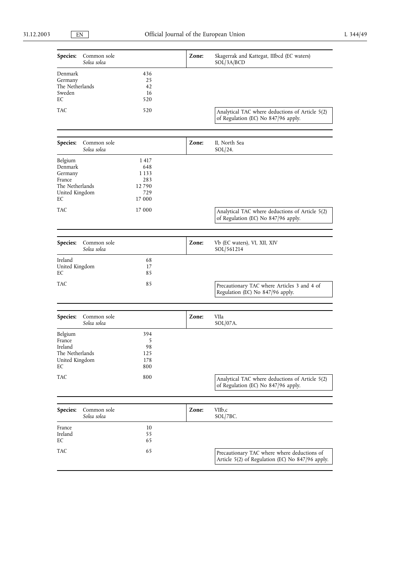| Species:                                                                           | Common sole<br>Solea solea |                                                         | Zone: | Skagerrak and Kattegat, IIIbcd (EC waters)<br>SOL/3A/BCD                                        |
|------------------------------------------------------------------------------------|----------------------------|---------------------------------------------------------|-------|-------------------------------------------------------------------------------------------------|
| Denmark<br>Germany<br>The Netherlands<br>Sweden<br>EC                              |                            | 436<br>25<br>42<br>16<br>520                            |       |                                                                                                 |
| TAC                                                                                |                            | 520                                                     |       | Analytical TAC where deductions of Article 5(2)<br>of Regulation (EC) No 847/96 apply.          |
| Species:                                                                           | Common sole<br>Solea solea |                                                         | Zone: | II, North Sea<br>$SOL/24$ .                                                                     |
| Belgium<br>Denmark<br>Germany<br>France<br>The Netherlands<br>United Kingdom<br>EС |                            | 1417<br>648<br>1 1 3 3<br>283<br>12790<br>729<br>17 000 |       |                                                                                                 |
| TAC                                                                                |                            | 17 000                                                  |       | Analytical TAC where deductions of Article 5(2)<br>of Regulation (EC) No 847/96 apply.          |
| <b>Species:</b>                                                                    | Common sole<br>Solea solea |                                                         | Zone: | Vb (EC waters), VI, XII, XIV<br>SOL/561214                                                      |
| Ireland<br>United Kingdom<br>EC                                                    |                            | 68<br>17<br>85                                          |       |                                                                                                 |
| TAC                                                                                |                            | 85                                                      |       | Precautionary TAC where Articles 3 and 4 of<br>Regulation (EC) No 847/96 apply.                 |
| Species:                                                                           | Common sole<br>Solea solea |                                                         | Zone: | VIIa<br>$SOL/07A$ .                                                                             |
| Belgium<br>France<br>Ireland<br>The Netherlands<br>United Kingdom<br>EС            |                            | 394<br>5<br>98<br>125<br>178<br>800                     |       |                                                                                                 |
| TAC                                                                                |                            | 800                                                     |       | Analytical TAC where deductions of Article 5(2)<br>of Regulation (EC) No 847/96 apply.          |
|                                                                                    |                            |                                                         |       |                                                                                                 |
| Species:                                                                           | Common sole<br>Solea solea |                                                         | Zone: | VIIb,c<br>SOL/7BC.                                                                              |
| France<br>Ireland<br>EC                                                            |                            | 10<br>55<br>65                                          |       |                                                                                                 |
| TAC                                                                                |                            | 65                                                      |       | Precautionary TAC where where deductions of<br>Article 5(2) of Regulation (EC) No 847/96 apply. |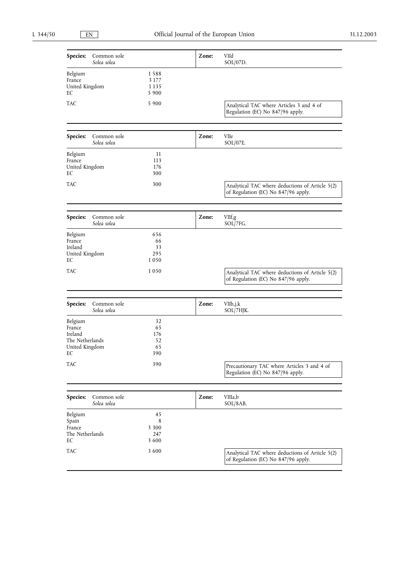| Species:                                                                | Common sole<br>Solea solea |                                     | Zone: | VIId<br>SOL/07D.                                                                       |
|-------------------------------------------------------------------------|----------------------------|-------------------------------------|-------|----------------------------------------------------------------------------------------|
| Belgium<br>France<br>United Kingdom<br>EС                               |                            | 1588<br>3 1 7 7<br>1 1 3 5<br>5 900 |       |                                                                                        |
| TAC                                                                     |                            | 5 9 0 0                             |       | Analytical TAC where Articles 3 and 4 of<br>Regulation (EC) No 847/96 apply.           |
|                                                                         |                            |                                     |       |                                                                                        |
| Species:                                                                | Common sole<br>Solea solea |                                     | Zone: | VIIe<br>SOL/07E.                                                                       |
| Belgium<br>France<br>United Kingdom<br>EС                               |                            | 11<br>113<br>176<br>300             |       |                                                                                        |
| TAC                                                                     |                            | 300                                 |       | Analytical TAC where deductions of Article 5(2)<br>of Regulation (EC) No 847/96 apply. |
|                                                                         |                            |                                     |       |                                                                                        |
| Species:                                                                | Common sole<br>Solea solea |                                     | Zone: | VIIf,g<br>SOL/7FG.                                                                     |
| Belgium<br>France<br>Ireland<br>United Kingdom<br>EС                    |                            | 656<br>66<br>33<br>295<br>1050      |       |                                                                                        |
| TAC                                                                     |                            | 1050                                |       | Analytical TAC where deductions of Article 5(2)<br>of Regulation (EC) No 847/96 apply. |
|                                                                         |                            |                                     |       |                                                                                        |
| Species:                                                                | Common sole<br>Solea solea |                                     | Zone: | VIIh,j,k<br>SOL/7HJK.                                                                  |
| Belgium<br>France<br>Ireland<br>The Netherlands<br>United Kingdom<br>EС |                            | 32<br>65<br>176<br>52<br>65<br>390  |       |                                                                                        |
| <b>TAC</b>                                                              |                            | 390                                 |       | Precautionary TAC where Articles 3 and 4 of<br>Regulation (EC) No 847/96 apply.        |
|                                                                         |                            |                                     |       |                                                                                        |
| Species:                                                                | Common sole<br>Solea solea |                                     | Zone: | VIIIa,b<br>$SOL/8AB$ .                                                                 |
| Belgium<br>Spain<br>France<br>The Netherlands<br>EС                     |                            | 45<br>8<br>3 3 0 0<br>247<br>3 600  |       |                                                                                        |
| TAC                                                                     |                            | 3 600                               |       | Analytical TAC where deductions of Article 5(2)<br>of Regulation (EC) No 847/96 apply. |
|                                                                         |                            |                                     |       |                                                                                        |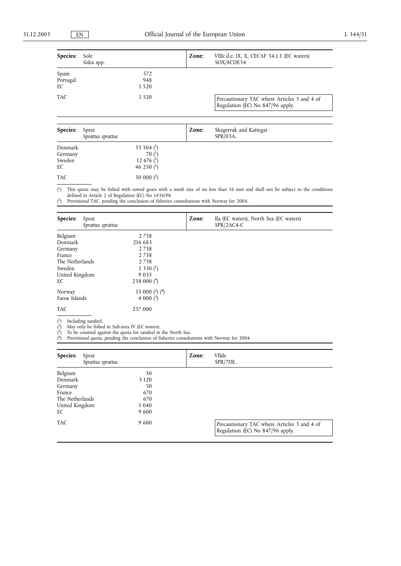| <b>Species:</b>         | Sole<br>Solea spp.         |                       | Zone: | VIIIc, d, e, IX, X, CECAF 34.1.1 (EC waters)<br>SOX/8CDE34                      |
|-------------------------|----------------------------|-----------------------|-------|---------------------------------------------------------------------------------|
| Spain<br>Portugal<br>EC |                            | 572<br>948<br>1 5 2 0 |       |                                                                                 |
| <b>TAC</b>              |                            | 1 5 2 0               |       | Precautionary TAC where Articles 3 and 4 of<br>Regulation (EC) No 847/96 apply. |
| Species:                | Sprat<br>Sprattus sprattus |                       | Zone: | Skagerrak and Kattegat<br>$SPR/03A$ .                                           |

| Denmark    | 33 504 $($ <sup>1</sup> $)$ |  |  |
|------------|-----------------------------|--|--|
| Germany    | 70 $(1)$                    |  |  |
| Sweden     | 12 676 $($ <sup>1</sup> $)$ |  |  |
| EC         | 46 250 $(1)$                |  |  |
| <b>TAC</b> | 50 000 $(^2)$               |  |  |
|            |                             |  |  |

 $(1)$ <sup>1</sup>) This quota may be fished with towed gears with a mesh size of no less than 16 mm and shall not be subject to the conditions defined in Article 2 of Regulation (EC) No 1434/98. 2) Provisional TAC, pending the conclusion of fisheries consultations with Norway for 2004.

 $(2)$ 

| Species:<br>Sprat<br>Sprattus sprattus |                          | Zone: | IIa (EC waters), North Sea (EC waters)<br>$SPR/2AC4-C$ |
|----------------------------------------|--------------------------|-------|--------------------------------------------------------|
| Belgium                                | 2738                     |       |                                                        |
| Denmark                                | 216 683                  |       |                                                        |
| Germany                                | 2738                     |       |                                                        |
| France                                 | 2738                     |       |                                                        |
| The Netherlands                        | 2738                     |       |                                                        |
| Sweden                                 | 1 3 3 0 $(^1)$           |       |                                                        |
| United Kingdom                         | 9 0 3 5                  |       |                                                        |
| EC                                     | 238 000 $(4)$            |       |                                                        |
| Norway                                 | 15 000 $(^{2})$ $(^{4})$ |       |                                                        |
| Faroe Islands                          | 4 000 $(3)$              |       |                                                        |
| <b>TAC</b>                             | 257 000                  |       |                                                        |

 $(1)$ <sup>1</sup>) Including sandeel.

( 2) May only be fished in Sub-area IV (EC waters).

( <sup>3</sup>) To be counted against the quota for sandeel in the North Sea.

( 4) Provisional quota, pending the conclusion of fisheries consultations with Norway for 2004.

| Species:<br>Sprat<br>Sprattus sprattus |         | Zone: | VIIde<br>$SPR/7DE$ .                                                            |
|----------------------------------------|---------|-------|---------------------------------------------------------------------------------|
| Belgium                                | 50      |       |                                                                                 |
| Denmark                                | 3 1 2 0 |       |                                                                                 |
| Germany                                | 50      |       |                                                                                 |
| France                                 | 670     |       |                                                                                 |
| The Netherlands                        | 670     |       |                                                                                 |
| United Kingdom                         | 5 0 4 0 |       |                                                                                 |
| EC                                     | 9600    |       |                                                                                 |
| <b>TAC</b>                             | 9600    |       | Precautionary TAC where Articles 3 and 4 of<br>Regulation (EC) No 847/96 apply. |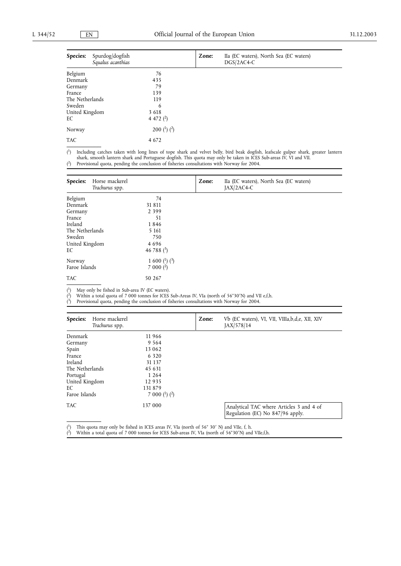| Species:        | Spurdog/dogfish<br>Squalus acanthias |                   | Zone: | IIa (EC waters), North Sea (EC waters)<br>DGS/2AC4-C |
|-----------------|--------------------------------------|-------------------|-------|------------------------------------------------------|
| Belgium         |                                      | 76                |       |                                                      |
| Denmark         |                                      | 435               |       |                                                      |
| Germany         |                                      | 79                |       |                                                      |
| France          |                                      | 139               |       |                                                      |
| The Netherlands |                                      | 119               |       |                                                      |
| Sweden          |                                      | 6                 |       |                                                      |
| United Kingdom  |                                      | 3 6 1 8           |       |                                                      |
| EC              |                                      | 4 472 $(2)$       |       |                                                      |
| Norway          |                                      | 200 $(^1)$ $(^2)$ |       |                                                      |
| <b>TAC</b>      |                                      | 4 6 7 2           |       |                                                      |

 $\binom{1}{2}$ 1) Including catches taken with long lines of tope shark and velvet belly, bird beak dogfish, leafscale gulper shark, greater lantern shark, smooth lantern shark and Portuguese dogfish. This quota may only be taken in ICES Sub-areas IV, VI and VII. 2) Provisional quota, pending the conclusion of fisheries consultations with Norway for 2004.  $(2)$ 

| Species:<br>Horse mackerel<br>Trachurus spp. |                     | Zone: | IIa (EC waters), North Sea (EC waters)<br>JAX/2AC4-C |
|----------------------------------------------|---------------------|-------|------------------------------------------------------|
| Belgium                                      | 74                  |       |                                                      |
| Denmark                                      | 31 811              |       |                                                      |
| Germany                                      | 2 3 9 9             |       |                                                      |
| France                                       | 51                  |       |                                                      |
| Ireland                                      | 1846                |       |                                                      |
| The Netherlands                              | 5 1 6 1             |       |                                                      |
| Sweden                                       | 750                 |       |                                                      |
| United Kingdom                               | 4696                |       |                                                      |
| EC                                           | 46 788 $(3)$        |       |                                                      |
| Norway                                       | 1 600 $(^1)$ $(^3)$ |       |                                                      |
| Faroe Islands                                | $7000(^2)$          |       |                                                      |
| <b>TAC</b>                                   | 50 267              |       |                                                      |

 $(^{1})$ <sup>1</sup>) May only be fished in Sub-area IV (EC waters).

 $\binom{2}{ }$ <sup>2</sup>) Within a total quota of 7 000 tonnes for ICES Sub-Areas IV, VIa (north of 56°30′N) and VII e,f,h.<br><sup>3</sup>) Provisional quota pending the conclusion of fisheries consultations with Norway for 2004

 $\overline{(^3)}$ 3) Provisional quota, pending the conclusion of fisheries consultations with Norway for 2004.

| Species:        | Horse mackerel<br>Trachurus spp. |                     | Zone: | Vb (EC waters), VI, VII, VIIIa,b,d,e, XII, XIV<br>JAX/578/14                 |
|-----------------|----------------------------------|---------------------|-------|------------------------------------------------------------------------------|
| Denmark         |                                  | 11966               |       |                                                                              |
| Germany         |                                  | 9 5 6 4             |       |                                                                              |
| Spain           |                                  | 13 062              |       |                                                                              |
| France          |                                  | 6 3 2 0             |       |                                                                              |
| Ireland         |                                  | 31 1 37             |       |                                                                              |
| The Netherlands |                                  | 45 631              |       |                                                                              |
| Portugal        |                                  | 1 2 6 4             |       |                                                                              |
| United Kingdom  |                                  | 12935               |       |                                                                              |
| EС              |                                  | 131879              |       |                                                                              |
| Faroe Islands   |                                  | 7 000 $(^1)$ $(^2)$ |       |                                                                              |
| <b>TAC</b>      |                                  | 137 000             |       | Analytical TAC where Articles 3 and 4 of<br>Regulation (EC) No 847/96 apply. |

( <sup>1</sup>) This quota may only be fished in ICES areas IV, VIa (north of 56° 30′ N) and VIIe, f, h.<br><sup>2</sup>) Within a total quota of 7,000 tonnes for ICES Sub-areas IV. VIa (north of 56°30′ N) and

( <sup>2</sup>) Within a total quota of 7 000 tonnes for ICES Sub-areas IV, VIa (north of 56°30′N) and VIIe,f,h.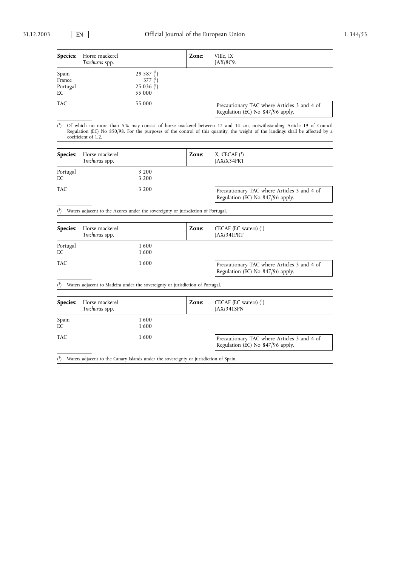| <b>Species:</b>                   | Horse mackerel<br>Trachurus spp. |                                                     | Zone: | VIIIc, IX<br>$[AX/8C9]$ .                                                       |
|-----------------------------------|----------------------------------|-----------------------------------------------------|-------|---------------------------------------------------------------------------------|
| Spain<br>France<br>Portugal<br>EC |                                  | 29 587 $(1)$<br>377 $(1)$<br>25 036 $(1)$<br>55 000 |       |                                                                                 |
| <b>TAC</b>                        |                                  | 55 000                                              |       | Precautionary TAC where Articles 3 and 4 of<br>Regulation (EC) No 847/96 apply. |

 $(1)$ 1) Of which no more than 5 % may consist of horse mackerel between 12 and 14 cm, notwithstanding Article 19 of Council Regulation (EC) No 850/98. For the purposes of the control of this quantity, the weight of the landings shall be affected by a coefficient of 1.2.

|                | <b>Species:</b> Horse mackerel<br>Trachurus spp. |                | Zone: | X, CECAF $(1)$<br>JAX/X34PRT                                                    |
|----------------|--------------------------------------------------|----------------|-------|---------------------------------------------------------------------------------|
| Portugal<br>EC |                                                  | 3 200<br>3 200 |       |                                                                                 |
| TAC            |                                                  | 3 200          |       | Precautionary TAC where Articles 3 and 4 of<br>Regulation (EC) No 847/96 apply. |

 $(1)$ Waters adjacent to the Azores under the sovereignty or jurisdiction of Portugal.

| <b>Species:</b> | Horse mackerel<br>Trachurus spp.                                              | Zone: | CECAF (EC waters) $(1)$<br>$[AX/341$ PRT                                        |
|-----------------|-------------------------------------------------------------------------------|-------|---------------------------------------------------------------------------------|
| Portugal<br>EС  | 1600<br>1600                                                                  |       |                                                                                 |
| <b>TAC</b>      | 1600                                                                          |       | Precautionary TAC where Articles 3 and 4 of<br>Regulation (EC) No 847/96 apply. |
| $^{(1)}$        | Waters adjacent to Madeira under the sovereignty or jurisdiction of Portugal. |       |                                                                                 |

|             | <b>Species:</b> Horse mackerel<br>Trachurus spp. |               | Zone: | CECAF (EC waters) $(1)$<br>[AX/341SPN]                                          |
|-------------|--------------------------------------------------|---------------|-------|---------------------------------------------------------------------------------|
| Spain<br>EC |                                                  | 1 600<br>1600 |       |                                                                                 |
| TAC.        |                                                  | 1600          |       | Precautionary TAC where Articles 3 and 4 of<br>Regulation (EC) No 847/96 apply. |

( 1) Waters adjacent to the Canary Islands under the sovereignty or jurisdiction of Spain.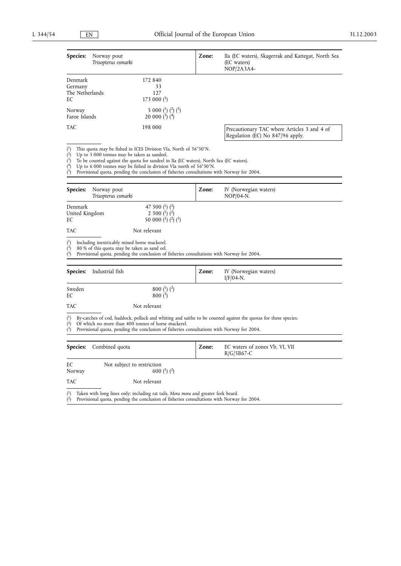| Species:<br>Norway pout<br>Trisopterus esmarki                                                                                                                                                                                                                                                                                                                                                                                                               |                                                                                                          | Zone: | IIa (EC waters), Skagerrak and Kattegat, North Sea<br>(EC waters)<br>$NOP/2A3A4-$                              |
|--------------------------------------------------------------------------------------------------------------------------------------------------------------------------------------------------------------------------------------------------------------------------------------------------------------------------------------------------------------------------------------------------------------------------------------------------------------|----------------------------------------------------------------------------------------------------------|-------|----------------------------------------------------------------------------------------------------------------|
| Denmark<br>Germany<br>The Netherlands<br>EC                                                                                                                                                                                                                                                                                                                                                                                                                  | 172 840<br>33<br>127<br>173 000 $($ <sup>2</sup> $)$                                                     |       |                                                                                                                |
| Norway<br>Faroe Islands                                                                                                                                                                                                                                                                                                                                                                                                                                      | 5 000 ( $^{1}$ ) ( $^{2}$ ) ( $^{5}$ )<br>20 000 $(^{3})$ $(^{4})$                                       |       |                                                                                                                |
| TAC                                                                                                                                                                                                                                                                                                                                                                                                                                                          | 198 000                                                                                                  |       | Precautionary TAC where Articles 3 and 4 of<br>Regulation (EC) No 847/96 apply.                                |
| $(^{1})$<br>This quota may be fished in ICES Division VIa, North of 56°30'N.<br>$\overline{(^{2})}$<br>Up to 5 000 tonnes may be taken as sandeel.<br>$(^{3})$<br>To be counted against the quota for sandeel in IIa (EC waters), North Sea (EC waters).<br>(4)<br>Up to 6 000 tonnes may be fished in division VIa north of $56^{\circ}30'$ N.<br>$\check{c}$<br>Provisional quota, pending the conclusion of fisheries consultations with Norway for 2004. |                                                                                                          |       |                                                                                                                |
| Species:<br>Norway pout<br>Trisopterus esmarki                                                                                                                                                                                                                                                                                                                                                                                                               |                                                                                                          | Zone: | IV (Norwegian waters)<br>$NOP/04-N$ .                                                                          |
| Denmark<br>United Kingdom<br>EС                                                                                                                                                                                                                                                                                                                                                                                                                              | 47 500 $(^1)$ $(^2)$<br>2 500 $(^1)$ $(^2)$<br>50 000 ( <sup>1</sup> ) ( <sup>2</sup> ) ( <sup>3</sup> ) |       |                                                                                                                |
| TAC                                                                                                                                                                                                                                                                                                                                                                                                                                                          | Not relevant                                                                                             |       |                                                                                                                |
| $^{(1)}$<br>Including inextricably mixed horse mackerel.<br>$(2)$<br>80 % of this quota may be taken as sand eel.<br>$(^{3})$<br>Provisional quota, pending the conclusion of fisheries consultations with Norway for 2004.                                                                                                                                                                                                                                  |                                                                                                          |       |                                                                                                                |
| Species:<br>Industrial fish                                                                                                                                                                                                                                                                                                                                                                                                                                  |                                                                                                          | Zone: | IV (Norwegian waters)<br>$I/F/04-N$ .                                                                          |
| Sweden<br>EС                                                                                                                                                                                                                                                                                                                                                                                                                                                 | 800 ( <sup>1</sup> ) ( <sup>2</sup> )<br>$800(^{3})$                                                     |       |                                                                                                                |
| TAC                                                                                                                                                                                                                                                                                                                                                                                                                                                          | Not relevant                                                                                             |       |                                                                                                                |
| $^{(1)}$<br>$(^{2})$<br>Of which no more than 400 tonnes of horse mackerel.<br>$^{\binom{3}{2}}$<br>Provisional quota, pending the conclusion of fisheries consultations with Norway for 2004.                                                                                                                                                                                                                                                               |                                                                                                          |       | By-catches of cod, haddock, pollack and whiting and saithe to be counted against the quotas for these species. |
| Species:<br>Combined quota                                                                                                                                                                                                                                                                                                                                                                                                                                   |                                                                                                          | Zone: | EC waters of zones Vb, VI, VII<br>$R/G/5B67-C$                                                                 |
| EС<br>Not subject to restriction<br>Norway                                                                                                                                                                                                                                                                                                                                                                                                                   | 600 ( <sup>1</sup> ) ( <sup>2</sup> )                                                                    |       |                                                                                                                |

TAC Not relevant

( 1) Taken with long lines only; including rat tails, *Mora mora* and greater fork beard.

( 2) Provisional quota, pending the conclusion of fisheries consultations with Norway for 2004.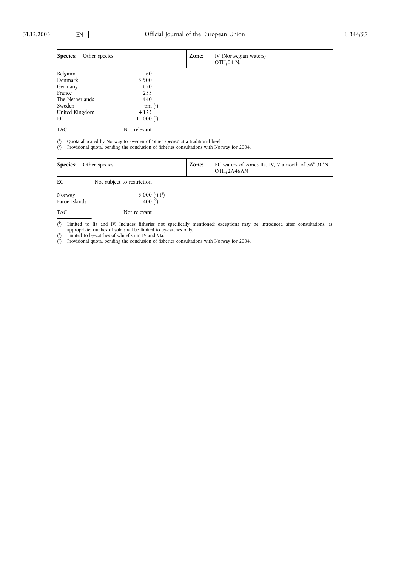| Species:<br>Other species |              | Zone: | IV (Norwegian waters)<br>OTH/04-N. |  |
|---------------------------|--------------|-------|------------------------------------|--|
| Belgium                   | 60           |       |                                    |  |
| Denmark                   | 5 5 0 0      |       |                                    |  |
| Germany                   | 620          |       |                                    |  |
| France                    | 255          |       |                                    |  |
| The Netherlands           | 440          |       |                                    |  |
| Sweden                    | pm $(^{1})$  |       |                                    |  |
| United Kingdom            | 4 1 2 5      |       |                                    |  |
| EC                        | 11 000 $(2)$ |       |                                    |  |
| TAC                       | Not relevant |       |                                    |  |

 $(1)$ <sup>1</sup>) Quota allocated by Norway to Sweden of 'other species' at a traditional level.

 $(2)$ <sup>2</sup>) Provisional quota, pending the conclusion of fisheries consultations with Norway for 2004.

| <b>Species:</b><br>Other species |                                                                                                                                | Zone: | EC waters of zones IIa, IV, VIa north of 56° 30'N<br>OTH/2A46AN |  |  |
|----------------------------------|--------------------------------------------------------------------------------------------------------------------------------|-------|-----------------------------------------------------------------|--|--|
| EC                               | Not subject to restriction                                                                                                     |       |                                                                 |  |  |
| Norway<br>Faroe Islands          | 5 000 $(^1)$ $(^3)$<br>400 $(2)$                                                                                               |       |                                                                 |  |  |
| <b>TAC</b>                       | Not relevant                                                                                                                   |       |                                                                 |  |  |
|                                  | (1) Limited to IIa and IV. Includes fisheries not specifically mentioned; exceptions may be introduced after consultations, as |       |                                                                 |  |  |

appropriate; catches of sole shall be limited to by-catches only. 2) Limited to by-catches of whitefish in IV and VIa.  $(2)$ 

 $\overrightarrow{3}$ Provisional quota, pending the conclusion of fisheries consultations with Norway for 2004.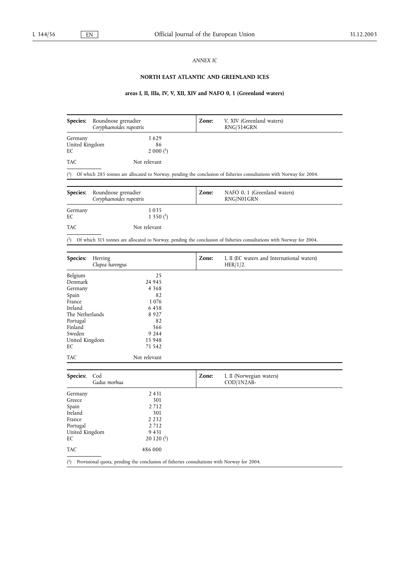## *ANNEX IC*

# **NORTH EAST ATLANTIC AND GREENLAND ICES**

# **areas I, II, IIIa, IV, V, XII, XIV and NAFO 0, 1 (Greenland waters)**

| <b>Species:</b>                 | Roundnose grenadier<br>Coryphaenoides rupestris | Zone: | V, XIV (Greenland waters)<br>RNG/514GRN                                                                              |
|---------------------------------|-------------------------------------------------|-------|----------------------------------------------------------------------------------------------------------------------|
| Germany<br>United Kingdom<br>EС | 1629<br>86<br>$2000(^1)$                        |       |                                                                                                                      |
| TAC                             | Not relevant                                    |       |                                                                                                                      |
| $^{(1)}$                        |                                                 |       | Of which 285 tonnes are allocated to Norway, pending the conclusion of fisheries consultations with Norway for 2004. |
| Species:                        | Roundnose grenadier<br>Coryphaenoides rupestris | Zone: | NAFO 0, 1 (Greenland waters)<br>RNG/N01GRN                                                                           |
| Germany<br>EС                   | 1035<br>1350 <sup>(1)</sup>                     |       |                                                                                                                      |
| TAC                             | Not relevant                                    |       |                                                                                                                      |
| (1)                             |                                                 |       | Of which 315 tonnes are allocated to Norway, pending the conclusion of fisheries consultations with Norway for 2004. |
|                                 |                                                 |       |                                                                                                                      |
| <b>Species:</b>                 | Herring<br>Clupea harengus                      | Zone: | I, II (EC waters and International waters)<br>HER/1/2.                                                               |
| Belgium                         | 25                                              |       |                                                                                                                      |
| Denmark                         | 24 945                                          |       |                                                                                                                      |
| Germany                         | 4 3 6 8                                         |       |                                                                                                                      |
| Spain                           | 82                                              |       |                                                                                                                      |
| France                          | 1076                                            |       |                                                                                                                      |
| Ireland                         | 6458                                            |       |                                                                                                                      |
| The Netherlands                 | 8927                                            |       |                                                                                                                      |
| Portugal                        | 82<br>366                                       |       |                                                                                                                      |
| Finland<br>Sweden               | 9 2 4 4                                         |       |                                                                                                                      |
| United Kingdom                  | 15 948                                          |       |                                                                                                                      |
| EС                              | 71 542                                          |       |                                                                                                                      |
| TAC                             | Not relevant                                    |       |                                                                                                                      |
| Species:                        | Cod<br>Gadus morhua                             | Zone: | I, II (Norwegian waters)<br>$\text{COD}/\text{1N2AB}$                                                                |
| Germany                         | 2 4 3 1                                         |       |                                                                                                                      |
| Greece                          | 301                                             |       |                                                                                                                      |
| Spain                           | 2712                                            |       |                                                                                                                      |
| Ireland                         | 301                                             |       |                                                                                                                      |
| France                          | 2 2 3 2                                         |       |                                                                                                                      |
| Portugal                        | 2712                                            |       |                                                                                                                      |
| United Kingdom                  | 9 4 3 1                                         |       |                                                                                                                      |
| EС                              | $20120$ ( <sup>1</sup> )                        |       |                                                                                                                      |
| TAC                             | 486 000                                         |       |                                                                                                                      |

( 1) Provisional quota, pending the conclusion of fisheries consultations with Norway for 2004.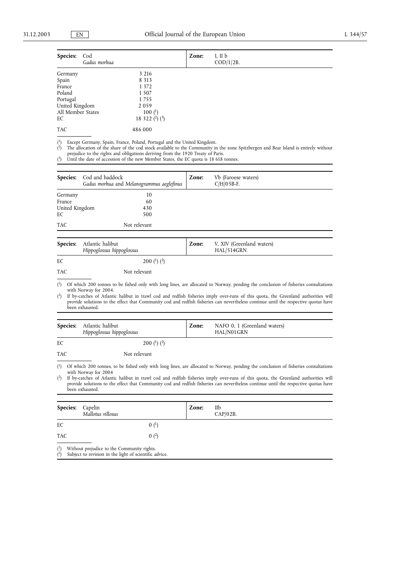| Species:          | Cod<br>Gadus morhua |                    | Zone: | I, II $\mathbf b$<br>$COD/1/2B$ . |
|-------------------|---------------------|--------------------|-------|-----------------------------------|
| Germany           |                     | 3 2 1 6            |       |                                   |
| Spain             |                     | 8 3 1 3            |       |                                   |
| France            |                     | 1 3 7 2            |       |                                   |
| Poland            |                     | 1 5 0 7            |       |                                   |
| Portugal          |                     | 1755               |       |                                   |
| United Kingdom    |                     | 2059               |       |                                   |
| All Member States |                     | $100{1}$           |       |                                   |
| EC                |                     | 18 322 $(2)$ $(3)$ |       |                                   |
| <b>TAC</b>        |                     | 486 000            |       |                                   |

 $(1)$ Except Germany, Spain, France, Poland, Portugal and the United Kingdom.

 $\binom{2}{ }$ 2) The allocation of the share of the cod stock available to the Community in the zone Spitzbergen and Bear Island is entirely without

prejudice to the rights and obligations deriving from the 1920 Treaty of Paris.<br><sup>3</sup>) Until the date of accession of the new Member States, the EC quota is 18 618 tonnes.  $(3)$ 

| <b>Species:</b> | Cod and haddock<br>Gadus morhua and Melanogrammus aeglefinus | Zone: | Vb (Faroese waters)<br>$C/H/05B-F.$ |  |
|-----------------|--------------------------------------------------------------|-------|-------------------------------------|--|
| Germany         | 10                                                           |       |                                     |  |
| France          | 60                                                           |       |                                     |  |
| United Kingdom  | 430                                                          |       |                                     |  |
| EC              | 500                                                          |       |                                     |  |
| <b>TAC</b>      | Not relevant                                                 |       |                                     |  |

|            | <b>Species:</b> Atlantic halibut<br>Hippoglossus hippoglossus | Zone: | V, XIV (Greenland waters)<br>HAL/514GRN |
|------------|---------------------------------------------------------------|-------|-----------------------------------------|
| EC         | 200 $(1)$ $(2)$                                               |       |                                         |
| <b>TAC</b> | Not relevant                                                  |       |                                         |

 $(1)$ 1) Of which 200 tonnes to be fished only with long lines, are allocated to Norway, pending the conclusion of fisheries consultations with Norway for 2004.

 $(2)$ 2) If by-catches of Atlantic halibut in trawl cod and redfish fisheries imply over-runs of this quota, the Greenland authorities will provide solutions to the effect that Community cod and redfish fisheries can nevertheless continue until the respective quotas have been exhausted.

|            | <b>Species:</b> Atlantic halibut<br>Hippoglossus hippoglossus | Zone: | NAFO 0, 1 (Greenland waters)<br>HAL/N01GRN                                                                                  |
|------------|---------------------------------------------------------------|-------|-----------------------------------------------------------------------------------------------------------------------------|
| EC         | 200 $(1)$ $(2)$                                               |       |                                                                                                                             |
| <b>TAC</b> | Not relevant                                                  |       |                                                                                                                             |
|            |                                                               |       | 1) Of which 200 towns to be field will with love lines and lloyed to Maxim and the the conductor of fichering consultations |

 $\binom{1}{1}$ 1) Of which 200 tonnes, to be fished only with long lines, are allocated to Norway, pending the conclusion of fisheries consultations with Norway for 2004

 $(2)$ 2) If by-catches of Atlantic halibut in trawl cod and redfish fisheries imply over-runs of this quota, the Greenland authorities will provide solutions to the effect that Community cod and redfish fisheries can nevertheless continue until the respective quotas have been exhausted.

| <b>Species:</b> | Capelin<br>Mallotus villosus               | Zone: | IIb<br>$CAP/02B$ . |  |
|-----------------|--------------------------------------------|-------|--------------------|--|
| EC              | $0(^{1})$                                  |       |                    |  |
| <b>TAC</b>      | $(0)(^{2})$                                |       |                    |  |
| $\binom{1}{ }$  | Without prejudice to the Community rights. |       |                    |  |

 $^{(2)}$ Subject to revision in the light of scientific advice.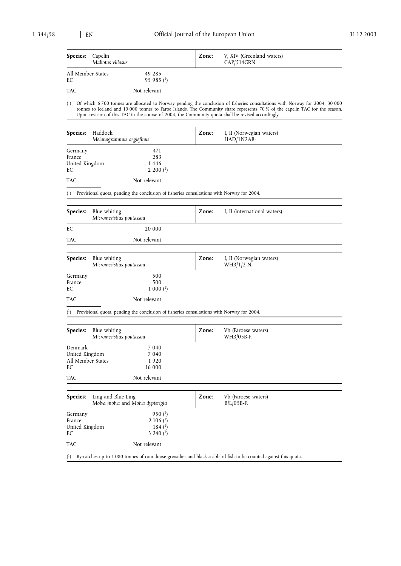| <b>Species:</b> | Capelin<br>Mallotus villosus |                                   | Zone: | V, XIV (Greenland waters)<br>CAP/514GRN                                                                                                                                                                                                                                                                                                                            |
|-----------------|------------------------------|-----------------------------------|-------|--------------------------------------------------------------------------------------------------------------------------------------------------------------------------------------------------------------------------------------------------------------------------------------------------------------------------------------------------------------------|
| EC              | All Member States            | 49 285<br>$95985$ <sup>(1</sup> ) |       |                                                                                                                                                                                                                                                                                                                                                                    |
| <b>TAC</b>      |                              | Not relevant                      |       |                                                                                                                                                                                                                                                                                                                                                                    |
| (1)             |                              |                                   |       | Of which 6 700 tonnes are allocated to Norway pending the conclusion of fisheries consultations with Norway for 2004, 30 000<br>tonnes to Iceland and 10 000 tonnes to Faroe Islands. The Community share represents 70 % of the capelin TAC for the season.<br>Upon revision of this TAC in the course of 2004, the Community quota shall be revised accordingly. |

| <b>Species:</b>                                      | Haddock<br>Melanogrammus aeglefinus                                                        | Zone: | I, II (Norwegian waters)<br>$HAD/1N2AB-$ |  |
|------------------------------------------------------|--------------------------------------------------------------------------------------------|-------|------------------------------------------|--|
| Germany<br>France                                    | 471<br>283<br>1446                                                                         |       |                                          |  |
| United Kingdom<br>EC                                 | 2 200 $($ <sup>1</sup> $)$                                                                 |       |                                          |  |
| <b>TAC</b>                                           | Not relevant                                                                               |       |                                          |  |
| $^{(1)}$                                             | Provisional quota, pending the conclusion of fisheries consultations with Norway for 2004. |       |                                          |  |
| Species:                                             | Blue whiting<br>Micromesistius poutassou                                                   | Zone: | I, II (international waters)             |  |
| EC                                                   | 20 000                                                                                     |       |                                          |  |
| <b>TAC</b>                                           | Not relevant                                                                               |       |                                          |  |
| Species:                                             | Blue whiting<br>Micromesistius poutassou                                                   | Zone: | I, II (Norwegian waters)<br>$WHB/1/2-N.$ |  |
| Germany<br>France<br>EC                              | 500<br>500<br>$1000$ $(1)$                                                                 |       |                                          |  |
| <b>TAC</b>                                           | Not relevant                                                                               |       |                                          |  |
| $\binom{1}{1}$                                       | Provisional quota, pending the conclusion of fisheries consultations with Norway for 2004. |       |                                          |  |
| Species:                                             | Blue whiting<br>Micromesistius poutassou                                                   | Zone: | Vb (Faroese waters)<br>WHB/05B-F.        |  |
| Denmark<br>United Kingdom<br>All Member States<br>EC | 7 0 4 0<br>7 0 4 0<br>1920<br>16 000                                                       |       |                                          |  |

| <b>TAC</b>                                | Not relevant                                                                                                   |       |                                     |
|-------------------------------------------|----------------------------------------------------------------------------------------------------------------|-------|-------------------------------------|
| Species:                                  | Ling and Blue Ling<br>Molva molva and Molva dypterigia                                                         | Zone: | Vb (Faroese waters)<br>$B/L/O5B-F.$ |
| Germany<br>France<br>United Kingdom<br>EC | 950 $(1)$<br>$2106$ ( <sup>1</sup> )<br>184 $($ $^{1})$<br>3 240 $($ <sup>1</sup> $)$                          |       |                                     |
| <b>TAC</b>                                | Not relevant                                                                                                   |       |                                     |
| $^{(1)}$                                  | By-catches up to 1 080 tonnes of roundnose grenadier and black scabbard fish to be counted against this quota. |       |                                     |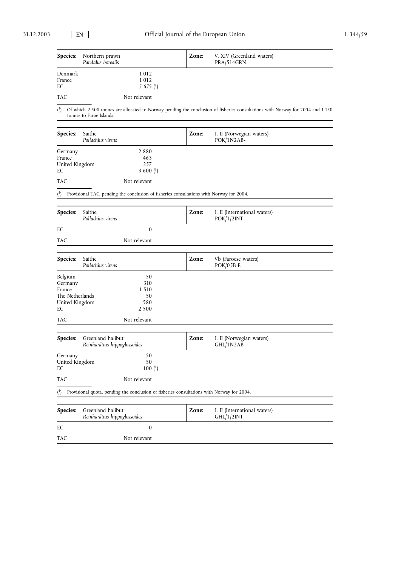|                   | Species: Northern prawn<br>Pandalus borealis | Zone: | V, XIV (Greenland waters)<br>PRA/514GRN |  |
|-------------------|----------------------------------------------|-------|-----------------------------------------|--|
| Denmark<br>France | 1 0 1 2<br>1012                              |       |                                         |  |
| EC<br><b>TAC</b>  | 5 675 $(^{1})$<br>Not relevant               |       |                                         |  |

 $(1)$ <sup>1</sup>) Of which 2 500 tonnes are allocated to Norway pending the conclusion of fisheries consultations with Norway for 2004 and 1 150 tonnes to Faroe Islands.

| <b>Species:</b><br>Saithe<br>Pollachius virens |                            | Zone: | I, II (Norwegian waters)<br>$POK/1N2AB-$ |  |
|------------------------------------------------|----------------------------|-------|------------------------------------------|--|
| Germany                                        | 2880                       |       |                                          |  |
| France                                         | 463                        |       |                                          |  |
| United Kingdom                                 | 257                        |       |                                          |  |
| EС                                             | 3 600 $($ <sup>1</sup> $)$ |       |                                          |  |
| <b>TAC</b>                                     | Not relevant               |       |                                          |  |

( 1) Provisional TAC, pending the conclusion of fisheries consultations with Norway for 2004.

| Species:                                                                | Saithe<br>Pollachius virens                                                                | Zone: | I, II (International waters)<br>POK/1/2INT |
|-------------------------------------------------------------------------|--------------------------------------------------------------------------------------------|-------|--------------------------------------------|
| EC                                                                      | $\mathbf{0}$                                                                               |       |                                            |
| <b>TAC</b>                                                              | Not relevant                                                                               |       |                                            |
| Species:                                                                | Saithe<br>Pollachius virens                                                                | Zone: | Vb (Faroese waters)<br>POK/05B-F.          |
| Belgium<br>Germany<br>France<br>The Netherlands<br>United Kingdom<br>EC | 50<br>310<br>1 5 1 0<br>50<br>580<br>2 5 0 0                                               |       |                                            |
| <b>TAC</b>                                                              | Not relevant                                                                               |       |                                            |
| Species:                                                                | Greenland halibut<br>Reinhardtius hippoglossoides                                          | Zone: | I, II (Norwegian waters)<br>GHL/1N2AB-     |
| Germany<br>United Kingdom<br>EC                                         | 50<br>50<br>$100{1}$                                                                       |       |                                            |
| <b>TAC</b>                                                              | Not relevant                                                                               |       |                                            |
| $^{(1)}$                                                                | Provisional quota, pending the conclusion of fisheries consultations with Norway for 2004. |       |                                            |
| Species:                                                                | Greenland halibut<br>Reinhardtius hippoglossoides                                          | Zone: | I, II (International waters)<br>GHL/1/2INT |
| EC                                                                      | $\mathbf{0}$                                                                               |       |                                            |
| <b>TAC</b>                                                              | Not relevant                                                                               |       |                                            |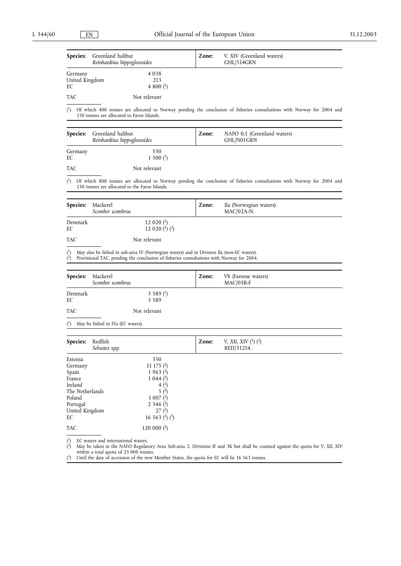| Species:                                                                                                          | Greenland halibut<br>Reinhardtius hippoglossoides |                                                                                                                                                                                       | Zone: | V, XIV (Greenland waters)<br>GHL/514GRN                                                                                         |
|-------------------------------------------------------------------------------------------------------------------|---------------------------------------------------|---------------------------------------------------------------------------------------------------------------------------------------------------------------------------------------|-------|---------------------------------------------------------------------------------------------------------------------------------|
| Germany<br>United Kingdom<br>EС                                                                                   |                                                   | 4 0 3 8<br>213<br>4 800 $($ <sup>1</sup> $)$                                                                                                                                          |       |                                                                                                                                 |
| TAC                                                                                                               |                                                   | Not relevant                                                                                                                                                                          |       |                                                                                                                                 |
| $^{\rm (1)}$                                                                                                      | 150 tonnes are allocated to Faroe Islands.        |                                                                                                                                                                                       |       | Of which 400 tonnes are allocated to Norway pending the conclusion of fisheries consultations with Norway for 2004 and          |
| Species:                                                                                                          | Greenland halibut<br>Reinhardtius hippoglossoides |                                                                                                                                                                                       | Zone: | NAFO 0,1 (Greenland waters)<br>GHL/N01GRN                                                                                       |
| Germany<br>EС                                                                                                     |                                                   | 550<br>$1500{1}$                                                                                                                                                                      |       |                                                                                                                                 |
| TAC                                                                                                               |                                                   | Not relevant                                                                                                                                                                          |       |                                                                                                                                 |
| (1)                                                                                                               | 150 tonnes are allocated to the Faroe Islands.    |                                                                                                                                                                                       |       | Of which 800 tonnes are allocated to Norway pending the conclusion of fisheries consultations with Norway for 2004 and          |
| Species:                                                                                                          | Mackerel<br>Scomber scombrus                      |                                                                                                                                                                                       | Zone: | IIa (Norwegian waters)<br>$MAC/02A-N$ .                                                                                         |
| Denmark<br>EC                                                                                                     |                                                   | 12 020 $($ <sup>1</sup> $)$<br>12 020 $(^1)$ $(^2)$                                                                                                                                   |       |                                                                                                                                 |
| TAC                                                                                                               |                                                   | Not relevant                                                                                                                                                                          |       |                                                                                                                                 |
| $^{(1)}$<br>$(^{2})$                                                                                              |                                                   | May also be fished in sub-area IV (Norwegian waters) and in Division IIa (non-EC waters).<br>Provisional TAC, pending the conclusion of fisheries consultations with Norway for 2004. |       |                                                                                                                                 |
| Species:                                                                                                          | Mackerel<br>Scomber scombrus                      |                                                                                                                                                                                       | Zone: | Vb (Faroese waters)<br>MAC/05B-F                                                                                                |
| Denmark<br>EС                                                                                                     |                                                   | 3 5 8 9 $($ <sup>1</sup> )<br>3589                                                                                                                                                    |       |                                                                                                                                 |
| TAC                                                                                                               |                                                   | Not relevant                                                                                                                                                                          |       |                                                                                                                                 |
| $^{\rm (1)}$                                                                                                      | May be fished in IVa (EC waters).                 |                                                                                                                                                                                       |       |                                                                                                                                 |
| Species:                                                                                                          | Redfish<br>Sebastes spp.                          |                                                                                                                                                                                       | Zone: | V, XII, XIV $(1)$ $(2)$<br>RED/51214.                                                                                           |
| Estonia<br>Germany<br>Spain<br>France<br>Ireland<br>The Netherlands<br>Poland<br>Portugal<br>United Kingdom<br>EС |                                                   | 350<br>11 175 $(2)$<br>$1963$ (2)<br>$1\,044\,(2)$<br>4(2)<br>5(2)<br>$1007$ ( <sup>2</sup> )<br>2 3 4 6 $(2)$<br>27 <sup>2</sup><br>16 5 6 3 $(2)$ $(3)$                             |       |                                                                                                                                 |
| TAC                                                                                                               |                                                   | 120 000 $(2)$                                                                                                                                                                         |       |                                                                                                                                 |
| $\binom{1}{1}$<br>$(2)$                                                                                           | EC waters and international waters.               |                                                                                                                                                                                       |       | May be taken in the NAFO Regulatory Area Sub-area 2, Divisions IF and 3K but shall be counted against the quota for V, XII, XIV |

within a total quota of 25 000 tonnes. 3) Until the date of accession of the new Member States, the quota for EC will be 16 563 tonnes.  $(^3)$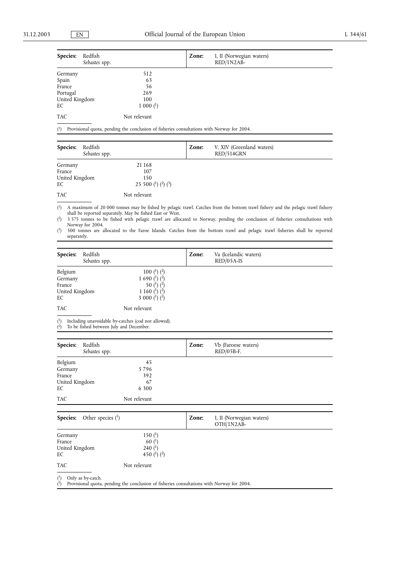| <b>Species:</b><br>Redfish<br>Sebastes spp. |              | Zone: | I, II (Norwegian waters)<br>$RED/1N2AB-$ |  |
|---------------------------------------------|--------------|-------|------------------------------------------|--|
| Germany                                     | 512          |       |                                          |  |
| Spain                                       | 63           |       |                                          |  |
| France                                      | 56           |       |                                          |  |
| Portugal                                    | 269          |       |                                          |  |
| United Kingdom                              | 100          |       |                                          |  |
| EC                                          | $1000(^1)$   |       |                                          |  |
| <b>TAC</b>                                  | Not relevant |       |                                          |  |

 $(1)$ 1) Provisional quota, pending the conclusion of fisheries consultations with Norway for 2004.

| <b>Species:</b> | Redfish<br>Sebastes spp. |                             | Zone: | V, XIV (Greenland waters)<br>RED/514GRN |  |
|-----------------|--------------------------|-----------------------------|-------|-----------------------------------------|--|
| Germany         |                          | 21 168                      |       |                                         |  |
| France          |                          | 107                         |       |                                         |  |
| United Kingdom  |                          | 150                         |       |                                         |  |
| EC              |                          | 25 500 $(^1)$ $(^2)$ $(^3)$ |       |                                         |  |
| <b>TAC</b>      |                          | Not relevant                |       |                                         |  |

 $(1)$ 1) A maximum of 20 000 tonnes may be fished by pelagic trawl. Catches from the bottom trawl fishery and the pelagic trawl fishery shall be reported separately. May be fished East or West.

 $(2)$ 2) 3 575 tonnes to be fished with pelagic trawl are allocated to Norway, pending the conclusion of fisheries consultations with Norway for 2004.

 $(3)$ 3) 500 tonnes are allocated to the Faroe Islands. Catches from the bottom trawl and pelagic trawl fisheries shall be reported separately.

| Species:                                             | Redfish<br>Sebastes spp. |                                                                                                                                                | Zone: | Va (Icelandic waters)<br>$RED/05A-IS$ |  |
|------------------------------------------------------|--------------------------|------------------------------------------------------------------------------------------------------------------------------------------------|-------|---------------------------------------|--|
| Belgium<br>Germany<br>France<br>United Kingdom<br>EC |                          | 100 $(^1)$ $(^2)$<br>1 690 $(^1)$ $(^2)$<br>50 ( <sup>1</sup> ) ( <sup>2</sup> )<br>1 160 $(^1)$ $(^2)$<br>3 000 $\binom{1}{2}$ $\binom{2}{2}$ |       |                                       |  |
| <b>TAC</b>                                           |                          | Not relevant                                                                                                                                   |       |                                       |  |

( <sup>1</sup>) Including unavoidable by-catches (cod not allowed).

( <sup>2</sup>) To be fished between July and December.

| Redfish<br>Species:<br>Sebastes spp. |              | Zone: | Vb (Faroese waters)<br>$RED/05B-F.$ |  |
|--------------------------------------|--------------|-------|-------------------------------------|--|
| Belgium                              | 45           |       |                                     |  |
| Germany                              | 5796         |       |                                     |  |
| France                               | 392          |       |                                     |  |
| United Kingdom                       | 67           |       |                                     |  |
| EC                                   | 6 300        |       |                                     |  |
| <b>TAC</b>                           | Not relevant |       |                                     |  |

| <b>Species:</b> Other species $\binom{1}{1}$ |                                                                                                         | Zone: | I, II (Norwegian waters)<br>OTH/1N2AB- |  |
|----------------------------------------------|---------------------------------------------------------------------------------------------------------|-------|----------------------------------------|--|
| Germany<br>France<br>United Kingdom<br>EC    | 150 $(1)$<br>60 $($ <sup>1</sup> )<br>240 $($ <sup>1</sup> $)$<br>450 ( <sup>1</sup> ) ( <sup>2</sup> ) |       |                                        |  |
| <b>TAC</b>                                   | Not relevant                                                                                            |       |                                        |  |
| $^{(1)}$<br>Only as by-catch.                |                                                                                                         |       |                                        |  |

 $(2)$ <sup>2</sup>) Provisional quota, pending the conclusion of fisheries consultations with Norway for 2004.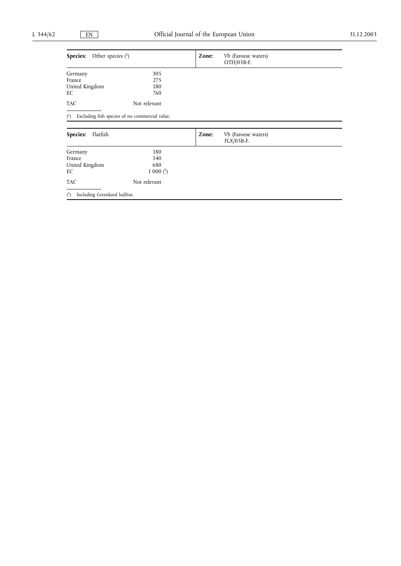| Other species $(1)$<br><b>Species:</b>         |                                                |       | Vb (Faroese waters)<br>OTH/05B-F.   |  |
|------------------------------------------------|------------------------------------------------|-------|-------------------------------------|--|
| Germany                                        | 305                                            |       |                                     |  |
| France                                         | 275                                            |       |                                     |  |
| United Kingdom                                 | 180                                            |       |                                     |  |
| EC                                             | 760                                            |       |                                     |  |
| <b>TAC</b>                                     | Not relevant                                   |       |                                     |  |
| $^{(1)}$                                       | Excluding fish species of no commercial value. |       |                                     |  |
| Flatfish<br>Species:                           |                                                | Zone: | Vb (Faroese waters)<br>$FLX/05B-F.$ |  |
| Germany                                        | 180                                            |       |                                     |  |
| France                                         | 140                                            |       |                                     |  |
| United Kingdom<br>680                          |                                                |       |                                     |  |
| EC                                             | $1000$ $(^1)$                                  |       |                                     |  |
| <b>TAC</b>                                     | Not relevant                                   |       |                                     |  |
| $\binom{1}{ }$<br>Including Greenland halibut. |                                                |       |                                     |  |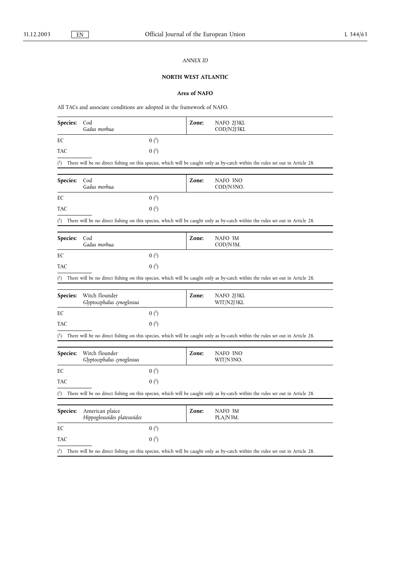## *ANNEX ID*

# **NORTH WEST ATLANTIC**

# **Area of NAFO**

All TACs and associate conditions are adopted in the framework of NAFO.

| Species:       | Cod<br>Gadus morhua                             |                  | Zone: | NAFO 2J3KL<br>COD/N2J3KL                                                                                                       |
|----------------|-------------------------------------------------|------------------|-------|--------------------------------------------------------------------------------------------------------------------------------|
| EС             |                                                 | $0(^1)$          |       |                                                                                                                                |
| TAC            |                                                 | $0(^{1})$        |       |                                                                                                                                |
| $^{\rm (1)}$   |                                                 |                  |       | There will be no direct fishing on this species, which will be caught only as by-catch within the rules set out in Article 28. |
| Species:       | Cod<br>Gadus morhua                             |                  | Zone: | NAFO 3NO<br>COD/N3NO.                                                                                                          |
| EС             |                                                 | 0 <sup>(1)</sup> |       |                                                                                                                                |
| TAC            |                                                 | $0(^{1})$        |       |                                                                                                                                |
| $\binom{1}{1}$ |                                                 |                  |       | There will be no direct fishing on this species, which will be caught only as by-catch within the rules set out in Article 28. |
| Species:       | Cod<br>Gadus morhua                             |                  | Zone: | NAFO 3M<br>COD/N3M.                                                                                                            |
| EС             |                                                 | $0(^{1})$        |       |                                                                                                                                |
| TAC            |                                                 | $0(^{1})$        |       |                                                                                                                                |
| $\binom{1}{1}$ |                                                 |                  |       | There will be no direct fishing on this species, which will be caught only as by-catch within the rules set out in Article 28. |
|                |                                                 |                  |       |                                                                                                                                |
| Species:       | Witch flounder<br>Glyptocephalus cynoglossus    |                  | Zone: | NAFO 2J3KL<br>WIT/N2J3KL                                                                                                       |
| EС             |                                                 | $0(^{1})$        |       |                                                                                                                                |
| TAC            |                                                 | $0(^{1})$        |       |                                                                                                                                |
| $^{\text{4}}$  |                                                 |                  |       | There will be no direct fishing on this species, which will be caught only as by-catch within the rules set out in Article 28. |
| Species:       | Witch flounder<br>Glyptocephalus cynoglossus    |                  | Zone: | NAFO 3NO<br>WIT/N3NO.                                                                                                          |
| EC             |                                                 | 0 <sup>(1)</sup> |       |                                                                                                                                |
| TAC            |                                                 | $0(^{1})$        |       |                                                                                                                                |
| $\binom{1}{1}$ |                                                 |                  |       | There will be no direct fishing on this species, which will be caught only as by-catch within the rules set out in Article 28. |
| Species:       | American plaice<br>Hippoglossoides platessoides |                  | Zone: | NAFO 3M<br>PLA/N3M.                                                                                                            |
| EС             |                                                 | $0(^{1})$        |       |                                                                                                                                |
| TAC            |                                                 | $0(^{1})$        |       |                                                                                                                                |
| $\binom{1}{ }$ |                                                 |                  |       | There will be no direct fishing on this species, which will be caught only as by-catch within the rules set out in Article 28. |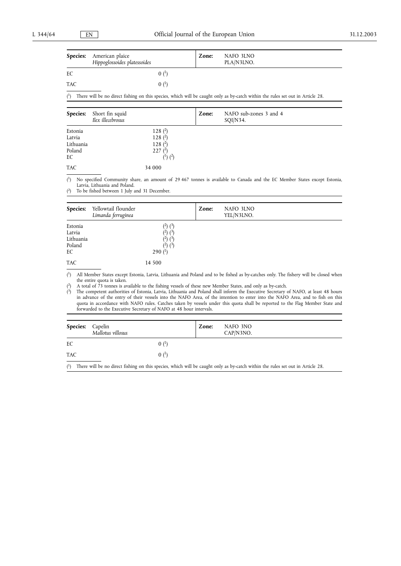|            | <b>Species:</b> American plaice<br>Hippoglossoides platessoides | Zone: | NAFO 3LNO<br>PLA/N3LNO. |  |
|------------|-----------------------------------------------------------------|-------|-------------------------|--|
| EC         | $0^{1}$                                                         |       |                         |  |
| <b>TAC</b> | $(0)$ $(1)$                                                     |       |                         |  |
|            |                                                                 |       |                         |  |

 $(1)$ 1) There will be no direct fishing on this species, which will be caught only as by-catch within the rules set out in Article 28.

| <b>Species:</b>                                | Short fin squid<br>Ilex illecebrosus |                                                                    | Zone: | NAFO sub-zones 3 and 4<br>SQI/N34. |
|------------------------------------------------|--------------------------------------|--------------------------------------------------------------------|-------|------------------------------------|
| Estonia<br>Latvia<br>Lithuania<br>Poland<br>EС |                                      | 128 $(2)$<br>128 $(2)$<br>128 $(2)$<br>$227$ $(^2)$<br>$(1)$ $(2)$ |       |                                    |
| <b>TAC</b>                                     |                                      | 34 000                                                             |       |                                    |

 $(^1)$ 1) No specified Community share, an amount of 29 467 tonnes is available to Canada and the EC Member States except Estonia, Latvia, Lithuania and Poland.

 $(2)$ To be fished between 1 July and 31 December.

| <b>Species:</b>                                | Yellowtail flounder<br>Limanda ferruginea                                                             | Zone: | NAFO 3LNO<br>YEL/N3LNO. |
|------------------------------------------------|-------------------------------------------------------------------------------------------------------|-------|-------------------------|
| Estonia<br>Latvia<br>Lithuania<br>Poland<br>EC | (3)<br>$\binom{2}{1}$<br>د)<br>(4)<br>$\mathcal{L}$<br>(4)<br>$(4)$ $(3)$<br>290 $($ <sup>1</sup> $)$ |       |                         |
| <b>TAC</b>                                     | 14 500                                                                                                |       |                         |

 $(^1)$ 1) All Member States except Estonia, Latvia, Lithuania and Poland and to be fished as by-catches only. The fishery will be closed when the entire quota is taken.

( 2) A total of 73 tonnes is available to the fishing vessels of these new Member States, and only as by-catch.

 $\binom{3}{2}$ 3) The competent authorities of Estonia, Latvia, Lithuania and Poland shall inform the Executive Secretary of NAFO, at least 48 hours in advance of the entry of their vessels into the NAFO Area, of the intention to enter into the NAFO Area, and to fish on this quota in accordance with NAFO rules. Catches taken by vessels under this quota shall be reported to the Flag Member State and forwarded to the Executive Secretary of NAFO at 48 hour intervals.

| Species:   | Capelin<br>Mallotus villosus                                                                                                   | Zone: | NAFO 3NO<br>CAP/N3NO. |
|------------|--------------------------------------------------------------------------------------------------------------------------------|-------|-----------------------|
| EC         | 0(1)                                                                                                                           |       |                       |
| <b>TAC</b> | $(0)$ $(1)$                                                                                                                    |       |                       |
| $^{(1)}$   | There will be no direct fishing on this species, which will be caught only as by-catch within the rules set out in Article 28. |       |                       |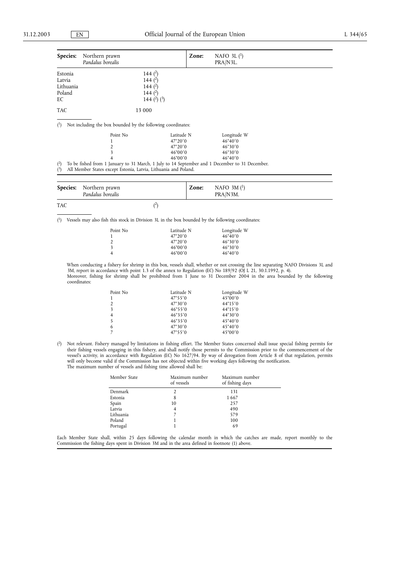| Species:                                 | Northern prawn<br>Pandalus borealis                                                                             | Zone:                                                                                      | NAFO 3L $(1)$<br>PRA/N3L.                                                 |  |
|------------------------------------------|-----------------------------------------------------------------------------------------------------------------|--------------------------------------------------------------------------------------------|---------------------------------------------------------------------------|--|
| Estonia<br>Latvia<br>Lithuania<br>Poland | 144 $(2)$<br>144 $(2)$<br>144 $(2)$<br>144 $(2)$                                                                |                                                                                            |                                                                           |  |
| EC                                       | 144 $(2)$ $(3)$                                                                                                 |                                                                                            |                                                                           |  |
| <b>TAC</b>                               | 13 000                                                                                                          |                                                                                            |                                                                           |  |
| $^{(1)}$                                 | Not including the box bounded by the following coordinates:                                                     |                                                                                            |                                                                           |  |
| $(^{2})$                                 | Point No<br>3<br>To be fished from 1 January to 31 March, 1 July to 14 September and 1 December to 31 December. | Latitude N<br>$47^{\circ}20'0$<br>$47^{\circ}20'0$<br>$46^{\circ}00'0$<br>$46^{\circ}00'0$ | Longitude W<br>$46^{\circ}40'0$<br>46°30'0<br>46°30'0<br>$46^{\circ}40'0$ |  |
| $(^{3})$                                 | All Member States except Estonia, Latvia, Lithuania and Poland.                                                 |                                                                                            |                                                                           |  |

|     | <b>Species:</b> Northern prawn<br>Pandalus borealis | Zone: | NAFO $3M(^{1})$<br>PRA/N3M. |
|-----|-----------------------------------------------------|-------|-----------------------------|
| TAC |                                                     |       |                             |

( 1) Vessels may also fish this stock in Division 3L in the box bounded by the following coordinates:

| Point No       | Latitude N       | Longitude W      |
|----------------|------------------|------------------|
|                | $47^{\circ}20'0$ | $46^{\circ}40'0$ |
| $\mathfrak{D}$ | $47^{\circ}20'0$ | 46°30'0          |
| 3              | $46^{\circ}00'0$ | 46°30'0          |
| 4              | $46^{\circ}00'0$ | $46^{\circ}40'0$ |

When conducting a fishery for shrimp in this box, vessels shall, whether or not crossing the line separating NAFO Divisions 3L and 3M, report in accordance with point 1.3 of the annex to Regulation (EC) No 189/92 (OJ L 21, 30.1.1992, p. 4). Moreover, fishing for shrimp shall be prohibited from 1 June to 31 December 2004 in the area bounded by the following coordinates:

| Point No       | Latitude N       | Longitude W      |
|----------------|------------------|------------------|
| $\mathbf{1}$   | 47°55'0          | $45^{\circ}00'0$ |
| 2              | $47^{\circ}30'0$ | $44^{\circ}15'0$ |
| 3              | $46^{\circ}55'0$ | $44^{\circ}15'0$ |
| $\overline{4}$ | $46^{\circ}35'0$ | $44^{\circ}30'0$ |
| -5             | $46^{\circ}35'0$ | $45^{\circ}40'0$ |
| 6              | $47^{\circ}30'0$ | $45^{\circ}40'0$ |
| $\overline{7}$ | $47^{\circ}55'0$ | $45^{\circ}00'0$ |
|                |                  |                  |

( 2) Not relevant. Fishery managed by limitations in fishing effort. The Member States concerned shall issue special fishing permits for their fishing vessels engaging in this fishery, and shall notify those permits to the Commission prior to the commencement of the vessel's activity, in accordance with Regulation (EC) No 1627/94. By way of derogation from Article 8 of that regulation, permits will only become valid if the Commission has not objected within five working days following the notification. The maximum number of vessels and fishing time allowed shall be:

| Member State | Maximum number<br>of vessels | Maximum number<br>of fishing days |
|--------------|------------------------------|-----------------------------------|
| Denmark      |                              | 131                               |
| Estonia      | 8                            | 1667                              |
| Spain        | 10                           | 257                               |
| Latvia       | 4                            | 490                               |
| Lithuania    |                              | 579                               |
| Poland       |                              | 100                               |
| Portugal     |                              | 69                                |

Each Member State shall, within 25 days following the calendar month in which the catches are made, report monthly to the Commission the fishing days spent in Division 3M and in the area defined in footnote (1) above.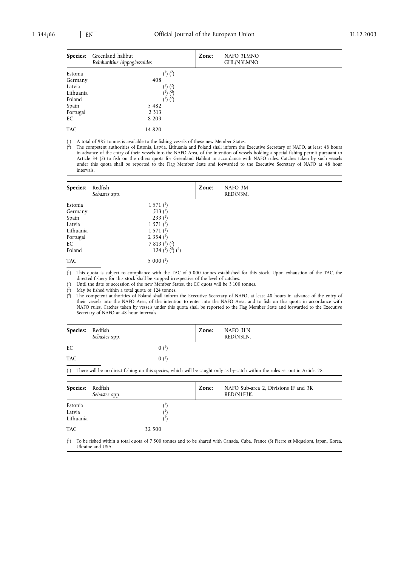| Species:   | Greenland halibut<br>Reinhardtius hippoglossoides | Zone: | NAFO 3LMNO<br>GHL/N3LMNO |
|------------|---------------------------------------------------|-------|--------------------------|
| Estonia    | $(^{1})$ $(^{2})$                                 |       |                          |
| Germany    | 408                                               |       |                          |
| Latvia     | $(^{1})$ $(^{2})$                                 |       |                          |
| Lithuania  | $(1)$ $(2)$                                       |       |                          |
| Poland     | $(1)$ $(2)$                                       |       |                          |
| Spain      | 5482                                              |       |                          |
| Portugal   | 2 3 1 3                                           |       |                          |
| EC         | 8 2 0 3                                           |       |                          |
| <b>TAC</b> | 14 8 20                                           |       |                          |

 $^{(1)}$ A total of 985 tonnes is available to the fishing vessels of these new Member States.

 $(2)$ 2) The competent authorities of Estonia, Latvia, Lithuania and Poland shall inform the Executive Secretary of NAFO, at least 48 hours in advance of the entry of their vessels into the NAFO Area, of the intention of vessels holding a special fishing permit pursuant to Article 34 (2) to fish on the others quota for Greenland Halibut in accordance with NAFO rules. Catches taken by such vessels under this quota shall be reported to the Flag Member State and forwarded to the Executive Secretary of NAFO at 48 hour intervals.

| Species:   | Redfish<br>Sebastes spp. |                                                  | Zone: | NAFO 3M<br>RED/N3M. |  |
|------------|--------------------------|--------------------------------------------------|-------|---------------------|--|
| Estonia    |                          | 1571 <sup>1</sup>                                |       |                     |  |
| Germany    |                          | 513 $($ <sup>1</sup> $)$                         |       |                     |  |
| Spain      |                          | 233 <sup>(1)</sup>                               |       |                     |  |
| Latvia     |                          | 1571 <sup>(1)</sup>                              |       |                     |  |
| Lithuania  |                          | 1571 <sup>(1)</sup>                              |       |                     |  |
| Portugal   |                          | 2 3 5 4 $($ <sup>1</sup> $)$                     |       |                     |  |
| EC         |                          | 7 8 1 3 $(1)$ $(2)$                              |       |                     |  |
| Poland     |                          | 124 $\binom{1}{2}$ $\binom{3}{2}$ $\binom{4}{1}$ |       |                     |  |
| <b>TAC</b> |                          | $5000(^1)$                                       |       |                     |  |

 $^{(1)}$ 1) This quota is subject to compliance with the TAC of 5 000 tonnes established for this stock. Upon exhaustion of the TAC, the directed fishery for this stock shall be stopped irrespective of the level of catches.

 $(2)$ 2) Until the date of accession of the new Member States, the EC quota will be 3 100 tonnes.

( May be fished within a total quota of 124 tonnes.

 $<sup>(4)</sup>$ </sup> The competent authorities of Poland shall inform the Executive Secretary of NAFO, at least 48 hours in advance of the entry of their vessels into the NAFO Area, of the intention to enter into the NAFO Area, and to fish on this quota in accordance with NAFO rules. Catches taken by vessels under this quota shall be reported to the Flag Member State and forwarded to the Executive Secretary of NAFO at 48 hour intervals.

| <b>Species:</b> | Redfish<br>Sebastes spp.                                                                                                       | Zone: | NAFO 3LN<br>RED/N3LN. |
|-----------------|--------------------------------------------------------------------------------------------------------------------------------|-------|-----------------------|
| EC              | $0^{1}$                                                                                                                        |       |                       |
| <b>TAC</b>      | $(0)$ $(1)$                                                                                                                    |       |                       |
| $^{(1)}$        | There will be no direct fishing on this species, which will be caught only as by-catch within the rules set out in Article 28. |       |                       |

| <b>Species:</b>                | Redfish<br>Sebastes spp. |         | Zone: | NAFO Sub-area 2, Divisions IF and 3K<br>RED/N1F3K. |
|--------------------------------|--------------------------|---------|-------|----------------------------------------------------|
| Estonia<br>Latvia<br>Lithuania |                          | Ψ<br>л, |       |                                                    |
| TAC.                           |                          | 32 500  |       |                                                    |

 $^{(1)}$ 1) To be fished within a total quota of 7 500 tonnes and to be shared with Canada, Cuba, France (St Pierre et Miquelon), Japan, Korea, Ukraine and USA.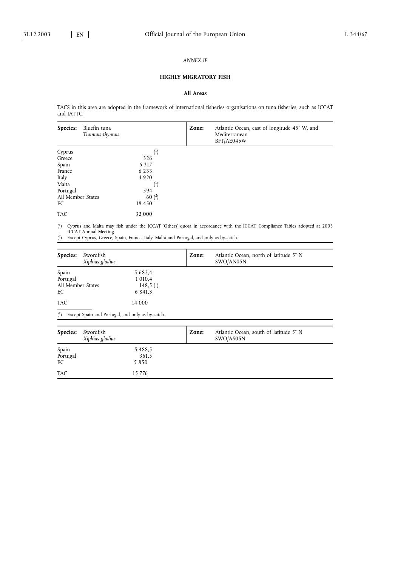### *ANNEX IE*

# **HIGHLY MIGRATORY FISH**

# **All Areas**

TACS in this area are adopted in the framework of international fisheries organisations on tuna fisheries, such as ICCAT and IATTC.

| Species:          | Bluefin tuna<br>Thunnus thynnus | Zone: | Atlantic Ocean, east of longitude 45° W, and<br>Mediterranean<br>BFT/AE045W |
|-------------------|---------------------------------|-------|-----------------------------------------------------------------------------|
| Cyprus            | $^{(1)}$                        |       |                                                                             |
| Greece            | 326                             |       |                                                                             |
| Spain             | 6 3 1 7                         |       |                                                                             |
| France            | 6 2 3 3                         |       |                                                                             |
| Italy             | 4 9 2 0                         |       |                                                                             |
| Malta             | $(\cdot)$                       |       |                                                                             |
| Portugal          | 594                             |       |                                                                             |
| All Member States | 60 $(2)$                        |       |                                                                             |
| EC                | 18 450                          |       |                                                                             |
| <b>TAC</b>        | 32 000                          |       |                                                                             |

 $(1)$ 1) Cyprus and Malta may fish under the ICCAT 'Others' quota in accordance with the ICCAT Compliance Tables adopted at 2003 ICCAT Annual Meeting. 2) Except Cyprus, Greece, Spain, France, Italy, Malta and Portugal, and only as by-catch.

 $(2)$ 

| Species:                                     | Swordfish<br>Xiphias gladius |                                                                        | Zone: | Atlantic Ocean, north of latitude 5° N<br>SWO/AN05N |
|----------------------------------------------|------------------------------|------------------------------------------------------------------------|-------|-----------------------------------------------------|
| Spain<br>Portugal<br>All Member States<br>EC |                              | 5 6 8 2, 4<br>1 0 1 0 , 4<br>148,5 $($ <sup>1</sup> $)$<br>6 8 4 1 , 3 |       |                                                     |
| <b>TAC</b>                                   |                              | 14 000                                                                 |       |                                                     |

( 1) Except Spain and Portugal, and only as by-catch.

| Species:          | Swordfish<br>Xiphias gladius | Zone: | Atlantic Ocean, south of latitude 5° N<br>SWO/AS05N |
|-------------------|------------------------------|-------|-----------------------------------------------------|
|                   | 5488.5                       |       |                                                     |
| Spain<br>Portugal | 361,5                        |       |                                                     |
| EC                | 5850                         |       |                                                     |
| <b>TAC</b>        | 15 7 7 6                     |       |                                                     |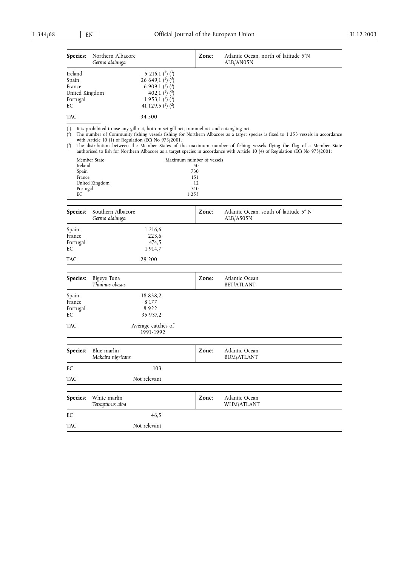|                              | Species:                      | Northern Albacore<br>Germo alalunga       |                                                                                                                                                                                                       | Zone:                           | Atlantic Ocean, north of latitude 5°N<br>ALB/ANO 5N                                                                                                                                                                                                                                                                                                                                          |
|------------------------------|-------------------------------|-------------------------------------------|-------------------------------------------------------------------------------------------------------------------------------------------------------------------------------------------------------|---------------------------------|----------------------------------------------------------------------------------------------------------------------------------------------------------------------------------------------------------------------------------------------------------------------------------------------------------------------------------------------------------------------------------------------|
| Spain<br>EС                  | Ireland<br>France<br>Portugal | United Kingdom                            | 5 216,1 $(^{1})$ $(^{3})$<br>26 649,1 $\binom{1}{2}$ $\binom{3}{2}$<br>6 909,1 $\binom{1}{2}$ $\binom{3}{2}$<br>402,1 $\binom{1}{2}$ $\binom{3}{2}$<br>1 9 5 3, 1 $(1)$ $(3)$<br>41 129,5 $(1)$ $(2)$ |                                 |                                                                                                                                                                                                                                                                                                                                                                                              |
| TAC                          |                               |                                           | 34 500                                                                                                                                                                                                |                                 |                                                                                                                                                                                                                                                                                                                                                                                              |
| $\binom{1}{ }$<br>(2)<br>(2) |                               |                                           | It is prohibited to use any gill net, bottom set gill net, trammel net and entangling net.<br>with Article 10 (1) of Regulation (EC) No 973/2001.                                                     |                                 | The number of Community fishing vessels fishing for Northern Albacore as a target species is fixed to 1 253 vessels in accordance<br>The distribution between the Member States of the maximum number of fishing vessels flying the flag of a Member State<br>authorised to fish for Northern Albacore as a target species in accordance with Article 10 (4) of Regulation (EC) No 973/2001: |
|                              | Ireland                       | Member State                              |                                                                                                                                                                                                       | Maximum number of vessels<br>50 |                                                                                                                                                                                                                                                                                                                                                                                              |
|                              | Spain                         |                                           |                                                                                                                                                                                                       | 730                             |                                                                                                                                                                                                                                                                                                                                                                                              |
|                              | France                        | United Kingdom                            |                                                                                                                                                                                                       | 151<br>12                       |                                                                                                                                                                                                                                                                                                                                                                                              |
|                              | Portugal<br>EC                |                                           |                                                                                                                                                                                                       | 310<br>1253                     |                                                                                                                                                                                                                                                                                                                                                                                              |
|                              |                               |                                           |                                                                                                                                                                                                       |                                 |                                                                                                                                                                                                                                                                                                                                                                                              |
|                              | Species:                      | Southern Albacore<br>Germo alalunga       |                                                                                                                                                                                                       | Zone:                           | Atlantic Ocean, south of latitude 5° N<br>ALB/AS05N                                                                                                                                                                                                                                                                                                                                          |
| Spain<br>EС                  | France<br>Portugal            |                                           | 1 216,6<br>223,6<br>474,5<br>1914,7                                                                                                                                                                   |                                 |                                                                                                                                                                                                                                                                                                                                                                                              |
| TAC                          |                               |                                           | 29 200                                                                                                                                                                                                |                                 |                                                                                                                                                                                                                                                                                                                                                                                              |
|                              | Species:                      | Bigeye Tuna<br>Thunnus obesus             |                                                                                                                                                                                                       | Zone:                           | Atlantic Ocean<br>BET/ATLANT                                                                                                                                                                                                                                                                                                                                                                 |
| Spain<br>EC                  | France<br>Portugal            |                                           | 18 8 3 8, 2<br>8 177<br>8922<br>35 937,2                                                                                                                                                              |                                 |                                                                                                                                                                                                                                                                                                                                                                                              |
| TAC                          |                               |                                           | Average catches of<br>1991-1992                                                                                                                                                                       |                                 |                                                                                                                                                                                                                                                                                                                                                                                              |
|                              |                               | Species: Blue marlin<br>Makaira nigricans |                                                                                                                                                                                                       | Zone:                           | Atlantic Ocean<br><b>BUM/ATLANT</b>                                                                                                                                                                                                                                                                                                                                                          |
| EC                           |                               |                                           | 103                                                                                                                                                                                                   |                                 |                                                                                                                                                                                                                                                                                                                                                                                              |
| <b>TAC</b>                   |                               |                                           | Not relevant                                                                                                                                                                                          |                                 |                                                                                                                                                                                                                                                                                                                                                                                              |
|                              | Species:                      | White marlin<br>Tetrapturus alba          |                                                                                                                                                                                                       | Zone:                           | Atlantic Ocean<br>WHM/ATLANT                                                                                                                                                                                                                                                                                                                                                                 |
| EC                           |                               |                                           | 46,5                                                                                                                                                                                                  |                                 |                                                                                                                                                                                                                                                                                                                                                                                              |
| <b>TAC</b>                   |                               |                                           | Not relevant                                                                                                                                                                                          |                                 |                                                                                                                                                                                                                                                                                                                                                                                              |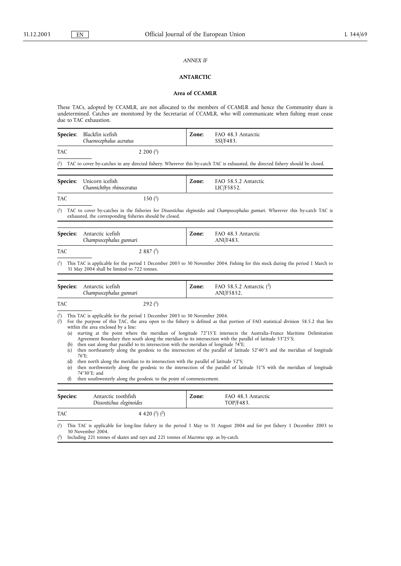### *ANNEX IF*

## **ANTARCTIC**

## **Area of CCAMLR**

These TACs, adopted by CCAMLR, are not allocated to the members of CCAMLR and hence the Community share is undetermined. Catches are monitored by the Secretariat of CCAMLR, who will communicate when fishing must cease due to TAC exhaustion.

| Species:                                             | Blackfin icefish<br>Chaenocephalus aceratus                                                                                                                                                                                                                                                                                                                                                                                                                                                                                                | Zone: | FAO 48.3 Antarctic<br>SSI/F483.                                                                                                                                                                                                                                                                                                                                                                                                                                                                                      |
|------------------------------------------------------|--------------------------------------------------------------------------------------------------------------------------------------------------------------------------------------------------------------------------------------------------------------------------------------------------------------------------------------------------------------------------------------------------------------------------------------------------------------------------------------------------------------------------------------------|-------|----------------------------------------------------------------------------------------------------------------------------------------------------------------------------------------------------------------------------------------------------------------------------------------------------------------------------------------------------------------------------------------------------------------------------------------------------------------------------------------------------------------------|
| TAC                                                  | 2 200 $($ <sup>1</sup> $)$                                                                                                                                                                                                                                                                                                                                                                                                                                                                                                                 |       |                                                                                                                                                                                                                                                                                                                                                                                                                                                                                                                      |
| $^{(1)}$                                             |                                                                                                                                                                                                                                                                                                                                                                                                                                                                                                                                            |       | TAC to cover by-catches in any directed fishery. Wherever this by-catch TAC is exhausted, the directed fishery should be closed.                                                                                                                                                                                                                                                                                                                                                                                     |
| Species:                                             | Unicorn icefish<br>Channichthys rhinoceratus                                                                                                                                                                                                                                                                                                                                                                                                                                                                                               | Zone: | FAO 58.5.2 Antarctic<br>LIC/F5852.                                                                                                                                                                                                                                                                                                                                                                                                                                                                                   |
| TAC                                                  | 150 $(1)$                                                                                                                                                                                                                                                                                                                                                                                                                                                                                                                                  |       |                                                                                                                                                                                                                                                                                                                                                                                                                                                                                                                      |
| $\binom{1}{1}$                                       | exhausted, the corresponding fisheries should be closed.                                                                                                                                                                                                                                                                                                                                                                                                                                                                                   |       | TAC to cover by-catches in the fisheries for Dissostichus eleginoides and Champsocephalus gunnari. Wherever this by-catch TAC is                                                                                                                                                                                                                                                                                                                                                                                     |
| Species:                                             | Antarctic icefish<br>Champsocephalus gunnari                                                                                                                                                                                                                                                                                                                                                                                                                                                                                               | Zone: | FAO 48.3 Antarctic<br>ANI/F483.                                                                                                                                                                                                                                                                                                                                                                                                                                                                                      |
| <b>TAC</b>                                           | 2 8 8 7 $(1)$                                                                                                                                                                                                                                                                                                                                                                                                                                                                                                                              |       |                                                                                                                                                                                                                                                                                                                                                                                                                                                                                                                      |
| $^{(1)}$                                             | 31 May 2004 shall be limited to 722 tonnes.                                                                                                                                                                                                                                                                                                                                                                                                                                                                                                |       | This TAC is applicable for the period 1 December 2003 to 30 November 2004. Fishing for this stock during the period 1 March to                                                                                                                                                                                                                                                                                                                                                                                       |
| Species:                                             | Antarctic icefish<br>Champsocephalus gunnari                                                                                                                                                                                                                                                                                                                                                                                                                                                                                               | Zone: | FAO 58.5.2 Antarctic $(2)$<br>ANI/F5852.                                                                                                                                                                                                                                                                                                                                                                                                                                                                             |
| <b>TAC</b>                                           | 292 <sup>(1)</sup>                                                                                                                                                                                                                                                                                                                                                                                                                                                                                                                         |       |                                                                                                                                                                                                                                                                                                                                                                                                                                                                                                                      |
| (1)<br>(2)<br>(a)<br>(b)<br>(c)<br>(d)<br>(e)<br>(f) | This TAC is applicable for the period 1 December 2003 to 30 November 2004.<br>within the area enclosed by a line:<br>Agreement Boundary then south along the meridian to its intersection with the parallel of latitude 53°25′S;<br>then east along that parallel to its intersection with the meridian of longitude 74°E;<br>$76^{\circ}$ E:<br>then north along the meridian to its intersection with the parallel of latitude $52\textdegree$ S;<br>74°30'E; and<br>then southwesterly along the geodesic to the point of commencement. |       | For the purpose of this TAC, the area open to the fishery is defined as that portion of FAO statistical division 58.5.2 that lies<br>starting at the point where the meridian of longitude 72°15'E intersects the Australia-France Maritime Delimitation<br>then northeasterly along the geodesic to the intersection of the parallel of latitude 52°40'S and the meridian of longitude<br>then northwesterly along the geodesic to the intersection of the parallel of latitude 51°S with the meridian of longitude |
| Species:                                             | Antarctic toothfish<br>Dissostichus eleginoides                                                                                                                                                                                                                                                                                                                                                                                                                                                                                            | Zone: | FAO 48.3 Antarctic<br>TOP/F483.                                                                                                                                                                                                                                                                                                                                                                                                                                                                                      |
| TAC                                                  | 4 4 20 $(^{1})$ $(^{2})$                                                                                                                                                                                                                                                                                                                                                                                                                                                                                                                   |       |                                                                                                                                                                                                                                                                                                                                                                                                                                                                                                                      |
| $^{(1)}$                                             | 30 November 2004.                                                                                                                                                                                                                                                                                                                                                                                                                                                                                                                          |       | This TAC is applicable for long-line fishery in the period 1 May to 31 August 2004 and for pot fishery 1 December 2003 to                                                                                                                                                                                                                                                                                                                                                                                            |

 $(2)$ 2) Including 221 tonnes of skates and rays and 221 tonnes of *Macrorus* spp. as by-catch.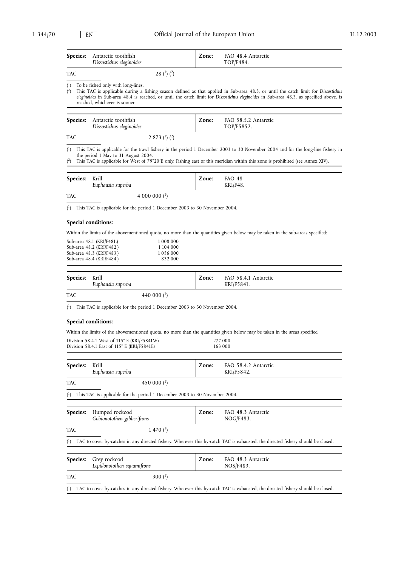| Species:                         | Antarctic toothfish<br>Dissostichus eleginoides                                                                                                                 | Zone:   | FAO 48.4 Antarctic<br>TOP/F484.                                                                                                                                                                                                                                               |  |
|----------------------------------|-----------------------------------------------------------------------------------------------------------------------------------------------------------------|---------|-------------------------------------------------------------------------------------------------------------------------------------------------------------------------------------------------------------------------------------------------------------------------------|--|
| TAC                              | 28 $(^{1})$ $(^{2})$                                                                                                                                            |         |                                                                                                                                                                                                                                                                               |  |
| $\binom{1}{ }$<br>$\binom{2}{ }$ | To be fished only with long-lines.<br>reached, whichever is sooner.                                                                                             |         | This TAC is applicable during a fishing season defined as that applied in Sub-area 48.3, or until the catch limit for Dissostichus<br>eleginoides in Sub-area 48.4 is reached, or until the catch limit for Dissostichus eleginoides in Sub-area 48.3, as specified above, is |  |
| Species:                         | Antarctic toothfish<br>Dissostichus eleginoides                                                                                                                 | Zone:   | FAO 58.5.2 Antarctic<br>TOP/F5852.                                                                                                                                                                                                                                            |  |
| TAC                              | 2 873 ( <sup>1</sup> ) ( <sup>2</sup> )                                                                                                                         |         |                                                                                                                                                                                                                                                                               |  |
| $\binom{1}{1}$<br>$\binom{2}{3}$ | the period 1 May to 31 August 2004.                                                                                                                             |         | This TAC is applicable for the trawl fishery in the period 1 December 2003 to 30 November 2004 and for the long-line fishery in<br>This TAC is applicable for West of 79°20'E only. Fishing east of this meridian within this zone is prohibited (see Annex XIV).             |  |
| Species:                         | Krill<br>Euphausia superba                                                                                                                                      | Zone:   | FAO 48<br>KRI/F48.                                                                                                                                                                                                                                                            |  |
| TAC                              | 4 000 000 $(^1)$                                                                                                                                                |         |                                                                                                                                                                                                                                                                               |  |
|                                  | $\binom{1}{1}$ This TAC is applicable for the period 1 December 2003 to 30 November 2004.                                                                       |         |                                                                                                                                                                                                                                                                               |  |
|                                  | Special conditions:                                                                                                                                             |         |                                                                                                                                                                                                                                                                               |  |
|                                  |                                                                                                                                                                 |         | Within the limits of the abovementioned quota, no more than the quantities given below may be taken in the sub-areas specified:                                                                                                                                               |  |
|                                  | Sub-area 48.1 (KRI/F481.)<br>1008 000<br>Sub-area 48.2 (KRI/F482.)<br>1 104 000<br>Sub-area 48.3 (KRI/F483.)<br>1056000<br>832 000<br>Sub-area 48.4 (KRI/F484.) |         |                                                                                                                                                                                                                                                                               |  |
| Species:                         | Krill<br>Euphausia superba                                                                                                                                      | Zone:   | FAO 58.4.1 Antarctic<br>KRI/F5841.                                                                                                                                                                                                                                            |  |
| TAC                              | 440 000 $(^1)$                                                                                                                                                  |         |                                                                                                                                                                                                                                                                               |  |
| $^{\binom{1}{2}}$                | This TAC is applicable for the period 1 December 2003 to 30 November 2004.                                                                                      |         |                                                                                                                                                                                                                                                                               |  |
|                                  | Special conditions:                                                                                                                                             |         |                                                                                                                                                                                                                                                                               |  |
|                                  | Within the limits of the abovementioned quota, no more than the quantities given below may be taken in the areas specified                                      |         |                                                                                                                                                                                                                                                                               |  |
|                                  | Division 58.4.1 West of $115^{\circ}$ E (KRI/F5841W)                                                                                                            | 277 000 |                                                                                                                                                                                                                                                                               |  |
|                                  | Division 58.4.1 East of 115° E (KRI/F5841E)                                                                                                                     |         | 163 000                                                                                                                                                                                                                                                                       |  |
| Species:                         | Krill<br>Euphausia superba                                                                                                                                      | Zone:   | FAO 58.4.2 Antarctic<br>KRI/F5842.                                                                                                                                                                                                                                            |  |
| TAC                              | 450 000 $(^1)$                                                                                                                                                  |         |                                                                                                                                                                                                                                                                               |  |
| $^{\rm (1)}$                     | This TAC is applicable for the period 1 December 2003 to 30 November 2004.                                                                                      |         |                                                                                                                                                                                                                                                                               |  |
| Species:                         | Humped rockcod                                                                                                                                                  | Zone:   | FAO 48.3 Antarctic                                                                                                                                                                                                                                                            |  |
|                                  | Gobionotothen gibberifrons                                                                                                                                      |         | NOG/F483.                                                                                                                                                                                                                                                                     |  |
| TAC                              | 1 470 $($ <sup>1</sup> $)$                                                                                                                                      |         |                                                                                                                                                                                                                                                                               |  |
| $\binom{1}{1}$                   |                                                                                                                                                                 |         | TAC to cover by-catches in any directed fishery. Wherever this by-catch TAC is exhausted, the directed fishery should be closed.                                                                                                                                              |  |
| Species:                         | Grey rockcod<br>Lepidonotothen squamifrons                                                                                                                      | Zone:   | FAO 48.3 Antarctic<br>NOS/F483.                                                                                                                                                                                                                                               |  |
| TAC                              | 300 $(1)$                                                                                                                                                       |         |                                                                                                                                                                                                                                                                               |  |
| $\binom{1}{1}$                   |                                                                                                                                                                 |         | TAC to cover by-catches in any directed fishery. Wherever this by-catch TAC is exhausted, the directed fishery should be closed.                                                                                                                                              |  |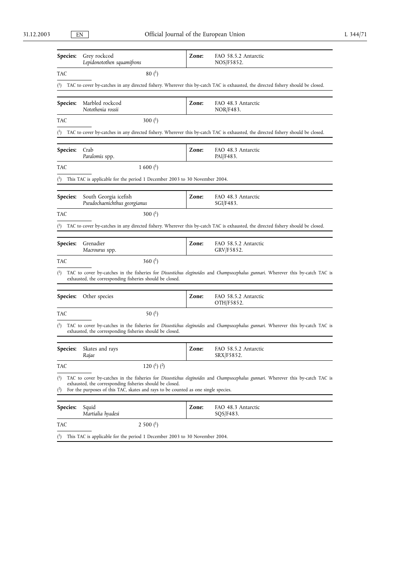| Species:                           | Grey rockcod<br>Lepidonotothen squamifrons                                                                                                     | Zone: | FAO 58.5.2 Antarctic<br>NOS/F5852.                                                                                               |
|------------------------------------|------------------------------------------------------------------------------------------------------------------------------------------------|-------|----------------------------------------------------------------------------------------------------------------------------------|
| TAC                                | $80{1}$                                                                                                                                        |       |                                                                                                                                  |
| $^{\rm ^{\scriptscriptstyle (1)}}$ |                                                                                                                                                |       | TAC to cover by-catches in any directed fishery. Wherever this by-catch TAC is exhausted, the directed fishery should be closed. |
|                                    |                                                                                                                                                |       |                                                                                                                                  |
| Species:                           | Marbled rockcod<br>Notothenia rossii                                                                                                           | Zone: | FAO 48.3 Antarctic<br>NOR/F483.                                                                                                  |
| TAC                                | 300 $($ <sup>1</sup> $)$                                                                                                                       |       |                                                                                                                                  |
|                                    |                                                                                                                                                |       | TAC to cover by-catches in any directed fishery. Wherever this by-catch TAC is exhausted, the directed fishery should be closed. |
| <b>Species:</b>                    | Crab<br>Paralomis spp.                                                                                                                         | Zone: | FAO 48.3 Antarctic<br>PAI/F483.                                                                                                  |
| TAC                                | $1600{1}$                                                                                                                                      |       |                                                                                                                                  |
|                                    | This TAC is applicable for the period 1 December 2003 to 30 November 2004.                                                                     |       |                                                                                                                                  |
| Species:                           | South Georgia icefish<br>Pseudochaenichthus georgianus                                                                                         | Zone: | FAO 48.3 Antarctic<br>SGI/F483.                                                                                                  |
| TAC                                | 300 $($ <sup>1</sup> $)$                                                                                                                       |       |                                                                                                                                  |
|                                    |                                                                                                                                                |       | TAC to cover by-catches in any directed fishery. Wherever this by-catch TAC is exhausted, the directed fishery should be closed. |
|                                    |                                                                                                                                                |       |                                                                                                                                  |
| Species:                           | Grenadier<br>Macrourus spp.                                                                                                                    | Zone: | FAO 58.5.2 Antarctic<br>GRV/F5852.                                                                                               |
| TAC                                | 360 $($ <sup>1</sup> $)$                                                                                                                       |       |                                                                                                                                  |
| (1)                                | exhausted, the corresponding fisheries should be closed.                                                                                       |       | TAC to cover by-catches in the fisheries for Dissostichus eleginoides and Champsocephalus gunnari. Wherever this by-catch TAC is |
| Species:                           | Other species                                                                                                                                  | Zone: | FAO 58.5.2 Antarctic<br>OTH/F5852.                                                                                               |
| TAC                                | 50 $($ <sup>1</sup> $)$                                                                                                                        |       |                                                                                                                                  |
| (1)                                | exhausted, the corresponding fisheries should be closed.                                                                                       |       | TAC to cover by-catches in the fisheries for Dissostichus eleginoides and Champsocephalus gunnari. Wherever this by-catch TAC is |
|                                    | Species: Skates and rays<br>Rajae                                                                                                              | Zone: | FAO 58.5.2 Antarctic<br>SRX/F5852.                                                                                               |
| TAC                                | 120 $(^1)$ $(^2)$                                                                                                                              |       |                                                                                                                                  |
| $^{\rm (1)}$<br>$4$                | exhausted, the corresponding fisheries should be closed.<br>For the purposes of this TAC, skates and rays to be counted as one single species. |       | TAC to cover by-catches in the fisheries for Dissostichus eleginoides and Champsocephalus gunnari. Wherever this by-catch TAC is |
| <b>Species:</b>                    | Squid<br>Martialia hyadesi                                                                                                                     | Zone: | FAO 48.3 Antarctic<br>SQS/F483.                                                                                                  |
| TAC                                | 2500 <sup>(1)</sup>                                                                                                                            |       |                                                                                                                                  |

( 1) This TAC is applicable for the period 1 December 2003 to 30 November 2004.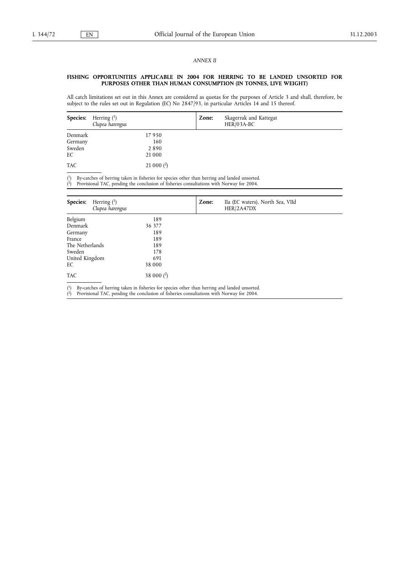### *ANNEX II*

### **FISHING OPPORTUNITIES APPLICABLE IN 2004 FOR HERRING TO BE LANDED UNSORTED FOR PURPOSES OTHER THAN HUMAN CONSUMPTION (IN TONNES, LIVE WEIGHT)**

All catch limitations set out in this Annex are considered as quotas for the purposes of Article 3 and shall, therefore, be subject to the rules set out in Regulation (EC) No 2847/93, in particular Articles 14 and 15 thereof.

| <b>Species:</b> | Herring $(1)$<br>Clupea harengus | Zone: | Skagerrak and Kattegat<br>$HER/03A-BC$ |  |
|-----------------|----------------------------------|-------|----------------------------------------|--|
| Denmark         | 17950                            |       |                                        |  |
| Germany         | 160                              |       |                                        |  |
| Sweden          | 2890                             |       |                                        |  |
| EC              | 21 000                           |       |                                        |  |
| <b>TAC</b>      | 21 000 $(2)$                     |       |                                        |  |

( <sup>1</sup>) By-catches of herring taken in fisheries for species other than herring and landed unsorted.

( 2) Provisional TAC, pending the conclusion of fisheries consultations with Norway for 2004.

| Herring $(1)$<br>Species:<br>Clupea harengus |              | Zone: | IIa (EC waters), North Sea, VIId<br>HER/2A47DX |
|----------------------------------------------|--------------|-------|------------------------------------------------|
| Belgium                                      | 189          |       |                                                |
| Denmark                                      | 36 377       |       |                                                |
| Germany                                      | 189          |       |                                                |
| France                                       | 189          |       |                                                |
| The Netherlands                              | 189          |       |                                                |
| Sweden                                       | 178          |       |                                                |
| United Kingdom                               | 691          |       |                                                |
| EC                                           | 38 000       |       |                                                |
| <b>TAC</b>                                   | 38 000 $(2)$ |       |                                                |

 $\binom{1}{ }$ <sup>1</sup>) By-catches of herring taken in fisheries for species other than herring and landed unsorted.

 $(2)$ 2) Provisional TAC, pending the conclusion of fisheries consultations with Norway for 2004.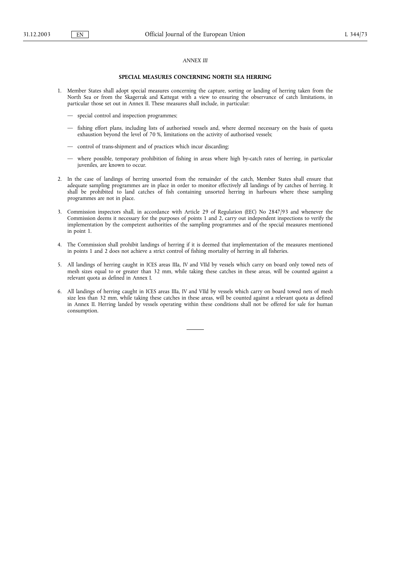#### *ANNEX III*

### **SPECIAL MEASURES CONCERNING NORTH SEA HERRING**

- 1. Member States shall adopt special measures concerning the capture, sorting or landing of herring taken from the North Sea or from the Skagerrak and Kattegat with a view to ensuring the observance of catch limitations, in particular those set out in Annex II. These measures shall include, in particular:
	- special control and inspection programmes;
	- fishing effort plans, including lists of authorised vessels and, where deemed necessary on the basis of quota exhaustion beyond the level of 70 %, limitations on the activity of authorised vessels;
	- control of trans-shipment and of practices which incur discarding;
	- where possible, temporary prohibition of fishing in areas where high by-catch rates of herring, in particular juveniles, are known to occur.
- 2. In the case of landings of herring unsorted from the remainder of the catch, Member States shall ensure that adequate sampling programmes are in place in order to monitor effectively all landings of by catches of herring. It shall be prohibited to land catches of fish containing unsorted herring in harbours where these sampling programmes are not in place.
- 3. Commission inspectors shall, in accordance with Article 29 of Regulation (EEC) No 2847/93 and whenever the Commission deems it necessary for the purposes of points 1 and 2, carry out independent inspections to verify the implementation by the competent authorities of the sampling programmes and of the special measures mentioned in point 1.
- 4. The Commission shall prohibit landings of herring if it is deemed that implementation of the measures mentioned in points 1 and 2 does not achieve a strict control of fishing mortality of herring in all fisheries.
- 5. All landings of herring caught in ICES areas IIIa, IV and VIId by vessels which carry on board only towed nets of mesh sizes equal to or greater than 32 mm, while taking these catches in these areas, will be counted against a relevant quota as defined in Annex I.
- 6. All landings of herring caught in ICES areas IIIa, IV and VIId by vessels which carry on board towed nets of mesh size less than 32 mm, while taking these catches in these areas, will be counted against a relevant quota as defined in Annex II. Herring landed by vessels operating within these conditions shall not be offered for sale for human consumption.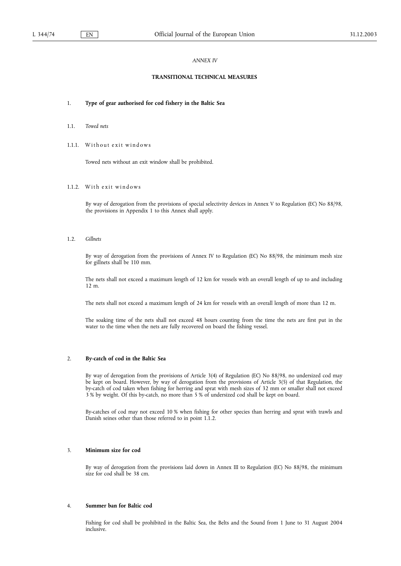### *ANNEX IV*

### **TRANSITIONAL TECHNICAL MEASURES**

#### 1. **Type of gear authorised for cod fishery in the Baltic Sea**

- 1.1. *Towed nets*
- 1.1.1. Without exit windows

Towed nets without an exit window shall be prohibited.

1.1.2. With exit windows

By way of derogation from the provisions of special selectivity devices in Annex V to Regulation (EC) No 88/98, the provisions in Appendix 1 to this Annex shall apply.

1.2. *Gillnets*

By way of derogation from the provisions of Annex IV to Regulation (EC) No 88/98, the minimum mesh size for gillnets shall be 110 mm.

The nets shall not exceed a maximum length of 12 km for vessels with an overall length of up to and including 12 m.

The nets shall not exceed a maximum length of 24 km for vessels with an overall length of more than 12 m.

The soaking time of the nets shall not exceed 48 hours counting from the time the nets are first put in the water to the time when the nets are fully recovered on board the fishing vessel.

## 2. **By-catch of cod in the Baltic Sea**

By way of derogation from the provisions of Article 3(4) of Regulation (EC) No 88/98, no undersized cod may be kept on board. However, by way of derogation from the provisions of Article 3(5) of that Regulation, the by-catch of cod taken when fishing for herring and sprat with mesh sizes of 32 mm or smaller shall not exceed 3 % by weight. Of this by-catch, no more than 5 % of undersized cod shall be kept on board.

By-catches of cod may not exceed 10 % when fishing for other species than herring and sprat with trawls and Danish seines other than those referred to in point 1.1.2.

### 3. **Minimum size for cod**

By way of derogation from the provisions laid down in Annex III to Regulation (EC) No 88/98, the minimum size for cod shall be 38 cm.

## 4. **Summer ban for Baltic cod**

Fishing for cod shall be prohibited in the Baltic Sea, the Belts and the Sound from 1 June to 31 August 2004 inclusive.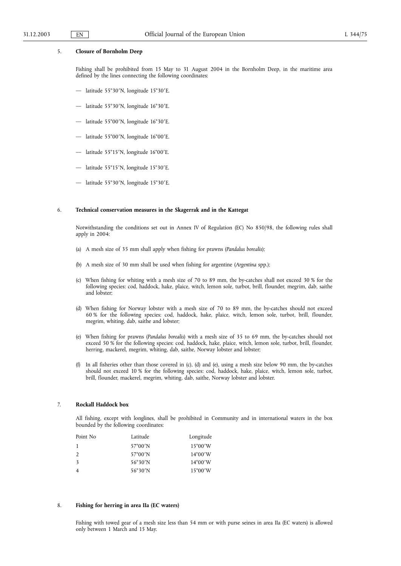### 5. **Closure of Bornholm Deep**

Fishing shall be prohibited from 15 May to 31 August 2004 in the Bornholm Deep, in the maritime area defined by the lines connecting the following coordinates:

- latitude 55°30'N, longitude 15°30'E.
- latitude 55°30'N, longitude 16°30'E.
- latitude 55°00¡N, longitude 16°30¡E.
- latitude 55°00¡N, longitude 16°00¡E.
- latitude 55°15¡N, longitude 16°00¡E.
- latitude 55°15¡N, longitude 15°30¡E.
- latitude 55°30'N, longitude 15°30'E.

### 6. **Technical conservation measures in the Skagerrak and in the Kattegat**

Notwithstanding the conditions set out in Annex IV of Regulation (EC) No 850/98, the following rules shall apply in 2004:

- (a) A mesh size of 35 mm shall apply when fishing for prawns (*Pandalus borealis*);
- (b) A mesh size of 30 mm shall be used when fishing for argentine (*Argentina* spp.);
- (c) When fishing for whiting with a mesh size of 70 to 89 mm, the by-catches shall not exceed 30 % for the following species: cod, haddock, hake, plaice, witch, lemon sole, turbot, brill, flounder, megrim, dab, saithe and lobster<sup>:</sup>
- (d) When fishing for Norway lobster with a mesh size of 70 to 89 mm, the by-catches should not exceed 60 % for the following species: cod, haddock, hake, plaice, witch, lemon sole, turbot, brill, flounder, megrim, whiting, dab, saithe and lobster;
- (e) When fishing for prawns (*Pandalus borealis*) with a mesh size of 35 to 69 mm, the by-catches should not exceed 50 % for the following species: cod, haddock, hake, plaice, witch, lemon sole, turbot, brill, flounder, herring, mackerel, megrim, whiting, dab, saithe, Norway lobster and lobster;
- (f) In all fisheries other than those covered in (c), (d) and (e), using a mesh size below 90 mm, the by-catches should not exceed 10 % for the following species: cod, haddock, hake, plaice, witch, lemon sole, turbot, brill, flounder, mackerel, megrim, whiting, dab, saithe, Norway lobster and lobster.

#### 7. **Rockall Haddock box**

All fishing, except with longlines, shall be prohibited in Community and in international waters in the box bounded by the following coordinates:

| Point No      | Latitude          | Longitude         |
|---------------|-------------------|-------------------|
|               | $57^{\circ}00'$ N | $15^{\circ}00'$ W |
| $\mathcal{P}$ | $57^{\circ}00'$ N | $14^{\circ}00'$ W |
| $\mathbf{3}$  | $56°30'$ N        | $14^{\circ}00'$ W |
|               | $56°30'$ N        | $15^{\circ}00'$ W |
|               |                   |                   |

### 8. **Fishing for herring in area IIa (EC waters)**

Fishing with towed gear of a mesh size less than 54 mm or with purse seines in area IIa (EC waters) is allowed only between 1 March and 15 May.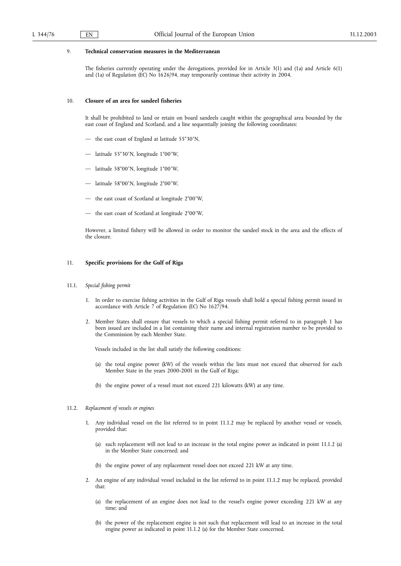## 9. **Technical conservation measures in the Mediterranean**

The fisheries currently operating under the derogations, provided for in Article 3(1) and (1a) and Article 6(1) and (1a) of Regulation (EC) No 1626/94, may temporarily continue their activity in 2004.

### 10. **Closure of an area for sandeel fisheries**

It shall be prohibited to land or retain on board sandeels caught within the geographical area bounded by the east coast of England and Scotland, and a line sequentially joining the following coordinates:

- the east coast of England at latitude 55°30'N,
- latitude 55°30¡N, longitude 1°00¡W,
- latitude 58°00¡N, longitude 1°00¡W,
- latitude 58°00¡N, longitude 2°00¡W,
- the east coast of Scotland at longitude 2°00'W,
- the east coast of Scotland at longitude 2°00'W,

However, a limited fishery will be allowed in order to monitor the sandeel stock in the area and the effects of the closure.

## 11. **Specific provisions for the Gulf of Riga**

### 11.1. *Special fishing permit*

- 1. In order to exercise fishing activities in the Gulf of Riga vessels shall hold a special fishing permit issued in accordance with Article 7 of Regulation (EC) No 1627/94.
- 2. Member States shall ensure that vessels to which a special fishing permit referred to in paragraph 1 has been issued are included in a list containing their name and internal registration number to be provided to the Commission by each Member State.

Vessels included in the list shall satisfy the following conditions:

- (a) the total engine power (kW) of the vessels within the lists must not exceed that observed for each Member State in the years 2000-2001 in the Gulf of Riga;
- (b) the engine power of a vessel must not exceed 221 kilowatts (kW) at any time.

### 11.2. *Replacement of vessels or engines*

- 1. Any individual vessel on the list referred to in point 11.1.2 may be replaced by another vessel or vessels, provided that:
	- (a) such replacement will not lead to an increase in the total engine power as indicated in point 11.1.2 (a) in the Member State concerned; and
	- (b) the engine power of any replacement vessel does not exceed 221 kW at any time.
- 2. An engine of any individual vessel included in the list referred to in point 11.1.2 may be replaced, provided that:
	- (a) the replacement of an engine does not lead to the vessel's engine power exceeding 221 kW at any time; and
	- (b) the power of the replacement engine is not such that replacement will lead to an increase in the total engine power as indicated in point 11.1.2 (a) for the Member State concerned.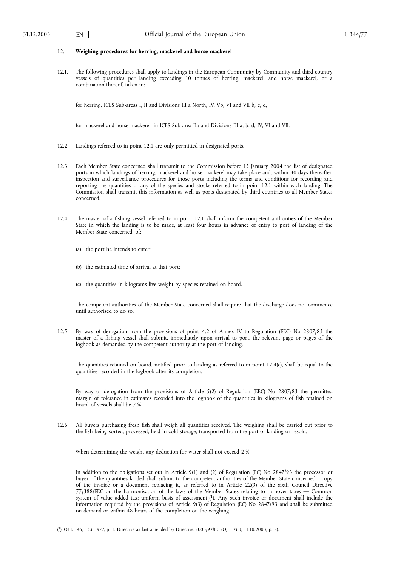### 12. **Weighing procedures for herring, mackerel and horse mackerel**

12.1. The following procedures shall apply to landings in the European Community by Community and third country vessels of quantities per landing exceeding 10 tonnes of herring, mackerel, and horse mackerel, or a combination thereof, taken in:

for herring, ICES Sub-areas I, II and Divisions III a North, IV, Vb, VI and VII b, c, d,

for mackerel and horse mackerel, in ICES Sub-area IIa and Divisions III a, b, d, IV, VI and VII.

- 12.2. Landings referred to in point 12.1 are only permitted in designated ports.
- 12.3. Each Member State concerned shall transmit to the Commission before 15 January 2004 the list of designated ports in which landings of herring, mackerel and horse mackerel may take place and, within 30 days thereafter, inspection and surveillance procedures for those ports including the terms and conditions for recording and reporting the quantities of any of the species and stocks referred to in point 12.1 within each landing. The Commission shall transmit this information as well as ports designated by third countries to all Member States concerned.
- 12.4. The master of a fishing vessel referred to in point 12.1 shall inform the competent authorities of the Member State in which the landing is to be made, at least four hours in advance of entry to port of landing of the Member State concerned, of:
	- (a) the port he intends to enter;
	- (b) the estimated time of arrival at that port;
	- (c) the quantities in kilograms live weight by species retained on board.

The competent authorities of the Member State concerned shall require that the discharge does not commence until authorised to do so.

12.5. By way of derogation from the provisions of point 4.2 of Annex IV to Regulation (EEC) No 2807/83 the master of a fishing vessel shall submit, immediately upon arrival to port, the relevant page or pages of the logbook as demanded by the competent authority at the port of landing.

The quantities retained on board, notified prior to landing as referred to in point 12.4(c), shall be equal to the quantities recorded in the logbook after its completion.

By way of derogation from the provisions of Article 5(2) of Regulation (EEC) No 2807/83 the permitted margin of tolerance in estimates recorded into the logbook of the quantities in kilograms of fish retained on board of vessels shall be 7 %.

12.6. All buyers purchasing fresh fish shall weigh all quantities received. The weighing shall be carried out prior to the fish being sorted, processed, held in cold storage, transported from the port of landing or resold.

When determining the weight any deduction for water shall not exceed 2 %.

In addition to the obligations set out in Article 9(1) and (2) of Regulation (EC) No 2847/93 the processor or buyer of the quantities landed shall submit to the competent authorities of the Member State concerned a copy of the invoice or a document replacing it, as referred to in Article 22(3) of the sixth Council Directive 77/388/EEC on the harmonisation of the laws of the Member States relating to turnover taxes — Common system of value added tax: uniform basis of assessment (1). Any such invoice or document shall include the information required by the provisions of Article 9(3) of Regulation (EC) No 2847/93 and shall be submitted on demand or within 48 hours of the completion on the weighing.

<sup>(</sup> 1) OJ L 145, 13.6.1977, p. 1. Directive as last amended by Directive 2003/92/EC (OJ L 260, 11.10.2003, p. 8).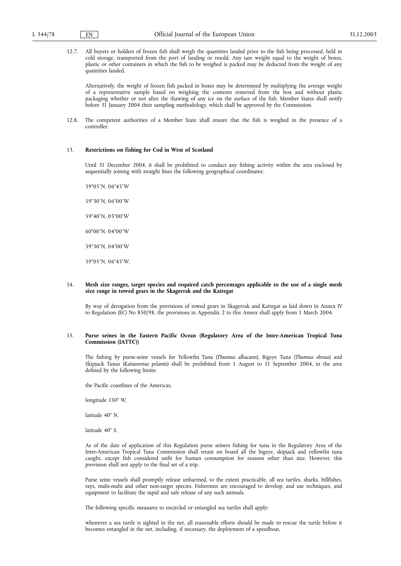12.7. All buyers or holders of frozen fish shall weigh the quantities landed prior to the fish being processed, held in cold storage, transported from the port of landing or resold. Any tare weight equal to the weight of boxes, plastic or other containers in which the fish to be weighed is packed may be deducted from the weight of any quantities landed.

Alternatively, the weight of frozen fish packed in boxes may be determined by multiplying the average weight of a representative sample based on weighing the contents removed from the box and without plastic packaging whether or not after the thawing of any ice on the surface of the fish. Member States shall notify before 31 January 2004 their sampling methodology, which shall be approved by the Commission.

12.8. The competent authorities of a Member State shall ensure that the fish is weighed in the presence of a controller.

## 13. **Restrictions on fishing for Cod in West of Scotland**

Until 31 December 2004, it shall be prohibited to conduct any fishing activity within the area enclosed by sequentially joining with straight lines the following geographical coordinates:

59°05'N, 06°45'W 59°30'N, 06°00'W 59°40'N, 05°00'W 60°00¡N, 04°00¡<sup>W</sup> 59°30'N, 04°00'W 59°05'N, 06°45'W.

### 14. **Mesh size ranges, target species and required catch percentages applicable to the use of a single mesh size range in towed gears in the Skagerrak and the Kattegat**

By way of derogation from the provisions of towed gears in Skagerrak and Kattegat as laid down in Annex IV to Regulation (EC) No 850/98, the provisions in Appendix 2 to this Annex shall apply from 1 March 2004.

### 15. **Purse seines in the Eastern Pacific Ocean (Regulatory Area of the Inter-American Tropical Tuna Commission (IATTC))**

The fishing by purse-seine vessels for Yellowfin Tuna (*Thunnus albacares*), Bigeye Tuna (*Thunnus obesus*) and Skipjack Tunas (*Katsuwonus pelamis*) shall be prohibited from 1 August to 11 September 2004, in the area defined by the following limits:

the Pacific coastlines of the Americas,

longitude 150° W,

latitude 40° N,

latitude 40° S.

As of the date of application of this Regulation purse seiners fishing for tuna in the Regulatory Area of the Inter-American Tropical Tuna Commission shall retain on board all the bigeye, skipjack and yellowfin tuna caught, except fish considered unfit for human consumption for reasons other than size. However, this provision shall not apply to the final set of a trip.

Purse seine vessels shall promptly release unharmed, to the extent practicable, all sea turtles, sharks, billfishes, rays, mahi-mahi and other non-target species. Fishermen are encouraged to develop, and use techniques, and equipment to facilitate the rapid and safe release of any such animals.

The following specific measures to encircled or entangled sea turtles shall apply:

whenever a sea turtle is sighted in the net, all reasonable efforts should be made to rescue the turtle before it becomes entangled in the net, including, if necessary, the deployment of a speedboat,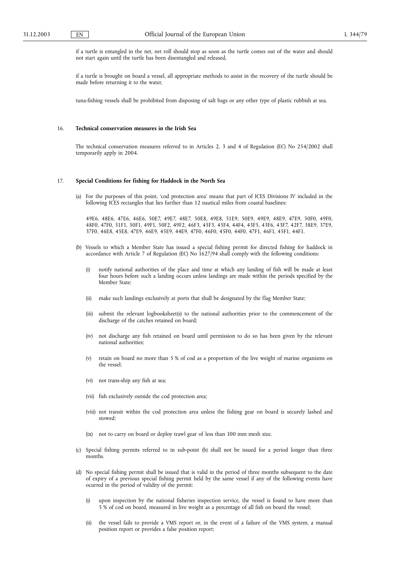if a turtle is entangled in the net, net roll should stop as soon as the turtle comes out of the water and should not start again until the turtle has been disentangled and released,

if a turtle is brought on board a vessel, all appropriate methods to assist in the recovery of the turtle should be made before returning it to the water,

tuna-fishing vessels shall be prohibited from disposing of salt bags or any other type of plastic rubbish at sea.

### 16. **Technical conservation measures in the Irish Sea**

The technical conservation measures referred to in Articles 2, 3 and 4 of Regulation (EC) No 254/2002 shall temporarily apply in 2004.

#### 17. **Special Conditions for fishing for Haddock in the North Sea**

(a) For the purposes of this point, 'cod protection area' means that part of ICES Divisions IV included in the following ICES rectangles that lies further than 12 nautical miles from coastal baselines:

49E6, 48E6, 47E6, 46E6, 50E7, 49E7, 48E7, 50E8, 49E8, 51E9, 50E9, 49E9, 48E9, 47E9, 50F0, 49F0, 48F0, 47F0, 51F1, 50F1, 49F1, 50F2, 49F2, 46F3, 45F3, 45F4, 44F4, 43F5, 43F6, 43F7, 42F7, 38E9, 37E9, 37F0, 46E8, 45E8, 47E9, 46E9, 45E9, 44E9, 47F0, 46F0, 45F0, 44F0, 47F1, 46F1, 45F1, 44F1.

- (b) Vessels to which a Member State has issued a special fishing permit for directed fishing for haddock in accordance with Article 7 of Regulation (EC) No 1627/94 shall comply with the following conditions:
	- (i) notify national authorities of the place and time at which any landing of fish will be made at least four hours before such a landing occurs unless landings are made within the periods specified by the Member State;
	- (ii) make such landings exclusively at ports that shall be designated by the flag Member State;
	- (iii) submit the relevant logbooksheet(s) to the national authorities prior to the commencement of the discharge of the catches retained on board;
	- (iv) not discharge any fish retained on board until permission to do so has been given by the relevant national authorities;
	- (v) retain on board no more than 5 % of cod as a proportion of the live weight of marine organisms on the vessel;
	- (vi) not trans-ship any fish at sea;
	- (vii) fish exclusively outside the cod protection area;
	- (viii) not transit within the cod protection area unless the fishing gear on board is securely lashed and stowed;
	- (ix) not to carry on board or deploy trawl gear of less than 100 mm mesh size.
- (c) Special fishing permits referred to in sub-point (b) shall not be issued for a period longer than three months.
- (d) No special fishing permit shall be issued that is valid in the period of three months subsequent to the date of expiry of a previous special fishing permit held by the same vessel if any of the following events have ocurred in the period of validity of the permit:
	- (i) upon inspection by the national fisheries inspection service, the vessel is found to have more than 5 % of cod on board, measured in live weight as a percentage of all fish on board the vessel;
	- (ii) the vessel fails to provide a VMS report or, in the event of a failure of the VMS system, a manual position report or provides a false position report;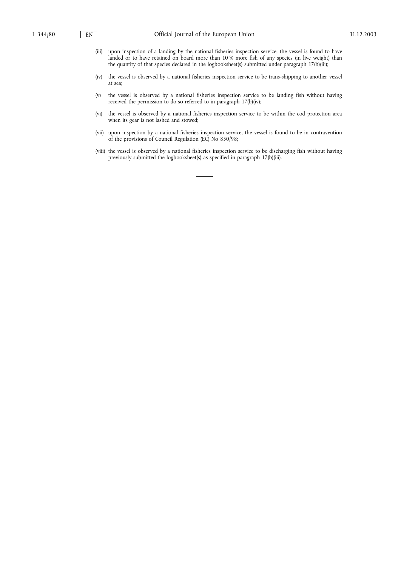- (iii) upon inspection of a landing by the national fisheries inspection service, the vessel is found to have landed or to have retained on board more than 10 % more fish of any species (in live weight) than the quantity of that species declared in the logbooksheet(s) submitted under paragraph 17(b)(iii);
- (iv) the vessel is observed by a national fisheries inspection service to be trans-shipping to another vessel at sea;
- (v) the vessel is observed by a national fisheries inspection service to be landing fish without having received the permission to do so referred to in paragraph 17(b)(iv);
- (vi) the vessel is observed by a national fisheries inspection service to be within the cod protection area when its gear is not lashed and stowed;
- (vii) upon inspection by a national fisheries inspection service, the vessel is found to be in contravention of the provisions of Council Regulation (EC) No 850/98;
- (viii) the vessel is observed by a national fisheries inspection service to be discharging fish without having previously submitted the logbooksheet(s) as specified in paragraph 17(b)(iii).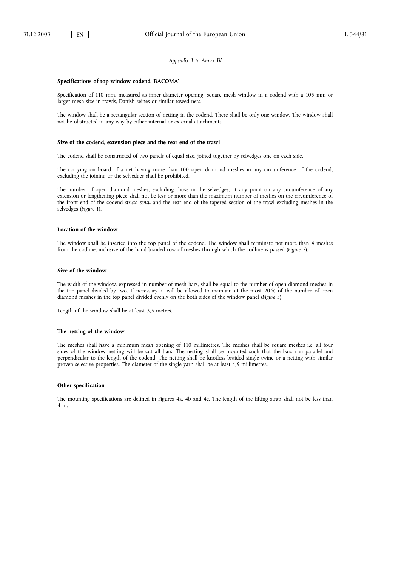#### *Appendix 1 to Annex IV*

#### **Specifications of top window codend 'BACOMA'**

Specification of 110 mm, measured as inner diameter opening, square mesh window in a codend with a 105 mm or larger mesh size in trawls, Danish seines or similar towed nets.

The window shall be a rectangular section of netting in the codend. There shall be only one window. The window shall not be obstructed in any way by either internal or external attachments.

### **Size of the codend, extension piece and the rear end of the trawl**

The codend shall be constructed of two panels of equal size, joined together by selvedges one on each side.

The carrying on board of a net having more than 100 open diamond meshes in any circumference of the codend, excluding the joining or the selvedges shall be prohibited.

The number of open diamond meshes, excluding those in the selvedges, at any point on any circumference of any extension or lengthening piece shall not be less or more than the maximum number of meshes on the circumference of the front end of the codend *stricto sensu* and the rear end of the tapered section of the trawl excluding meshes in the selvedges (*Figure 1*).

#### **Location of the window**

The window shall be inserted into the top panel of the codend. The window shall terminate not more than 4 meshes from the codline, inclusive of the hand braided row of meshes through which the codline is passed (*Figure 2*).

#### **Size of the window**

The width of the window, expressed in number of mesh bars, shall be equal to the number of open diamond meshes in the top panel divided by two. If necessary, it will be allowed to maintain at the most 20 % of the number of open diamond meshes in the top panel divided evenly on the both sides of the window panel (*Figure 3*).

Length of the window shall be at least 3,5 metres.

#### **The netting of the window**

The meshes shall have a minimum mesh opening of 110 millimetres. The meshes shall be square meshes i.e. all four sides of the window netting will be cut all bars. The netting shall be mounted such that the bars run parallel and perpendicular to the length of the codend. The netting shall be knotless braided single twine or a netting with similar proven selective properties. The diameter of the single yarn shall be at least 4,9 millimetres.

### **Other specification**

The mounting specifications are defined in Figures 4a, 4b and 4c. The length of the lifting strap shall not be less than 4 m.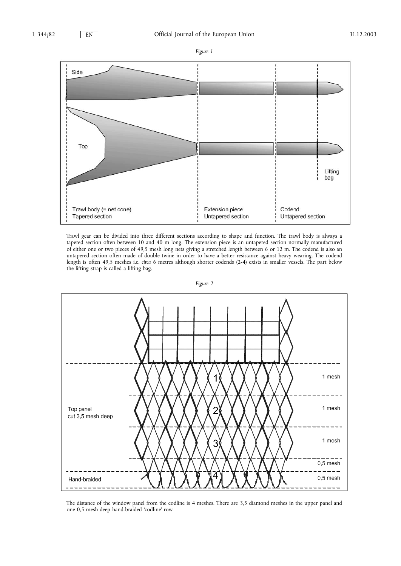



Trawl gear can be divided into three different sections according to shape and function. The trawl body is always a tapered section often between 10 and 40 m long. The extension piece is an untapered section normally manufactured of either one or two pieces of 49,5 mesh long nets giving a stretched length between 6 or 12 m. The codend is also an untapered section often made of double twine in order to have a better resistance against heavy wearing. The codend length is often 49,5 meshes i.e. *circa* 6 metres although shorter codends (2-4) exists in smaller vessels. The part below the lifting strap is called a lifting bag.



*Figure 2*

The distance of the window panel from the codline is 4 meshes. There are 3,5 diamond meshes in the upper panel and one 0,5 mesh deep hand-braided 'codline' row.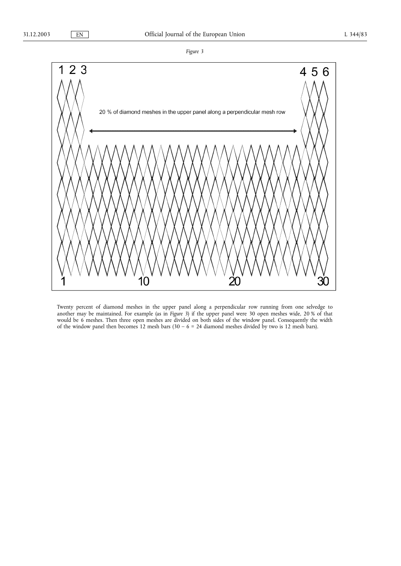

Twenty percent of diamond meshes in the upper panel along a perpendicular row running from one selvedge to another may be maintained. For example (as in *Figure 3*) if the upper panel were 30 open meshes wide, 20 % of that would be 6 meshes. Then three open meshes are divided on both sides of the window panel. Consequently the width of the window panel then becomes 12 mesh bars (30 – 6 = 24 diamond meshes divided by two is 12 mesh bars).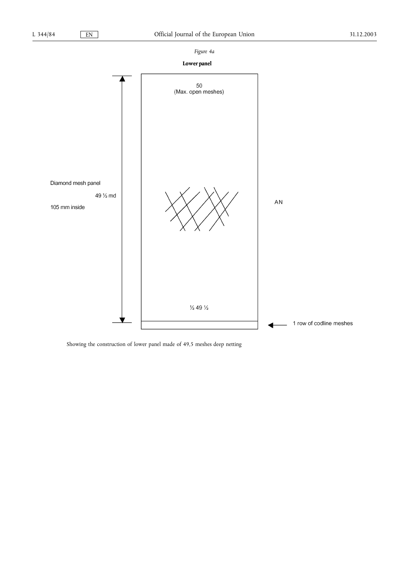

# Lower panel



Showing the construction of lower panel made of 49,5 meshes deep netting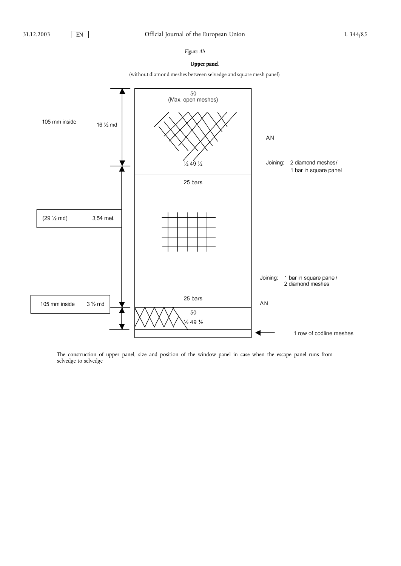## *Figure 4b*

## **Upper panel**

(without diamond meshes between selvedge and square mesh panel)



The construction of upper panel, size and position of the window panel in case when the escape panel runs from selvedge to selvedge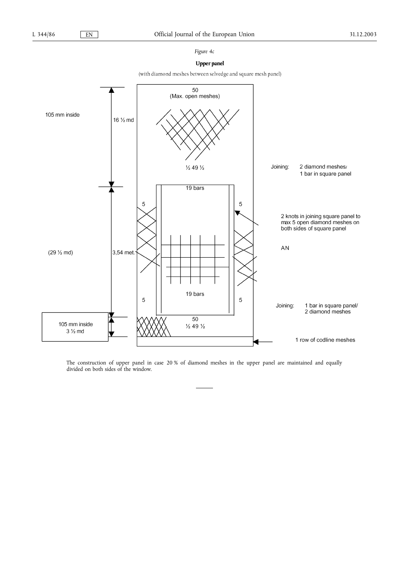## *Figure 4c*

## **Upper panel**

(with diamond meshes between selvedge and square mesh panel)



The construction of upper panel in case 20 % of diamond meshes in the upper panel are maintained and equally divided on both sides of the window.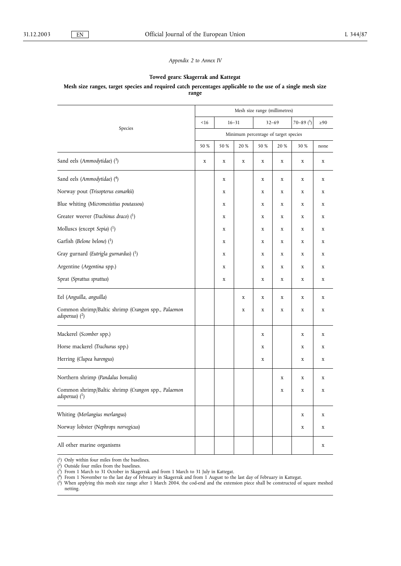## *Appendix 2 to Annex IV*

## **Towed gears: Skagerrak and Kattegat**

### **Mesh size ranges, target species and required catch percentages applicable to the use of a single mesh size range**

|                                                                         |                                      | Mesh size range (millimetres) |             |             |             |                    |             |  |
|-------------------------------------------------------------------------|--------------------------------------|-------------------------------|-------------|-------------|-------------|--------------------|-------------|--|
| Species                                                                 | < 16                                 |                               | $16 - 31$   |             | $32 - 69$   | $70 - 89$ $(^{5})$ | $\geq 90$   |  |
|                                                                         | Minimum percentage of target species |                               |             |             |             |                    |             |  |
|                                                                         |                                      | 50 %                          | 20 %        | 50 %        | 20 %        | 30 %               | none        |  |
| Sand eels (Ammodytidae) (3)                                             | $\mathbf x$                          | $\mathbf x$                   | $\mathbf x$ | $\mathbf x$ | $\mathbf x$ | $\mathbf x$        | $\mathbf x$ |  |
| Sand eels (Ammodytidae) (4)                                             |                                      | $\mathbf x$                   |             | $\mathbf x$ | $\mathbf X$ | $\mathbf X$        | $\mathbf x$ |  |
| Norway pout (Trisopterus esmarkii)                                      |                                      | X                             |             | X           | $\mathbf x$ | X                  | X           |  |
| Blue whiting (Micromesistius poutassou)                                 |                                      | $\mathbf x$                   |             | $\mathbf x$ | $\mathbf x$ | $\mathbf x$        | $\mathbf x$ |  |
| Greater weever (Trachinus draco) $(^1)$                                 |                                      | $\mathbf x$                   |             | $\mathbf x$ | $\mathbf x$ | $\mathbf x$        | $\mathbf x$ |  |
| Molluscs (except Sepia) (1)                                             |                                      | X                             |             | X           | X           | X                  | X           |  |
| Garfish (Belone belone) $(1)$                                           |                                      | $\mathbf x$                   |             | X           | $\mathbf x$ | $\mathbf x$        | X           |  |
| Gray gurnard (Eutrigla gurnardus) (1)                                   |                                      | $\mathbf x$                   |             | $\mathbf x$ | $\mathbf X$ | $\mathbf x$        | $\mathbf x$ |  |
| Argentine (Argentina spp.)                                              |                                      | $\mathbf x$                   |             | $\mathbf x$ | $\mathbf X$ | $\mathbf X$        | $\mathbf x$ |  |
| Sprat (Sprattus sprattus)                                               |                                      | $\mathbf x$                   |             | X           | $\mathbf x$ | $\mathbf x$        | $\mathbf x$ |  |
| Eel (Anguilla, anguilla)                                                |                                      |                               | $\mathbf x$ | $\mathbf X$ | $\mathbf x$ | $\mathbf x$        | $\mathbf x$ |  |
| Common shrimp/Baltic shrimp (Crangon spp., Palaemon<br>adspersus) $(2)$ |                                      |                               | $\mathbf x$ | $\mathbf x$ | $\mathbf x$ | $\mathbf X$        | X           |  |
| Mackerel (Scomber spp.)                                                 |                                      |                               |             | $\mathbf x$ |             | $\mathbf X$        | $\mathbf x$ |  |
| Horse mackerel (Trachurus spp.)                                         |                                      |                               |             | X           |             | x                  | X           |  |
| Herring (Clupea harengus)                                               |                                      |                               |             | X           |             | X                  | X           |  |
| Northern shrimp (Pandalus borealis)                                     |                                      |                               |             |             | $\mathbf x$ | $\mathbf x$        | $\mathbf x$ |  |
| Common shrimp/Baltic shrimp (Crangon spp., Palaemon<br>adspersus) $(1)$ |                                      |                               |             |             | $\mathbf x$ | $\mathbf x$        | X           |  |
| Whiting (Merlangius merlangus)                                          |                                      |                               |             |             |             | $\mathbf x$        | X           |  |
| Norway lobster (Nephrops norvegicus)                                    |                                      |                               |             |             |             | X                  | X           |  |
| All other marine organisms                                              |                                      |                               |             |             |             |                    | $\mathbf x$ |  |

( 1) Only within four miles from the baselines.

( 2) Outside four miles from the baselines.

( 3) From 1 March to 31 October in Skagerrak and from 1 March to 31 July in Kattegat.

( 4) From 1 November to the last day of February in Skagerrak and from 1 August to the last day of February in Kattegat.

 $(5)$  When applying this mesh size range after 1 March 2004, the cod-end and the extension piece shall be constructed of square meshed netting.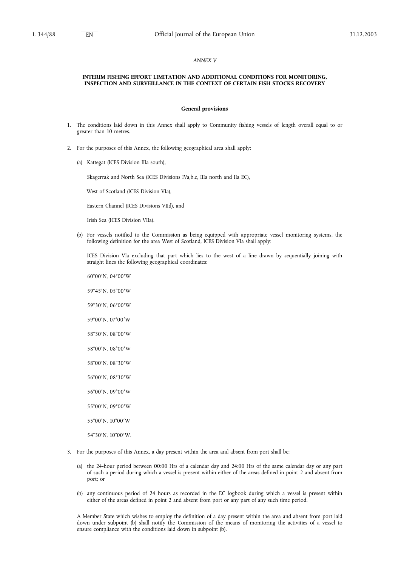### *ANNEX V*

#### **INTERIM FISHING EFFORT LIMITATION AND ADDITIONAL CONDITIONS FOR MONITORING, INSPECTION AND SURVEILLANCE IN THE CONTEXT OF CERTAIN FISH STOCKS RECOVERY**

#### **General provisions**

- 1. The conditions laid down in this Annex shall apply to Community fishing vessels of length overall equal to or greater than 10 metres.
- 2. For the purposes of this Annex, the following geographical area shall apply:
	- (a) Kattegat (ICES Division IIIa south),

Skagerrak and North Sea (ICES Divisions IVa,b,c, IIIa north and IIa EC),

West of Scotland (ICES Division VIa),

Eastern Channel (ICES Divisions VIId), and

Irish Sea (ICES Division VIIa).

(b) For vessels notified to the Commission as being equipped with appropriate vessel monitoring systems, the following definition for the area West of Scotland, ICES Division VIa shall apply:

ICES Division VIa excluding that part which lies to the west of a line drawn by sequentially joining with straight lines the following geographical coordinates:

60°00¡N, 04°00¡<sup>W</sup>

59°45'N, 05°00'W

59°30'N, 06°00'W

59°00'N, 07°00'W

- 58°30'N, 08°00'W
- 58°00'N, 08°00'W
- 58°00'N, 08°30'W

56°00'N, 08°30'W

56°00'N, 09°00'W

- 55°00'N, 09°00'W
- 55°00'N, 10°00'W

54°30'N, 10°00'W.

- 3. For the purposes of this Annex, a day present within the area and absent from port shall be:
	- (a) the 24-hour period between 00:00 Hrs of a calendar day and 24:00 Hrs of the same calendar day or any part of such a period during which a vessel is present within either of the areas defined in point 2 and absent from port; or
	- (b) any continuous period of 24 hours as recorded in the EC logbook during which a vessel is present within either of the areas defined in point 2 and absent from port or any part of any such time period.

A Member State which wishes to employ the definition of a day present within the area and absent from port laid down under subpoint (b) shall notify the Commission of the means of monitoring the activities of a vessel to ensure compliance with the conditions laid down in subpoint (b).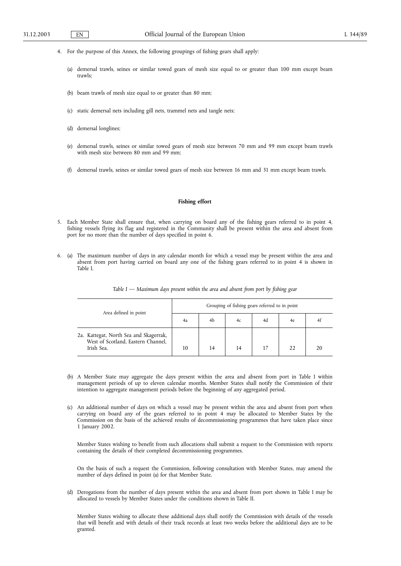- 4. For the purpose of this Annex, the following groupings of fishing gears shall apply:
	- (a) demersal trawls, seines or similar towed gears of mesh size equal to or greater than 100 mm except beam trawls;
	- (b) beam trawls of mesh size equal to or greater than 80 mm;
	- (c) static demersal nets including gill nets, trammel nets and tangle nets;
	- (d) demersal longlines;
	- (e) demersal trawls, seines or similar towed gears of mesh size between 70 mm and 99 mm except beam trawls with mesh size between 80 mm and 99 mm;
	- (f) demersal trawls, seines or similar towed gears of mesh size between 16 mm and 31 mm except beam trawls.

### **Fishing effort**

- 5. Each Member State shall ensure that, when carrying on board any of the fishing gears referred to in point 4, fishing vessels flying its flag and registered in the Community shall be present within the area and absent from port for no more than the number of days specified in point 6.
- 6. (a) The maximum number of days in any calendar month for which a vessel may be present within the area and absent from port having carried on board any one of the fishing gears referred to in point 4 is shown in Table I.

| Area defined in point                                                                      | Grouping of fishing gears referred to in point |    |    |    |    |    |  |
|--------------------------------------------------------------------------------------------|------------------------------------------------|----|----|----|----|----|--|
|                                                                                            | 4a                                             | 4b | 4c | 4d | 4e |    |  |
| 2a. Kattegat, North Sea and Skagerrak,<br>West of Scotland, Eastern Channel,<br>Irish Sea. | 10                                             | 14 | 14 |    |    | 20 |  |

*Table I — Maximum days present within the area and absent from port by fishing gear*

- (b) A Member State may aggregate the days present within the area and absent from port in Table I within management periods of up to eleven calendar months. Member States shall notify the Commission of their intention to aggregate management periods before the beginning of any aggregated period.
- (c) An additional number of days on which a vessel may be present within the area and absent from port when carrying on board any of the gears referred to in point 4 may be allocated to Member States by the Commission on the basis of the achieved results of decommissioning programmes that have taken place since 1 January 2002.

Member States wishing to benefit from such allocations shall submit a request to the Commission with reports containing the details of their completed decommissioning programmes.

On the basis of such a request the Commission, following consultation with Member States, may amend the number of days defined in point (a) for that Member State.

(d) Derogations from the number of days present within the area and absent from port shown in Table I may be allocated to vessels by Member States under the conditions shown in Table II.

Member States wishing to allocate these additional days shall notify the Commission with details of the vessels that will benefit and with details of their track records at least two weeks before the additional days are to be granted.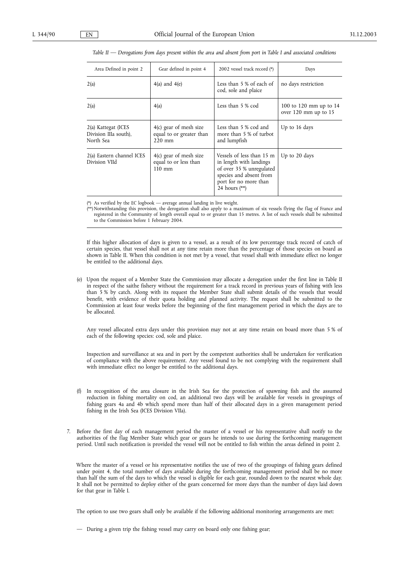| Area Defined in point 2                                   | Gear defined in point 4                                               | 2002 vessel track record (*)                                                                                                                            | Days                                             |
|-----------------------------------------------------------|-----------------------------------------------------------------------|---------------------------------------------------------------------------------------------------------------------------------------------------------|--------------------------------------------------|
| 2(a)                                                      | $4(a)$ and $4(e)$                                                     | Less than 5 % of each of<br>cod, sole and plaice                                                                                                        | no days restriction                              |
| 2(a)                                                      | 4(a)                                                                  | Less than 5 % cod                                                                                                                                       | 100 to 120 mm up to $14$<br>over 120 mm up to 15 |
| 2(a) Kattegat (ICES<br>Division IIIa south),<br>North Sea | $4(c)$ gear of mesh size<br>equal to or greater than<br>$220$ mm      | Less than 5 % cod and<br>more than 5 % of turbot<br>and lumpfish                                                                                        | Up to 16 days                                    |
| 2(a) Eastern channel ICES<br>Division VIId                | $4(c)$ gear of mesh size<br>equal to or less than<br>$110 \text{ mm}$ | Vessels of less than 15 m<br>in length with landings<br>of over 35 % unregulated<br>species and absent from<br>port for no more than<br>24 hours $(**)$ | Up to 20 days                                    |

#### *Table II — Derogations from days present within the area and absent from port in Table I and associated conditions*

(\*) As verified by the EC logbook — average annual landing in live weight.

(\*\*) Notwithstanding this provision, the derogation shall also apply to a maximum of six vessels flying the flag of France and registered in the Community of length overall equal to or greater than 15 metres. A list of such vessels shall be submitted to the Commission before 1 February 2004.

If this higher allocation of days is given to a vessel, as a result of its low percentage track record of catch of certain species, that vessel shall not at any time retain more than the percentage of those species on board as shown in Table II. When this condition is not met by a vessel, that vessel shall with immediate effect no longer be entitled to the additional days.

(e) Upon the request of a Member State the Commission may allocate a derogation under the first line in Table II in respect of the saithe fishery without the requirement for a track record in previous years of fishing with less than 5 % by catch. Along with its request the Member State shall submit details of the vessels that would benefit, with evidence of their quota holding and planned activity. The request shall be submitted to the Commission at least four weeks before the beginning of the first management period in which the days are to be allocated.

Any vessel allocated extra days under this provision may not at any time retain on board more than 5 % of each of the following species: cod, sole and plaice.

Inspection and surveillance at sea and in port by the competent authorities shall be undertaken for verification of compliance with the above requirement. Any vessel found to be not complying with the requirement shall with immediate effect no longer be entitled to the additional days.

- (f) In recognition of the area closure in the Irish Sea for the protection of spawning fish and the assumed reduction in fishing mortality on cod, an additional two days will be available for vessels in groupings of fishing gears 4a and 4b which spend more than half of their allocated days in a given management period fishing in the Irish Sea (ICES Division VIIa).
- 7. Before the first day of each management period the master of a vessel or his representative shall notify to the authorities of the flag Member State which gear or gears he intends to use during the forthcoming management period. Until such notification is provided the vessel will not be entitled to fish within the areas defined in point 2.

Where the master of a vessel or his representative notifies the use of two of the groupings of fishing gears defined under point 4, the total number of days available during the forthcoming management period shall be no more than half the sum of the days to which the vessel is eligible for each gear, rounded down to the nearest whole day. It shall not be permitted to deploy either of the gears concerned for more days than the number of days laid down for that gear in Table I.

The option to use two gears shall only be available if the following additional monitoring arrangements are met:

— During a given trip the fishing vessel may carry on board only one fishing gear;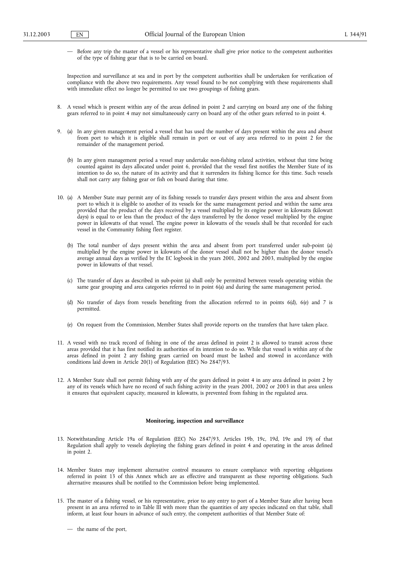— Before any trip the master of a vessel or his representative shall give prior notice to the competent authorities of the type of fishing gear that is to be carried on board.

Inspection and surveillance at sea and in port by the competent authorities shall be undertaken for verification of compliance with the above two requirements. Any vessel found to be not complying with these requirements shall with immediate effect no longer be permitted to use two groupings of fishing gears.

- 8. A vessel which is present within any of the areas defined in point 2 and carrying on board any one of the fishing gears referred to in point 4 may not simultaneously carry on board any of the other gears referred to in point 4.
- 9. (a) In any given management period a vessel that has used the number of days present within the area and absent from port to which it is eligible shall remain in port or out of any area referred to in point 2 for the remainder of the management period.
	- (b) In any given management period a vessel may undertake non-fishing related activities, without that time being counted against its days allocated under point 6, provided that the vessel first notifies the Member State of its intention to do so, the nature of its activity and that it surrenders its fishing licence for this time. Such vessels shall not carry any fishing gear or fish on board during that time.
- 10. (a) A Member State may permit any of its fishing vessels to transfer days present within the area and absent from port to which it is eligible to another of its vessels for the same management period and within the same area provided that the product of the days received by a vessel multiplied by its engine power in kilowatts (kilowatt days) is equal to or less than the product of the days transferred by the donor vessel multiplied by the engine power in kilowatts of that vessel. The engine power in kilowatts of the vessels shall be that recorded for each vessel in the Community fishing fleet register.
	- (b) The total number of days present within the area and absent from port transferred under sub-point (a) multiplied by the engine power in kilowatts of the donor vessel shall not be higher than the donor vessel's average annual days as verified by the EC logbook in the years 2001, 2002 and 2003, multiplied by the engine power in kilowatts of that vessel.
	- (c) The transfer of days as described in sub-point (a) shall only be permitted between vessels operating within the same gear grouping and area categories referred to in point 6(a) and during the same management period.
	- (d) No transfer of days from vessels benefiting from the allocation referred to in points 6(d), 6(e) and 7 is permitted.
	- (e) On request from the Commission, Member States shall provide reports on the transfers that have taken place.
- 11. A vessel with no track record of fishing in one of the areas defined in point 2 is allowed to transit across these areas provided that it has first notified its authorities of its intention to do so. While that vessel is within any of the areas defined in point 2 any fishing gears carried on board must be lashed and stowed in accordance with conditions laid down in Article 20(1) of Regulation (EEC) No 2847/93.
- 12. A Member State shall not permit fishing with any of the gears defined in point 4 in any area defined in point 2 by any of its vessels which have no record of such fishing activity in the years 2001, 2002 or 2003 in that area unless it ensures that equivalent capacity, measured in kilowatts, is prevented from fishing in the regulated area.

#### **Monitoring, inspection and surveillance**

- 13. Notwithstanding Article 19a of Regulation (EEC) No 2847/93, Articles 19b, 19c, 19d, 19e and 19j of that Regulation shall apply to vessels deploying the fishing gears defined in point 4 and operating in the areas defined in point 2.
- 14. Member States may implement alternative control measures to ensure compliance with reporting obligations referred in point 13 of this Annex which are as effective and transparent as these reporting obligations. Such alternative measures shall be notified to the Commission before being implemented.
- 15. The master of a fishing vessel, or his representative, prior to any entry to port of a Member State after having been present in an area referred to in Table III with more than the quantities of any species indicated on that table, shall inform, at least four hours in advance of such entry, the competent authorities of that Member State of:

<sup>—</sup> the name of the port,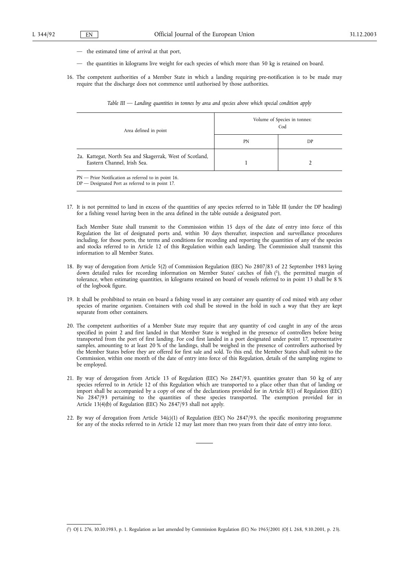- the estimated time of arrival at that port,
- the quantities in kilograms live weight for each species of which more than 50 kg is retained on board.
- 16. The competent authorities of a Member State in which a landing requiring pre-notification is to be made may require that the discharge does not commence until authorised by those authorities.

| Area defined in point                                                                   | Volume of Species in tonnes:<br>Cod |    |  |  |
|-----------------------------------------------------------------------------------------|-------------------------------------|----|--|--|
|                                                                                         | PN                                  | DP |  |  |
| 2a. Kattegat, North Sea and Skagerrak, West of Scotland,<br>Eastern Channel, Irish Sea. |                                     |    |  |  |

*Table III — Landing quantities in tonnes by area and species above which special condition apply*

DP — Designated Port as referred to in point 17.

17. It is not permitted to land in excess of the quantities of any species referred to in Table III (under the DP heading) for a fishing vessel having been in the area defined in the table outside a designated port.

Each Member State shall transmit to the Commission within 15 days of the date of entry into force of this Regulation the list of designated ports and, within 30 days thereafter, inspection and surveillance procedures including, for those ports, the terms and conditions for recording and reporting the quantities of any of the species and stocks referred to in Article 12 of this Regulation within each landing. The Commission shall transmit this information to all Member States.

- 18. By way of derogation from Article 5(2) of Commission Regulation (EEC) No 2807/83 of 22 September 1983 laying down detailed rules for recording information on Member States' catches of fish (1), the permitted margin of tolerance, when estimating quantities, in kilograms retained on board of vessels referred to in point 13 shall be 8 % of the logbook figure.
- 19. It shall be prohibited to retain on board a fishing vessel in any container any quantity of cod mixed with any other species of marine organism. Containers with cod shall be stowed in the hold in such a way that they are kept separate from other containers.
- 20. The competent authorities of a Member State may require that any quantity of cod caught in any of the areas specified in point 2 and first landed in that Member State is weighed in the presence of controllers before being transported from the port of first landing. For cod first landed in a port designated under point 17, representative samples, amounting to at least 20 % of the landings, shall be weighed in the presence of controllers authorised by the Member States before they are offered for first sale and sold. To this end, the Member States shall submit to the Commission, within one month of the date of entry into force of this Regulation, details of the sampling regime to be employed.
- 21. By way of derogation from Article 13 of Regulation (EEC) No 2847/93, quantities greater than 50 kg of any species referred to in Article 12 of this Regulation which are transported to a place other than that of landing or import shall be accompanied by a copy of one of the declarations provided for in Article 8(1) of Regulation (EEC) No 2847/93 pertaining to the quantities of these species transported. The exemption provided for in Article 13(4)(b) of Regulation (EEC) No 2847/93 shall not apply.
- 22. By way of derogation from Article 34(c)(1) of Regulation (EEC) No 2847/93, the specific monitoring programme for any of the stocks referred to in Article 12 may last more than two years from their date of entry into force.

<sup>(</sup> 1) OJ L 276, 10.10.1983, p. 1. Regulation as last amended by Commission Regulation (EC) No 1965/2001 (OJ L 268, 9.10.2001, p. 23).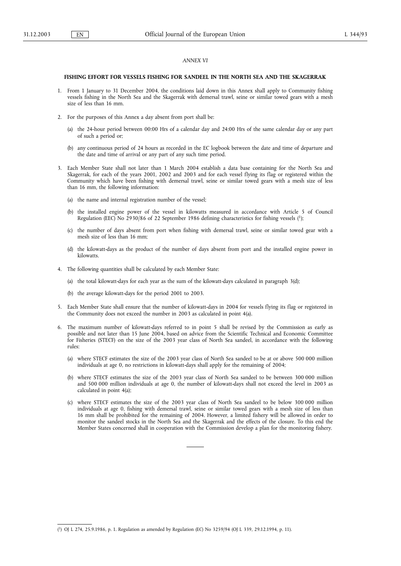### *ANNEX VI*

#### **FISHING EFFORT FOR VESSELS FISHING FOR SANDEEL IN THE NORTH SEA AND THE SKAGERRAK**

- 1. From 1 January to 31 December 2004, the conditions laid down in this Annex shall apply to Community fishing vessels fishing in the North Sea and the Skagerrak with demersal trawl, seine or similar towed gears with a mesh size of less than 16 mm.
- 2. For the purposes of this Annex a day absent from port shall be:
	- (a) the 24-hour period between 00:00 Hrs of a calendar day and 24:00 Hrs of the same calendar day or any part of such a period or;
	- (b) any continuous period of 24 hours as recorded in the EC logbook between the date and time of departure and the date and time of arrival or any part of any such time period.
- 3. Each Member State shall not later than 1 March 2004 establish a data base containing for the North Sea and Skagerrak, for each of the years 2001, 2002 and 2003 and for each vessel flying its flag or registered within the Community which have been fishing with demersal trawl, seine or similar towed gears with a mesh size of less than 16 mm, the following information:
	- (a) the name and internal registration number of the vessel;
	- (b) the installed engine power of the vessel in kilowatts measured in accordance with Article 5 of Council Regulation (EEC) No 2930/86 of 22 September 1986 defining characteristics for fishing vessels (1);
	- (c) the number of days absent from port when fishing with demersal trawl, seine or similar towed gear with a mesh size of less than 16 mm;
	- (d) the kilowatt-days as the product of the number of days absent from port and the installed engine power in kilowatts.
- 4. The following quantities shall be calculated by each Member State:
	- (a) the total kilowatt-days for each year as the sum of the kilowatt-days calculated in paragraph 3(d);
	- (b) the average kilowatt-days for the period 2001 to 2003.
- 5. Each Member State shall ensure that the number of kilowatt-days in 2004 for vessels flying its flag or registered in the Community does not exceed the number in 2003 as calculated in point 4(a).
- 6. The maximum number of kilowatt-days referred to in point 5 shall be revised by the Commission as early as possible and not later than 15 June 2004, based on advice from the Scientific Technical and Economic Committee for Fisheries (STECF) on the size of the 2003 year class of North Sea sandeel, in accordance with the following rules:
	- (a) where STECF estimates the size of the 2003 year class of North Sea sandeel to be at or above 500 000 million individuals at age 0, no restrictions in kilowatt-days shall apply for the remaining of 2004;
	- (b) where STECF estimates the size of the 2003 year class of North Sea sandeel to be between 300 000 million and 500 000 million individuals at age 0, the number of kilowatt-days shall not exceed the level in 2003 as calculated in point 4(a);
	- (c) where STECF estimates the size of the 2003 year class of North Sea sandeel to be below 300 000 million individuals at age 0, fishing with demersal trawl, seine or similar towed gears with a mesh size of less than 16 mm shall be prohibited for the remaining of 2004. However, a limited fishery will be allowed in order to monitor the sandeel stocks in the North Sea and the Skagerrak and the effects of the closure. To this end the Member States concerned shall in cooperation with the Commission develop a plan for the monitoring fishery.

<sup>(</sup> 1) OJ L 274, 25.9.1986, p. 1. Regulation as amended by Regulation (EC) No 3259/94 (OJ L 339, 29.12.1994, p. 11).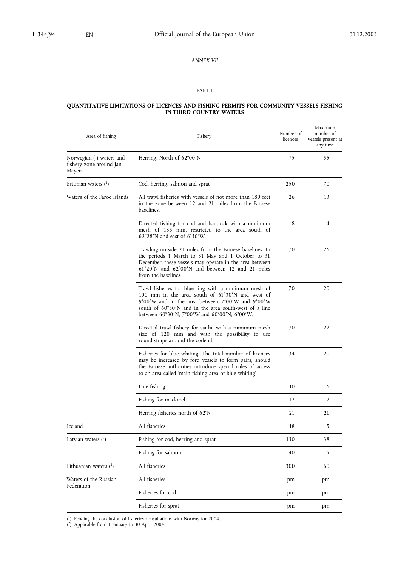## *ANNEX VII*

## PART I

#### **QUANTITATIVE LIMITATIONS OF LICENCES AND FISHING PERMITS FOR COMMUNITY VESSELS FISHING IN THIRD COUNTRY WATERS**

| Area of fishing<br>Fishery                                     |                                                                                                                                                                                                                                                                      | Number of<br>licences | Maximum<br>number of<br>vessels present at<br>any time |
|----------------------------------------------------------------|----------------------------------------------------------------------------------------------------------------------------------------------------------------------------------------------------------------------------------------------------------------------|-----------------------|--------------------------------------------------------|
| Norwegian $(1)$ waters and<br>fishery zone around Jan<br>Mayen | Herring, North of 62°00'N                                                                                                                                                                                                                                            | 75                    | 55                                                     |
| Estonian waters $(^2)$                                         | Cod, herring, salmon and sprat                                                                                                                                                                                                                                       | 250                   | 70                                                     |
| Waters of the Faroe Islands                                    | All trawl fisheries with vessels of not more than 180 feet<br>in the zone between 12 and 21 miles from the Faroese<br>baselines.                                                                                                                                     | 26                    | 13                                                     |
|                                                                | Directed fishing for cod and haddock with a minimum<br>mesh of 135 mm, restricted to the area south of<br>$62^{\circ}28'$ N and east of 6°30′W.                                                                                                                      | 8                     | 4                                                      |
|                                                                | Trawling outside 21 miles from the Faroese baselines. In<br>the periods 1 March to 31 May and 1 October to 31<br>December, these vessels may operate in the area between<br>61°20'N and 62°00'N and between 12 and 21 miles<br>from the baselines.                   | 70                    | 26                                                     |
|                                                                | Trawl fisheries for blue ling with a minimum mesh of<br>100 mm in the area south of 61°30'N and west of<br>9°00'W and in the area between 7°00'W and 9°00'W<br>south of 60°30'N and in the area south-west of a line<br>between 60°30'N, 7°00'W and 60°00'N, 6°00'W. | 70                    | 20                                                     |
|                                                                | Directed trawl fishery for saithe with a minimum mesh<br>size of 120 mm and with the possibility to use<br>round-straps around the codend.                                                                                                                           | 70                    | 22                                                     |
|                                                                | Fisheries for blue whiting. The total number of licences<br>may be increased by ford vessels to form pairs, should<br>the Faroese authorities introduce special rules of access<br>to an area called 'main fishing area of blue whiting'                             | 34                    | 20                                                     |
|                                                                | Line fishing                                                                                                                                                                                                                                                         | 10                    | 6                                                      |
|                                                                | Fishing for mackerel                                                                                                                                                                                                                                                 | 12                    | 12                                                     |
|                                                                | Herring fisheries north of 62°N                                                                                                                                                                                                                                      | 21                    | 21                                                     |
| Iceland                                                        | All fisheries                                                                                                                                                                                                                                                        | 18                    |                                                        |
| Latvian waters $(^2)$                                          | Fishing for cod, herring and sprat                                                                                                                                                                                                                                   | 130                   | 38                                                     |
|                                                                | Fishing for salmon                                                                                                                                                                                                                                                   | 40                    | 15                                                     |
| Lithuanian waters $(2)$                                        | All fisheries                                                                                                                                                                                                                                                        | 300                   | 60                                                     |
| Waters of the Russian<br>Federation                            | All fisheries                                                                                                                                                                                                                                                        | pm                    | pm                                                     |
|                                                                | Fisheries for cod                                                                                                                                                                                                                                                    | pm                    | pm                                                     |
|                                                                | Fisheries for sprat                                                                                                                                                                                                                                                  | pm                    | pm                                                     |

( 1) Pending the conclusion of fisheries consultations with Norway for 2004.

( 2) Applicable from 1 January to 30 April 2004.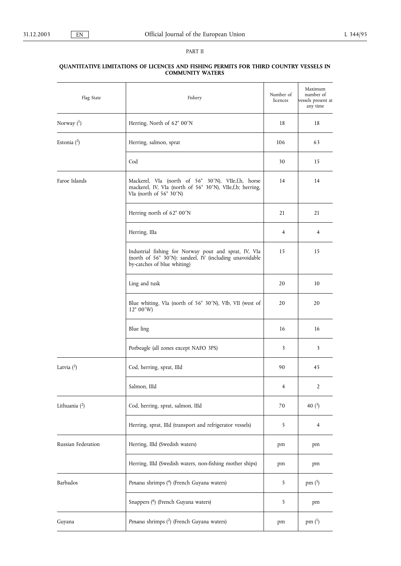## PART II

| Flag State         | Fishery                                                                                                                                         | Number of<br>licences | Maximum<br>number of<br>vessels present at<br>any time |
|--------------------|-------------------------------------------------------------------------------------------------------------------------------------------------|-----------------------|--------------------------------------------------------|
| Norway $(1)$       | Herring, North of 62° 00'N                                                                                                                      | 18                    | 18                                                     |
| Estonia $(2)$      | Herring, salmon, sprat                                                                                                                          | 106                   | 63                                                     |
|                    | Cod                                                                                                                                             | 30                    | 15                                                     |
| Faroe Islands      | Mackerel, VIa (north of 56° 30'N), VIIe,f,h, horse<br>mackerel, IV, VIa (north of 56° 30'N), VIIe,f,h; herring,<br>VIa (north of 56° 30'N)      | 14                    | 14                                                     |
|                    | Herring north of 62° 00'N                                                                                                                       | 21                    | 21                                                     |
|                    | Herring, IIIa                                                                                                                                   | 4                     | $\overline{4}$                                         |
|                    | Industrial fishing for Norway pout and sprat, IV, VIa<br>(north of 56° 30'N): sandeel, IV (including unavoidable<br>by-catches of blue whiting) | 15                    | 15                                                     |
|                    | Ling and tusk                                                                                                                                   | 20                    | 10                                                     |
|                    | Blue whiting, VIa (north of 56° 30'N), VIb, VII (west of<br>$12^{\circ} 00'$ W)                                                                 | 20                    | 20                                                     |
|                    | Blue ling                                                                                                                                       | 16                    | 16                                                     |
|                    | Porbeagle (all zones except NAFO 3PS)                                                                                                           | 3                     | 3                                                      |
| Latvia $(^2)$      | Cod, herring, sprat, IIId                                                                                                                       | 90                    | 45                                                     |
|                    | Salmon, IIId                                                                                                                                    | 4                     | 2                                                      |
| Lithuania $(2)$    | Cod, herring, sprat, salmon, IIId                                                                                                               | 70                    | 40 $(3)$                                               |
|                    | Herring, sprat, IIId (transport and refrigerator vessels)                                                                                       | 5                     | 4                                                      |
| Russian Federation | Herring, IIId (Swedish waters)                                                                                                                  | pm                    | pm                                                     |
|                    | Herring, IIId (Swedish waters, non-fishing mother ships)                                                                                        | pm                    | pm                                                     |
| Barbados           | Penaeus shrimps (4) (French Guyana waters)                                                                                                      | 5                     | pm $(5)$                                               |
|                    | Snappers (6) (French Guyana waters)                                                                                                             | 5                     | pm                                                     |
| Guyana             | Penaeus shrimps (2) (French Guyana waters)                                                                                                      | pm                    | pm $(^1)$                                              |
|                    |                                                                                                                                                 |                       |                                                        |

### **QUANTITATIVE LIMITATIONS OF LICENCES AND FISHING PERMITS FOR THIRD COUNTRY VESSELS IN COMMUNITY WATERS**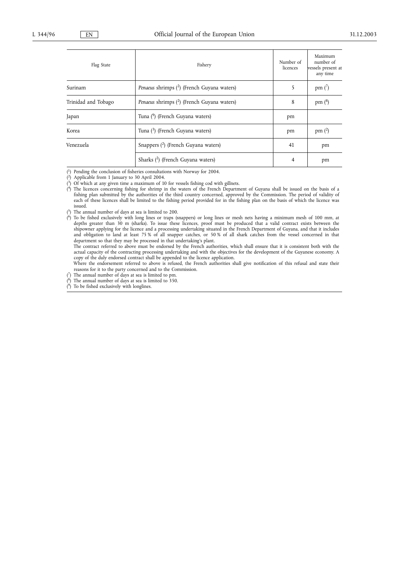| Flag State          | Fishery                                                 | Number of<br>licences | Maximum<br>number of<br>vessels present at<br>any time |
|---------------------|---------------------------------------------------------|-----------------------|--------------------------------------------------------|
| Surinam             | Penaeus shrimps ( <sup>2</sup> ) (French Guyana waters) | 5                     | pm(')                                                  |
| Trinidad and Tobago | Penaeus shrimps ( <sup>2</sup> ) (French Guyana waters) | 8                     | pm $(^8)$                                              |
| Japan               | Tuna (9) (French Guyana waters)                         | pm                    |                                                        |
| Korea               | Tuna $\binom{3}{2}$ (French Guyana waters)              | pm                    | pm $(2)$                                               |
| Venezuela           | Snappers $(2)$ (French Guyana waters)                   | 41                    | pm                                                     |
|                     | Sharks (2) (French Guyana waters)                       | 4                     | pm                                                     |

( 1) Pending the conclusion of fisheries consultations with Norway for 2004.

2) Applicable from 1 January to 30 April 2004.

 $\binom{2}{3}$ ( 3) Of which at any given time a maximum of 10 for vessels fishing cod with gillnets.

( 4) The licences concerning fishing for shrimp in the waters of the French Department of Guyana shall be issued on the basis of a fishing plan submitted by the authorities of the third country concerned, approved by the Commission. The period of validity of each of these licences shall be limited to the fishing period provided for in the fishing plan on the basis of which the licence was issued.

 $(5)$  The annual number of days at sea is limited to 200.

( 6) To be fished exclusively with long lines or traps (snappers) or long lines or mesh nets having a minimum mesh of 100 mm, at depths greater than 30 m (sharks). To issue these licences, proof must be produced that a valid contract exists between the shipowner applying for the licence and a processing undertaking situated in the French Department of Guyana, and that it includes and obligation to land at least 75 % of all snapper catches, or 50 % of all shark catches from the vessel concerned in that department so that they may be processed in that undertaking's plant.

The contract referred to above must be endorsed by the French authorities, which shall ensure that it is consistent both with the actual capacity of the contracting processing undertaking and with the objectives for the development of the Guyanese economy. A copy of the duly endorsed contract shall be appended to the licence application.

Where the endorsement referred to above is refused, the French authorities shall give notification of this refusal and state their reasons for it to the party concerned and to the Commission.

( The annual number of days at sea is limited to pm.

 $(8)$ The annual number of days at sea is limited to 350.

 $(9)$ To be fished exclusively with longlines.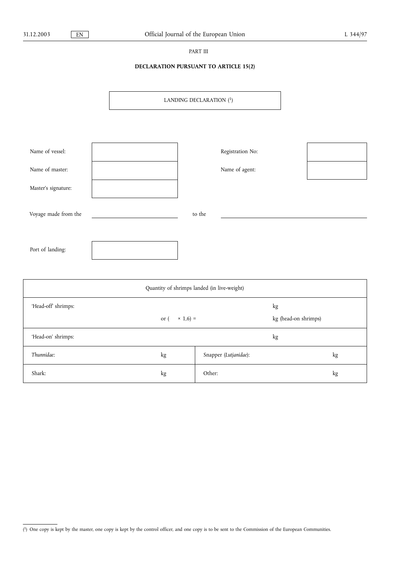## PART III

# **DECLARATION PURSUANT TO ARTICLE 15(2)**

LANDING DECLARATION (1)

| Name of vessel:      |        | Registration No: |  |
|----------------------|--------|------------------|--|
| Name of master:      |        | Name of agent:   |  |
| Master's signature:  |        |                  |  |
| Voyage made from the | to the |                  |  |
|                      |        |                  |  |
| Port of landing:     |        |                  |  |

| Quantity of shrimps landed (in live-weight) |                         |                       |                            |    |  |
|---------------------------------------------|-------------------------|-----------------------|----------------------------|----|--|
| 'Head-off' shrimps:                         | $\times$ 1,6) =<br>or ( |                       | kg<br>kg (head-on shrimps) |    |  |
| 'Head-on' shrimps:                          |                         |                       | kg                         |    |  |
| Thunnidae:                                  | kg                      | Snapper (Lutjanidae): |                            | kg |  |
| Shark:                                      | kg                      | Other:                |                            | kg |  |

<sup>(</sup> 1) One copy is kept by the master, one copy is kept by the control officer, and one copy is to be sent to the Commission of the European Communities.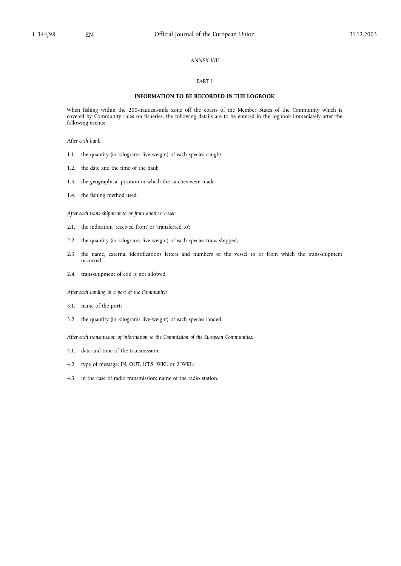## *ANNEX VIII*

## PART I

### **INFORMATION TO BE RECORDED IN THE LOGBOOK**

When fishing within the 200-nautical-mile zone off the coasts of the Member States of the Community which is covered by Community rules on fisheries, the following details are to be entered in the logbook immediately after the following events:

*After each haul:*

- 1.1. the quantity (in kilograms live-weight) of each species caught;
- 1.2. the date and the time of the haul;
- 1.3. the geographical position in which the catches were made;
- 1.4. the fishing method used.

*After each trans-shipment to or from another vessel:*

- 2.1. the indication 'received from' or 'transferred to';
- 2.2. the quantity (in kilograms live-weight) of each species trans-shipped;
- 2.3. the name, external identifications letters and numbers of the vessel to or from which the trans-shipment occurred.
- 2.4. trans-shipment of cod is not allowed.

*After each landing in a port of the Community:*

- 3.1. name of the port;
- 3.2. the quantity (in kilograms live-weight) of each species landed.
- *After each transmission of information to the Commission of the European Communities:*
- 4.1. date and time of the transmission;
- 4.2. type of message: IN, OUT, ICES, WKL or 2 WKL;
- 4.3. in the case of radio transmission: name of the radio station.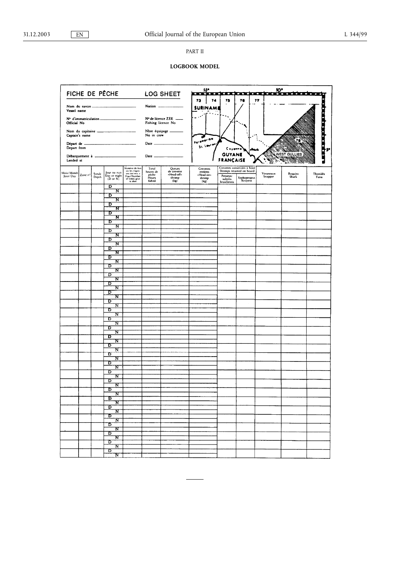# PART II

# **LOGBOOK MODEL**

|                          |                |                |                                                     |                                                                                              |                                      |                                               | 550                                          |                          |                                                          | <u></u>              |                     |                  |
|--------------------------|----------------|----------------|-----------------------------------------------------|----------------------------------------------------------------------------------------------|--------------------------------------|-----------------------------------------------|----------------------------------------------|--------------------------|----------------------------------------------------------|----------------------|---------------------|------------------|
|                          |                |                | FICHE DE PÊCHE                                      |                                                                                              |                                      | <b>LOG SHEET</b>                              | 74<br>73                                     | n<br>75                  | m<br>76                                                  | π<br>77              |                     |                  |
| Vessel name              | Nom du navire  |                |                                                     |                                                                                              | Nation -                             |                                               | <b>SURINAM</b>                               |                          |                                                          |                      |                     |                  |
| Official No              |                |                | Fishing licence No                                  | Nº de licence ZEE =                                                                          |                                      |                                               |                                              |                          |                                                          |                      |                     |                  |
|                          | Captain's name |                | Nom du capitaine ___________                        |                                                                                              | Nbre équipage<br>No in crew          |                                               |                                              |                          |                                                          |                      |                     |                  |
| Départ de<br>Depart from |                |                |                                                     | ш.                                                                                           |                                      | Date $\frac{1}{2}$                            | Paramerine<br>St. Lauren                     | Cacama                   | نمعة                                                     |                      |                     | in anders and    |
| Landed at                |                |                |                                                     |                                                                                              | Date _____                           |                                               |                                              | Gι                       | YANE                                                     |                      | WEST GULLIES<br>ъx. |                  |
| Mois/Month<br>Jour/Day   | Zone nº        | Sonde<br>Depth | Jour ou nuit<br>Day or night<br>$(D \text{ or } N)$ | Nombre de fois<br>où les engins<br>ont été mis à<br>l'eau/Number<br>of times gear<br>is shot | Total<br>heures de<br>pèche<br>Hours | Queues<br>de crevette<br>-Head-off+<br>shrimp | Crevettes<br>entières<br>-Head-on-<br>sarimp | Penaeus:                 | Crevettes conservées à bord<br>Shrimps retained on board | Vivaneaux<br>Snapper | Requins<br>Shark    | Thonidés<br>Tuna |
|                          |                |                | D                                                   |                                                                                              | fished                               | (kg)                                          | (kg)                                         | subtilis<br>brasiliensis | Xyphopenaeus<br>Kroyerii                                 |                      |                     |                  |
|                          |                |                | N<br>D                                              |                                                                                              |                                      |                                               |                                              |                          |                                                          |                      |                     |                  |
|                          |                |                | N<br>D<br>'N                                        |                                                                                              |                                      |                                               |                                              |                          |                                                          |                      |                     |                  |
|                          |                |                | D<br>N                                              |                                                                                              |                                      |                                               |                                              |                          |                                                          |                      |                     |                  |
|                          |                |                | D<br>N                                              |                                                                                              |                                      |                                               |                                              |                          |                                                          |                      |                     |                  |
|                          |                |                | D<br>N                                              |                                                                                              |                                      |                                               |                                              |                          |                                                          |                      |                     |                  |
|                          |                |                | ъ<br>$\overline{\mathbf{N}}$                        |                                                                                              |                                      |                                               |                                              |                          |                                                          |                      |                     |                  |
|                          |                |                | D<br>N<br>D                                         |                                                                                              |                                      |                                               |                                              |                          |                                                          |                      |                     |                  |
|                          |                |                | N<br>ъ                                              |                                                                                              |                                      |                                               |                                              |                          |                                                          |                      |                     |                  |
|                          |                |                | N<br>D                                              |                                                                                              |                                      |                                               |                                              |                          |                                                          |                      |                     |                  |
|                          |                |                | N<br>D                                              |                                                                                              |                                      |                                               |                                              |                          |                                                          |                      |                     |                  |
|                          |                |                | $_{\rm N}$<br>D                                     |                                                                                              |                                      |                                               |                                              |                          |                                                          |                      |                     |                  |
|                          |                |                | $\overline{\mathbf{N}}$<br>D<br>N                   |                                                                                              |                                      |                                               |                                              |                          |                                                          |                      |                     |                  |
|                          |                |                | ъ<br>N                                              |                                                                                              |                                      |                                               |                                              |                          |                                                          |                      |                     |                  |
|                          |                |                | D<br>N                                              |                                                                                              |                                      |                                               |                                              |                          |                                                          | à,                   |                     |                  |
|                          |                |                | D<br>$\overline{\mathbf{N}}$                        |                                                                                              |                                      |                                               |                                              |                          |                                                          |                      |                     |                  |
| $\sim$<br>÷,             |                |                | D<br>'N                                             |                                                                                              |                                      |                                               |                                              |                          |                                                          |                      |                     |                  |
|                          |                |                | D<br>N<br>ъ                                         |                                                                                              |                                      |                                               |                                              |                          |                                                          |                      |                     |                  |
|                          |                |                | N<br>D                                              |                                                                                              |                                      |                                               |                                              |                          |                                                          |                      |                     |                  |
|                          |                |                | N<br>D                                              |                                                                                              |                                      |                                               |                                              |                          |                                                          |                      |                     |                  |
|                          |                |                | N<br>D                                              |                                                                                              |                                      |                                               |                                              |                          |                                                          |                      |                     |                  |
|                          |                |                | N<br>D                                              |                                                                                              |                                      |                                               |                                              |                          |                                                          |                      |                     |                  |
|                          |                |                | $\overline{\mathbf{N}}$<br>Б                        |                                                                                              |                                      |                                               |                                              |                          |                                                          |                      |                     |                  |
|                          |                |                | $\mathbf{N}^-$<br>$\overline{\mathbf{D}}$           |                                                                                              |                                      |                                               |                                              |                          |                                                          |                      |                     |                  |
|                          |                |                | N<br>ᢧ<br>$\overline{\mathbf{N}}$                   |                                                                                              |                                      |                                               |                                              |                          |                                                          |                      |                     |                  |
|                          |                |                | ᠊ᢐ<br>N                                             |                                                                                              |                                      |                                               |                                              |                          |                                                          |                      |                     |                  |
|                          |                |                | D<br>$\overline{\mathbf{N}}$                        |                                                                                              |                                      |                                               |                                              |                          |                                                          |                      |                     |                  |
|                          |                |                | $\overline{D}$<br>$\mathbf{N}_{\perp}$              |                                                                                              |                                      |                                               |                                              |                          |                                                          |                      |                     |                  |
|                          |                |                | D<br>$_{\pi}$                                       |                                                                                              |                                      |                                               |                                              |                          |                                                          |                      |                     |                  |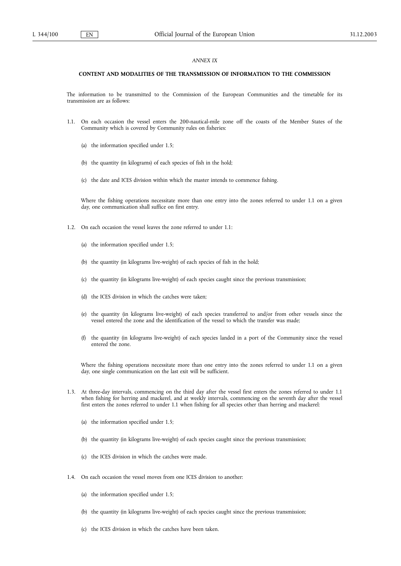### *ANNEX IX*

#### **CONTENT AND MODALITIES OF THE TRANSMISSION OF INFORMATION TO THE COMMISSION**

The information to be transmitted to the Commission of the European Communities and the timetable for its transmission are as follows:

- 1.1. On each occasion the vessel enters the 200-nautical-mile zone off the coasts of the Member States of the Community which is covered by Community rules on fisheries:
	- (a) the information specified under 1.5;
	- (b) the quantity (in kilograms) of each species of fish in the hold;
	- (c) the date and ICES division within which the master intends to commence fishing.

Where the fishing operations necessitate more than one entry into the zones referred to under 1.1 on a given day, one communication shall suffice on first entry.

- 1.2. On each occasion the vessel leaves the zone referred to under 1.1:
	- (a) the information specified under 1.5;
	- (b) the quantity (in kilograms live-weight) of each species of fish in the hold;
	- (c) the quantity (in kilograms live-weight) of each species caught since the previous transmission;
	- (d) the ICES division in which the catches were taken;
	- (e) the quantity (in kilograms live-weight) of each species transferred to and/or from other vessels since the vessel entered the zone and the identification of the vessel to which the transfer was made;
	- (f) the quantity (in kilograms live-weight) of each species landed in a port of the Community since the vessel entered the zone.

Where the fishing operations necessitate more than one entry into the zones referred to under 1.1 on a given day, one single communication on the last exit will be sufficient.

- 1.3. At three-day intervals, commencing on the third day after the vessel first enters the zones referred to under 1.1 when fishing for herring and mackerel, and at weekly intervals, commencing on the seventh day after the vessel first enters the zones referred to under 1.1 when fishing for all species other than herring and mackerel:
	- (a) the information specified under 1.5;
	- (b) the quantity (in kilograms live-weight) of each species caught since the previous transmission;
	- (c) the ICES division in which the catches were made.
- 1.4. On each occasion the vessel moves from one ICES division to another:
	- (a) the information specified under 1.5;
	- (b) the quantity (in kilograms live-weight) of each species caught since the previous transmission;
	- (c) the ICES division in which the catches have been taken.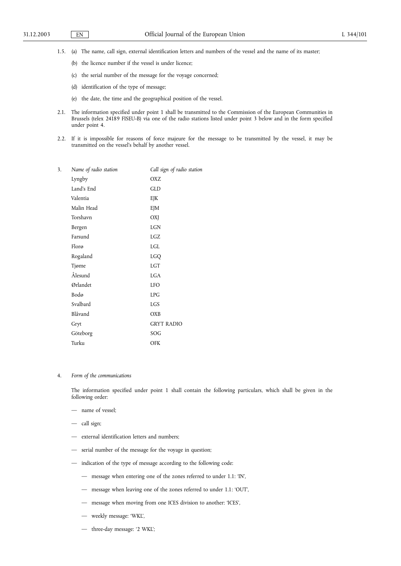- 1.5. (a) The name, call sign, external identification letters and numbers of the vessel and the name of its master;
	- (b) the licence number if the vessel is under licence;
	- (c) the serial number of the message for the voyage concerned;
	- (d) identification of the type of message;
	- (e) the date, the time and the geographical position of the vessel.
- 2.1. The information specified under point 1 shall be transmitted to the Commission of the European Communities in Brussels (telex 24189 FISEU-B) via one of the radio stations listed under point 3 below and in the form specified under point 4.
- 2.2. If it is impossible for reasons of force majeure for the message to be transmitted by the vessel, it may be transmitted on the vessel's behalf by another vessel.

| 3. | Name of radio station | Call sign of radio station |
|----|-----------------------|----------------------------|
|    | Lyngby                | OXZ                        |
|    | Land's End            | GLD                        |
|    | Valentia              | EJK                        |
|    | Malin Head            | EJM                        |
|    | Torshavn              | OXJ                        |
|    | Bergen                | LGN                        |
|    | Farsund               | LGZ                        |
|    | Florø                 | LGL                        |
|    | Rogaland              | LGQ                        |
|    | Tjøme                 | <b>LGT</b>                 |
|    | Ålesund               | <b>LGA</b>                 |
|    | Ørlandet              | <b>LFO</b>                 |
|    | Bodø                  | <b>LPG</b>                 |
|    | Svalbard              | LGS                        |
|    | Blåvand               | <b>OXB</b>                 |
|    | Gryt                  | <b>GRYT RADIO</b>          |
|    | Göteborg              | SOG                        |
|    | Turku                 | <b>OFK</b>                 |
|    |                       |                            |

4. *Form of the communications*

The information specified under point 1 shall contain the following particulars, which shall be given in the following order:

- name of vessel;
- call sign;
- external identification letters and numbers;
- serial number of the message for the voyage in question;
- indication of the type of message according to the following code:
	- message when entering one of the zones referred to under 1.1: 'IN',
	- message when leaving one of the zones referred to under 1.1: 'OUT',
	- message when moving from one ICES division to another: 'ICES',
	- weekly message: 'WKL',
	- three-day message: '2 WKL';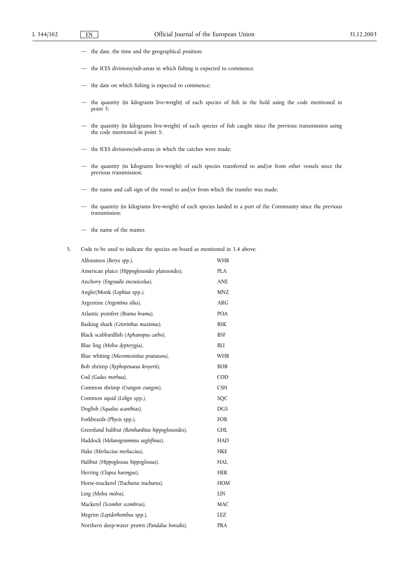- the date, the time and the geographical position;
- the ICES divisions/sub-areas in which fishing is expected to commence;
- the date on which fishing is expected to commence;
- the quantity (in kilograms live-weight) of each species of fish in the hold using the code mentioned in point 5;
- the quantity (in kilograms live-weight) of each species of fish caught since the previous transmission using the code mentioned in point 5;
- the ICES divisions/sub-areas in which the catches were made;
- the quantity (in kilograms live-weight) of each species transferred to and/or from other vessels since the previous transmission;
- the name and call sign of the vessel to and/or from which the transfer was made;
- the quantity (in kilograms live-weight) of each species landed in a port of the Community since the previous transmission;
- the name of the master.
- 5. Code to be used to indicate the species on board as mentioned in 1.4 above:

| Alfonsinos (Beryx spp.),                          | WHB        |
|---------------------------------------------------|------------|
| American plaice (Hippoglossoides platessoides),   | <b>PLA</b> |
| Anchovy (Engraulis encrasicolus),                 | <b>ANE</b> |
| Angler/Monk (Lophius spp.),                       | <b>MNZ</b> |
| Argentine (Argentina silus),                      | ARG        |
| Atlantic pomfret (Brama brama),                   | <b>POA</b> |
| Basking shark (Cetorinhus maximus),               | <b>BSK</b> |
| Black scabbardfish (Aphanopus carbo),             | <b>BSF</b> |
| Blue ling (Molva dypterygia),                     | BLI        |
| Blue whiting (Micromesistius poutassou),          | WHB        |
| Bob shrimp (Xyphopenaeus kroyerii),               | <b>BOB</b> |
| Cod (Gadus morhua),                               | COD        |
| Common shrimp (Crangon crangon),                  | <b>CSH</b> |
| Common squid (Loligo spp.),                       | SQC        |
| Dogfish (Squalus acanthias),                      | <b>DGS</b> |
| Forkbeards (Phycis spp.),                         | <b>FOR</b> |
| Greenland halibut (Reinhardtius hippoglossoides), | GHL        |
| Haddock (Melanogrammus aeglefinus),               | <b>HAD</b> |
| Hake (Merluccius merluccius),                     | <b>HKE</b> |
| Halibut (Hippoglossus hippoglossus),              | HAI.       |
| Herring (Clupea harengus),                        | <b>HER</b> |
| Horse-mackerel (Trachurus trachurus),             | <b>HOM</b> |
| Ling (Molva molva),                               | <b>LIN</b> |
| Mackerel (Scomber scombrus),                      | MAC        |
| Megrim (Lepidorhombus spp.),                      | LEZ        |
| Northern deep-water prawn (Pandalus borealis),    | <b>PRA</b> |
|                                                   |            |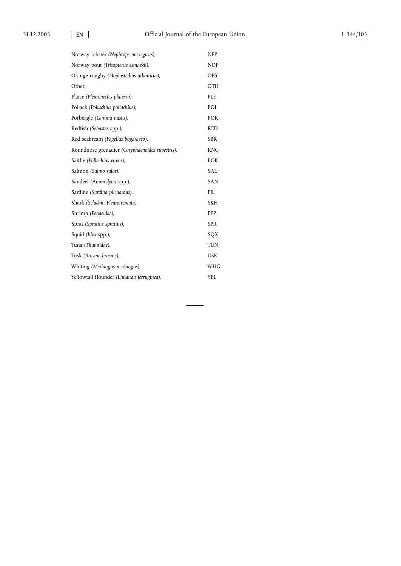| Norway lobster (Nephrops norvegicus),           | <b>NEP</b> |
|-------------------------------------------------|------------|
| Norway pout (Trisopterus esmarkii),             | <b>NOP</b> |
| Orange roughy (Hoplostethus atlanticus),        | ORY        |
| Other.                                          | OTH        |
| Plaice (Pleuronectes platessa),                 | PLE        |
| Pollack (Pollachius pollachius),                | POL        |
| Porbeagle (Lamma nasus),                        | POR        |
| Redfish (Sebastes spp.),                        | <b>RED</b> |
| Red seabream (Pagellus bogaraveo),              | <b>SBR</b> |
| Roundnose grenadier (Coryphaenoides rupestris), | <b>RNG</b> |
| Saithe (Pollachius virens),                     | <b>POK</b> |
| Salmon (Salmo salar),                           | <b>SAL</b> |
| Sandeel (Ammodytes spp.),                       | <b>SAN</b> |
| Sardine (Sardina pilchardus),                   | PIL        |
| Shark (Selachii, Pleurotremata),                | <b>SKH</b> |
| Shrimp (Penaeidae),                             | PEZ        |
| Sprat (Sprattus sprattus),                      | <b>SPR</b> |
| Squid (Illex spp.),                             | SQX        |
| Tuna (Thunnidae),                               | <b>TUN</b> |
| Tusk (Brosme brosme),                           | <b>USK</b> |
| Whiting (Merlangus merlangus),                  | WHG        |
| Yellowtail flounder (Limanda ferruginea),       | <b>YEL</b> |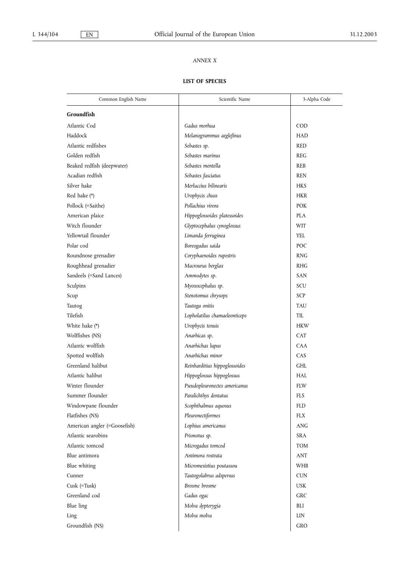# *ANNEX X*

## **LIST OF SPECIES**

| Common English Name          | Scientific Name               | 3-Alpha Code |
|------------------------------|-------------------------------|--------------|
| Groundfish                   |                               |              |
| Atlantic Cod                 | Gadus morhua                  | COD          |
| Haddock                      | Melanogrammus aeglefinus      | <b>HAD</b>   |
| Atlantic redfishes           | Sebastes sp.                  | <b>RED</b>   |
| Golden redfish               | Sebastes marinus              | <b>REG</b>   |
| Beaked redfish (deepwater)   | Sebastes mentella             | <b>REB</b>   |
| Acadian redfish              | Sebastes fasciatus            | <b>REN</b>   |
| Silver hake                  | Merluccius bilinearis         | <b>HKS</b>   |
| Red hake (*)                 | Urophycis chuss               | <b>HKR</b>   |
| Pollock (=Saithe)            | Pollachius virens             | <b>POK</b>   |
| American plaice              | Hippoglossoides platessoides  | <b>PLA</b>   |
| Witch flounder               | Glyptocephalus cynoglossus    | WIT          |
| Yellowtail flounder          | Limanda ferruginea            | YEI.         |
| Polar cod                    | Boreogadus saida              | <b>POC</b>   |
| Roundnose grenadier          | Coryphaenoides rupestris      | <b>RNG</b>   |
| Roughhead grenadier          | Macrourus berglax             | <b>RHG</b>   |
| Sandeels (=Sand Lances)      | Ammodytes sp.                 | <b>SAN</b>   |
| Sculpins                     | Myoxocephalus sp.             | SCU          |
| Scup                         | Stenotomus chrysops           | <b>SCP</b>   |
| Tautog                       | Tautoga onitis                | <b>TAU</b>   |
| Tilefish                     | Lopholatilus chamaeleonticeps | TIL          |
| White hake (*)               | Urophycis tenuis              | <b>HKW</b>   |
| Wolffishes (NS)              | Anarhicas sp.                 | <b>CAT</b>   |
| Atlantic wolffish            | Anarhichas lupus              | <b>CAA</b>   |
| Spotted wolffish             | Anarhichas minor              | CAS          |
| Greenland halibut            | Reinharditius hippoglossoides | <b>GHL</b>   |
| Atlantic halibut             | Hippoglossus hippoglossus     | <b>HAL</b>   |
| Winter flounder              | Pseudopleuronectes americanus | <b>FLW</b>   |
| Summer flounder              | Paralichthys dentatus         | <b>FLS</b>   |
| Windowpane flounder          | Scophthalmus aquosus          | <b>FLD</b>   |
| Flatfishes (NS)              | Pleuronectiformes             | <b>FLX</b>   |
| American angler (=Goosefish) | Lophius americanus            | ANG          |
| Atlantic searobins           | Prionotus sp.                 | <b>SRA</b>   |
| Atlantic tomcod              | Microgadus tomcod             | <b>TOM</b>   |
| Blue antimora                | Antimora rostrata             | <b>ANT</b>   |
| Blue whiting                 | Micromesistius poutassou      | WHB          |
| Cunner                       | Tautogolabrus adspersus       | <b>CUN</b>   |
| Cusk (=Tusk)                 | Brosme brosme                 | <b>USK</b>   |
| Greenland cod                | Gadus ogac                    | GRC          |
| Blue ling                    | Molva dypterygia              | BLI          |
| Ling                         | Molva molva                   | LIN          |
| Groundfish (NS)              |                               | GRO          |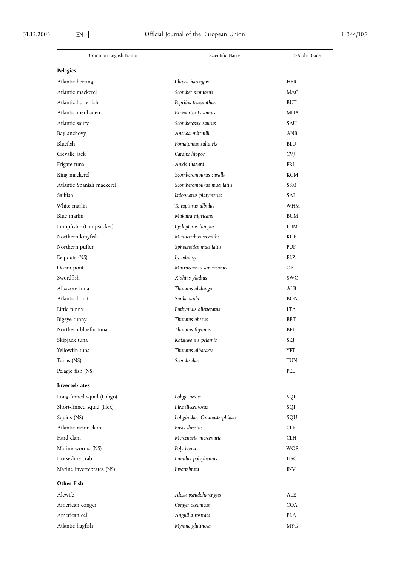| Common English Name        | Scientific Name             | 3-Alpha Code |
|----------------------------|-----------------------------|--------------|
| <b>Pelagics</b>            |                             |              |
| Atlantic herring           | Clupea harengus             | <b>HER</b>   |
| Atlantic mackerel          | Scomber scombrus            | <b>MAC</b>   |
| Atlantic butterfish        | Peprilus triacanthus        | <b>BUT</b>   |
| Atlantic menhaden          | Brevoortia tyrannus         | MHA          |
| Atlantic saury             | Scomberesox saurus          | SAU          |
| Bay anchovy                | Anchoa mitchilli            | <b>ANB</b>   |
| Bluefish                   | Pomatomus saltatrix         | <b>BLU</b>   |
| Crevalle jack              | Caranx hippos               | <b>CVJ</b>   |
| Frigate tuna               | Auxis thazard               | <b>FRI</b>   |
| King mackerel              | Scomberomourus cavalla      | KGM          |
| Atlantic Spanish mackerel  | Scomberomourus maculatus    | <b>SSM</b>   |
| Sailfish                   | Istiophorus platypterus     | <b>SAI</b>   |
| White marlin               | Tetrapturus albidus         | <b>WHM</b>   |
| Blue marlin                | Makaira nigricans           | <b>BUM</b>   |
| Lumpfish =(Lumpsucker)     | Cyclopterus lumpus          | <b>LUM</b>   |
| Northern kingfish          | Menticirrhus saxatilis      | KGF          |
| Northern puffer            | Sphoeroides maculatus       | PUF          |
| Eelpouts (NS)              | Lycodes sp.                 | <b>ELZ</b>   |
| Ocean pout                 | Macrozoarces americanus     | OPT          |
| Swordfish                  | Xiphias gladius             | <b>SWO</b>   |
| Albacore tuna              | Thunnus alalunga            | ALB          |
| Atlantic bonito            | Sarda sarda                 | <b>BON</b>   |
| Little tunny               | Euthynnus alletteratus      | <b>LTA</b>   |
| Bigeye tunny               | Thunnus obesus              | BET          |
| Northern bluefin tuna      | Thunnus thynnus             | BFT          |
| Skipjack tuna              | Katsuwonus pelamis          | <b>SKJ</b>   |
| Yellowfin tuna             | Thunnus albacares           | YFT          |
| Tunas (NS)                 | Scombridae                  | <b>TUN</b>   |
| Pelagic fish (NS)          |                             | PEL          |
| Invertebrates              |                             |              |
| Long-finned squid (Loligo) | Loligo pealei               | SQL          |
| Short-finned squid (Illex) | Illex illecebrosus          | SQI          |
| Squids (NS)                | Loliginidae, Ommastrephidae | SQU          |
| Atlantic razor clam        | Ensis directus              | <b>CLR</b>   |
| Hard clam                  | Mercenaria mercenaria       | <b>CLH</b>   |
| Marine worms (NS)          | Polycheata                  | <b>WOR</b>   |
| Horseshoe crab             | Limulus polyphemus          | <b>HSC</b>   |
| Marine invertebrates (NS)  | Invertebrata                | <b>INV</b>   |
| Other Fish                 |                             |              |
| Alewife                    | Alosa pseudoharengus        | ALE          |
| American conger            | Conger oceanicus            | <b>COA</b>   |
| American eel               | Anguilla rostrata           | <b>ELA</b>   |
| Atlantic hagfish           | Myxine glutinosa            | <b>MYG</b>   |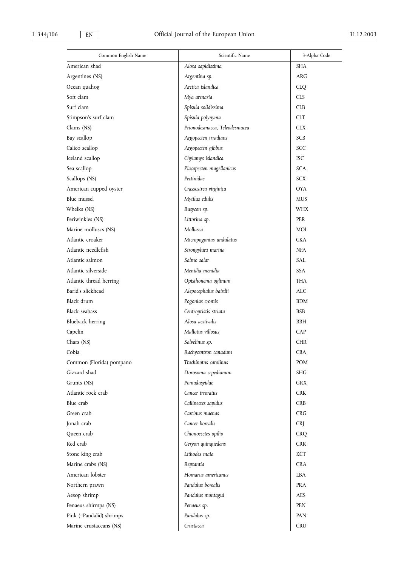| Common English Name      | Scientific Name               | 3-Alpha Code |  |  |
|--------------------------|-------------------------------|--------------|--|--|
| American shad            | Alosa sapidissima             | <b>SHA</b>   |  |  |
| Argentines (NS)          | Argentina sp.                 | <b>ARG</b>   |  |  |
| Ocean quahog             | Arctica islandica             | <b>CLO</b>   |  |  |
| Soft clam                | Mya arenaria                  | <b>CLS</b>   |  |  |
| Surf clam                | Spisula solidissima           | <b>CLB</b>   |  |  |
| Stimpson's surf clam     | Spisula polynyma              | <b>CLT</b>   |  |  |
| Clams (NS)               | Prionodesmacea, Teleodesmacea | <b>CLX</b>   |  |  |
| Bay scallop              | Argopecten irradians          | <b>SCB</b>   |  |  |
| Calico scallop           | Argopecten gibbus             | <b>SCC</b>   |  |  |
| Iceland scallop          | Chylamys islandica            | <b>ISC</b>   |  |  |
| Sea scallop              | Placopecten magellanicus      | <b>SCA</b>   |  |  |
| Scallops (NS)            | Pectinidae                    | <b>SCX</b>   |  |  |
| American cupped oyster   | Crassostrea virginica         | <b>OYA</b>   |  |  |
| Blue mussel              | Mytilus edulis                | <b>MUS</b>   |  |  |
| Whelks (NS)              | Busycon sp.                   | <b>WHX</b>   |  |  |
| Periwinkles (NS)         | Littorina sp.                 | <b>PER</b>   |  |  |
| Marine molluscs (NS)     | Mollusca                      | MOL          |  |  |
| Atlantic croaker         | Micropogonias undulatus       | <b>CKA</b>   |  |  |
| Atlantic needlefish      | Strongylura marina            | <b>NFA</b>   |  |  |
| Atlantic salmon          | Salmo salar                   | SAL          |  |  |
| Atlantic silverside      | Menidia menidia               | <b>SSA</b>   |  |  |
| Atlantic thread herring  | Opisthonema oglinum           | THA          |  |  |
| Barid's slickhead        | Alepocephalus bairdii         | ALC          |  |  |
| Black drum               | Pogonias cromis               | <b>BDM</b>   |  |  |
| Black seabass            | Centropristis striata         | <b>BSB</b>   |  |  |
| Blueback herring         | Alosa aestivalis              | <b>BBH</b>   |  |  |
| Capelin                  | Mallotus villosus             | CAP          |  |  |
| Chars (NS)               | Salvelinus sp.                | <b>CHR</b>   |  |  |
| Cobia                    | Rachycentron canadum          | <b>CBA</b>   |  |  |
| Common (Florida) pompano | Trachinotus carolinus         | POM          |  |  |
| Gizzard shad             | Dorosoma cepedianum           | SHG          |  |  |
| Grunts (NS)              | Pomadasyidae                  | <b>GRX</b>   |  |  |
| Atlantic rock crab       | Cancer irroratus              | <b>CRK</b>   |  |  |
| Blue crab                | Callinectes sapidus           | <b>CRB</b>   |  |  |
| Green crab               | Carcinus maenas               | <b>CRG</b>   |  |  |
| Jonah crab               | Cancer borealis               | <b>CRI</b>   |  |  |
| Queen crab               | Chionoecetes opilio           | <b>CRQ</b>   |  |  |
| Red crab                 | Geryon quinquedens            | <b>CRR</b>   |  |  |
| Stone king crab          | Lithodes maia                 | KCT          |  |  |
| Marine crabs (NS)        | Reptantia                     | <b>CRA</b>   |  |  |
| American lobster         | Homarus americanus            | LBA          |  |  |
| Northern prawn           | Pandalus borealis             | <b>PRA</b>   |  |  |
| Aesop shrimp             | Pandalus montagui             | AES          |  |  |
| Penaeus shirmps (NS)     | Penaeus sp.                   | <b>PEN</b>   |  |  |
| Pink (=Pandalid) shrimps | Pandalus sp.                  | PAN          |  |  |
| Marine crustaceans (NS)  | Crustacea                     | <b>CRU</b>   |  |  |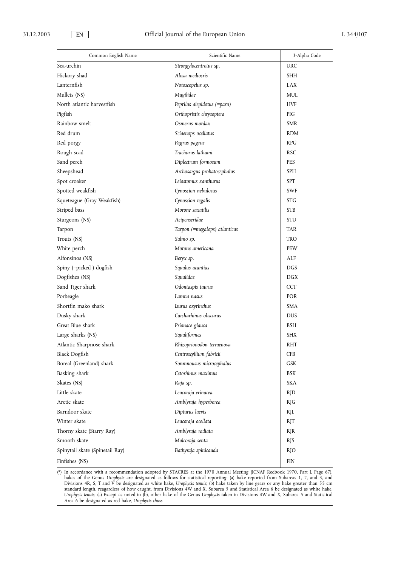| Common English Name             | Scientific Name               | 3-Alpha Code |
|---------------------------------|-------------------------------|--------------|
| Sea-urchin                      | Strongylocentrotus sp.        | <b>URC</b>   |
| Hickory shad                    | Alosa mediocris               | <b>SHH</b>   |
| Lanternfish                     | Notoscopelus sp.              | <b>LAX</b>   |
| Mullets (NS)                    | Mugilidae                     | <b>MUL</b>   |
| North atlantic harvestfish      | Peprilus alepidotus (=paru)   | <b>HVF</b>   |
| Pigfish                         | Orthopristis chrysoptera      | PIG          |
| Rainbow smelt                   | Osmerus mordax                | <b>SMR</b>   |
| Red drum                        | Sciaenops ocellatus           | <b>RDM</b>   |
| Red porgy                       | Pagrus pagrus                 | <b>RPG</b>   |
| Rough scad                      | Trachurus lathami             | <b>RSC</b>   |
| Sand perch                      | Diplectrum formosum           | <b>PES</b>   |
| Sheepshead                      | Archosargus probatocephalus   | <b>SPH</b>   |
| Spot croaker                    | Leiostomus xanthurus          | <b>SPT</b>   |
| Spotted weakfish                | Cynoscion nebulosus           | <b>SWF</b>   |
| Squeteague (Gray Weakfish)      | Cynoscion regalis             | <b>STG</b>   |
| Striped bass                    | Morone saxatilis              | <b>STB</b>   |
| Sturgeons (NS)                  | Acipenseridae                 | STU          |
| Tarpon                          | Tarpon (=megalops) atlanticus | <b>TAR</b>   |
| Trouts (NS)                     | Salmo sp.                     | <b>TRO</b>   |
| White perch                     | Morone americana              | PEW          |
| Alfonsinos (NS)                 | Beryx sp.                     | ALF          |
| Spiny (=picked) dogfish         | Squalus acantias              | <b>DGS</b>   |
| Dogfishes (NS)                  | Squalidae                     | <b>DGX</b>   |
| Sand Tiger shark                | Odontaspis taurus             | <b>CCT</b>   |
| Porbeagle                       | Lamna nasus                   | <b>POR</b>   |
| Shortfin mako shark             | Isurus oxyrinchus             | <b>SMA</b>   |
| Dusky shark                     | Carcharhinus obscurus         | <b>DUS</b>   |
| Great Blue shark                | Prionace glauca               | <b>BSH</b>   |
| Large sharks (NS)               | Squaliformes                  | <b>SHX</b>   |
| Atlantic Sharpnose shark        | Rhizoprionodon terraenova     | <b>RHT</b>   |
| <b>Black Dogfish</b>            | Centroscyllium fabricii       | <b>CFB</b>   |
| Boreal (Greenland) shark        | Sonmnousus microcephalus      | <b>GSK</b>   |
| Basking shark                   | Cetorhinus maximus            | <b>BSK</b>   |
| Skates (NS)                     | Raja sp.                      | <b>SKA</b>   |
| Little skate                    | Leucoraja erinacea            | <b>RJD</b>   |
| Arctic skate                    | Amblyraja hyperborea          | <b>RJG</b>   |
| Barndoor skate                  | Dipturus laevis               | <b>RJL</b>   |
| Winter skate                    | Leucoraja ocellata            | <b>RJT</b>   |
| Thorny skate (Starry Ray)       | Amblyraja radiata             | <b>RJR</b>   |
| Smooth skate                    | Malcoraja senta               | <b>RJS</b>   |
| Spinytail skate (Spinetail Ray) | Bathyraja spinicauda          | <b>RJO</b>   |
| Finfishes (NS)                  |                               | <b>FIN</b>   |

(\*) In accordance with a recommendation adopted by STACRES at the 1970 Annual Meeting (ICNAF Redbook 1970, Part I, Page 67), hakes of the Genus *Urophycis* are designated as follows for statistical reporting: (a) hake reported from Subareas 1, 2, and 3, and Divisions 4R, S, T and V be designated as white hake, *Urophycis tenuis*; (b) hake taken by line gears or any hake greater than 55 cm standard length, reagardless of how caught, from Divisions 4W and X, Subarea 5 and Statistical Area 6 be designated as white hake, *Urophycis tenuis*; (c) Except as noted in (b), other hake of the Genus *Urophycis* taken in Divisions 4W and X, Subarea 5 and Statistical Area 6 be designated as red hake, *Urophycis chuss*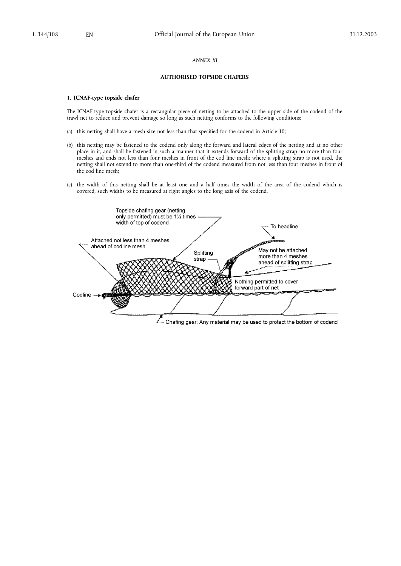#### *ANNEX XI*

#### **AUTHORISED TOPSIDE CHAFERS**

#### 1. **ICNAF-type topside chafer**

The ICNAF-type topside chafer is a rectangular piece of netting to be attached to the upper side of the codend of the trawl net to reduce and prevent damage so long as such netting conforms to the following conditions:

- (a) this netting shall have a mesh size not less than that specified for the codend in Article 10;
- (b) this netting may be fastened to the codend only along the forward and lateral edges of the netting and at no other place in it, and shall be fastened in such a manner that it extends forward of the splitting strap no more than four meshes and ends not less than four meshes in front of the cod line mesh; where a splitting strap is not used, the netting shall not extend to more than one-third of the codend measured from not less than four meshes in front of the cod line mesh;
- (c) the width of this netting shall be at least one and a half times the width of the area of the codend which is covered, such widths to be measured at right angles to the long axis of the codend.

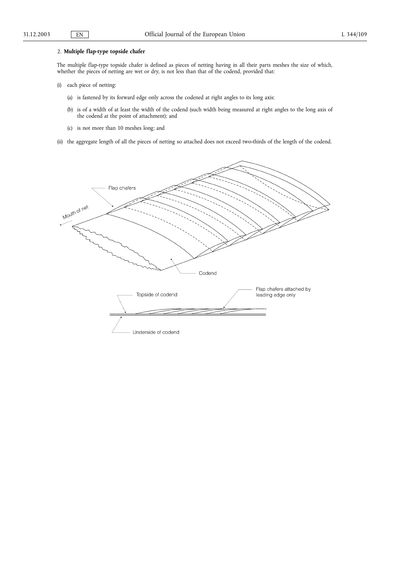### 2. **Multiple flap-type topside chafer**

The multiple flap-type topside chafer is defined as pieces of netting having in all their parts meshes the size of which, whether the pieces of netting are wet or dry, is not less than that of the codend, provided that:

- (i) each piece of netting:
	- (a) is fastened by its forward edge only across the codened at right angles to its long axis;
	- (b) is of a width of at least the width of the codend (such width being measured at right angles to the long axis of the codend at the point of attachment); and
	- (c) is not more than 10 meshes long; and
- (ii) the aggregate length of all the pieces of netting so attached does not exceed two-thirds of the length of the codend.

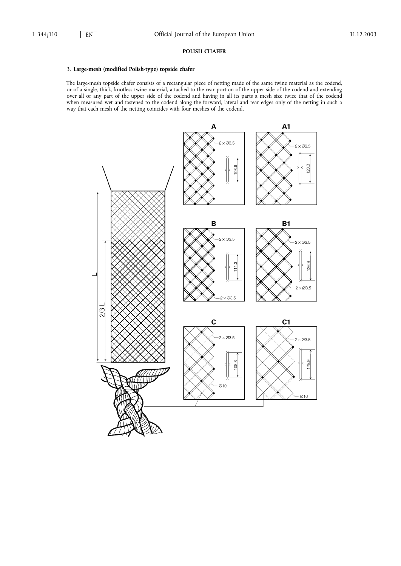#### **POLISH CHAFER**

#### 3. **Large-mesh (modified Polish-type) topside chafer**

The large-mesh topside chafer consists of a rectangular piece of netting made of the same twine material as the codend, or of a single, thick, knotless twine material, attached to the rear portion of the upper side of the codend and extending over all or any part of the upper side of the codend and having in all its parts a mesh size twice that of the codend when measured wet and fastened to the codend along the forward, lateral and rear edges only of the netting in such a way that each mesh of the netting coincides with four meshes of the codend.

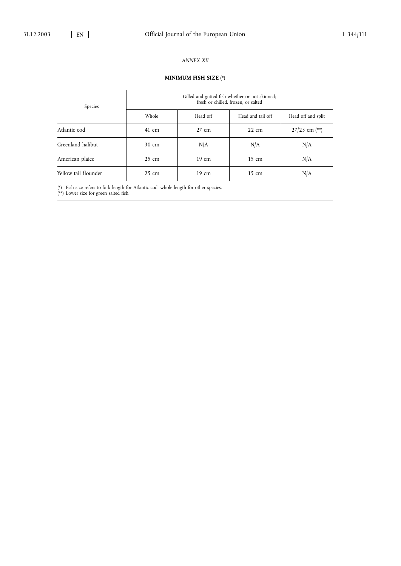### *ANNEX XII*

# **MINIMUM FISH SIZE** (\*)

| Species              | Gilled and gutted fish whether or not skinned;<br>fresh or chilled, frozen, or salted |                 |                   |                    |  |
|----------------------|---------------------------------------------------------------------------------------|-----------------|-------------------|--------------------|--|
|                      | Whole<br>Head off                                                                     |                 | Head and tail off | Head off and split |  |
| Atlantic cod         | $41 \text{ cm}$                                                                       | $27 \text{ cm}$ | $22 \text{ cm}$   | $27/25$ cm (**)    |  |
| Greenland halibut    | 30 cm                                                                                 | N/A             | N/A               | N/A                |  |
| American plaice      | $25 \text{ cm}$                                                                       | 19 cm           | $15 \text{ cm}$   | N/A                |  |
| Yellow tail flounder | $25 \text{ cm}$                                                                       | 19 cm           | $15 \text{ cm}$   | N/A                |  |

(\*) Fish size refers to fork length for Atlantic cod; whole length for other species.

(\*\*) Lower size for green salted fish.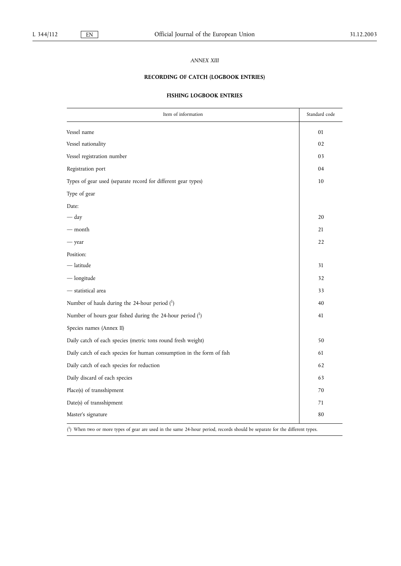#### *ANNEX XIII*

# **RECORDING OF CATCH (LOGBOOK ENTRIES)**

### **FISHING LOGBOOK ENTRIES**

| Item of information                                                   | Standard code |
|-----------------------------------------------------------------------|---------------|
| Vessel name                                                           | 01            |
| Vessel nationality                                                    | 02            |
| Vessel registration number                                            | 03            |
| Registration port                                                     | 04            |
| Types of gear used (separate record for different gear types)         | $10\,$        |
| Type of gear                                                          |               |
| Date:                                                                 |               |
| $-\mathrm{day}$                                                       | 20            |
| — month                                                               | 21            |
| - year                                                                | 22            |
| Position:                                                             |               |
| $-$ latitude                                                          | 31            |
| $-\nlongitude$                                                        | 32            |
| - statistical area                                                    | 33            |
| Number of hauls during the 24-hour period (1)                         | 40            |
| Number of hours gear fished during the 24-hour period $(1)$           | 41            |
| Species names (Annex II)                                              |               |
| Daily catch of each species (metric tons round fresh weight)          | 50            |
| Daily catch of each species for human consumption in the form of fish | 61            |
| Daily catch of each species for reduction                             | 62            |
| Daily discard of each species                                         | 63            |
| Place(s) of transshipment                                             | 70            |
| Date(s) of transshipment                                              | 71            |
| Master's signature                                                    | 80            |

( 1) When two or more types of gear are used in the same 24-hour period, records should be separate for the different types.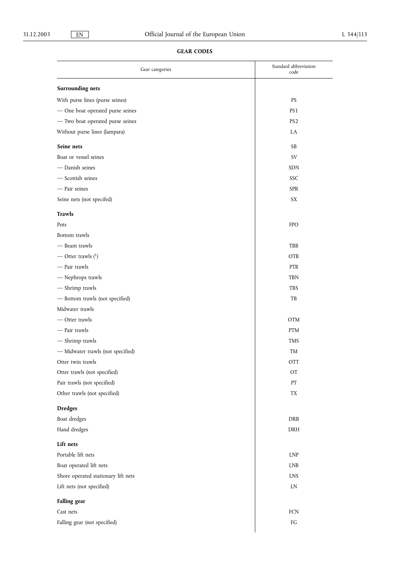# **GEAR CODES**

| Gear categories                     | Standard abbreviation<br>code |
|-------------------------------------|-------------------------------|
| Surrounding nets                    |                               |
| With purse lines (purse seines)     | <b>PS</b>                     |
| - One boat operated purse seines    | PS <sub>1</sub>               |
| - Two boat operated purse seines    | PS <sub>2</sub>               |
| Without purse lines (lampara)       | LA                            |
| Seine nets                          | <b>SB</b>                     |
| Boat or vessel seines               | SV                            |
| - Danish seines                     | SDN                           |
| - Scottish seines                   | SSC                           |
| - Pair seines                       | <b>SPR</b>                    |
| Seine nets (not specifed)           | SX                            |
| <b>Trawls</b>                       |                               |
| Pots                                | <b>FPO</b>                    |
| Bottom trawls                       |                               |
| - Beam trawls                       | TBB                           |
| — Otter trawls $(1)$                | OTB                           |
| - Pair trawls                       | PTB                           |
| - Nephrops trawls                   | TBN                           |
| - Shrimp trawls                     | <b>TBS</b>                    |
| - Bottom trawls (not specified)     | TB                            |
| Midwater trawls                     |                               |
| - Otter trawls                      | <b>OTM</b>                    |
| - Pair trawls                       | PTM                           |
| - Shrimp trawls                     | <b>TMS</b>                    |
| - Midwater trawls (not specified)   | TM                            |
| Otter twin trawls                   | <b>OTT</b>                    |
| Otter trawls (not specified)        | OT                            |
| Pair trawls (not specified)         | PT                            |
| Other trawls (not specified)        | TX                            |
| <b>Dredges</b>                      |                               |
| Boat dredges                        | DRB                           |
| Hand dredges                        | DRH                           |
| Lift nets                           |                               |
| Portable lift nets                  | <b>LNP</b>                    |
| Boat operated lift nets             | <b>LNB</b>                    |
| Shore operated stationary lift nets | <b>LNS</b>                    |
| Lift nets (not specified)           | LN                            |
| Falling gear                        |                               |
| Cast nets                           | FCN                           |
| Falling gear (not specified)        | ${\mathbb F} G$               |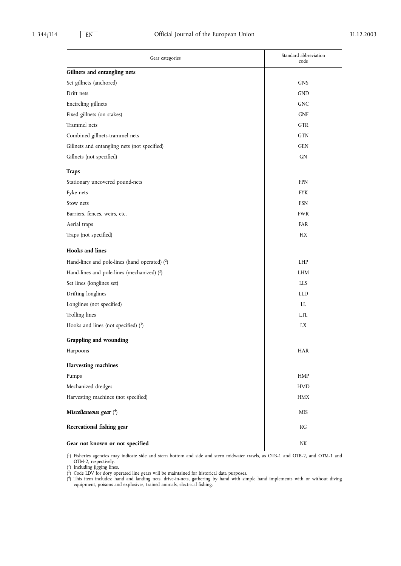| Gear categories                                 | Standard abbreviation<br>code |  |  |  |  |
|-------------------------------------------------|-------------------------------|--|--|--|--|
| Gillnets and entangling nets                    |                               |  |  |  |  |
| Set gillnets (anchored)                         | <b>GNS</b>                    |  |  |  |  |
| Drift nets                                      | <b>GND</b>                    |  |  |  |  |
| Encircling gillnets                             | <b>GNC</b>                    |  |  |  |  |
| Fixed gillnets (on stakes)                      | <b>GNF</b>                    |  |  |  |  |
| Trammel nets                                    | GTR                           |  |  |  |  |
| Combined gillnets-trammel nets                  | <b>GTN</b>                    |  |  |  |  |
| Gillnets and entangling nets (not specified)    | <b>GEN</b>                    |  |  |  |  |
| Gillnets (not specified)                        | GN                            |  |  |  |  |
| <b>Traps</b>                                    |                               |  |  |  |  |
| Stationary uncovered pound-nets                 | <b>FPN</b>                    |  |  |  |  |
| Fyke nets                                       | <b>FYK</b>                    |  |  |  |  |
| Stow nets                                       | <b>FSN</b>                    |  |  |  |  |
| Barriers, fences, weirs, etc.                   | <b>FWR</b>                    |  |  |  |  |
| Aerial traps                                    | FAR                           |  |  |  |  |
| Traps (not specified)                           | <b>FIX</b>                    |  |  |  |  |
| <b>Hooks</b> and lines                          |                               |  |  |  |  |
| Hand-lines and pole-lines (hand operated) $(2)$ | LHP                           |  |  |  |  |
| Hand-lines and pole-lines (mechanized) $(2)$    | <b>LHM</b>                    |  |  |  |  |
| Set lines (longlines set)                       | <b>LLS</b>                    |  |  |  |  |
| Drifting longlines                              | <b>LLD</b>                    |  |  |  |  |
| Longlines (not specified)                       | LL.                           |  |  |  |  |
| Trolling lines                                  | <b>LTL</b>                    |  |  |  |  |
| Hooks and lines (not specified) $(3)$           | LX                            |  |  |  |  |
| Grappling and wounding                          |                               |  |  |  |  |
| Harpoons                                        | HAR                           |  |  |  |  |
| Harvesting machines                             |                               |  |  |  |  |
| Pumps                                           | HMP                           |  |  |  |  |
| Mechanized dredges                              | ${\rm HMD}$                   |  |  |  |  |
| Harvesting machines (not specified)             | <b>HMX</b>                    |  |  |  |  |
| Miscellaneous gear $(4)$                        | <b>MIS</b>                    |  |  |  |  |
| Recreational fishing gear                       | RG                            |  |  |  |  |
| Gear not known or not specified                 | NK                            |  |  |  |  |

( 1) Fisheries agencies may indicate side and stern bottom and side and stern midwater trawls, as OTB-1 and OTB-2, and OTM-1 and OTM-2, respectively.

( 2) Including jigging lines.

( 3) Code LDV for dory operated line gears will be maintained for historical data purposes.

( 4) This item includes: hand and landing nets, drive-in-nets, gathering by hand with simple hand implements with or without diving equipment, poisons and explosives, trained animals, electrical fishing.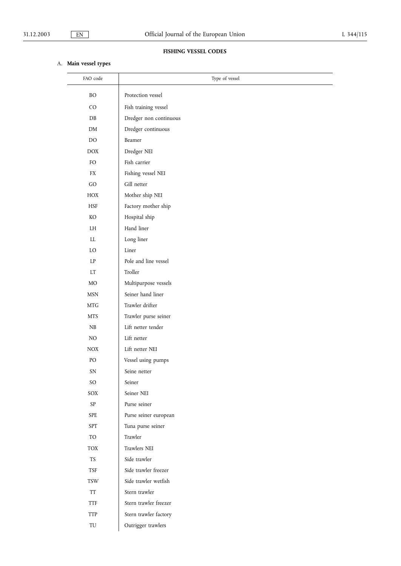# **FISHING VESSEL CODES**

# A. **Main vessel types**

| FAO code        | Type of vessel                    |
|-----------------|-----------------------------------|
| <b>BO</b>       | Protection vessel                 |
| CO.             | Fish training vessel              |
|                 |                                   |
| DB              | Dredger non continuous            |
| DM              | Dredger continuous<br>Beamer      |
| DO              |                                   |
| <b>DOX</b>      | Dredger NEI                       |
| FO              | Fish carrier                      |
| FX              | Fishing vessel NEI<br>Gill netter |
| GO.             |                                   |
| HOX             | Mother ship NEI                   |
| <b>HSF</b>      | Factory mother ship               |
| KO              | Hospital ship<br>Hand liner       |
| LH              |                                   |
| LL              | Long liner                        |
| LO              | Liner                             |
| LP              | Pole and line vessel              |
| LT              | Troller                           |
| MO              | Multipurpose vessels              |
| <b>MSN</b>      | Seiner hand liner                 |
| <b>MTG</b>      | Trawler drifter                   |
| <b>MTS</b>      | Trawler purse seiner              |
| NB              | Lift netter tender                |
| NO              | Lift netter                       |
| NOX             | Lift netter NEI                   |
| PO              | Vessel using pumps                |
| SΝ              | Seine netter                      |
| SO <sub>1</sub> | Seiner                            |
| SOX             | Seiner NEI                        |
| $\mbox{SP}$     | Purse seiner                      |
| SPE             | Purse seiner european             |
| SPT             | Tuna purse seiner                 |
| TO              | Trawler                           |
| <b>TOX</b>      | Trawlers NEI                      |
| <b>TS</b>       | Side trawler                      |
| TSF             | Side trawler freezer              |
| TSW             | Side trawler wetfish              |
| TT              | Stern trawler                     |
| TTF             | Stern trawler freezer             |
| TTP             | Stern trawler factory             |
| TU              | Outrigger trawlers                |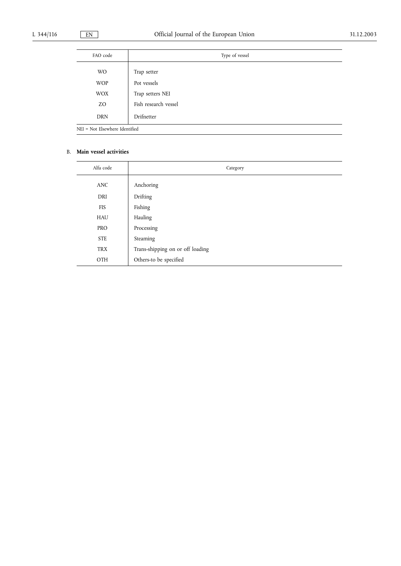| FAO code                       | Type of vessel       |  |  |
|--------------------------------|----------------------|--|--|
| <b>WO</b>                      | Trap setter          |  |  |
| <b>WOP</b>                     | Pot vessels          |  |  |
| <b>WOX</b>                     | Trap setters NEI     |  |  |
| ZO                             | Fish research vessel |  |  |
| <b>DRN</b>                     | Drifnetter           |  |  |
| NEI = Not Elsewhere Identified |                      |  |  |

### B. **Main vessel activities**

| Alfa code  | Category                         |
|------------|----------------------------------|
|            |                                  |
| <b>ANC</b> | Anchoring                        |
| DRI        | Drifting                         |
| <b>FIS</b> | Fishing                          |
| HAU        | Hauling                          |
| <b>PRO</b> | Processing                       |
| <b>STE</b> | Steaming                         |
| <b>TRX</b> | Trans-shipping on or off loading |
| OTH        | Others-to be specified           |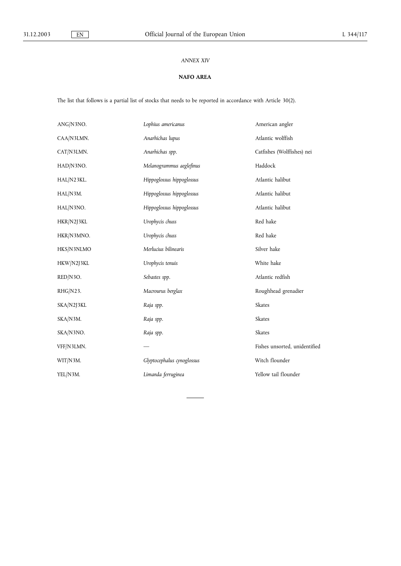### *ANNEX XIV*

### **NAFO AREA**

The list that follows is a partial list of stocks that needs to be reported in accordance with Article 30(2).

| ANG/N3NO.  | Lophius americanus         | American angler               |
|------------|----------------------------|-------------------------------|
| CAA/N3LMN. | Anarhichas lupus           | Atlantic wolffish             |
| CAT/N3LMN. | Anarhichas spp.            | Catfishes (Wolffishes) nei    |
| HAD/N3NO.  | Melanogrammus aeglefinus   | Haddock                       |
| HAL/N23KL. | Hippoglossus hippoglossus  | Atlantic halibut              |
| HAL/N3M.   | Hippoglossus hippoglossus  | Atlantic halibut              |
| HAL/N3NO.  | Hippoglossus hippoglossus  | Atlantic halibut              |
| HKR/N2J3KL | Urophycis chuss            | Red hake                      |
| HKR/N3MNO. | Urophycis chuss            | Red hake                      |
| HKS/N3NLMO | Merlucius bilinearis       | Silver hake                   |
| HKW/N2J3KL | Urophycis tenuis           | White hake                    |
| RED/N3O.   | Sebastes spp.              | Atlantic redfish              |
| RHG/N23.   | Macrourus berglax          | Roughhead grenadier           |
| SKA/N2J3KL | Raja spp.                  | Skates                        |
| SKA/N3M.   | Raja spp.                  | <b>Skates</b>                 |
| SKA/N3NO.  | Raja spp.                  | <b>Skates</b>                 |
| VFF/N3LMN. |                            | Fishes unsorted, unidentified |
| WIT/N3M.   | Glyptocephalus cynoglossus | Witch flounder                |
| YEL/N3M.   | Limanda ferruginea         | Yellow tail flounder          |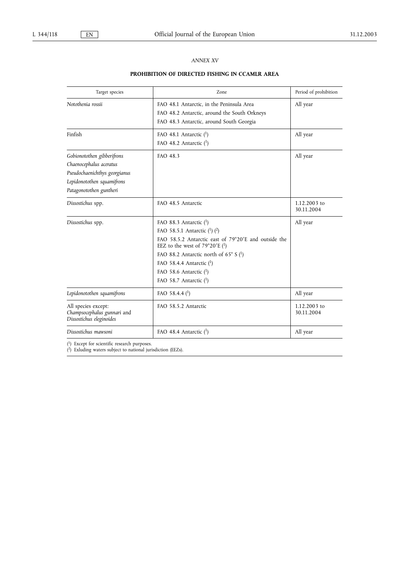### *ANNEX XV*

# **PROHIBITION OF DIRECTED FISHING IN CCAMLR AREA**

| Target species                                                                                                                                  | Zone                                                                                                                                                                                                                                                                                                                             | Period of prohibition      |
|-------------------------------------------------------------------------------------------------------------------------------------------------|----------------------------------------------------------------------------------------------------------------------------------------------------------------------------------------------------------------------------------------------------------------------------------------------------------------------------------|----------------------------|
| Notothenia rossii                                                                                                                               | FAO 48.1 Antarctic, in the Peninsula Area<br>FAO 48.2 Antarctic, around the South Orkneys<br>FAO 48.3 Antarctic, around South Georgia                                                                                                                                                                                            | All year                   |
| Finfish                                                                                                                                         | FAO 48.1 Antarctic $(1)$<br>FAO 48.2 Antarctic $(1)$                                                                                                                                                                                                                                                                             | All year                   |
| Gobionotothen gibberifrons<br>Chaenocephalus aceratus<br>Pseudochaenichthys georgianus<br>Lepidonotothen squamifrons<br>Patagonotothen guntheri | FAO 48.3                                                                                                                                                                                                                                                                                                                         | All year                   |
| Dissostichus spp.                                                                                                                               | FAO 48.5 Antarctic                                                                                                                                                                                                                                                                                                               | 1.12.2003 to<br>30.11.2004 |
| Dissostichus spp.                                                                                                                               | FAO 88.3 Antarctic $(1)$<br>FAO 58.5.1 Antarctic $(1)$ $(2)$<br>FAO 58.5.2 Antarctic east of 79°20'E and outside the<br>EEZ to the west of $79^{\circ}20'E$ ( <sup>1</sup> )<br>FAO 88.2 Antarctic north of 65 $^{\circ}$ S ( <sup>1</sup> )<br>FAO 58.4.4 Antarctic $(1)$<br>FAO 58.6 Antarctic $(1)$<br>FAO 58.7 Antarctic (1) | All year                   |
| Lepidonotothen squamifrons                                                                                                                      | FAO 58.4.4 $(^1)$                                                                                                                                                                                                                                                                                                                | All year                   |
| All species except:<br>Champsocephalus gunnari and<br>Dissostichus eleginoides                                                                  | FAO 58.5.2 Antarctic                                                                                                                                                                                                                                                                                                             | 1.12.2003 to<br>30.11.2004 |
| Dissostichus mawsoni                                                                                                                            | FAO 48.4 Antarctic $(1)$                                                                                                                                                                                                                                                                                                         | All year                   |

( 1) Except for scientific research purposes.

( 2) Exluding waters subject to national jurisdiction (EEZs).